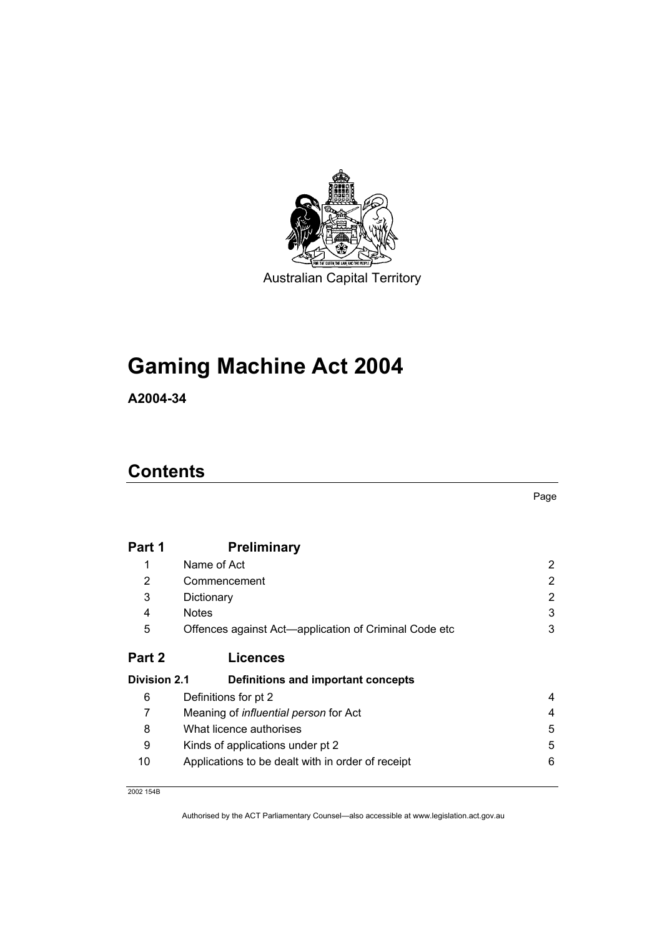

# **Gaming Machine Act 2004**

**A2004-34** 

# **Contents**

| Part 1              | <b>Preliminary</b>                                    |   |
|---------------------|-------------------------------------------------------|---|
| 1                   | Name of Act                                           | 2 |
| 2                   | Commencement                                          | 2 |
| 3                   | Dictionary                                            | 2 |
| 4                   | <b>Notes</b>                                          | 3 |
| 5                   | Offences against Act—application of Criminal Code etc | 3 |
| Part 2              | <b>Licences</b>                                       |   |
| <b>Division 2.1</b> | <b>Definitions and important concepts</b>             |   |
| 6                   | Definitions for pt 2                                  | 4 |
| 7                   | Meaning of <i>influential person</i> for Act          | 4 |
| 8                   | What licence authorises                               | 5 |
| 9                   | Kinds of applications under pt 2                      | 5 |
| 10                  | Applications to be dealt with in order of receipt     | 6 |

2002 154B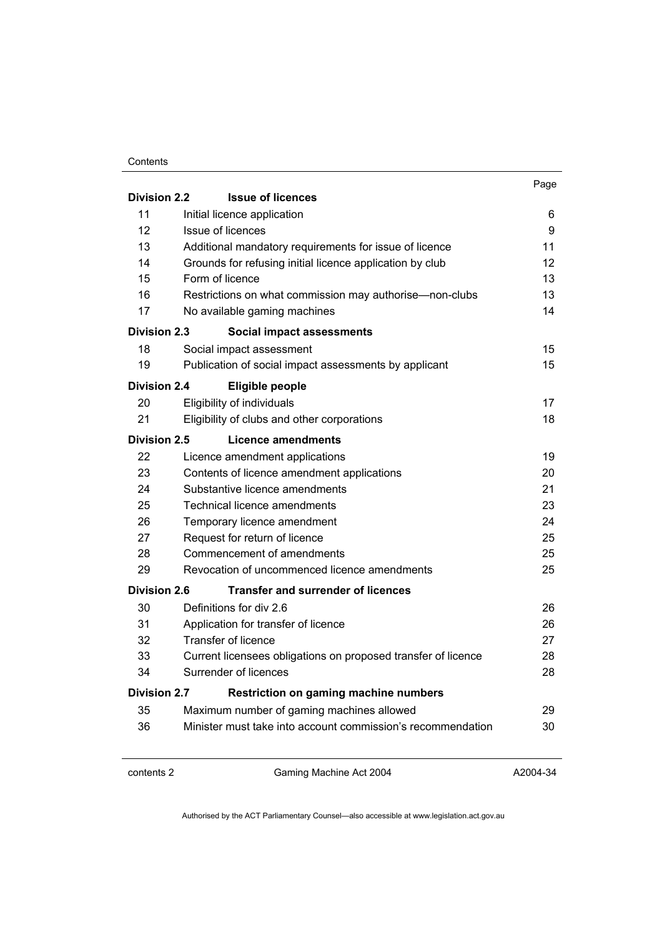#### **Contents**

|                     |                                                               | Page |
|---------------------|---------------------------------------------------------------|------|
| <b>Division 2.2</b> | <b>Issue of licences</b>                                      |      |
| 11                  | Initial licence application                                   | 6    |
| 12                  | <b>Issue of licences</b>                                      | 9    |
| 13                  | Additional mandatory requirements for issue of licence        | 11   |
| 14                  | Grounds for refusing initial licence application by club      | 12   |
| 15                  | Form of licence                                               | 13   |
| 16                  | Restrictions on what commission may authorise-non-clubs       | 13   |
| 17                  | No available gaming machines                                  | 14   |
| Division 2.3        | <b>Social impact assessments</b>                              |      |
| 18                  | Social impact assessment                                      | 15   |
| 19                  | Publication of social impact assessments by applicant         | 15   |
| <b>Division 2.4</b> | <b>Eligible people</b>                                        |      |
| 20                  | Eligibility of individuals                                    | 17   |
| 21                  | Eligibility of clubs and other corporations                   | 18   |
| Division 2.5        | Licence amendments                                            |      |
| 22                  | Licence amendment applications                                | 19   |
| 23                  | Contents of licence amendment applications                    | 20   |
| 24                  | Substantive licence amendments                                | 21   |
| 25                  | <b>Technical licence amendments</b>                           | 23   |
| 26                  | Temporary licence amendment                                   | 24   |
| 27                  | Request for return of licence                                 | 25   |
| 28                  | Commencement of amendments                                    | 25   |
| 29                  | Revocation of uncommenced licence amendments                  | 25   |
| Division 2.6        | <b>Transfer and surrender of licences</b>                     |      |
| 30                  | Definitions for div 2.6                                       | 26   |
| 31                  | Application for transfer of licence                           | 26   |
| 32                  | Transfer of licence                                           | 27   |
| 33                  | Current licensees obligations on proposed transfer of licence | 28   |
| 34                  | Surrender of licences                                         | 28   |
| <b>Division 2.7</b> | <b>Restriction on gaming machine numbers</b>                  |      |
| 35                  | Maximum number of gaming machines allowed                     | 29   |
| 36                  | Minister must take into account commission's recommendation   | 30   |
|                     |                                                               |      |

contents 2 Gaming Machine Act 2004

A2004-34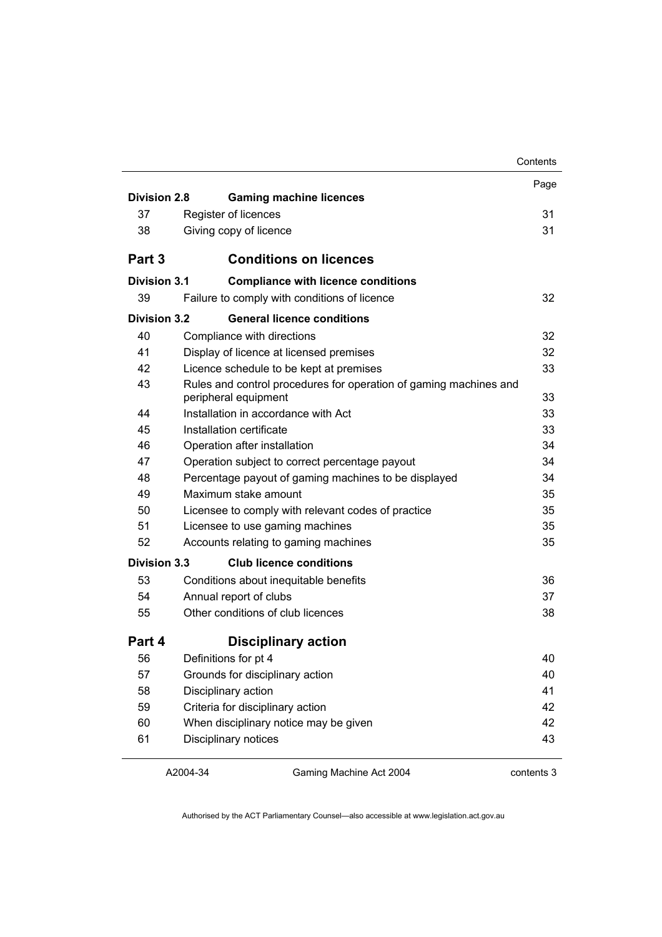|                     |                                                                   | Contents   |
|---------------------|-------------------------------------------------------------------|------------|
|                     |                                                                   | Page       |
| <b>Division 2.8</b> | <b>Gaming machine licences</b>                                    |            |
| 37                  | Register of licences                                              | 31         |
| 38                  | Giving copy of licence                                            | 31         |
| Part 3              | <b>Conditions on licences</b>                                     |            |
| Division 3.1        | <b>Compliance with licence conditions</b>                         |            |
| 39                  | Failure to comply with conditions of licence                      | 32         |
| Division 3.2        | <b>General licence conditions</b>                                 |            |
| 40                  | Compliance with directions                                        | 32         |
| 41                  | Display of licence at licensed premises                           | 32         |
| 42                  | Licence schedule to be kept at premises                           | 33         |
| 43                  | Rules and control procedures for operation of gaming machines and |            |
| 44                  | peripheral equipment<br>Installation in accordance with Act       | 33<br>33   |
| 45                  | Installation certificate                                          | 33         |
| 46                  |                                                                   |            |
|                     | Operation after installation                                      | 34         |
| 47                  | Operation subject to correct percentage payout                    | 34         |
| 48                  | Percentage payout of gaming machines to be displayed              | 34         |
| 49                  | Maximum stake amount                                              | 35         |
| 50                  | Licensee to comply with relevant codes of practice                | 35         |
| 51                  | Licensee to use gaming machines                                   | 35         |
| 52                  | Accounts relating to gaming machines                              | 35         |
| <b>Division 3.3</b> | <b>Club licence conditions</b>                                    |            |
| 53                  | Conditions about inequitable benefits                             | 36         |
| 54                  | Annual report of clubs                                            | 37         |
| 55                  | Other conditions of club licences                                 | 38         |
| Part 4              | <b>Disciplinary action</b>                                        |            |
| 56                  | Definitions for pt 4                                              | 40         |
| 57                  | Grounds for disciplinary action                                   | 40         |
| 58                  | Disciplinary action                                               | 41         |
| 59                  | Criteria for disciplinary action                                  | 42         |
| 60                  | When disciplinary notice may be given                             | 42         |
| 61                  | Disciplinary notices                                              | 43         |
|                     | A2004-34<br>Gaming Machine Act 2004                               | contents 3 |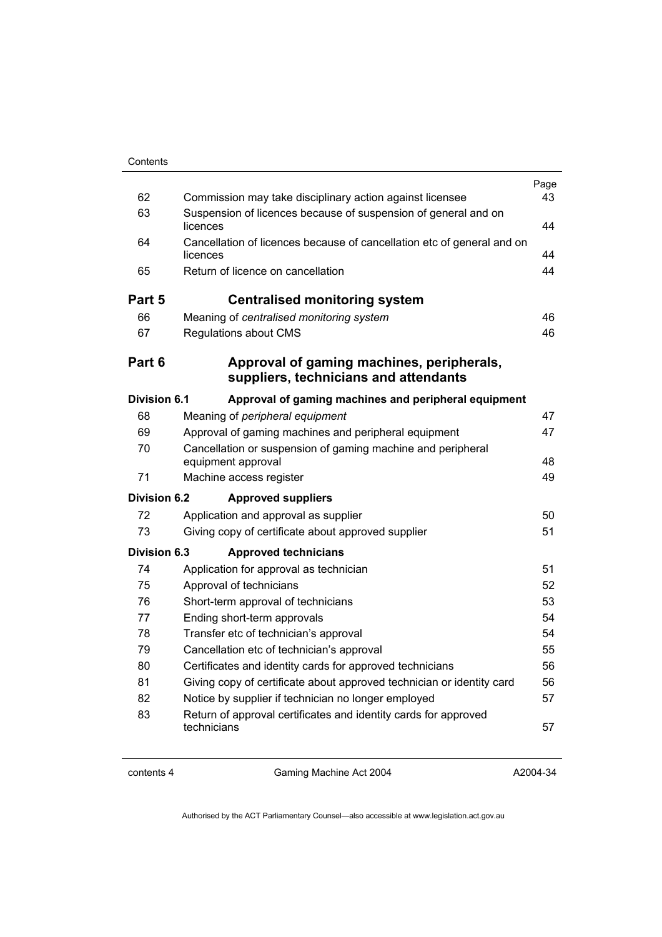| Contents |
|----------|
|          |

| 62                  | Commission may take disciplinary action against licensee                           | Page<br>43 |
|---------------------|------------------------------------------------------------------------------------|------------|
| 63                  | Suspension of licences because of suspension of general and on<br>licences         | 44         |
| 64                  | Cancellation of licences because of cancellation etc of general and on<br>licences | 44         |
| 65                  | Return of licence on cancellation                                                  | 44         |
| Part 5              | <b>Centralised monitoring system</b>                                               |            |
| 66                  | Meaning of centralised monitoring system                                           | 46         |
| 67                  | <b>Regulations about CMS</b>                                                       | 46         |
| Part 6              | Approval of gaming machines, peripherals,<br>suppliers, technicians and attendants |            |
| <b>Division 6.1</b> | Approval of gaming machines and peripheral equipment                               |            |
| 68                  | Meaning of peripheral equipment                                                    | 47         |
| 69                  | Approval of gaming machines and peripheral equipment                               | 47         |
| 70                  | Cancellation or suspension of gaming machine and peripheral                        |            |
|                     | equipment approval                                                                 | 48         |
| 71                  | Machine access register                                                            | 49         |
| <b>Division 6.2</b> | <b>Approved suppliers</b>                                                          |            |
| 72                  | Application and approval as supplier                                               | 50         |
| 73                  | Giving copy of certificate about approved supplier                                 | 51         |
| Division 6.3        | <b>Approved technicians</b>                                                        |            |
| 74                  | Application for approval as technician                                             | 51         |
| 75                  | Approval of technicians                                                            | 52         |
| 76                  | Short-term approval of technicians                                                 | 53         |
| 77                  | Ending short-term approvals                                                        | 54         |
| 78                  | Transfer etc of technician's approval                                              | 54         |
| 79                  | Cancellation etc of technician's approval                                          |            |
| 80                  | Certificates and identity cards for approved technicians                           | 56         |
| 81                  | Giving copy of certificate about approved technician or identity card              | 56         |
| 82                  | Notice by supplier if technician no longer employed                                | 57         |
| 83                  | Return of approval certificates and identity cards for approved<br>technicians     | 57         |

contents 4 Gaming Machine Act 2004

A2004-34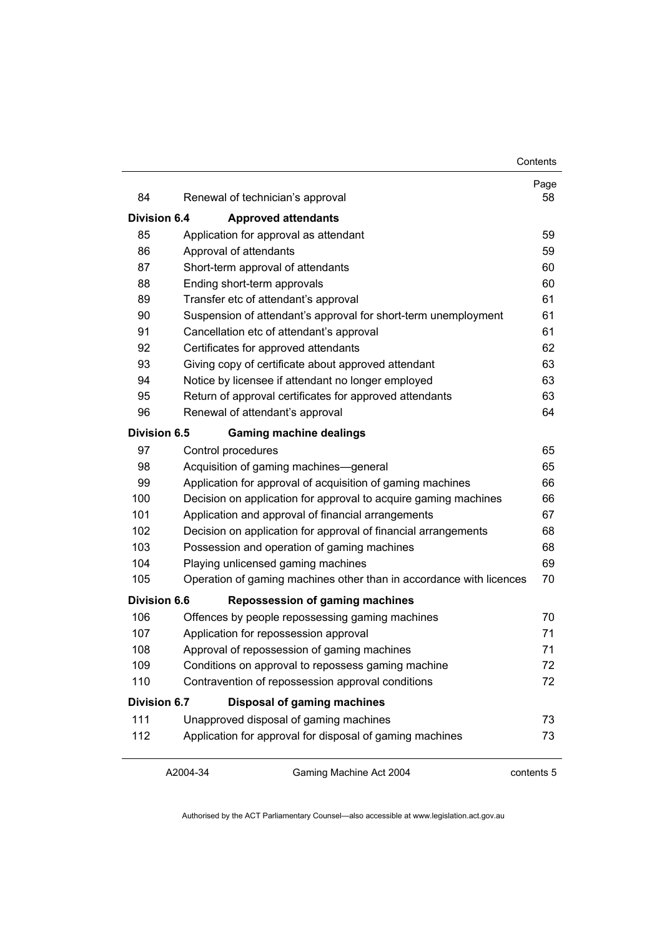| Contents |
|----------|
|----------|

| 84                  | Renewal of technician's approval                                    | Page<br>58 |
|---------------------|---------------------------------------------------------------------|------------|
| Division 6.4        | <b>Approved attendants</b>                                          |            |
| 85                  | Application for approval as attendant                               | 59         |
| 86                  | Approval of attendants                                              | 59         |
| 87                  | Short-term approval of attendants                                   | 60         |
| 88                  | Ending short-term approvals                                         | 60         |
| 89                  | Transfer etc of attendant's approval                                | 61         |
| 90                  | Suspension of attendant's approval for short-term unemployment      | 61         |
| 91                  | Cancellation etc of attendant's approval                            | 61         |
| 92                  | Certificates for approved attendants                                | 62         |
| 93                  | Giving copy of certificate about approved attendant                 | 63         |
| 94                  | Notice by licensee if attendant no longer employed                  | 63         |
| 95                  | Return of approval certificates for approved attendants             | 63         |
| 96                  | Renewal of attendant's approval                                     | 64         |
| <b>Division 6.5</b> | <b>Gaming machine dealings</b>                                      |            |
| 97                  | Control procedures                                                  | 65         |
| 98                  | Acquisition of gaming machines-general                              | 65         |
| 99                  | Application for approval of acquisition of gaming machines          | 66         |
| 100                 | Decision on application for approval to acquire gaming machines     | 66         |
| 101                 | Application and approval of financial arrangements                  | 67         |
| 102                 | Decision on application for approval of financial arrangements      | 68         |
| 103                 | Possession and operation of gaming machines                         | 68         |
| 104                 | Playing unlicensed gaming machines                                  | 69         |
| 105                 | Operation of gaming machines other than in accordance with licences | 70         |
| <b>Division 6.6</b> | <b>Repossession of gaming machines</b>                              |            |
| 106                 | Offences by people repossessing gaming machines                     | 70         |
| 107                 | Application for repossession approval                               | 71         |
| 108                 | Approval of repossession of gaming machines                         | 71         |
| 109                 | Conditions on approval to repossess gaming machine                  | 72         |
| 110                 | Contravention of repossession approval conditions                   | 72         |
| <b>Division 6.7</b> | <b>Disposal of gaming machines</b>                                  |            |
| 111                 | Unapproved disposal of gaming machines                              | 73         |
| 112                 | Application for approval for disposal of gaming machines            | 73         |

A2004-34

Gaming Machine Act 2004

contents 5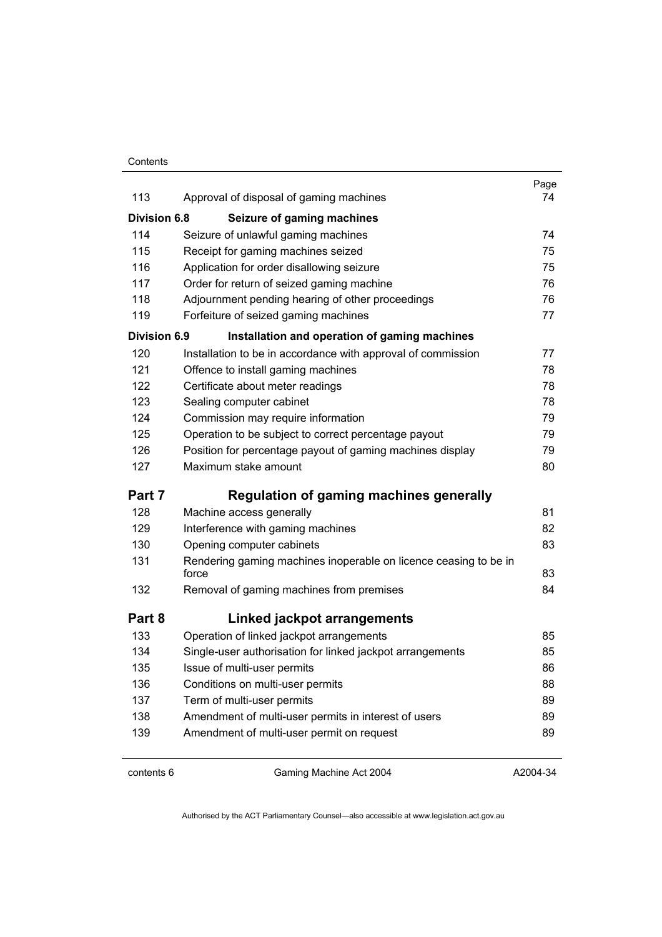#### **Contents**

| 113                 | Approval of disposal of gaming machines                                   | Page<br>74 |
|---------------------|---------------------------------------------------------------------------|------------|
|                     |                                                                           |            |
| <b>Division 6.8</b> | Seizure of gaming machines                                                |            |
| 114                 | Seizure of unlawful gaming machines                                       | 74         |
| 115                 | Receipt for gaming machines seized                                        | 75         |
| 116                 | Application for order disallowing seizure                                 | 75         |
| 117                 | Order for return of seized gaming machine                                 | 76         |
| 118                 | Adjournment pending hearing of other proceedings                          | 76         |
| 119                 | Forfeiture of seized gaming machines                                      | 77         |
| Division 6.9        | Installation and operation of gaming machines                             |            |
| 120                 | Installation to be in accordance with approval of commission              | 77         |
| 121                 | Offence to install gaming machines                                        | 78         |
| 122                 | Certificate about meter readings                                          | 78         |
| 123                 | Sealing computer cabinet                                                  | 78         |
| 124                 | Commission may require information                                        | 79         |
| 125                 | Operation to be subject to correct percentage payout                      | 79         |
| 126                 | Position for percentage payout of gaming machines display                 | 79         |
| 127                 | Maximum stake amount                                                      | 80         |
| Part 7              | <b>Regulation of gaming machines generally</b>                            |            |
| 128                 | Machine access generally                                                  | 81         |
| 129                 | Interference with gaming machines                                         | 82         |
| 130                 | Opening computer cabinets                                                 | 83         |
| 131                 | Rendering gaming machines inoperable on licence ceasing to be in<br>force | 83         |
| 132                 | Removal of gaming machines from premises                                  | 84         |
| Part 8              | Linked jackpot arrangements                                               |            |
| 133                 | Operation of linked jackpot arrangements                                  | 85         |
| 134                 | Single-user authorisation for linked jackpot arrangements                 | 85         |
| 135                 | Issue of multi-user permits                                               | 86         |
| 136                 | Conditions on multi-user permits                                          | 88         |
| 137                 | Term of multi-user permits                                                | 89         |
| 138                 | Amendment of multi-user permits in interest of users                      | 89         |
| 139                 | Amendment of multi-user permit on request                                 | 89         |
|                     |                                                                           |            |

contents 6 Gaming Machine Act 2004

A2004-34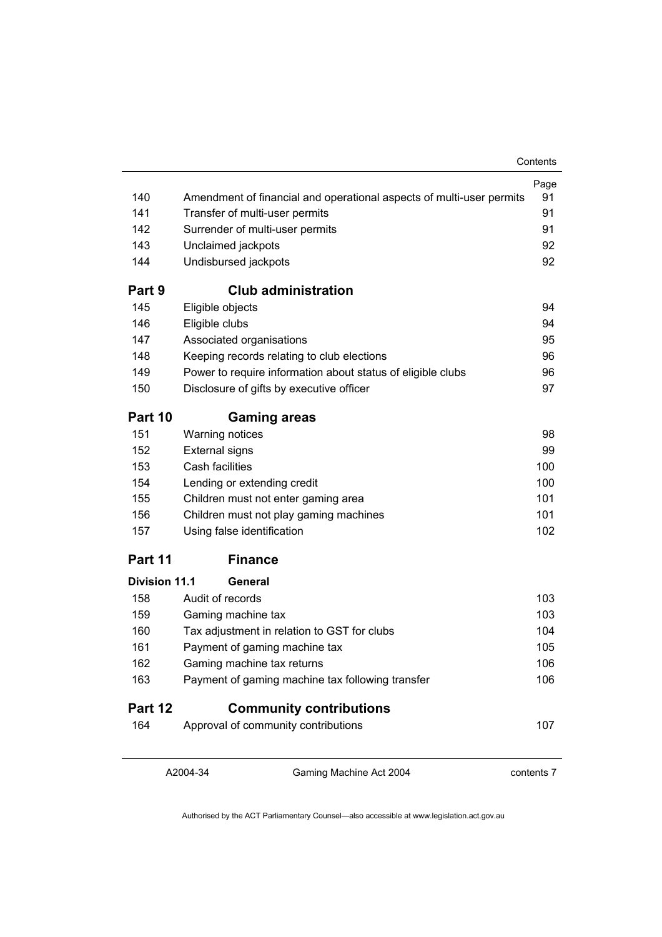|                      |                                                                      | Contents   |
|----------------------|----------------------------------------------------------------------|------------|
|                      |                                                                      | Page       |
| 140                  | Amendment of financial and operational aspects of multi-user permits | 91         |
| 141                  | Transfer of multi-user permits                                       | 91         |
| 142                  | Surrender of multi-user permits                                      |            |
| 143                  | Unclaimed jackpots                                                   | 92         |
| 144                  | Undisbursed jackpots                                                 | 92         |
| Part 9               | <b>Club administration</b>                                           |            |
| 145                  | Eligible objects                                                     | 94         |
| 146                  | Eligible clubs                                                       | 94         |
| 147                  | Associated organisations                                             | 95         |
| 148                  | Keeping records relating to club elections                           | 96         |
| 149                  | Power to require information about status of eligible clubs          | 96         |
| 150                  | Disclosure of gifts by executive officer                             | 97         |
| Part 10              | <b>Gaming areas</b>                                                  |            |
| 151                  | Warning notices                                                      | 98         |
| 152                  | <b>External signs</b>                                                | 99         |
| 153                  | Cash facilities                                                      | 100        |
| 154                  | Lending or extending credit                                          | 100        |
| 155                  | Children must not enter gaming area                                  | 101        |
| 156                  | Children must not play gaming machines                               | 101        |
| 157                  | Using false identification                                           | 102        |
| Part 11              | <b>Finance</b>                                                       |            |
| <b>Division 11.1</b> | General                                                              |            |
| 158                  | Audit of records                                                     | 103        |
| 159                  | Gaming machine tax                                                   | 103        |
| 160                  | Tax adjustment in relation to GST for clubs                          | 104        |
| 161                  | Payment of gaming machine tax                                        | 105        |
| 162                  | Gaming machine tax returns                                           | 106        |
| 163                  | Payment of gaming machine tax following transfer                     | 106        |
| Part 12              | <b>Community contributions</b>                                       |            |
| 164                  | Approval of community contributions                                  | 107        |
|                      |                                                                      |            |
|                      | A2004-34<br>Gaming Machine Act 2004                                  | contents 7 |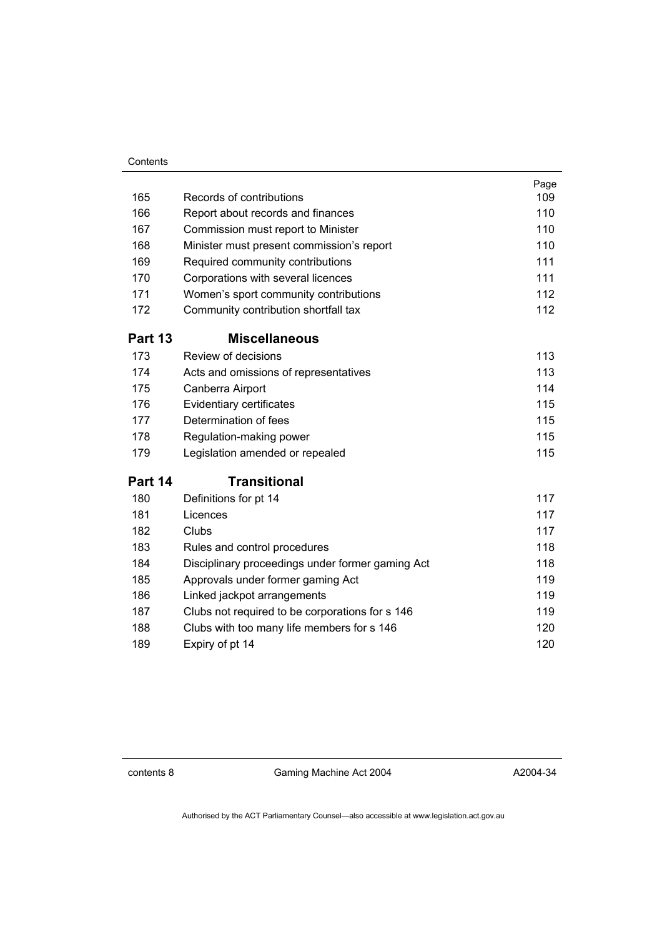#### **Contents**

| 165     | Records of contributions                         | Page<br>109 |
|---------|--------------------------------------------------|-------------|
| 166     | Report about records and finances                | 110         |
| 167     | Commission must report to Minister               | 110         |
| 168     | Minister must present commission's report        | 110         |
| 169     | Required community contributions                 | 111         |
| 170     | Corporations with several licences               | 111         |
| 171     | Women's sport community contributions            | 112         |
| 172     | Community contribution shortfall tax             | 112         |
| Part 13 | <b>Miscellaneous</b>                             |             |
| 173     | Review of decisions                              | 113         |
| 174     | Acts and omissions of representatives            | 113         |
| 175     | Canberra Airport                                 | 114         |
| 176     | Evidentiary certificates                         | 115         |
| 177     | Determination of fees                            | 115         |
| 178     | Regulation-making power                          | 115         |
| 179     | Legislation amended or repealed                  | 115         |
| Part 14 | <b>Transitional</b>                              |             |
| 180     | Definitions for pt 14                            | 117         |
| 181     | Licences                                         | 117         |
| 182     | Clubs                                            | 117         |
| 183     | Rules and control procedures                     | 118         |
| 184     | Disciplinary proceedings under former gaming Act | 118         |
| 185     | Approvals under former gaming Act                | 119         |
| 186     | Linked jackpot arrangements                      | 119         |
| 187     | Clubs not required to be corporations for s 146  | 119         |
| 188     | Clubs with too many life members for s 146       | 120         |
| 189     | Expiry of pt 14                                  | 120         |

contents 8 Gaming Machine Act 2004

A2004-34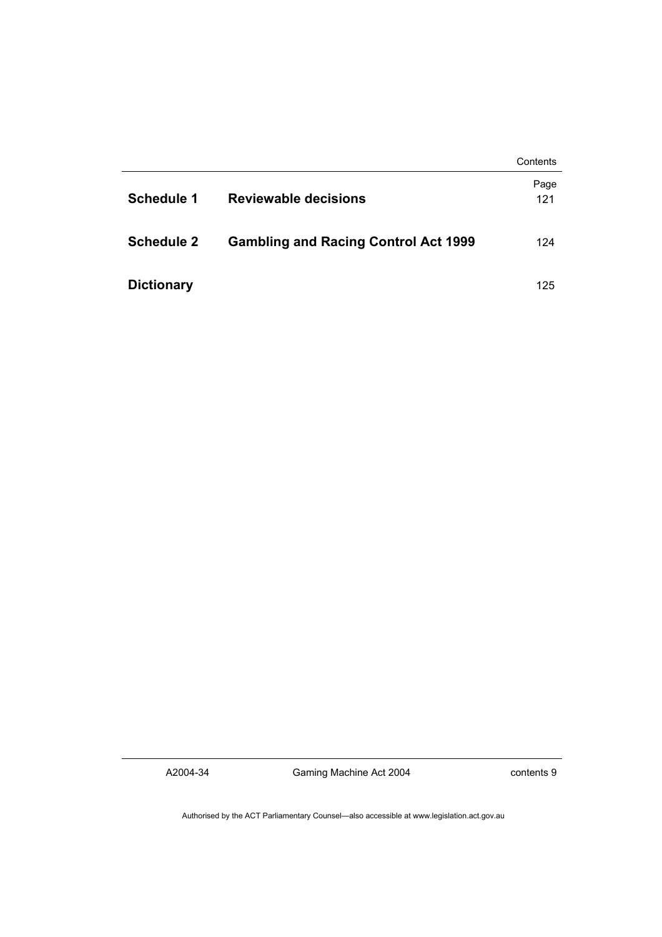|                   |                                             | Contents    |
|-------------------|---------------------------------------------|-------------|
| <b>Schedule 1</b> | Reviewable decisions                        | Page<br>121 |
| <b>Schedule 2</b> | <b>Gambling and Racing Control Act 1999</b> | 124         |
| <b>Dictionary</b> |                                             | 125         |

A2004-34

Gaming Machine Act 2004

contents 9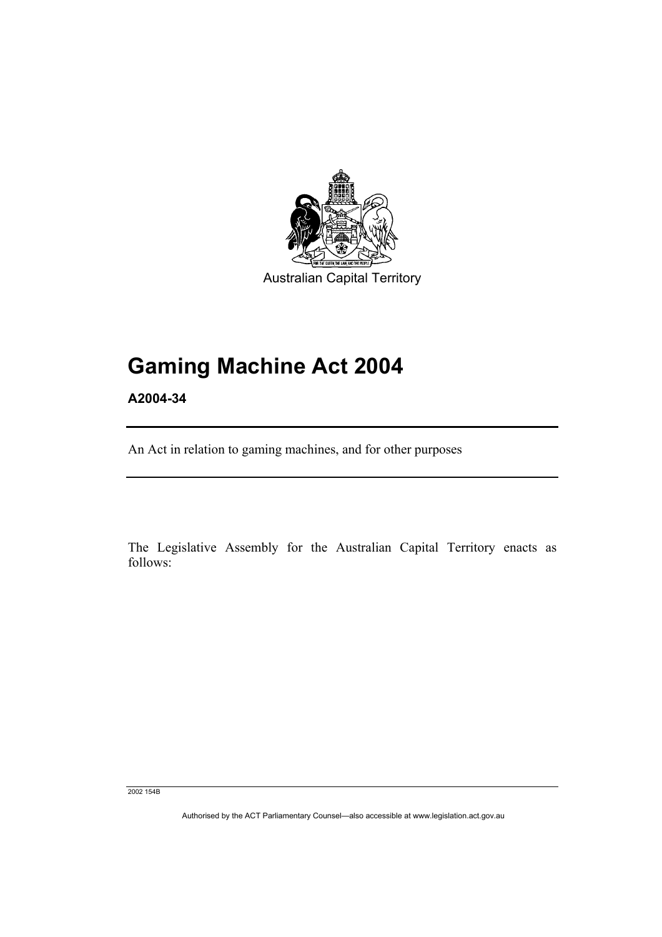

# **Gaming Machine Act 2004**

**A2004-34** 

An Act in relation to gaming machines, and for other purposes

The Legislative Assembly for the Australian Capital Territory enacts as follows:

2002 154B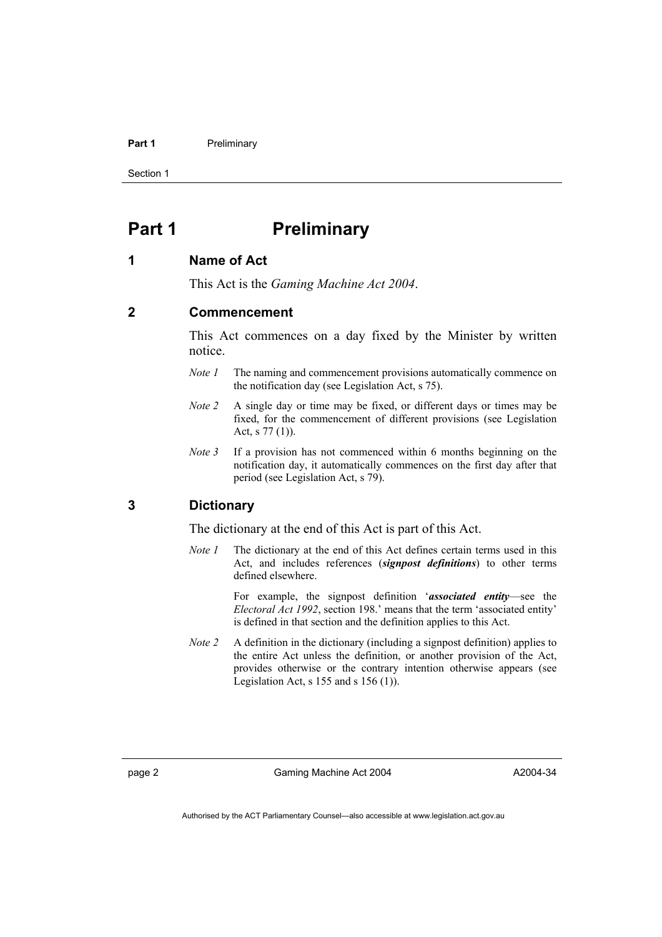#### Part 1 **Preliminary**

Section 1

# **Part 1** Preliminary

#### **1 Name of Act**

This Act is the *Gaming Machine Act 2004*.

# **2 Commencement**

This Act commences on a day fixed by the Minister by written notice.

- *Note 1* The naming and commencement provisions automatically commence on the notification day (see Legislation Act, s 75).
- *Note 2* A single day or time may be fixed, or different days or times may be fixed, for the commencement of different provisions (see Legislation Act, s 77 (1)).
- *Note* 3 If a provision has not commenced within 6 months beginning on the notification day, it automatically commences on the first day after that period (see Legislation Act, s 79).

# **3 Dictionary**

The dictionary at the end of this Act is part of this Act.

*Note 1* The dictionary at the end of this Act defines certain terms used in this Act, and includes references (*signpost definitions*) to other terms defined elsewhere.

> For example, the signpost definition '*associated entity*—see the *Electoral Act 1992*, section 198.' means that the term 'associated entity' is defined in that section and the definition applies to this Act.

*Note 2* A definition in the dictionary (including a signpost definition) applies to the entire Act unless the definition, or another provision of the Act, provides otherwise or the contrary intention otherwise appears (see Legislation Act,  $s$  155 and  $s$  156 (1)).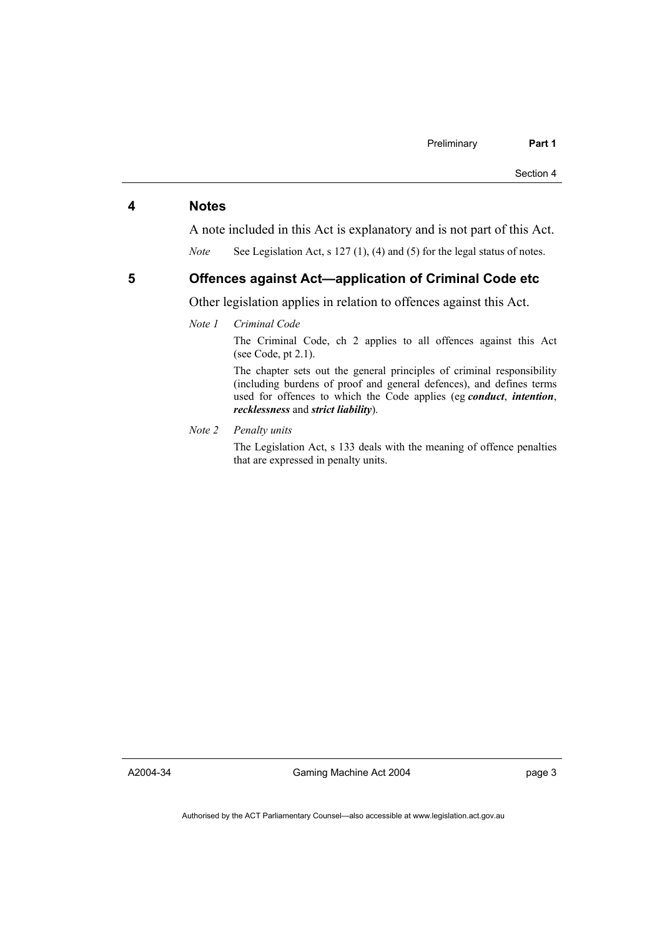### **4 Notes**

A note included in this Act is explanatory and is not part of this Act.

*Note* See Legislation Act, s 127 (1), (4) and (5) for the legal status of notes.

#### **5 Offences against Act—application of Criminal Code etc**

Other legislation applies in relation to offences against this Act.

#### *Note 1 Criminal Code*

The Criminal Code, ch 2 applies to all offences against this Act (see Code, pt 2.1).

The chapter sets out the general principles of criminal responsibility (including burdens of proof and general defences), and defines terms used for offences to which the Code applies (eg *conduct*, *intention*, *recklessness* and *strict liability*).

#### *Note 2 Penalty units*

The Legislation Act, s 133 deals with the meaning of offence penalties that are expressed in penalty units.

A2004-34

Gaming Machine Act 2004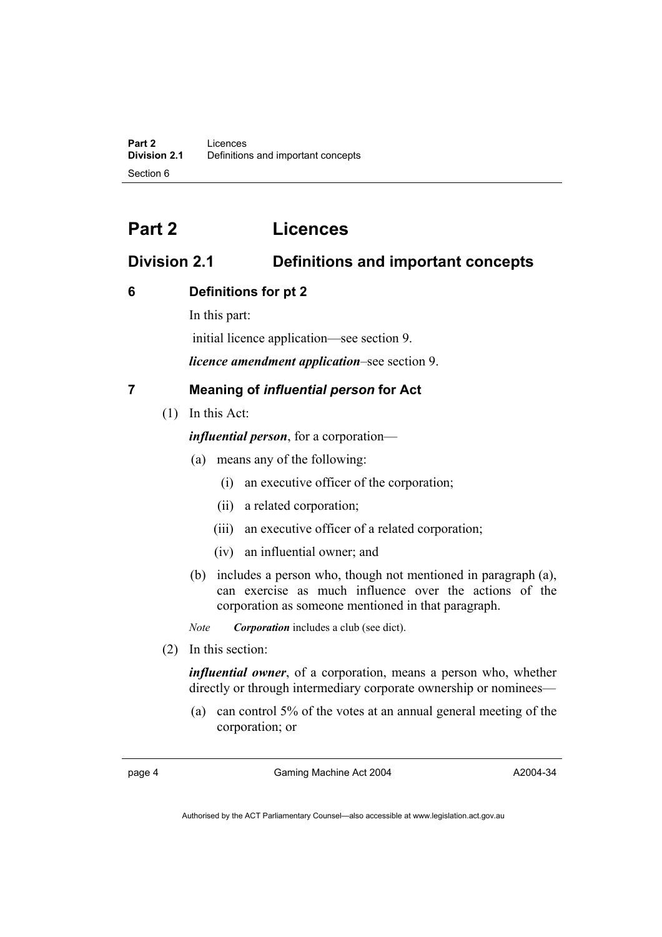# **Part 2 Licences**

# **Division 2.1 Definitions and important concepts**

# **6 Definitions for pt 2**

In this part:

initial licence application—see section 9.

*licence amendment application*–see section 9.

# **7 Meaning of** *influential person* **for Act**

(1) In this Act:

*influential person*, for a corporation—

- (a) means any of the following:
	- (i) an executive officer of the corporation;
	- (ii) a related corporation;
	- (iii) an executive officer of a related corporation;
	- (iv) an influential owner; and
- (b) includes a person who, though not mentioned in paragraph (a), can exercise as much influence over the actions of the corporation as someone mentioned in that paragraph.

*Note Corporation* includes a club (see dict).

(2) In this section:

*influential owner*, of a corporation, means a person who, whether directly or through intermediary corporate ownership or nominees—

 (a) can control 5% of the votes at an annual general meeting of the corporation; or

page 4 Gaming Machine Act 2004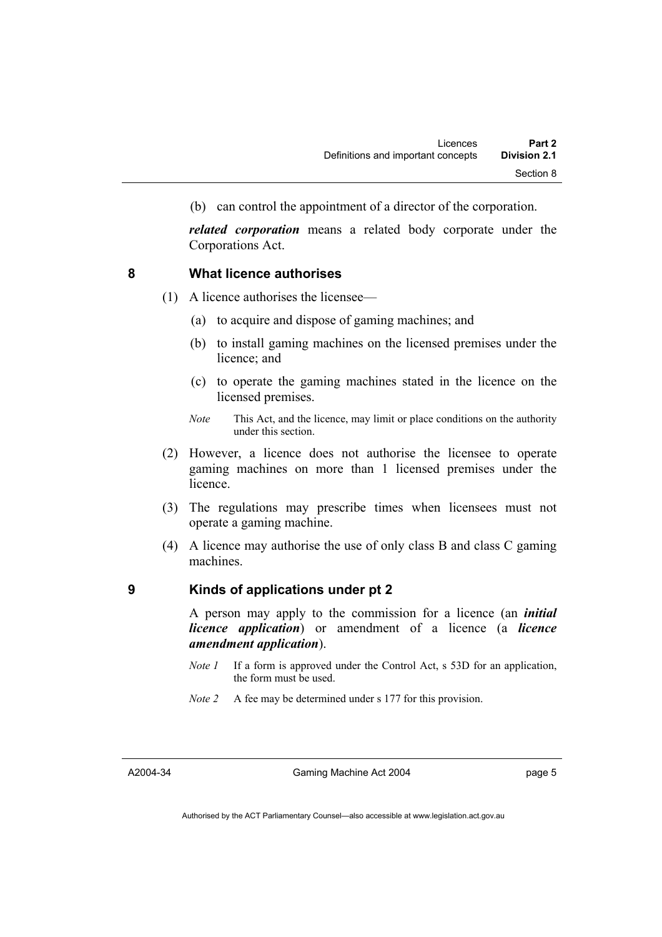(b) can control the appointment of a director of the corporation.

*related corporation* means a related body corporate under the Corporations Act.

### **8 What licence authorises**

- (1) A licence authorises the licensee—
	- (a) to acquire and dispose of gaming machines; and
	- (b) to install gaming machines on the licensed premises under the licence; and
	- (c) to operate the gaming machines stated in the licence on the licensed premises.
	- *Note* This Act, and the licence, may limit or place conditions on the authority under this section.
- (2) However, a licence does not authorise the licensee to operate gaming machines on more than 1 licensed premises under the licence.
- (3) The regulations may prescribe times when licensees must not operate a gaming machine.
- (4) A licence may authorise the use of only class B and class C gaming machines.

# **9 Kinds of applications under pt 2**

A person may apply to the commission for a licence (an *initial licence application*) or amendment of a licence (a *licence amendment application*).

- *Note 1* If a form is approved under the Control Act, s 53D for an application, the form must be used.
- *Note 2* A fee may be determined under s 177 for this provision.

A2004-34

Gaming Machine Act 2004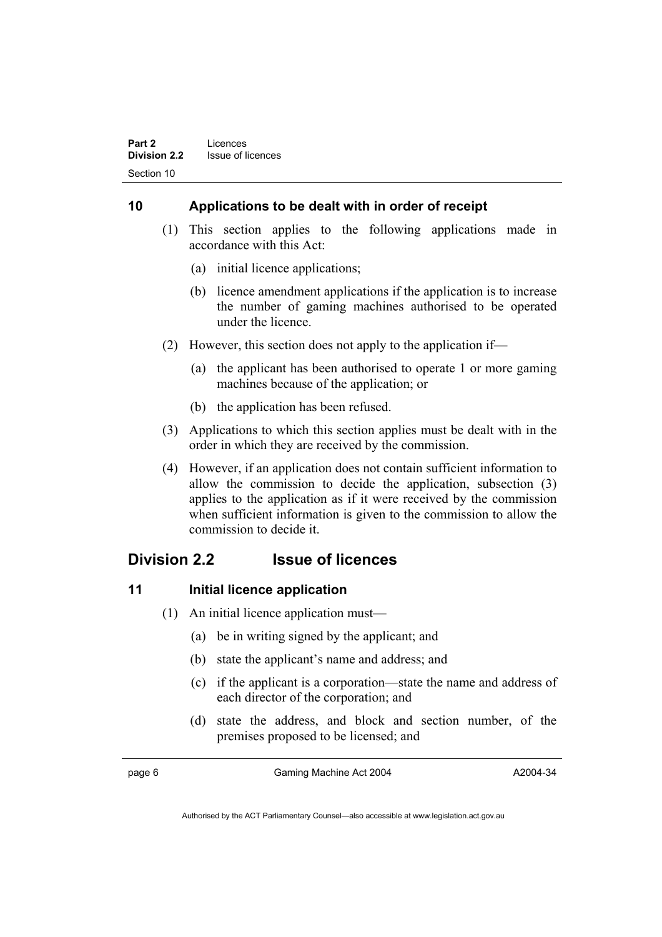# **10 Applications to be dealt with in order of receipt**

- (1) This section applies to the following applications made in accordance with this Act:
	- (a) initial licence applications;
	- (b) licence amendment applications if the application is to increase the number of gaming machines authorised to be operated under the licence.
- (2) However, this section does not apply to the application if—
	- (a) the applicant has been authorised to operate 1 or more gaming machines because of the application; or
	- (b) the application has been refused.
- (3) Applications to which this section applies must be dealt with in the order in which they are received by the commission.
- (4) However, if an application does not contain sufficient information to allow the commission to decide the application, subsection (3) applies to the application as if it were received by the commission when sufficient information is given to the commission to allow the commission to decide it.

# **Division 2.2 Issue of licences**

# **11** Initial licence application

- (1) An initial licence application must—
	- (a) be in writing signed by the applicant; and
	- (b) state the applicant's name and address; and
	- (c) if the applicant is a corporation—state the name and address of each director of the corporation; and
	- (d) state the address, and block and section number, of the premises proposed to be licensed; and

page 6 Gaming Machine Act 2004

A2004-34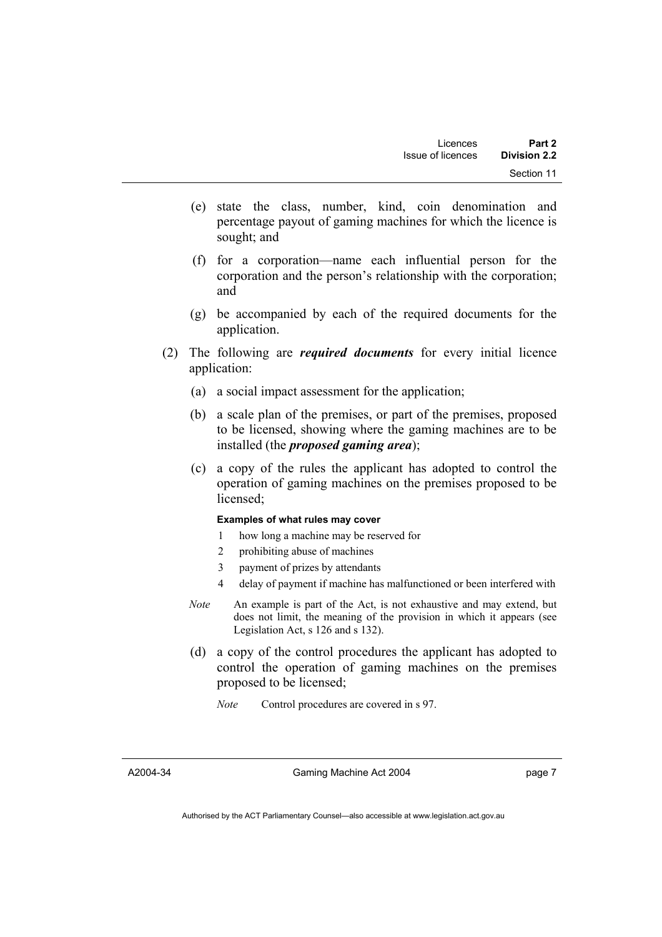- (e) state the class, number, kind, coin denomination and percentage payout of gaming machines for which the licence is sought; and
- (f) for a corporation—name each influential person for the corporation and the person's relationship with the corporation; and
- (g) be accompanied by each of the required documents for the application.
- (2) The following are *required documents* for every initial licence application:
	- (a) a social impact assessment for the application;
	- (b) a scale plan of the premises, or part of the premises, proposed to be licensed, showing where the gaming machines are to be installed (the *proposed gaming area*);
	- (c) a copy of the rules the applicant has adopted to control the operation of gaming machines on the premises proposed to be licensed;

#### **Examples of what rules may cover**

- 1 how long a machine may be reserved for
- 2 prohibiting abuse of machines
- 3 payment of prizes by attendants
- 4 delay of payment if machine has malfunctioned or been interfered with
- *Note* An example is part of the Act, is not exhaustive and may extend, but does not limit, the meaning of the provision in which it appears (see Legislation Act, s 126 and s 132).
- (d) a copy of the control procedures the applicant has adopted to control the operation of gaming machines on the premises proposed to be licensed;
	- *Note* Control procedures are covered in s 97.

Gaming Machine Act 2004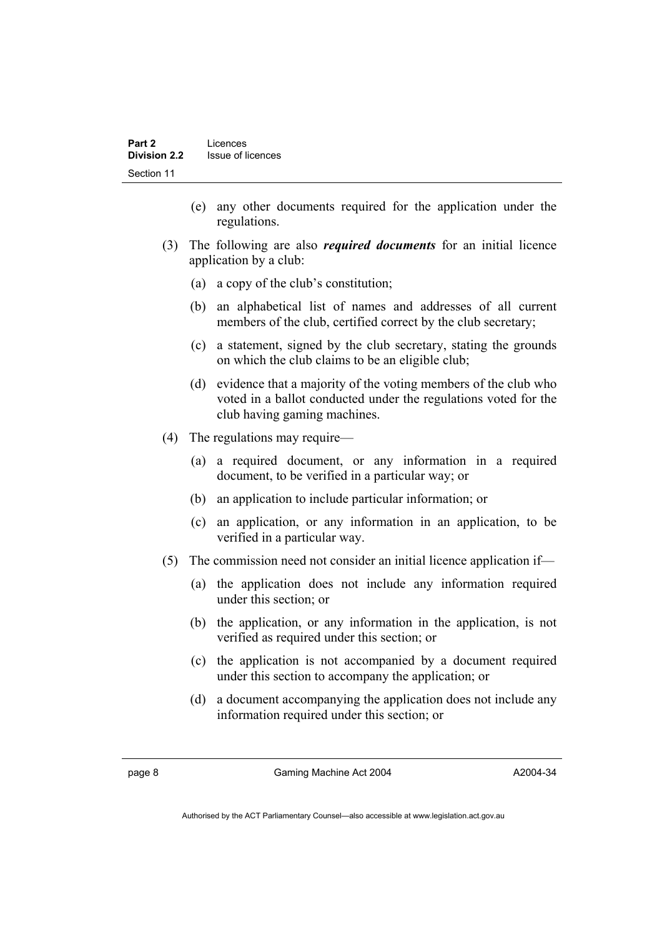- (e) any other documents required for the application under the regulations.
- (3) The following are also *required documents* for an initial licence application by a club:
	- (a) a copy of the club's constitution;
	- (b) an alphabetical list of names and addresses of all current members of the club, certified correct by the club secretary;
	- (c) a statement, signed by the club secretary, stating the grounds on which the club claims to be an eligible club;
	- (d) evidence that a majority of the voting members of the club who voted in a ballot conducted under the regulations voted for the club having gaming machines.
- (4) The regulations may require—
	- (a) a required document, or any information in a required document, to be verified in a particular way; or
	- (b) an application to include particular information; or
	- (c) an application, or any information in an application, to be verified in a particular way.
- (5) The commission need not consider an initial licence application if—
	- (a) the application does not include any information required under this section; or
	- (b) the application, or any information in the application, is not verified as required under this section; or
	- (c) the application is not accompanied by a document required under this section to accompany the application; or
	- (d) a document accompanying the application does not include any information required under this section; or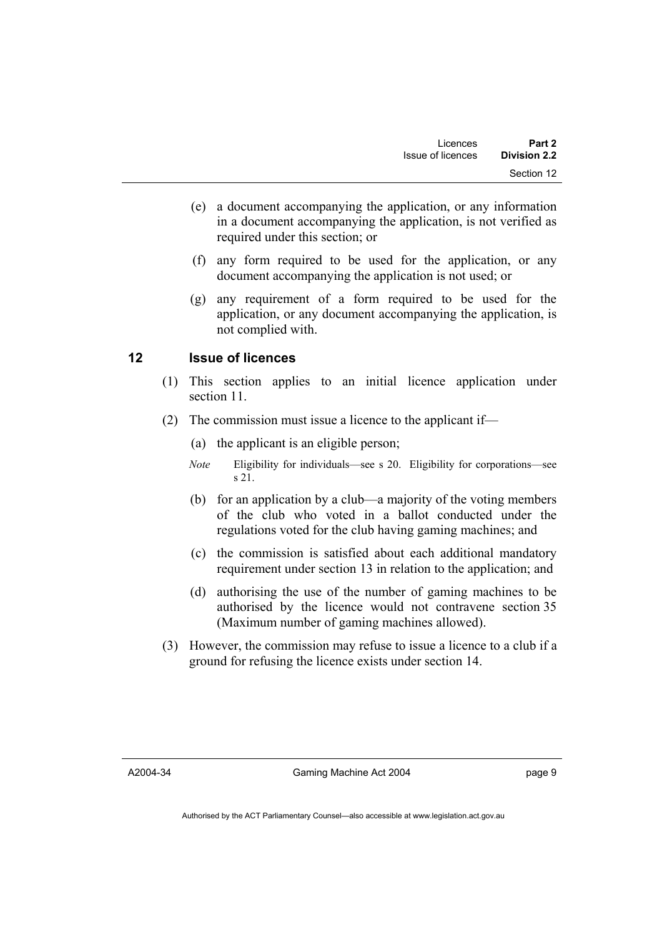- (e) a document accompanying the application, or any information in a document accompanying the application, is not verified as required under this section; or
- (f) any form required to be used for the application, or any document accompanying the application is not used; or
- (g) any requirement of a form required to be used for the application, or any document accompanying the application, is not complied with.

# **12 Issue of licences**

- (1) This section applies to an initial licence application under section 11.
- (2) The commission must issue a licence to the applicant if—
	- (a) the applicant is an eligible person;
	- *Note* Eligibility for individuals—see s 20. Eligibility for corporations—see s 21.
	- (b) for an application by a club—a majority of the voting members of the club who voted in a ballot conducted under the regulations voted for the club having gaming machines; and
	- (c) the commission is satisfied about each additional mandatory requirement under section 13 in relation to the application; and
	- (d) authorising the use of the number of gaming machines to be authorised by the licence would not contravene section 35 (Maximum number of gaming machines allowed).
- (3) However, the commission may refuse to issue a licence to a club if a ground for refusing the licence exists under section 14.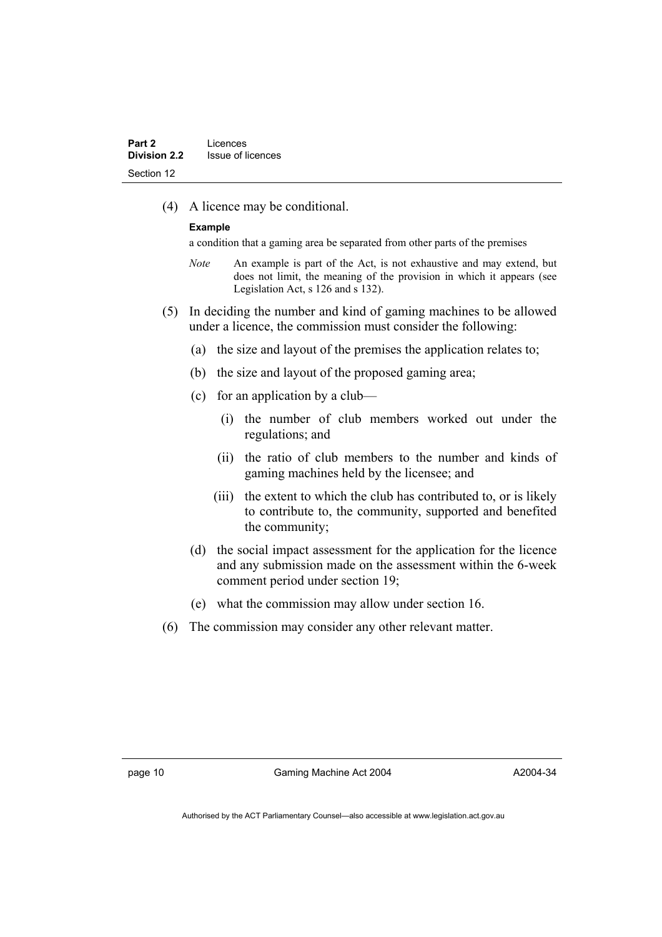(4) A licence may be conditional.

#### **Example**

a condition that a gaming area be separated from other parts of the premises

- *Note* An example is part of the Act, is not exhaustive and may extend, but does not limit, the meaning of the provision in which it appears (see Legislation Act, s 126 and s 132).
- (5) In deciding the number and kind of gaming machines to be allowed under a licence, the commission must consider the following:
	- (a) the size and layout of the premises the application relates to;
	- (b) the size and layout of the proposed gaming area;
	- (c) for an application by a club—
		- (i) the number of club members worked out under the regulations; and
		- (ii) the ratio of club members to the number and kinds of gaming machines held by the licensee; and
		- (iii) the extent to which the club has contributed to, or is likely to contribute to, the community, supported and benefited the community;
	- (d) the social impact assessment for the application for the licence and any submission made on the assessment within the 6-week comment period under section 19;
	- (e) what the commission may allow under section 16.
- (6) The commission may consider any other relevant matter.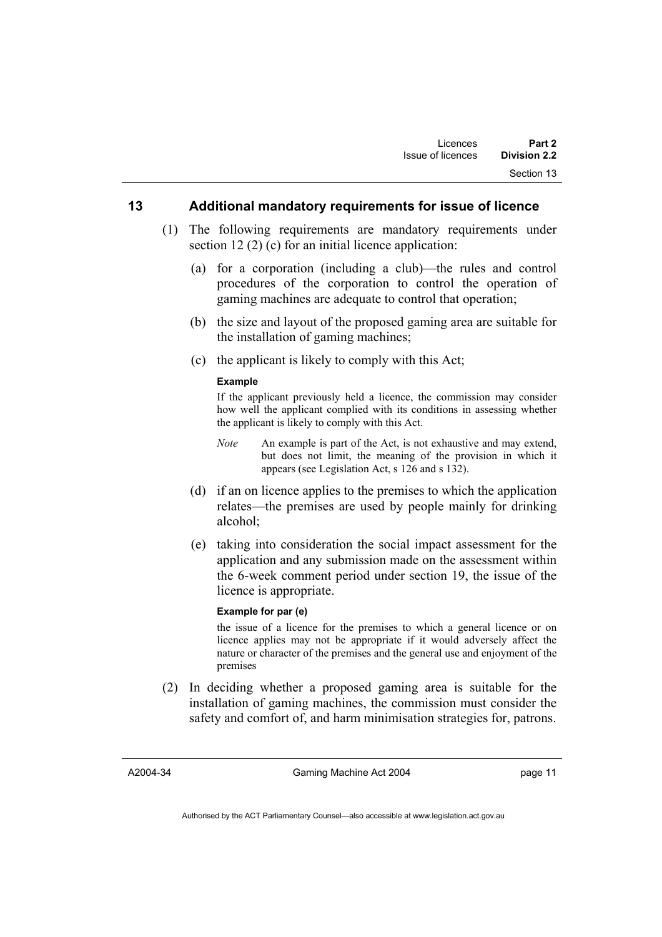### **13 Additional mandatory requirements for issue of licence**

- (1) The following requirements are mandatory requirements under section 12 (2) (c) for an initial licence application:
	- (a) for a corporation (including a club)—the rules and control procedures of the corporation to control the operation of gaming machines are adequate to control that operation;
	- (b) the size and layout of the proposed gaming area are suitable for the installation of gaming machines;
	- (c) the applicant is likely to comply with this Act;

#### **Example**

If the applicant previously held a licence, the commission may consider how well the applicant complied with its conditions in assessing whether the applicant is likely to comply with this Act.

- *Note* An example is part of the Act, is not exhaustive and may extend, but does not limit, the meaning of the provision in which it appears (see Legislation Act, s 126 and s 132).
- (d) if an on licence applies to the premises to which the application relates—the premises are used by people mainly for drinking alcohol;
- (e) taking into consideration the social impact assessment for the application and any submission made on the assessment within the 6-week comment period under section 19, the issue of the licence is appropriate.

#### **Example for par (e)**

the issue of a licence for the premises to which a general licence or on licence applies may not be appropriate if it would adversely affect the nature or character of the premises and the general use and enjoyment of the premises

 (2) In deciding whether a proposed gaming area is suitable for the installation of gaming machines, the commission must consider the safety and comfort of, and harm minimisation strategies for, patrons.

Gaming Machine Act 2004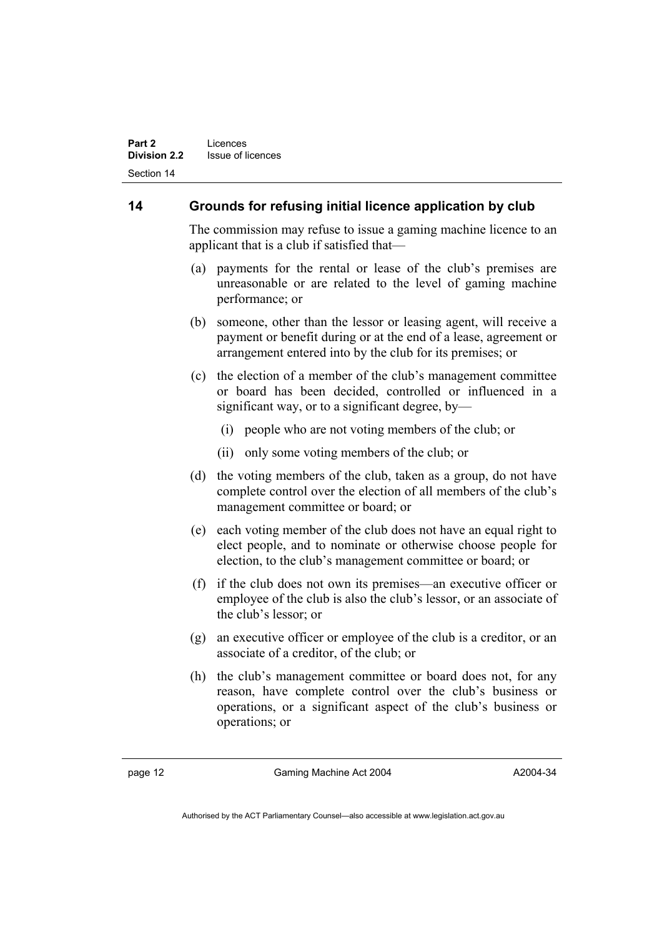# **14 Grounds for refusing initial licence application by club**

The commission may refuse to issue a gaming machine licence to an applicant that is a club if satisfied that—

- (a) payments for the rental or lease of the club's premises are unreasonable or are related to the level of gaming machine performance; or
- (b) someone, other than the lessor or leasing agent, will receive a payment or benefit during or at the end of a lease, agreement or arrangement entered into by the club for its premises; or
- (c) the election of a member of the club's management committee or board has been decided, controlled or influenced in a significant way, or to a significant degree, by—
	- (i) people who are not voting members of the club; or
	- (ii) only some voting members of the club; or
- (d) the voting members of the club, taken as a group, do not have complete control over the election of all members of the club's management committee or board; or
- (e) each voting member of the club does not have an equal right to elect people, and to nominate or otherwise choose people for election, to the club's management committee or board; or
- (f) if the club does not own its premises—an executive officer or employee of the club is also the club's lessor, or an associate of the club's lessor; or
- (g) an executive officer or employee of the club is a creditor, or an associate of a creditor, of the club; or
- (h) the club's management committee or board does not, for any reason, have complete control over the club's business or operations, or a significant aspect of the club's business or operations; or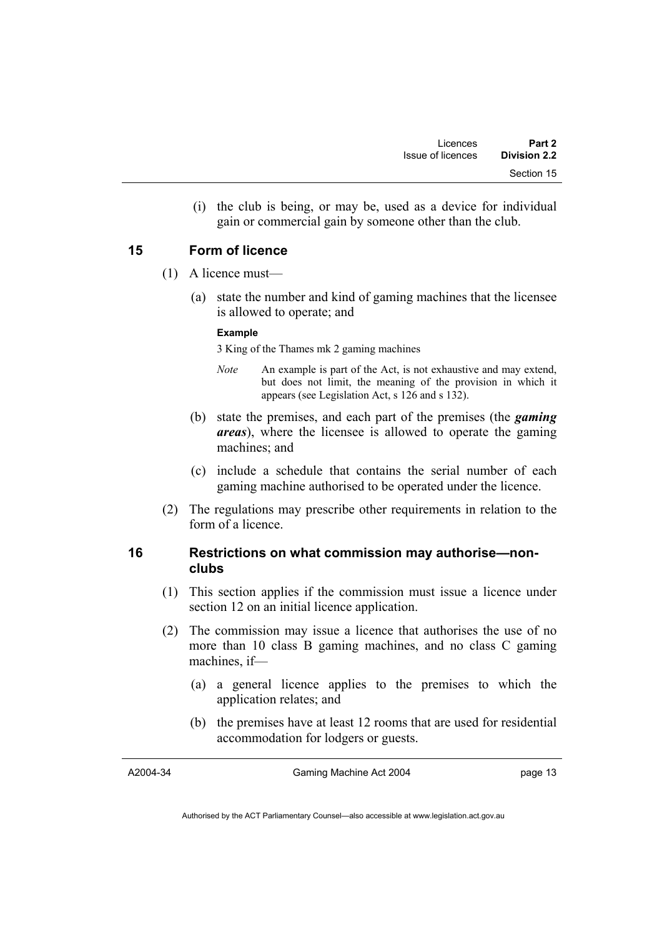(i) the club is being, or may be, used as a device for individual gain or commercial gain by someone other than the club.

# **15 Form of licence**

- (1) A licence must—
	- (a) state the number and kind of gaming machines that the licensee is allowed to operate; and

#### **Example**

3 King of the Thames mk 2 gaming machines

- *Note* An example is part of the Act, is not exhaustive and may extend, but does not limit, the meaning of the provision in which it appears (see Legislation Act, s 126 and s 132).
- (b) state the premises, and each part of the premises (the *gaming areas*), where the licensee is allowed to operate the gaming machines; and
- (c) include a schedule that contains the serial number of each gaming machine authorised to be operated under the licence.
- (2) The regulations may prescribe other requirements in relation to the form of a licence.

# **16 Restrictions on what commission may authorise—nonclubs**

- (1) This section applies if the commission must issue a licence under section 12 on an initial licence application.
- (2) The commission may issue a licence that authorises the use of no more than 10 class B gaming machines, and no class C gaming machines, if—
	- (a) a general licence applies to the premises to which the application relates; and
	- (b) the premises have at least 12 rooms that are used for residential accommodation for lodgers or guests.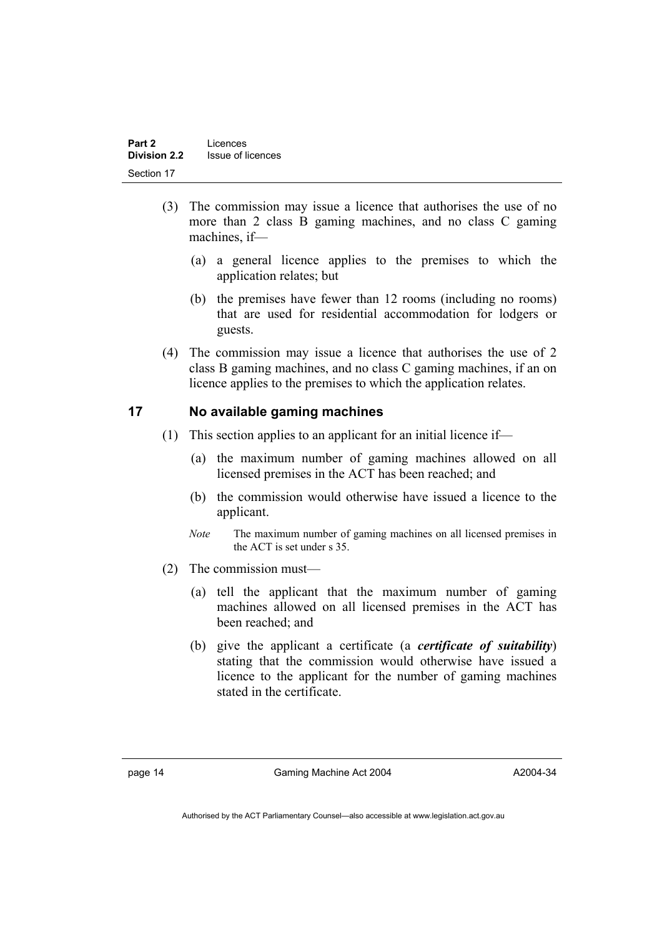- (3) The commission may issue a licence that authorises the use of no more than 2 class B gaming machines, and no class C gaming machines, if—
	- (a) a general licence applies to the premises to which the application relates; but
	- (b) the premises have fewer than 12 rooms (including no rooms) that are used for residential accommodation for lodgers or guests.
- (4) The commission may issue a licence that authorises the use of 2 class B gaming machines, and no class C gaming machines, if an on licence applies to the premises to which the application relates.

# **17 No available gaming machines**

- (1) This section applies to an applicant for an initial licence if—
	- (a) the maximum number of gaming machines allowed on all licensed premises in the ACT has been reached; and
	- (b) the commission would otherwise have issued a licence to the applicant.
	- *Note* The maximum number of gaming machines on all licensed premises in the ACT is set under s 35.
- (2) The commission must—
	- (a) tell the applicant that the maximum number of gaming machines allowed on all licensed premises in the ACT has been reached; and
	- (b) give the applicant a certificate (a *certificate of suitability*) stating that the commission would otherwise have issued a licence to the applicant for the number of gaming machines stated in the certificate.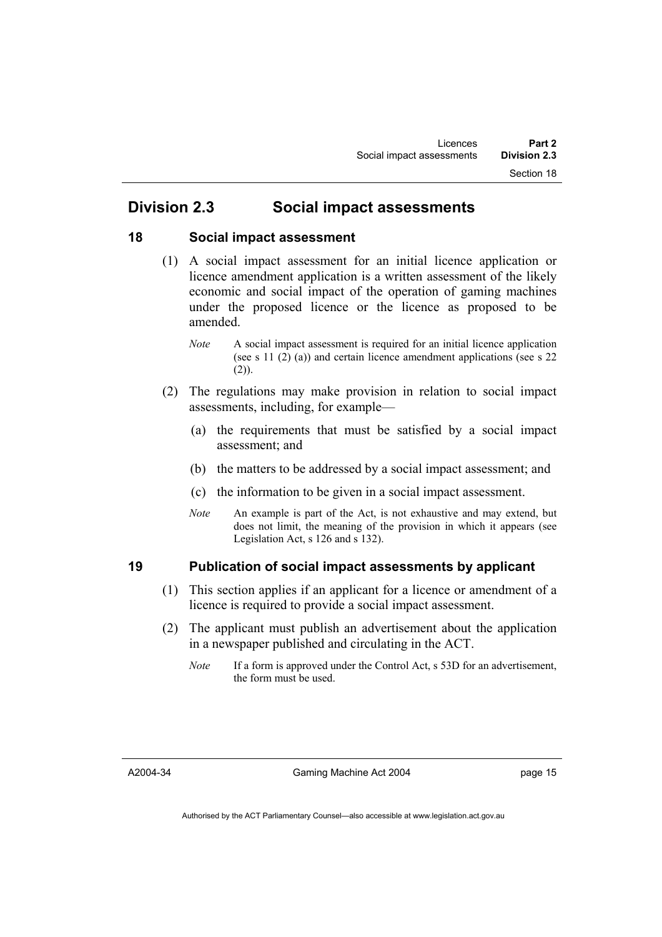# **Division 2.3 Social impact assessments**

# **18 Social impact assessment**

- (1) A social impact assessment for an initial licence application or licence amendment application is a written assessment of the likely economic and social impact of the operation of gaming machines under the proposed licence or the licence as proposed to be amended.
	- *Note* A social impact assessment is required for an initial licence application (see s 11 (2) (a)) and certain licence amendment applications (see s 22  $(2)$ ).
- (2) The regulations may make provision in relation to social impact assessments, including, for example—
	- (a) the requirements that must be satisfied by a social impact assessment; and
	- (b) the matters to be addressed by a social impact assessment; and
	- (c) the information to be given in a social impact assessment.
	- *Note* An example is part of the Act, is not exhaustive and may extend, but does not limit, the meaning of the provision in which it appears (see Legislation Act, s 126 and s 132).

# **19 Publication of social impact assessments by applicant**

- (1) This section applies if an applicant for a licence or amendment of a licence is required to provide a social impact assessment.
- (2) The applicant must publish an advertisement about the application in a newspaper published and circulating in the ACT.
	- *Note* If a form is approved under the Control Act, s 53D for an advertisement, the form must be used.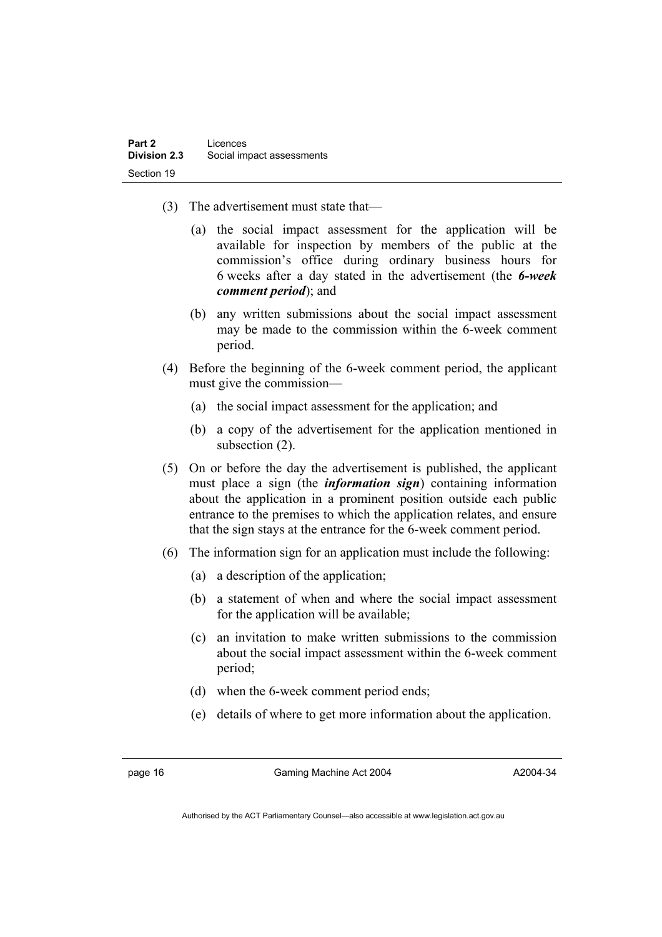- (3) The advertisement must state that—
	- (a) the social impact assessment for the application will be available for inspection by members of the public at the commission's office during ordinary business hours for 6 weeks after a day stated in the advertisement (the *6-week comment period*); and
	- (b) any written submissions about the social impact assessment may be made to the commission within the 6-week comment period.
- (4) Before the beginning of the 6-week comment period, the applicant must give the commission—
	- (a) the social impact assessment for the application; and
	- (b) a copy of the advertisement for the application mentioned in subsection (2).
- (5) On or before the day the advertisement is published, the applicant must place a sign (the *information sign*) containing information about the application in a prominent position outside each public entrance to the premises to which the application relates, and ensure that the sign stays at the entrance for the 6-week comment period.
- (6) The information sign for an application must include the following:
	- (a) a description of the application;
	- (b) a statement of when and where the social impact assessment for the application will be available;
	- (c) an invitation to make written submissions to the commission about the social impact assessment within the 6-week comment period;
	- (d) when the 6-week comment period ends;
	- (e) details of where to get more information about the application.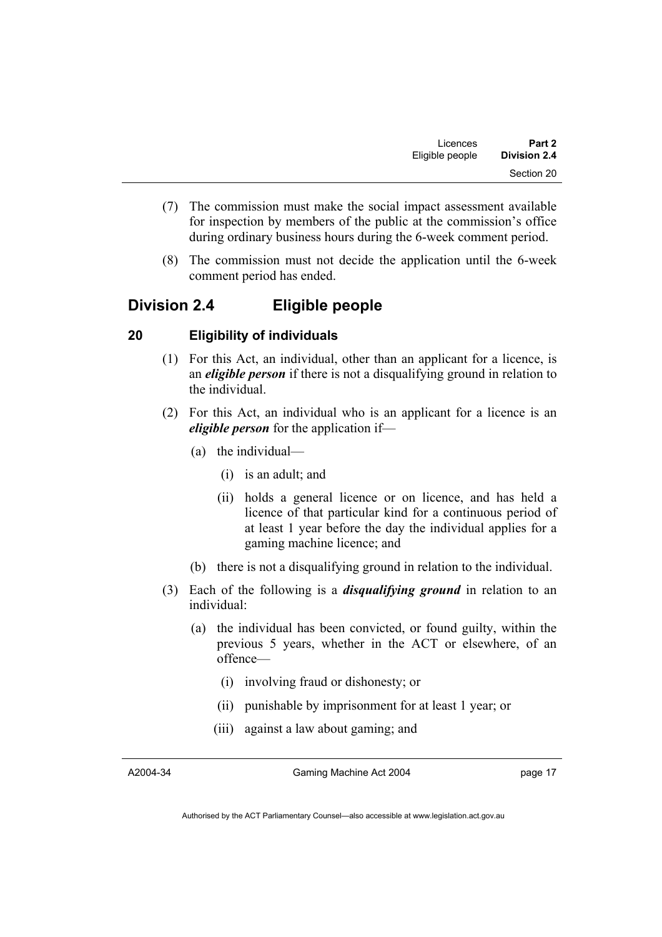- (7) The commission must make the social impact assessment available for inspection by members of the public at the commission's office during ordinary business hours during the 6-week comment period.
- (8) The commission must not decide the application until the 6-week comment period has ended.

# **Division 2.4 Eligible people**

# **20 Eligibility of individuals**

- (1) For this Act, an individual, other than an applicant for a licence, is an *eligible person* if there is not a disqualifying ground in relation to the individual.
- (2) For this Act, an individual who is an applicant for a licence is an *eligible person* for the application if—
	- (a) the individual—
		- (i) is an adult; and
		- (ii) holds a general licence or on licence, and has held a licence of that particular kind for a continuous period of at least 1 year before the day the individual applies for a gaming machine licence; and
	- (b) there is not a disqualifying ground in relation to the individual.
- (3) Each of the following is a *disqualifying ground* in relation to an individual:
	- (a) the individual has been convicted, or found guilty, within the previous 5 years, whether in the ACT or elsewhere, of an offence—
		- (i) involving fraud or dishonesty; or
		- (ii) punishable by imprisonment for at least 1 year; or
		- (iii) against a law about gaming; and

Gaming Machine Act 2004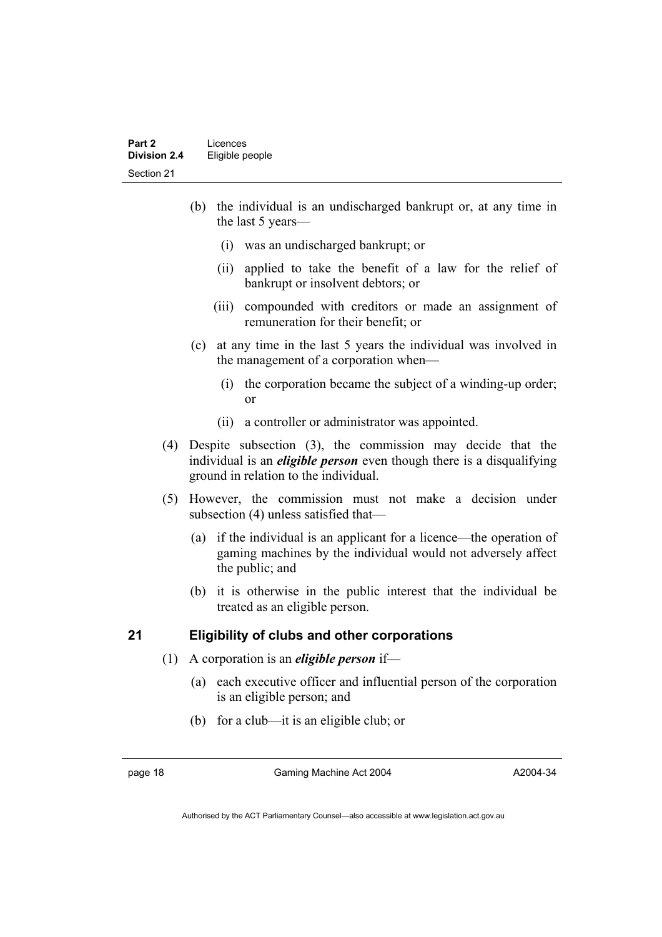- (b) the individual is an undischarged bankrupt or, at any time in the last 5 years—
	- (i) was an undischarged bankrupt; or
	- (ii) applied to take the benefit of a law for the relief of bankrupt or insolvent debtors; or
	- (iii) compounded with creditors or made an assignment of remuneration for their benefit; or
- (c) at any time in the last 5 years the individual was involved in the management of a corporation when—
	- (i) the corporation became the subject of a winding-up order; or
	- (ii) a controller or administrator was appointed.
- (4) Despite subsection (3), the commission may decide that the individual is an *eligible person* even though there is a disqualifying ground in relation to the individual.
- (5) However, the commission must not make a decision under subsection (4) unless satisfied that—
	- (a) if the individual is an applicant for a licence—the operation of gaming machines by the individual would not adversely affect the public; and
	- (b) it is otherwise in the public interest that the individual be treated as an eligible person.

# **21 Eligibility of clubs and other corporations**

- (1) A corporation is an *eligible person* if—
	- (a) each executive officer and influential person of the corporation is an eligible person; and
	- (b) for a club—it is an eligible club; or

page 18 Gaming Machine Act 2004

A2004-34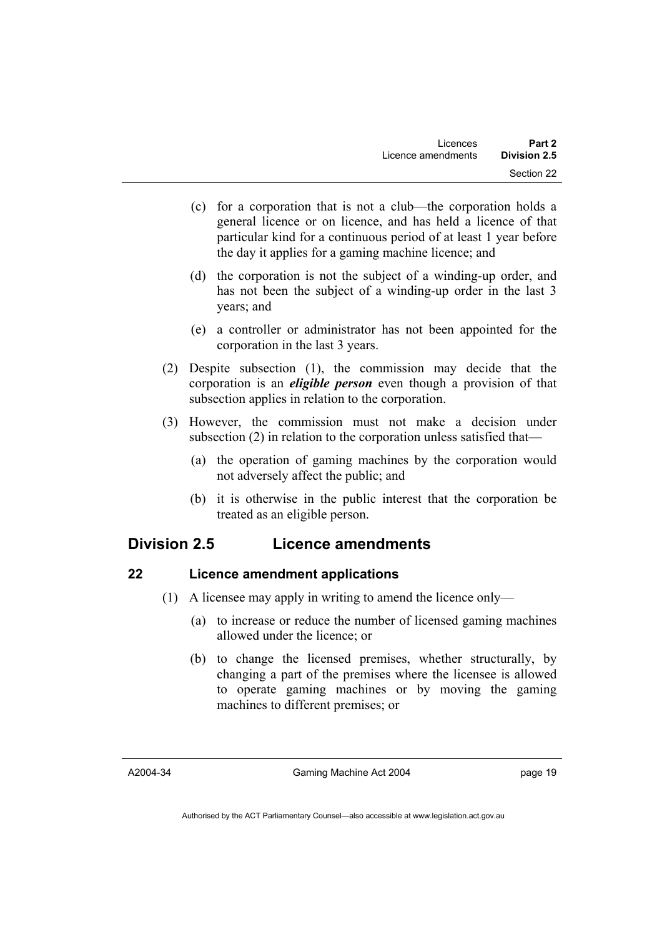- (c) for a corporation that is not a club—the corporation holds a general licence or on licence, and has held a licence of that particular kind for a continuous period of at least 1 year before the day it applies for a gaming machine licence; and
- (d) the corporation is not the subject of a winding-up order, and has not been the subject of a winding-up order in the last 3 years; and
- (e) a controller or administrator has not been appointed for the corporation in the last 3 years.
- (2) Despite subsection (1), the commission may decide that the corporation is an *eligible person* even though a provision of that subsection applies in relation to the corporation.
- (3) However, the commission must not make a decision under subsection (2) in relation to the corporation unless satisfied that—
	- (a) the operation of gaming machines by the corporation would not adversely affect the public; and
	- (b) it is otherwise in the public interest that the corporation be treated as an eligible person.

# **Division 2.5 Licence amendments**

# **22 Licence amendment applications**

- (1) A licensee may apply in writing to amend the licence only—
	- (a) to increase or reduce the number of licensed gaming machines allowed under the licence; or
	- (b) to change the licensed premises, whether structurally, by changing a part of the premises where the licensee is allowed to operate gaming machines or by moving the gaming machines to different premises; or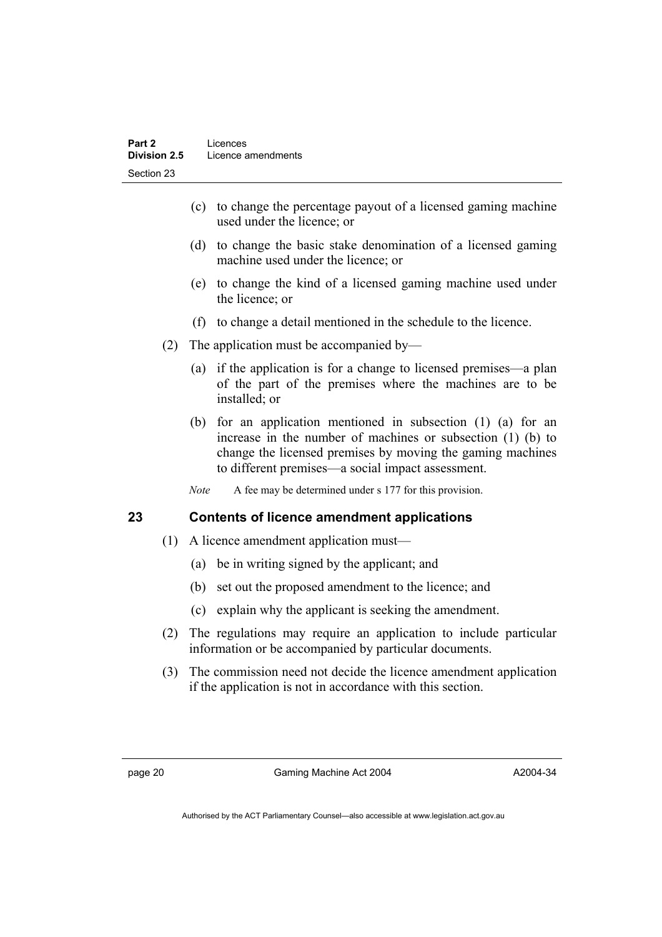- (c) to change the percentage payout of a licensed gaming machine used under the licence; or
- (d) to change the basic stake denomination of a licensed gaming machine used under the licence; or
- (e) to change the kind of a licensed gaming machine used under the licence; or
- (f) to change a detail mentioned in the schedule to the licence.
- (2) The application must be accompanied by—
	- (a) if the application is for a change to licensed premises—a plan of the part of the premises where the machines are to be installed; or
	- (b) for an application mentioned in subsection (1) (a) for an increase in the number of machines or subsection (1) (b) to change the licensed premises by moving the gaming machines to different premises—a social impact assessment.
	- *Note* A fee may be determined under s 177 for this provision.

# **23 Contents of licence amendment applications**

- (1) A licence amendment application must—
	- (a) be in writing signed by the applicant; and
	- (b) set out the proposed amendment to the licence; and
	- (c) explain why the applicant is seeking the amendment.
- (2) The regulations may require an application to include particular information or be accompanied by particular documents.
- (3) The commission need not decide the licence amendment application if the application is not in accordance with this section.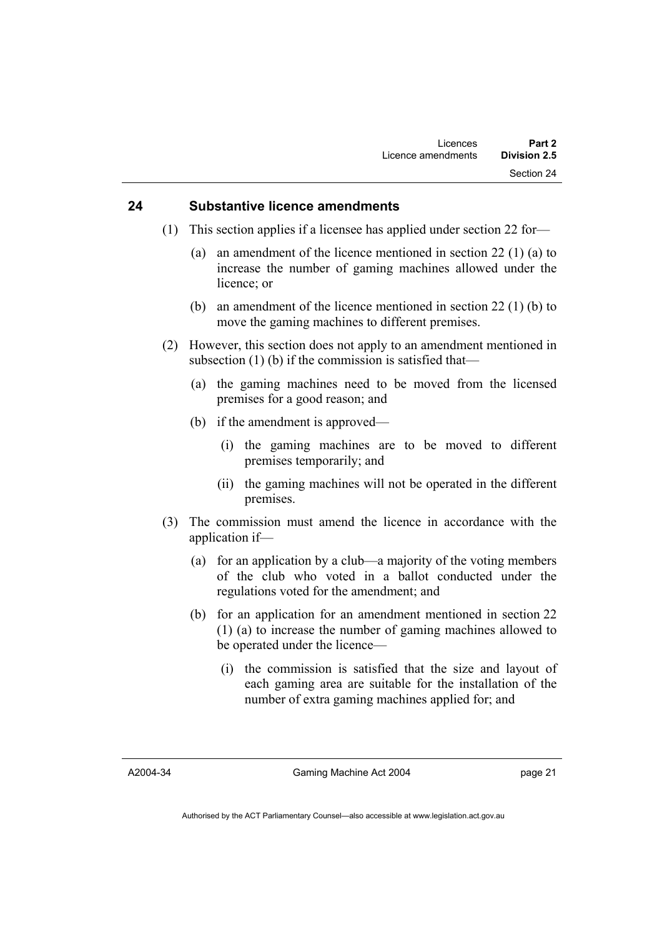### **24 Substantive licence amendments**

- (1) This section applies if a licensee has applied under section 22 for—
	- (a) an amendment of the licence mentioned in section 22 (1) (a) to increase the number of gaming machines allowed under the licence; or
	- (b) an amendment of the licence mentioned in section 22 (1) (b) to move the gaming machines to different premises.
- (2) However, this section does not apply to an amendment mentioned in subsection (1) (b) if the commission is satisfied that—
	- (a) the gaming machines need to be moved from the licensed premises for a good reason; and
	- (b) if the amendment is approved—
		- (i) the gaming machines are to be moved to different premises temporarily; and
		- (ii) the gaming machines will not be operated in the different premises.
- (3) The commission must amend the licence in accordance with the application if—
	- (a) for an application by a club—a majority of the voting members of the club who voted in a ballot conducted under the regulations voted for the amendment; and
	- (b) for an application for an amendment mentioned in section 22 (1) (a) to increase the number of gaming machines allowed to be operated under the licence—
		- (i) the commission is satisfied that the size and layout of each gaming area are suitable for the installation of the number of extra gaming machines applied for; and

A2004-34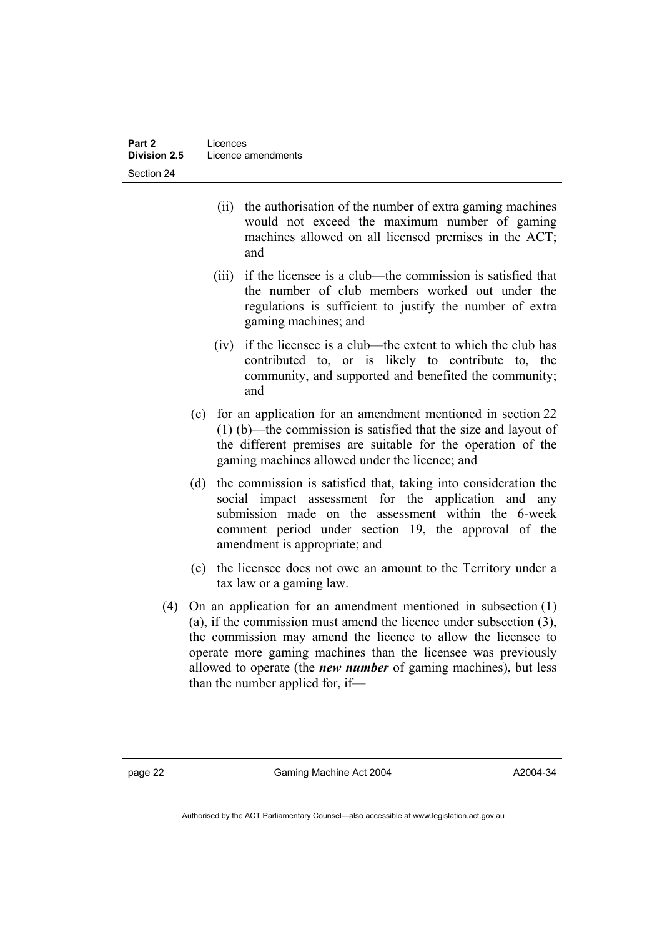- (ii) the authorisation of the number of extra gaming machines would not exceed the maximum number of gaming machines allowed on all licensed premises in the ACT; and
- (iii) if the licensee is a club—the commission is satisfied that the number of club members worked out under the regulations is sufficient to justify the number of extra gaming machines; and
- (iv) if the licensee is a club—the extent to which the club has contributed to, or is likely to contribute to, the community, and supported and benefited the community; and
- (c) for an application for an amendment mentioned in section 22 (1) (b)—the commission is satisfied that the size and layout of the different premises are suitable for the operation of the gaming machines allowed under the licence; and
- (d) the commission is satisfied that, taking into consideration the social impact assessment for the application and any submission made on the assessment within the 6-week comment period under section 19, the approval of the amendment is appropriate; and
- (e) the licensee does not owe an amount to the Territory under a tax law or a gaming law.
- (4) On an application for an amendment mentioned in subsection (1) (a), if the commission must amend the licence under subsection (3), the commission may amend the licence to allow the licensee to operate more gaming machines than the licensee was previously allowed to operate (the *new number* of gaming machines), but less than the number applied for, if—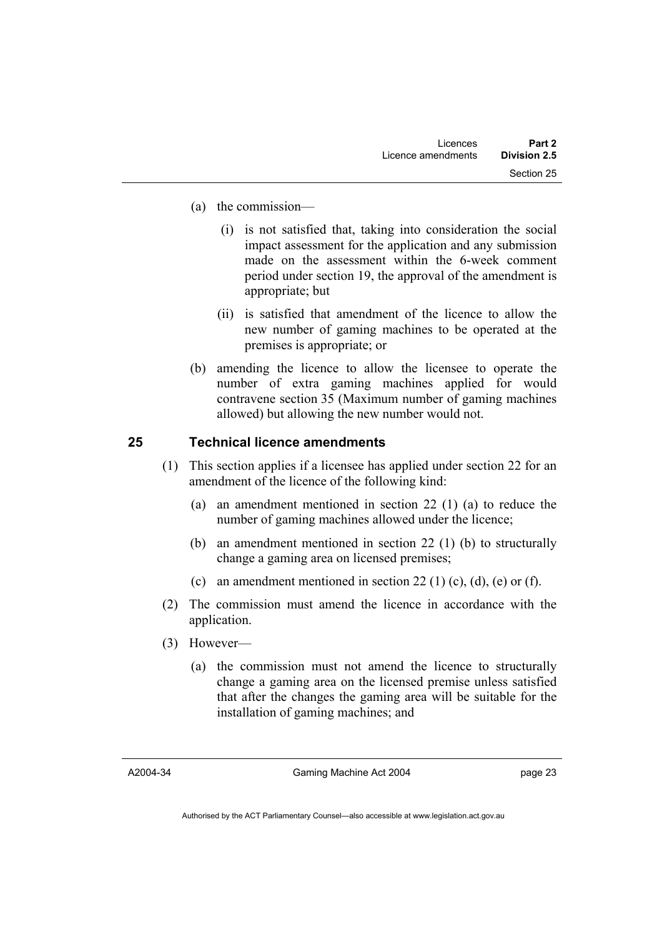- (a) the commission—
	- (i) is not satisfied that, taking into consideration the social impact assessment for the application and any submission made on the assessment within the 6-week comment period under section 19, the approval of the amendment is appropriate; but
	- (ii) is satisfied that amendment of the licence to allow the new number of gaming machines to be operated at the premises is appropriate; or
- (b) amending the licence to allow the licensee to operate the number of extra gaming machines applied for would contravene section 35 (Maximum number of gaming machines allowed) but allowing the new number would not.

# **25 Technical licence amendments**

- (1) This section applies if a licensee has applied under section 22 for an amendment of the licence of the following kind:
	- (a) an amendment mentioned in section 22 (1) (a) to reduce the number of gaming machines allowed under the licence;
	- (b) an amendment mentioned in section 22 (1) (b) to structurally change a gaming area on licensed premises;
	- (c) an amendment mentioned in section 22 (1) (c), (d), (e) or (f).
- (2) The commission must amend the licence in accordance with the application.
- (3) However—
	- (a) the commission must not amend the licence to structurally change a gaming area on the licensed premise unless satisfied that after the changes the gaming area will be suitable for the installation of gaming machines; and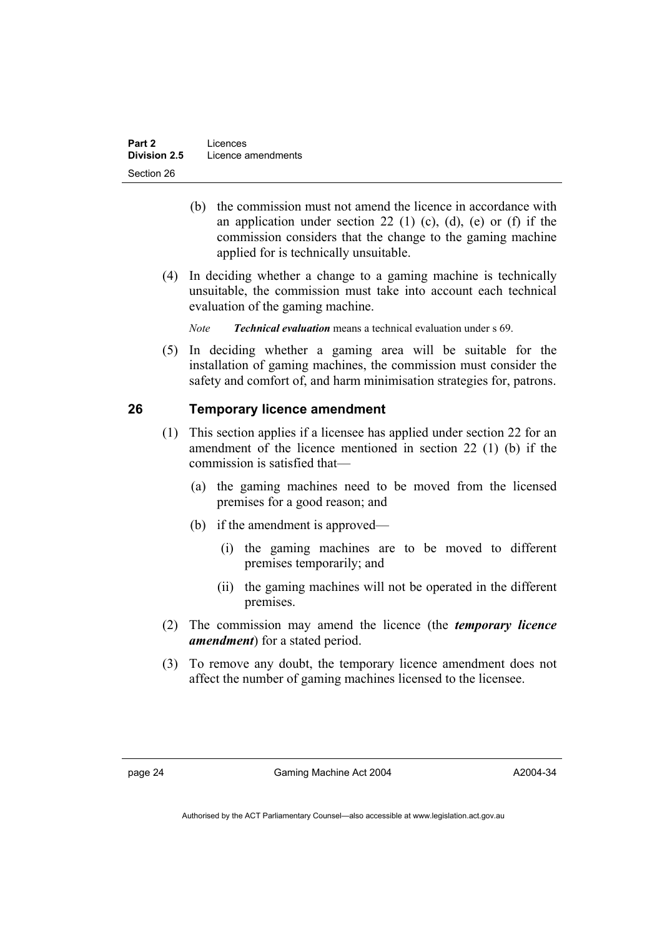- (b) the commission must not amend the licence in accordance with an application under section 22 (1) (c), (d), (e) or (f) if the commission considers that the change to the gaming machine applied for is technically unsuitable.
- (4) In deciding whether a change to a gaming machine is technically unsuitable, the commission must take into account each technical evaluation of the gaming machine.

*Note Technical evaluation* means a technical evaluation under s 69.

 (5) In deciding whether a gaming area will be suitable for the installation of gaming machines, the commission must consider the safety and comfort of, and harm minimisation strategies for, patrons.

# **26 Temporary licence amendment**

- (1) This section applies if a licensee has applied under section 22 for an amendment of the licence mentioned in section 22 (1) (b) if the commission is satisfied that—
	- (a) the gaming machines need to be moved from the licensed premises for a good reason; and
	- (b) if the amendment is approved—
		- (i) the gaming machines are to be moved to different premises temporarily; and
		- (ii) the gaming machines will not be operated in the different premises.
- (2) The commission may amend the licence (the *temporary licence amendment*) for a stated period.
- (3) To remove any doubt, the temporary licence amendment does not affect the number of gaming machines licensed to the licensee.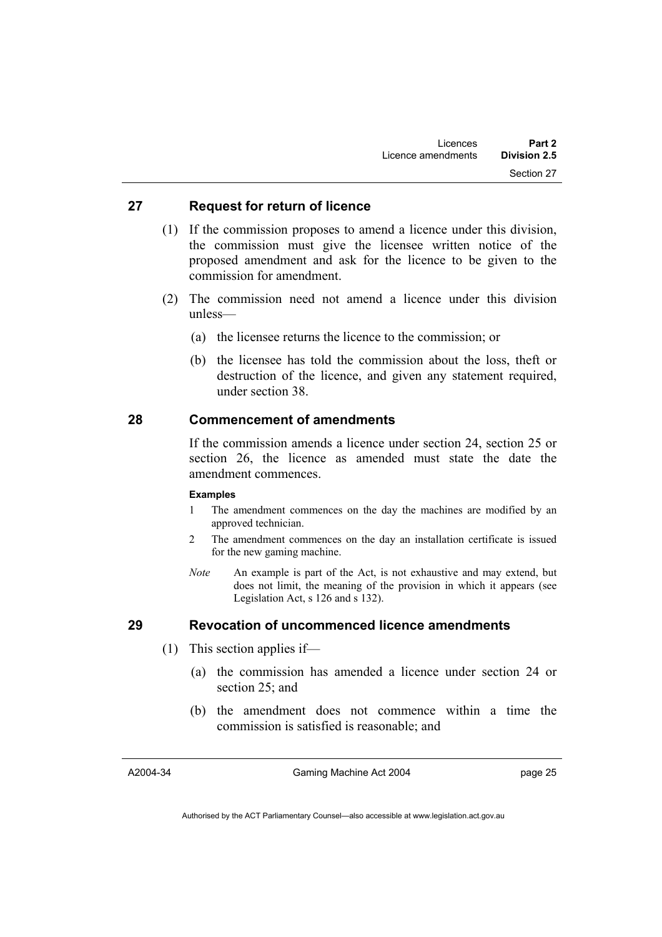### **27 Request for return of licence**

- (1) If the commission proposes to amend a licence under this division, the commission must give the licensee written notice of the proposed amendment and ask for the licence to be given to the commission for amendment.
- (2) The commission need not amend a licence under this division unless—
	- (a) the licensee returns the licence to the commission; or
	- (b) the licensee has told the commission about the loss, theft or destruction of the licence, and given any statement required, under section 38.

# **28 Commencement of amendments**

If the commission amends a licence under section 24, section 25 or section 26, the licence as amended must state the date the amendment commences.

#### **Examples**

- 1 The amendment commences on the day the machines are modified by an approved technician.
- 2 The amendment commences on the day an installation certificate is issued for the new gaming machine.
- *Note* An example is part of the Act, is not exhaustive and may extend, but does not limit, the meaning of the provision in which it appears (see Legislation Act, s 126 and s 132).

#### **29 Revocation of uncommenced licence amendments**

- (1) This section applies if—
	- (a) the commission has amended a licence under section 24 or section 25; and
	- (b) the amendment does not commence within a time the commission is satisfied is reasonable; and

A2004-34

Gaming Machine Act 2004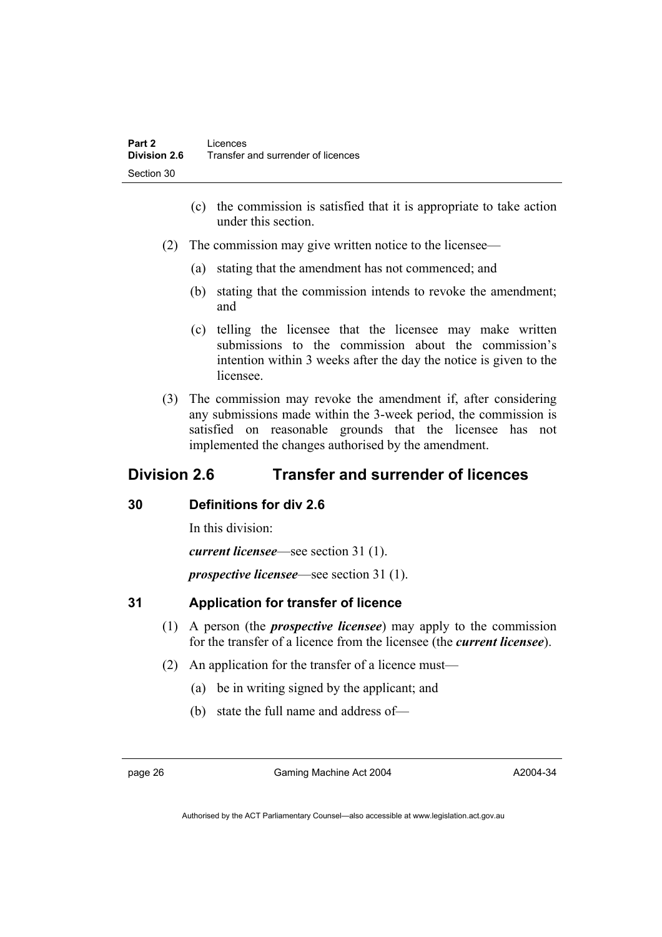- (c) the commission is satisfied that it is appropriate to take action under this section.
- (2) The commission may give written notice to the licensee—
	- (a) stating that the amendment has not commenced; and
	- (b) stating that the commission intends to revoke the amendment; and
	- (c) telling the licensee that the licensee may make written submissions to the commission about the commission's intention within 3 weeks after the day the notice is given to the licensee.
- (3) The commission may revoke the amendment if, after considering any submissions made within the 3-week period, the commission is satisfied on reasonable grounds that the licensee has not implemented the changes authorised by the amendment.

# **Division 2.6 Transfer and surrender of licences**

# **30 Definitions for div 2.6**

In this division:

*current licensee*—see section 31 (1).

*prospective licensee*—see section 31 (1).

# **31 Application for transfer of licence**

- (1) A person (the *prospective licensee*) may apply to the commission for the transfer of a licence from the licensee (the *current licensee*).
- (2) An application for the transfer of a licence must—
	- (a) be in writing signed by the applicant; and
	- (b) state the full name and address of—

page 26 Gaming Machine Act 2004

A2004-34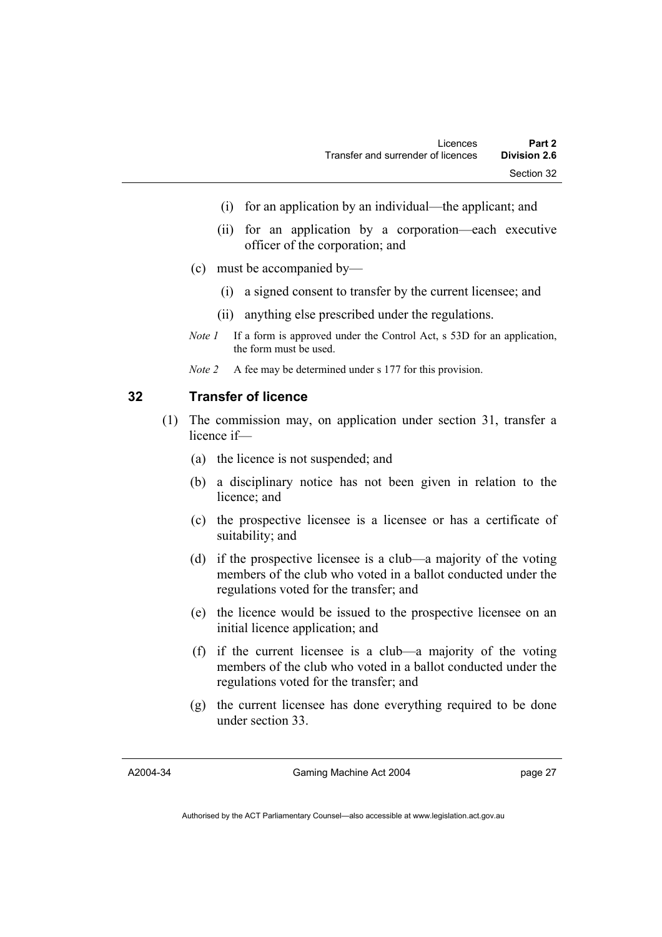- (i) for an application by an individual—the applicant; and
- (ii) for an application by a corporation—each executive officer of the corporation; and
- (c) must be accompanied by—
	- (i) a signed consent to transfer by the current licensee; and
	- (ii) anything else prescribed under the regulations.
- *Note 1* If a form is approved under the Control Act, s 53D for an application, the form must be used.
- *Note 2* A fee may be determined under s 177 for this provision.

# **32 Transfer of licence**

- (1) The commission may, on application under section 31, transfer a licence if—
	- (a) the licence is not suspended; and
	- (b) a disciplinary notice has not been given in relation to the licence; and
	- (c) the prospective licensee is a licensee or has a certificate of suitability; and
	- (d) if the prospective licensee is a club—a majority of the voting members of the club who voted in a ballot conducted under the regulations voted for the transfer; and
	- (e) the licence would be issued to the prospective licensee on an initial licence application; and
	- (f) if the current licensee is a club—a majority of the voting members of the club who voted in a ballot conducted under the regulations voted for the transfer; and
	- (g) the current licensee has done everything required to be done under section 33.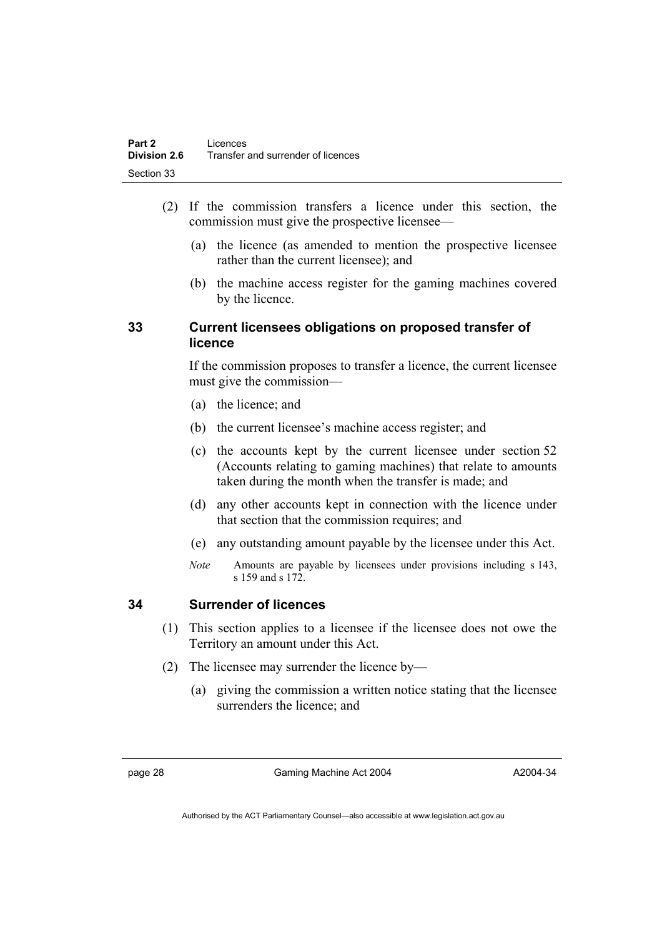- (2) If the commission transfers a licence under this section, the commission must give the prospective licensee—
	- (a) the licence (as amended to mention the prospective licensee rather than the current licensee); and
	- (b) the machine access register for the gaming machines covered by the licence.

# **33 Current licensees obligations on proposed transfer of licence**

If the commission proposes to transfer a licence, the current licensee must give the commission—

- (a) the licence; and
- (b) the current licensee's machine access register; and
- (c) the accounts kept by the current licensee under section 52 (Accounts relating to gaming machines) that relate to amounts taken during the month when the transfer is made; and
- (d) any other accounts kept in connection with the licence under that section that the commission requires; and
- (e) any outstanding amount payable by the licensee under this Act.
- *Note* Amounts are payable by licensees under provisions including s 143, s 159 and s 172.

# **34 Surrender of licences**

- (1) This section applies to a licensee if the licensee does not owe the Territory an amount under this Act.
- (2) The licensee may surrender the licence by—
	- (a) giving the commission a written notice stating that the licensee surrenders the licence; and

page 28 Gaming Machine Act 2004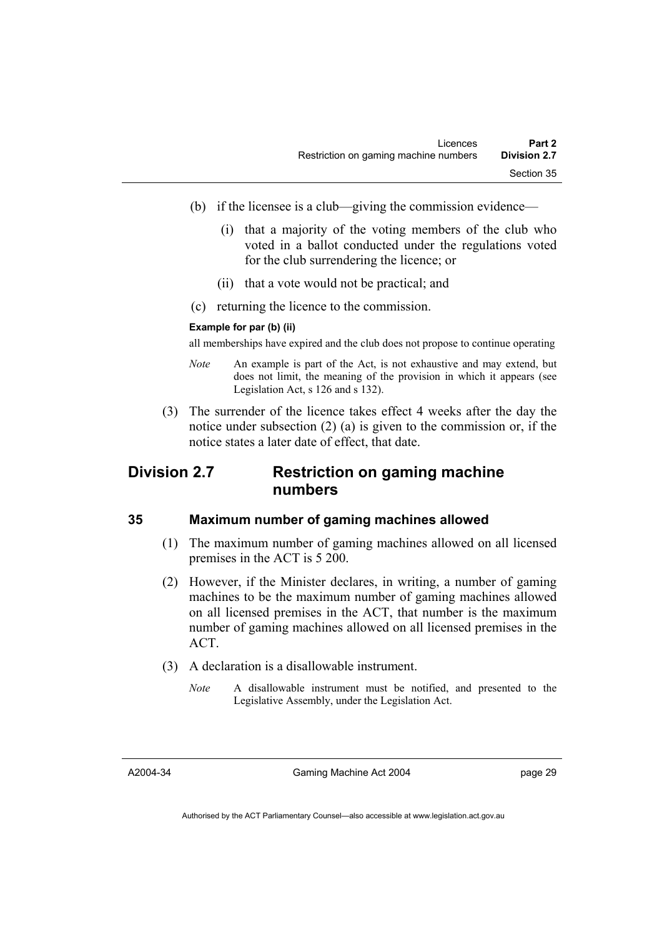- (b) if the licensee is a club—giving the commission evidence—
	- (i) that a majority of the voting members of the club who voted in a ballot conducted under the regulations voted for the club surrendering the licence; or
	- (ii) that a vote would not be practical; and
- (c) returning the licence to the commission.

#### **Example for par (b) (ii)**

all memberships have expired and the club does not propose to continue operating

- *Note* An example is part of the Act, is not exhaustive and may extend, but does not limit, the meaning of the provision in which it appears (see Legislation Act, s 126 and s 132).
- (3) The surrender of the licence takes effect 4 weeks after the day the notice under subsection (2) (a) is given to the commission or, if the notice states a later date of effect, that date.

# **Division 2.7 Restriction on gaming machine numbers**

#### **35 Maximum number of gaming machines allowed**

- (1) The maximum number of gaming machines allowed on all licensed premises in the ACT is 5 200.
- (2) However, if the Minister declares, in writing, a number of gaming machines to be the maximum number of gaming machines allowed on all licensed premises in the ACT, that number is the maximum number of gaming machines allowed on all licensed premises in the ACT.
- (3) A declaration is a disallowable instrument.
	- *Note* A disallowable instrument must be notified, and presented to the Legislative Assembly, under the Legislation Act.

A2004-34

Gaming Machine Act 2004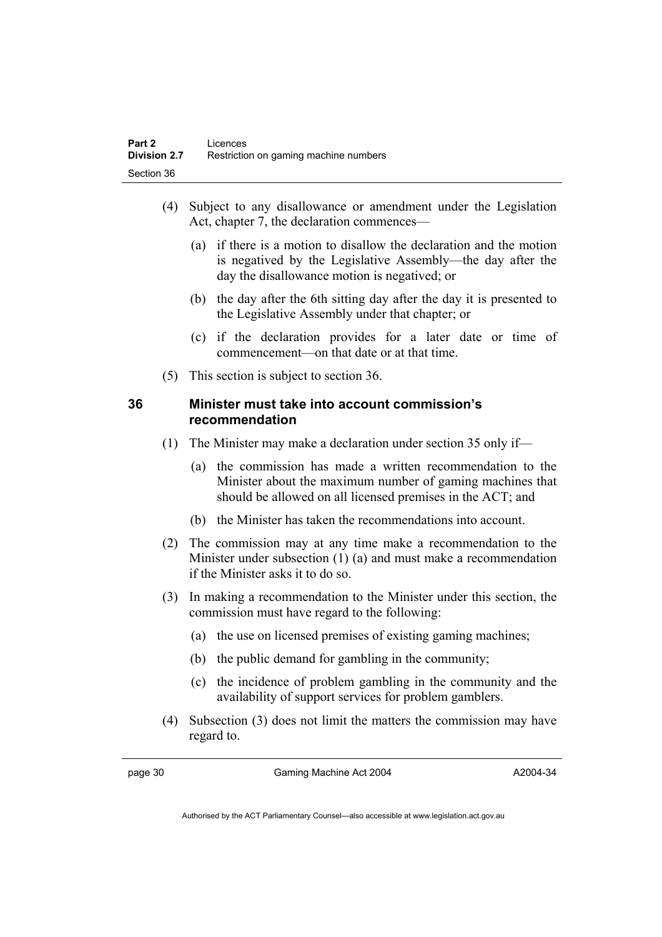- (4) Subject to any disallowance or amendment under the Legislation Act, chapter 7, the declaration commences—
	- (a) if there is a motion to disallow the declaration and the motion is negatived by the Legislative Assembly—the day after the day the disallowance motion is negatived; or
	- (b) the day after the 6th sitting day after the day it is presented to the Legislative Assembly under that chapter; or
	- (c) if the declaration provides for a later date or time of commencement—on that date or at that time.
- (5) This section is subject to section 36.

# **36 Minister must take into account commission's recommendation**

- (1) The Minister may make a declaration under section 35 only if—
	- (a) the commission has made a written recommendation to the Minister about the maximum number of gaming machines that should be allowed on all licensed premises in the ACT; and
	- (b) the Minister has taken the recommendations into account.
- (2) The commission may at any time make a recommendation to the Minister under subsection (1) (a) and must make a recommendation if the Minister asks it to do so.
- (3) In making a recommendation to the Minister under this section, the commission must have regard to the following:
	- (a) the use on licensed premises of existing gaming machines;
	- (b) the public demand for gambling in the community;
	- (c) the incidence of problem gambling in the community and the availability of support services for problem gamblers.
- (4) Subsection (3) does not limit the matters the commission may have regard to.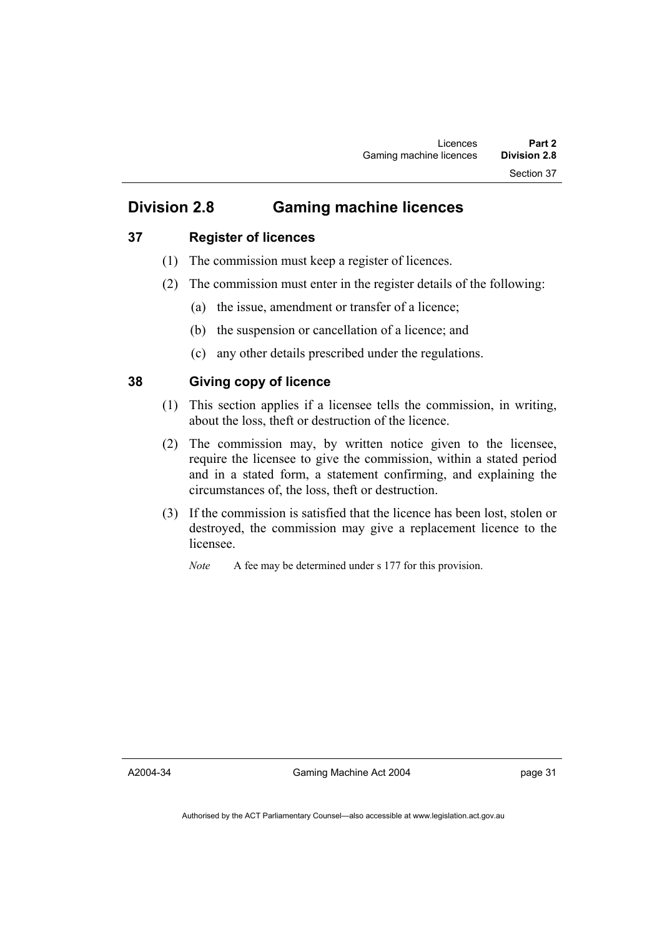# **Division 2.8 Gaming machine licences**

# **37 Register of licences**

- (1) The commission must keep a register of licences.
- (2) The commission must enter in the register details of the following:
	- (a) the issue, amendment or transfer of a licence;
	- (b) the suspension or cancellation of a licence; and
	- (c) any other details prescribed under the regulations.

# **38 Giving copy of licence**

- (1) This section applies if a licensee tells the commission, in writing, about the loss, theft or destruction of the licence.
- (2) The commission may, by written notice given to the licensee, require the licensee to give the commission, within a stated period and in a stated form, a statement confirming, and explaining the circumstances of, the loss, theft or destruction.
- (3) If the commission is satisfied that the licence has been lost, stolen or destroyed, the commission may give a replacement licence to the licensee.

*Note* A fee may be determined under s 177 for this provision.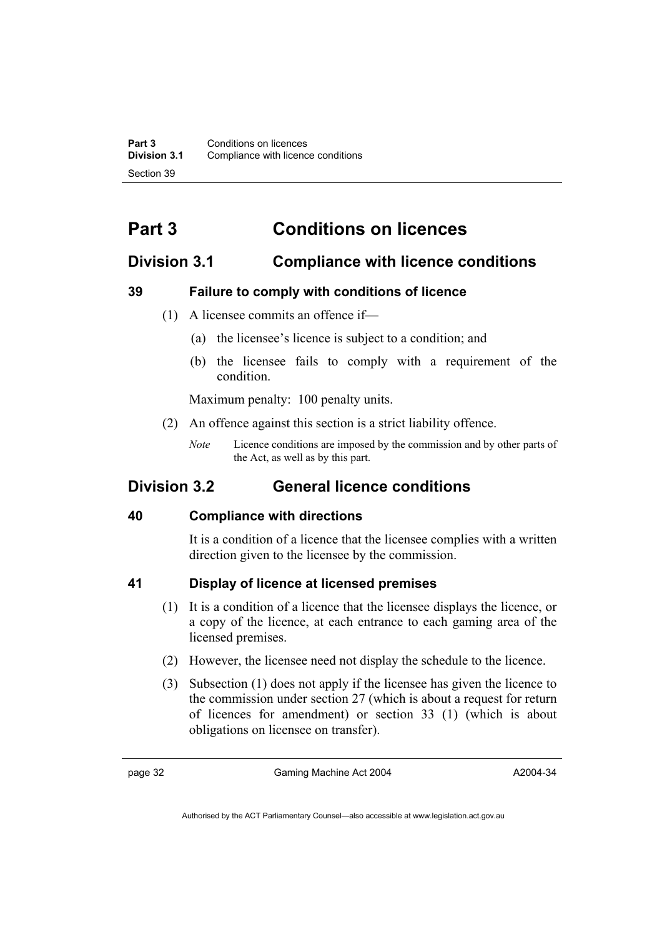# **Part 3 Conditions on licences**

# **Division 3.1 Compliance with licence conditions**

# **39 Failure to comply with conditions of licence**

- (1) A licensee commits an offence if—
	- (a) the licensee's licence is subject to a condition; and
	- (b) the licensee fails to comply with a requirement of the condition.

Maximum penalty: 100 penalty units.

- (2) An offence against this section is a strict liability offence.
	- *Note* Licence conditions are imposed by the commission and by other parts of the Act, as well as by this part.

# **Division 3.2 General licence conditions**

# **40 Compliance with directions**

It is a condition of a licence that the licensee complies with a written direction given to the licensee by the commission.

# **41 Display of licence at licensed premises**

- (1) It is a condition of a licence that the licensee displays the licence, or a copy of the licence, at each entrance to each gaming area of the licensed premises.
- (2) However, the licensee need not display the schedule to the licence.
- (3) Subsection (1) does not apply if the licensee has given the licence to the commission under section 27 (which is about a request for return of licences for amendment) or section 33 (1) (which is about obligations on licensee on transfer).

page 32 Gaming Machine Act 2004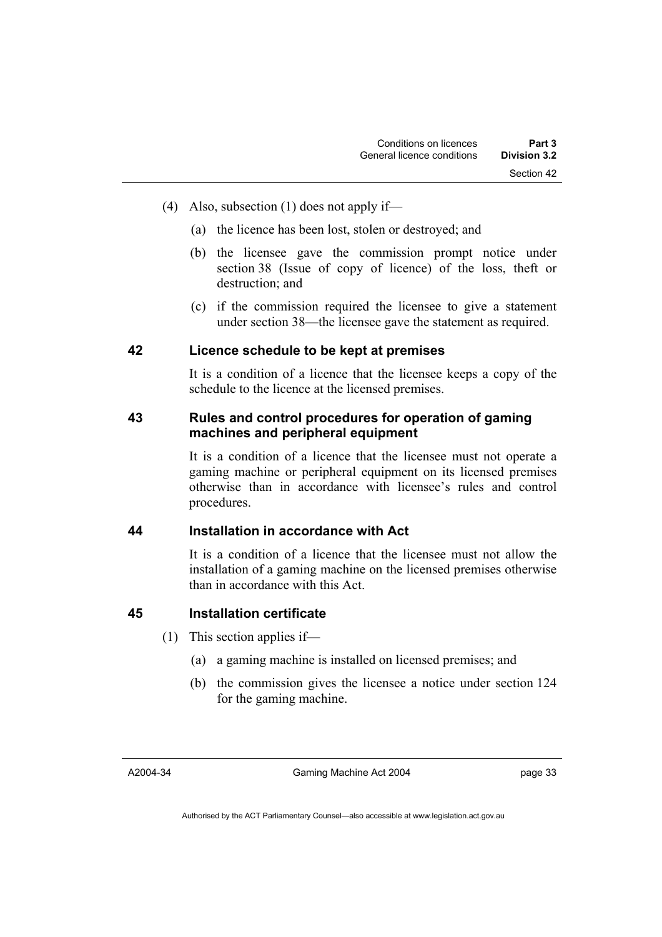- (4) Also, subsection (1) does not apply if—
	- (a) the licence has been lost, stolen or destroyed; and
	- (b) the licensee gave the commission prompt notice under section 38 (Issue of copy of licence) of the loss, theft or destruction; and
	- (c) if the commission required the licensee to give a statement under section 38—the licensee gave the statement as required.

#### **42 Licence schedule to be kept at premises**

It is a condition of a licence that the licensee keeps a copy of the schedule to the licence at the licensed premises.

# **43 Rules and control procedures for operation of gaming machines and peripheral equipment**

It is a condition of a licence that the licensee must not operate a gaming machine or peripheral equipment on its licensed premises otherwise than in accordance with licensee's rules and control procedures.

# **44 Installation in accordance with Act**

It is a condition of a licence that the licensee must not allow the installation of a gaming machine on the licensed premises otherwise than in accordance with this Act.

### **45 Installation certificate**

- (1) This section applies if—
	- (a) a gaming machine is installed on licensed premises; and
	- (b) the commission gives the licensee a notice under section 124 for the gaming machine.

#### A2004-34

Gaming Machine Act 2004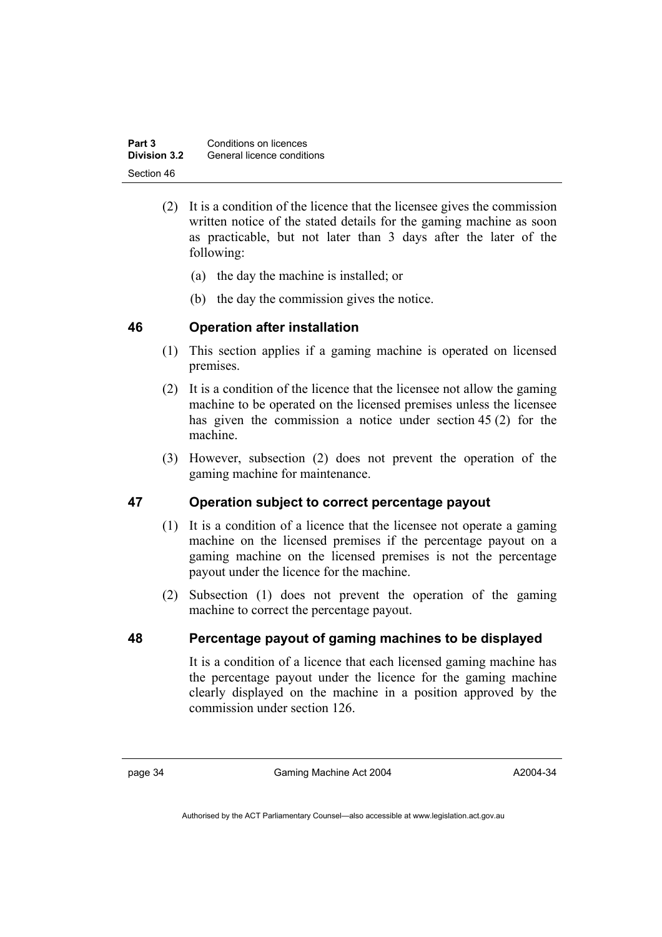| Part 3       | Conditions on licences     |
|--------------|----------------------------|
| Division 3.2 | General licence conditions |
| Section 46   |                            |

- (2) It is a condition of the licence that the licensee gives the commission written notice of the stated details for the gaming machine as soon as practicable, but not later than 3 days after the later of the following:
	- (a) the day the machine is installed; or
	- (b) the day the commission gives the notice.

# **46 Operation after installation**

- (1) This section applies if a gaming machine is operated on licensed premises.
- (2) It is a condition of the licence that the licensee not allow the gaming machine to be operated on the licensed premises unless the licensee has given the commission a notice under section 45 (2) for the machine.
- (3) However, subsection (2) does not prevent the operation of the gaming machine for maintenance.

# **47 Operation subject to correct percentage payout**

- (1) It is a condition of a licence that the licensee not operate a gaming machine on the licensed premises if the percentage payout on a gaming machine on the licensed premises is not the percentage payout under the licence for the machine.
- (2) Subsection (1) does not prevent the operation of the gaming machine to correct the percentage payout.

# **48 Percentage payout of gaming machines to be displayed**

It is a condition of a licence that each licensed gaming machine has the percentage payout under the licence for the gaming machine clearly displayed on the machine in a position approved by the commission under section 126.

page 34 Gaming Machine Act 2004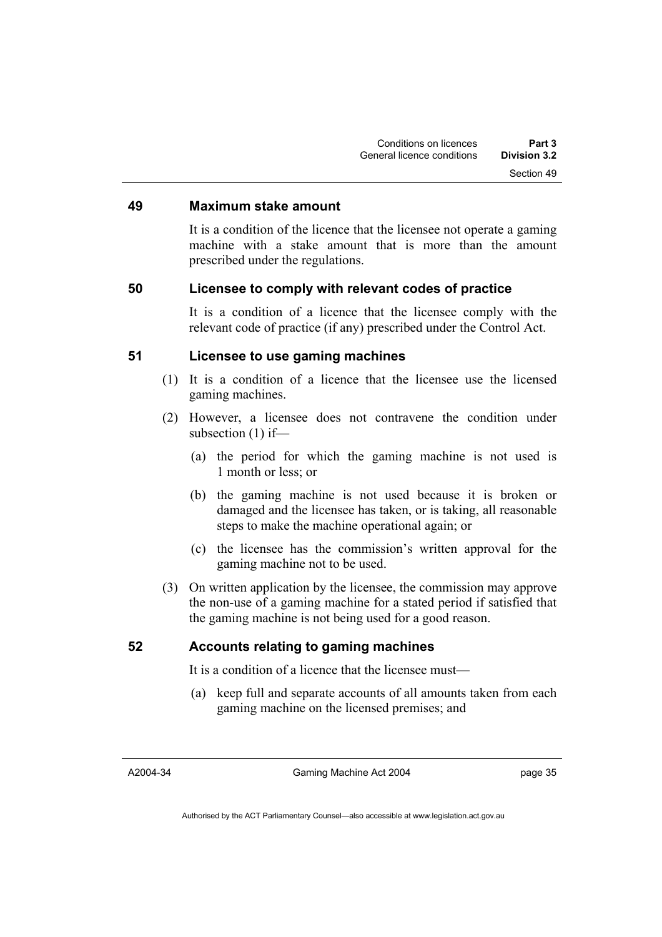#### **49 Maximum stake amount**

It is a condition of the licence that the licensee not operate a gaming machine with a stake amount that is more than the amount prescribed under the regulations.

#### **50 Licensee to comply with relevant codes of practice**

It is a condition of a licence that the licensee comply with the relevant code of practice (if any) prescribed under the Control Act.

### **51 Licensee to use gaming machines**

- (1) It is a condition of a licence that the licensee use the licensed gaming machines.
- (2) However, a licensee does not contravene the condition under subsection (1) if—
	- (a) the period for which the gaming machine is not used is 1 month or less; or
	- (b) the gaming machine is not used because it is broken or damaged and the licensee has taken, or is taking, all reasonable steps to make the machine operational again; or
	- (c) the licensee has the commission's written approval for the gaming machine not to be used.
- (3) On written application by the licensee, the commission may approve the non-use of a gaming machine for a stated period if satisfied that the gaming machine is not being used for a good reason.

#### **52 Accounts relating to gaming machines**

It is a condition of a licence that the licensee must—

 (a) keep full and separate accounts of all amounts taken from each gaming machine on the licensed premises; and

A2004-34

Gaming Machine Act 2004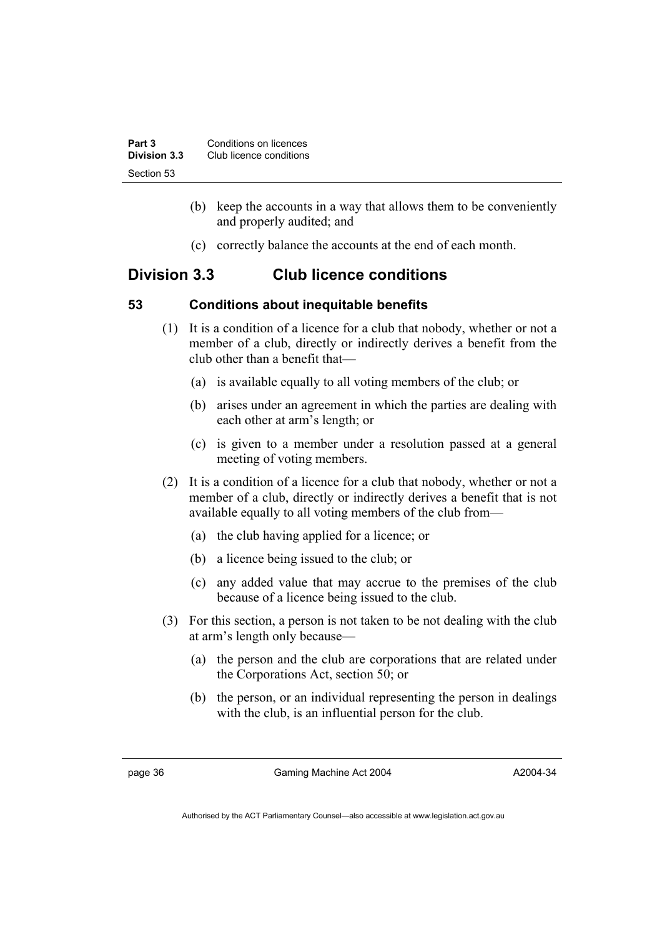| Part 3       | Conditions on licences  |  |
|--------------|-------------------------|--|
| Division 3.3 | Club licence conditions |  |
| Section 53   |                         |  |

- (b) keep the accounts in a way that allows them to be conveniently and properly audited; and
- (c) correctly balance the accounts at the end of each month.

# **Division 3.3 Club licence conditions**

# **53 Conditions about inequitable benefits**

- (1) It is a condition of a licence for a club that nobody, whether or not a member of a club, directly or indirectly derives a benefit from the club other than a benefit that—
	- (a) is available equally to all voting members of the club; or
	- (b) arises under an agreement in which the parties are dealing with each other at arm's length; or
	- (c) is given to a member under a resolution passed at a general meeting of voting members.
- (2) It is a condition of a licence for a club that nobody, whether or not a member of a club, directly or indirectly derives a benefit that is not available equally to all voting members of the club from—
	- (a) the club having applied for a licence; or
	- (b) a licence being issued to the club; or
	- (c) any added value that may accrue to the premises of the club because of a licence being issued to the club.
- (3) For this section, a person is not taken to be not dealing with the club at arm's length only because—
	- (a) the person and the club are corporations that are related under the Corporations Act, section 50; or
	- (b) the person, or an individual representing the person in dealings with the club, is an influential person for the club.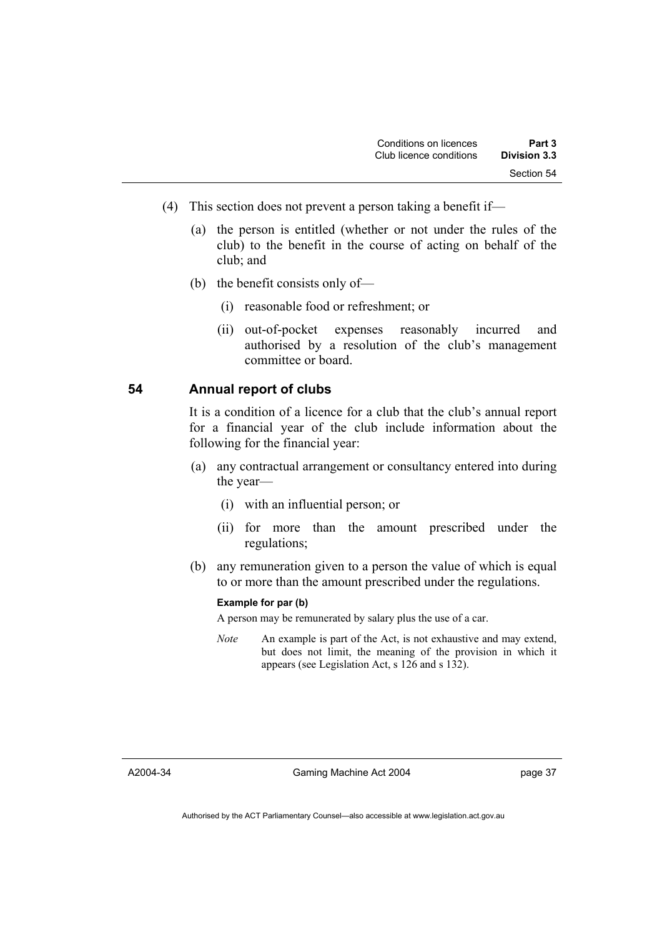- (4) This section does not prevent a person taking a benefit if—
	- (a) the person is entitled (whether or not under the rules of the club) to the benefit in the course of acting on behalf of the club; and
	- (b) the benefit consists only of—
		- (i) reasonable food or refreshment; or
		- (ii) out-of-pocket expenses reasonably incurred and authorised by a resolution of the club's management committee or board.

### **54 Annual report of clubs**

It is a condition of a licence for a club that the club's annual report for a financial year of the club include information about the following for the financial year:

- (a) any contractual arrangement or consultancy entered into during the year—
	- (i) with an influential person; or
	- (ii) for more than the amount prescribed under the regulations;
- (b) any remuneration given to a person the value of which is equal to or more than the amount prescribed under the regulations.

#### **Example for par (b)**

A person may be remunerated by salary plus the use of a car.

*Note* An example is part of the Act, is not exhaustive and may extend, but does not limit, the meaning of the provision in which it appears (see Legislation Act, s 126 and s 132).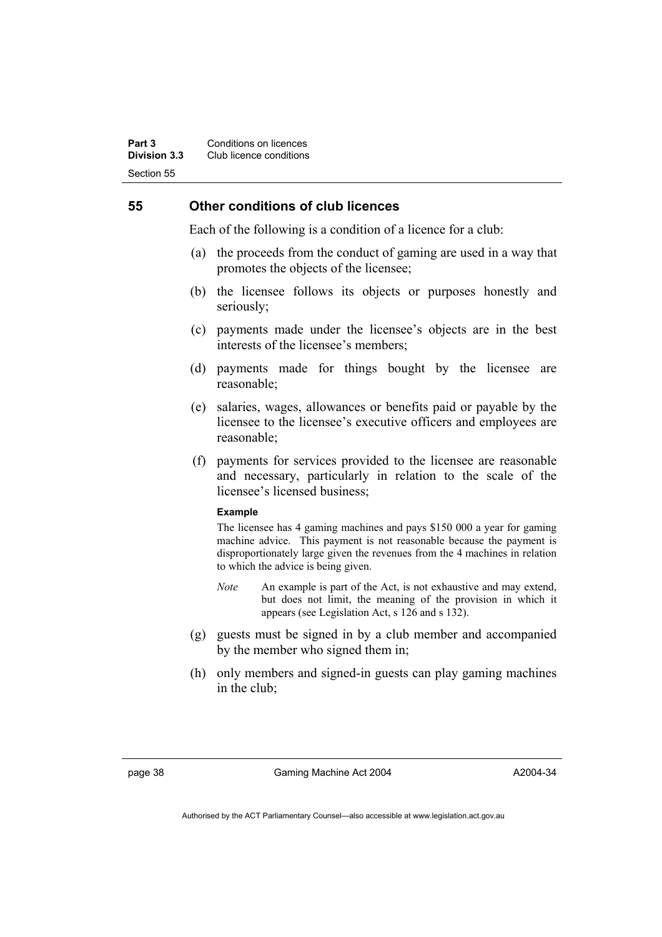### **55 Other conditions of club licences**

Each of the following is a condition of a licence for a club:

- (a) the proceeds from the conduct of gaming are used in a way that promotes the objects of the licensee;
- (b) the licensee follows its objects or purposes honestly and seriously;
- (c) payments made under the licensee's objects are in the best interests of the licensee's members;
- (d) payments made for things bought by the licensee are reasonable;
- (e) salaries, wages, allowances or benefits paid or payable by the licensee to the licensee's executive officers and employees are reasonable;
- (f) payments for services provided to the licensee are reasonable and necessary, particularly in relation to the scale of the licensee's licensed business;

#### **Example**

The licensee has 4 gaming machines and pays \$150 000 a year for gaming machine advice. This payment is not reasonable because the payment is disproportionately large given the revenues from the 4 machines in relation to which the advice is being given.

- *Note* An example is part of the Act, is not exhaustive and may extend, but does not limit, the meaning of the provision in which it appears (see Legislation Act, s 126 and s 132).
- (g) guests must be signed in by a club member and accompanied by the member who signed them in;
- (h) only members and signed-in guests can play gaming machines in the club;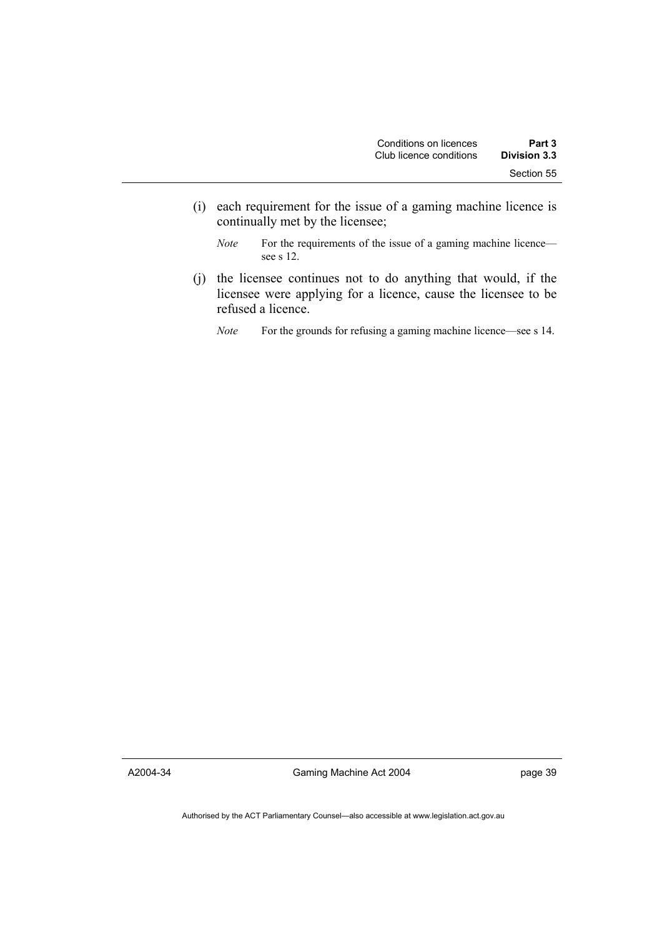- (i) each requirement for the issue of a gaming machine licence is continually met by the licensee;
	- *Note* For the requirements of the issue of a gaming machine licence see s 12.
- (j) the licensee continues not to do anything that would, if the licensee were applying for a licence, cause the licensee to be refused a licence.
	- *Note* For the grounds for refusing a gaming machine licence—see s 14.

A2004-34

Gaming Machine Act 2004

page 39

Authorised by the ACT Parliamentary Counsel—also accessible at www.legislation.act.gov.au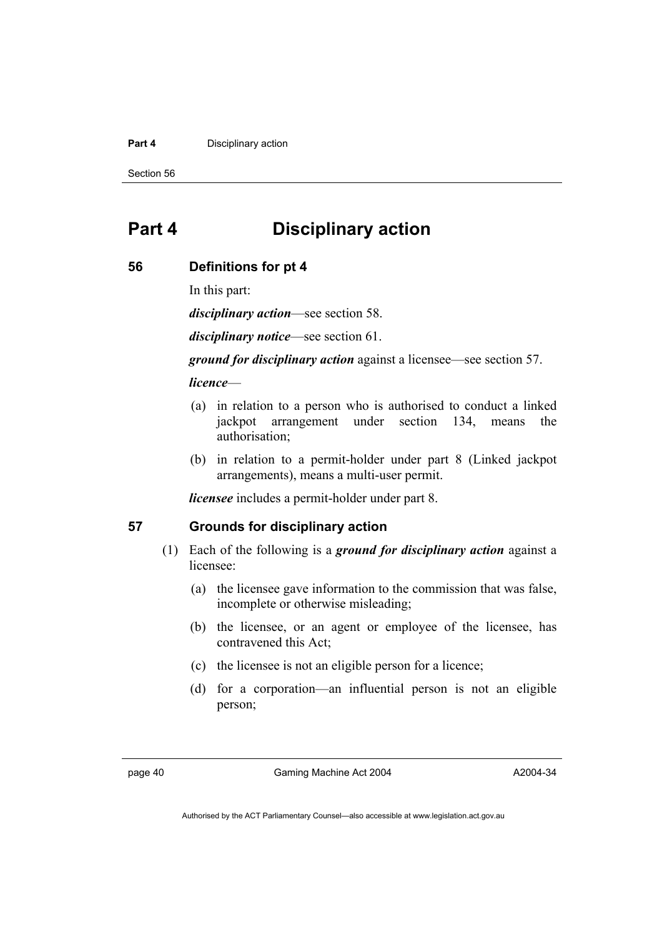#### **Part 4 Disciplinary action**

Section 56

# **Part 4 Disciplinary action**

#### **56 Definitions for pt 4**

In this part:

*disciplinary action*—see section 58.

*disciplinary notice*—see section 61.

*ground for disciplinary action* against a licensee—see section 57.

#### *licence*—

- (a) in relation to a person who is authorised to conduct a linked jackpot arrangement under section 134, means the authorisation;
- (b) in relation to a permit-holder under part 8 (Linked jackpot arrangements), means a multi-user permit.

*licensee* includes a permit-holder under part 8.

### **57 Grounds for disciplinary action**

- (1) Each of the following is a *ground for disciplinary action* against a licensee:
	- (a) the licensee gave information to the commission that was false, incomplete or otherwise misleading;
	- (b) the licensee, or an agent or employee of the licensee, has contravened this Act;
	- (c) the licensee is not an eligible person for a licence;
	- (d) for a corporation—an influential person is not an eligible person;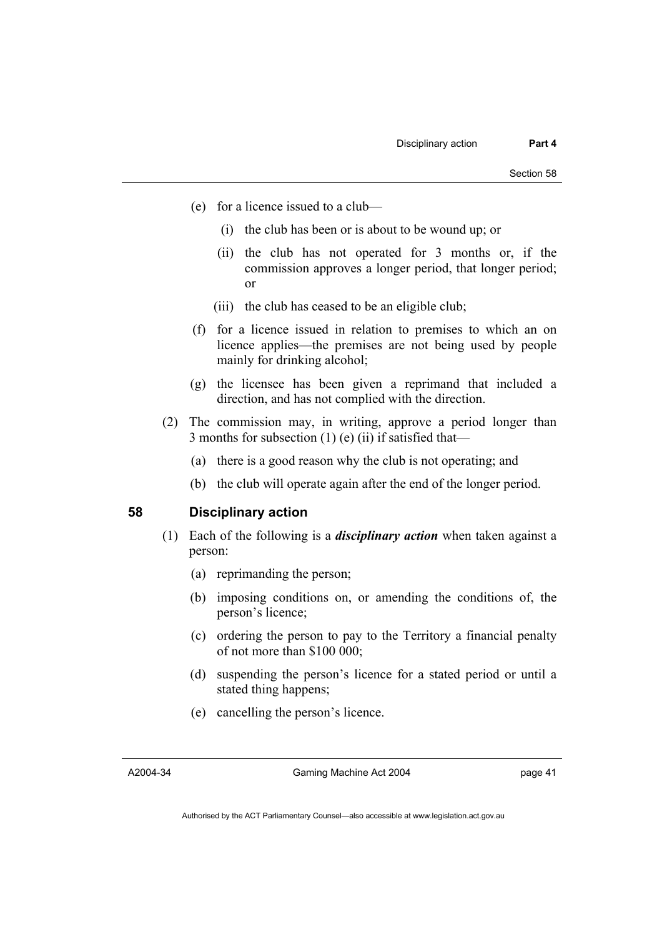- (e) for a licence issued to a club—
	- (i) the club has been or is about to be wound up; or
	- (ii) the club has not operated for 3 months or, if the commission approves a longer period, that longer period; or
	- (iii) the club has ceased to be an eligible club;
- (f) for a licence issued in relation to premises to which an on licence applies—the premises are not being used by people mainly for drinking alcohol;
- (g) the licensee has been given a reprimand that included a direction, and has not complied with the direction.
- (2) The commission may, in writing, approve a period longer than 3 months for subsection (1) (e) (ii) if satisfied that—
	- (a) there is a good reason why the club is not operating; and
	- (b) the club will operate again after the end of the longer period.

## **58 Disciplinary action**

- (1) Each of the following is a *disciplinary action* when taken against a person:
	- (a) reprimanding the person;
	- (b) imposing conditions on, or amending the conditions of, the person's licence;
	- (c) ordering the person to pay to the Territory a financial penalty of not more than \$100 000;
	- (d) suspending the person's licence for a stated period or until a stated thing happens;
	- (e) cancelling the person's licence.

A2004-34

Gaming Machine Act 2004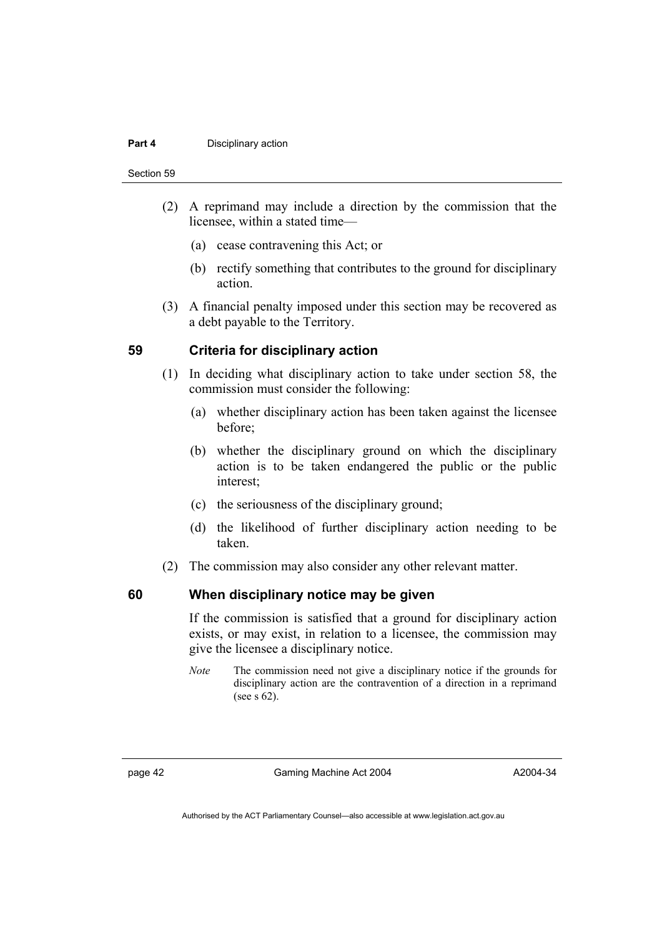#### **Part 4 Disciplinary action**

Section 59

- (2) A reprimand may include a direction by the commission that the licensee, within a stated time—
	- (a) cease contravening this Act; or
	- (b) rectify something that contributes to the ground for disciplinary action.
- (3) A financial penalty imposed under this section may be recovered as a debt payable to the Territory.

#### **59 Criteria for disciplinary action**

- (1) In deciding what disciplinary action to take under section 58, the commission must consider the following:
	- (a) whether disciplinary action has been taken against the licensee before;
	- (b) whether the disciplinary ground on which the disciplinary action is to be taken endangered the public or the public interest;
	- (c) the seriousness of the disciplinary ground;
	- (d) the likelihood of further disciplinary action needing to be taken.
- (2) The commission may also consider any other relevant matter.

### **60 When disciplinary notice may be given**

If the commission is satisfied that a ground for disciplinary action exists, or may exist, in relation to a licensee, the commission may give the licensee a disciplinary notice.

*Note* The commission need not give a disciplinary notice if the grounds for disciplinary action are the contravention of a direction in a reprimand (see s 62).

page 42 Gaming Machine Act 2004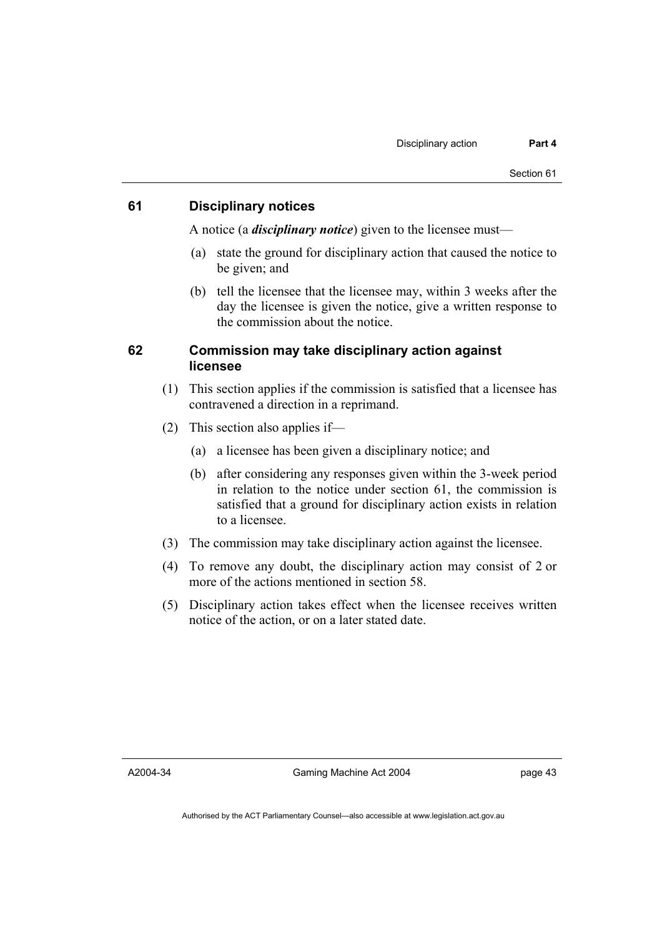# **61 Disciplinary notices**

A notice (a *disciplinary notice*) given to the licensee must—

- (a) state the ground for disciplinary action that caused the notice to be given; and
- (b) tell the licensee that the licensee may, within 3 weeks after the day the licensee is given the notice, give a written response to the commission about the notice.

## **62 Commission may take disciplinary action against licensee**

- (1) This section applies if the commission is satisfied that a licensee has contravened a direction in a reprimand.
- (2) This section also applies if—
	- (a) a licensee has been given a disciplinary notice; and
	- (b) after considering any responses given within the 3-week period in relation to the notice under section 61, the commission is satisfied that a ground for disciplinary action exists in relation to a licensee.
- (3) The commission may take disciplinary action against the licensee.
- (4) To remove any doubt, the disciplinary action may consist of 2 or more of the actions mentioned in section 58.
- (5) Disciplinary action takes effect when the licensee receives written notice of the action, or on a later stated date.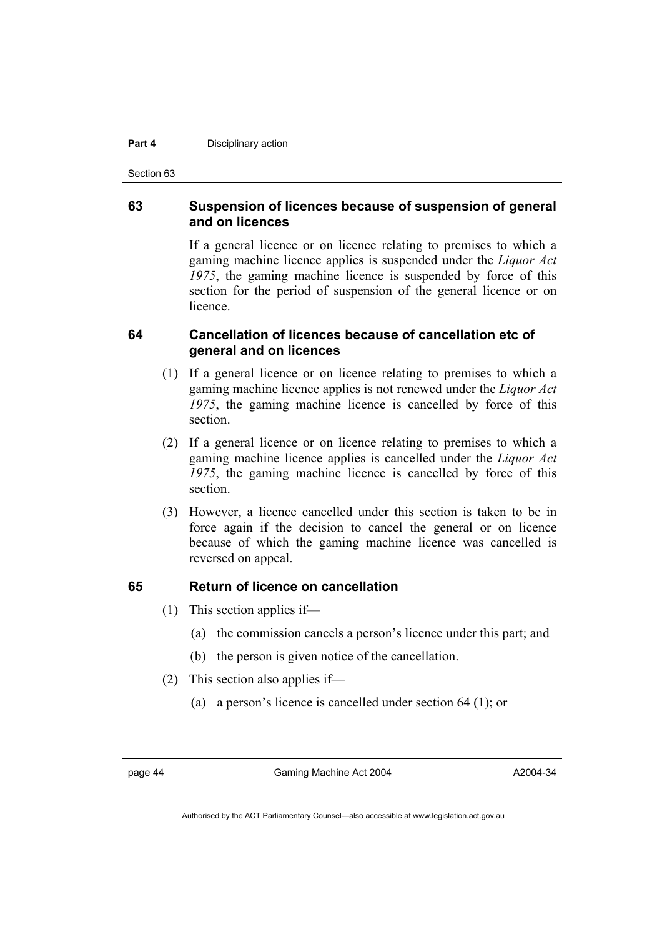#### **Part 4 Disciplinary action**

Section 63

# **63 Suspension of licences because of suspension of general and on licences**

If a general licence or on licence relating to premises to which a gaming machine licence applies is suspended under the *Liquor Act 1975*, the gaming machine licence is suspended by force of this section for the period of suspension of the general licence or on **licence** 

# **64 Cancellation of licences because of cancellation etc of general and on licences**

- (1) If a general licence or on licence relating to premises to which a gaming machine licence applies is not renewed under the *Liquor Act 1975*, the gaming machine licence is cancelled by force of this section.
- (2) If a general licence or on licence relating to premises to which a gaming machine licence applies is cancelled under the *Liquor Act 1975*, the gaming machine licence is cancelled by force of this section.
- (3) However, a licence cancelled under this section is taken to be in force again if the decision to cancel the general or on licence because of which the gaming machine licence was cancelled is reversed on appeal.

# **65 Return of licence on cancellation**

- (1) This section applies if—
	- (a) the commission cancels a person's licence under this part; and
	- (b) the person is given notice of the cancellation.
- (2) This section also applies if—
	- (a) a person's licence is cancelled under section 64 (1); or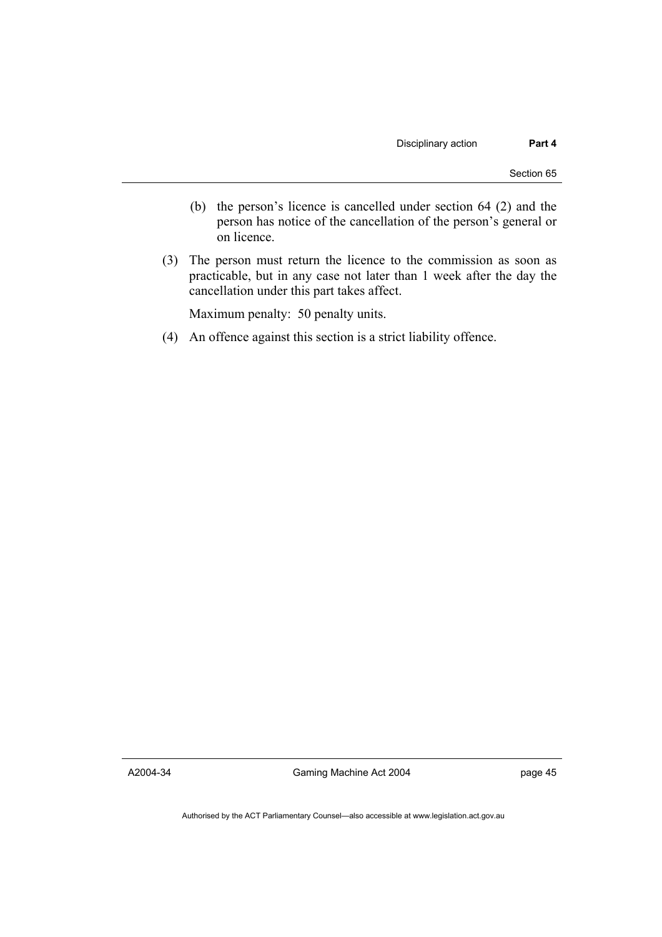- (b) the person's licence is cancelled under section 64 (2) and the person has notice of the cancellation of the person's general or on licence.
- (3) The person must return the licence to the commission as soon as practicable, but in any case not later than 1 week after the day the cancellation under this part takes affect.

Maximum penalty: 50 penalty units.

(4) An offence against this section is a strict liability offence.

A2004-34

Gaming Machine Act 2004

page 45

Authorised by the ACT Parliamentary Counsel—also accessible at www.legislation.act.gov.au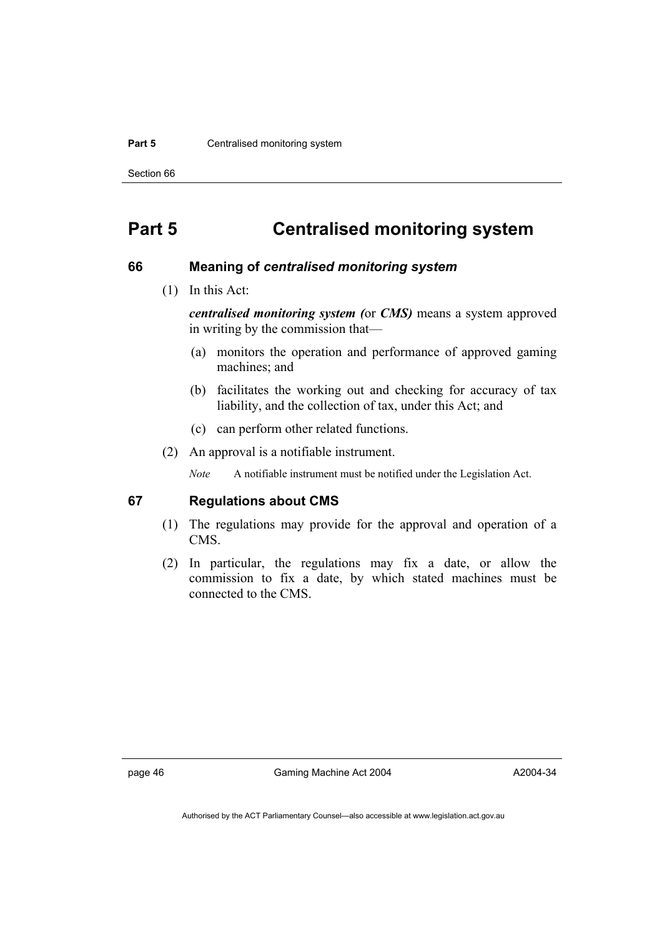#### **Part 5 Centralised monitoring system**

Section 66

# **Part 5 Centralised monitoring system**

#### **66 Meaning of** *centralised monitoring system*

(1) In this Act:

*centralised monitoring system (*or *CMS)* means a system approved in writing by the commission that—

- (a) monitors the operation and performance of approved gaming machines; and
- (b) facilitates the working out and checking for accuracy of tax liability, and the collection of tax, under this Act; and
- (c) can perform other related functions.
- (2) An approval is a notifiable instrument.

*Note* A notifiable instrument must be notified under the Legislation Act.

#### **67 Regulations about CMS**

- (1) The regulations may provide for the approval and operation of a CMS.
- (2) In particular, the regulations may fix a date, or allow the commission to fix a date, by which stated machines must be connected to the CMS.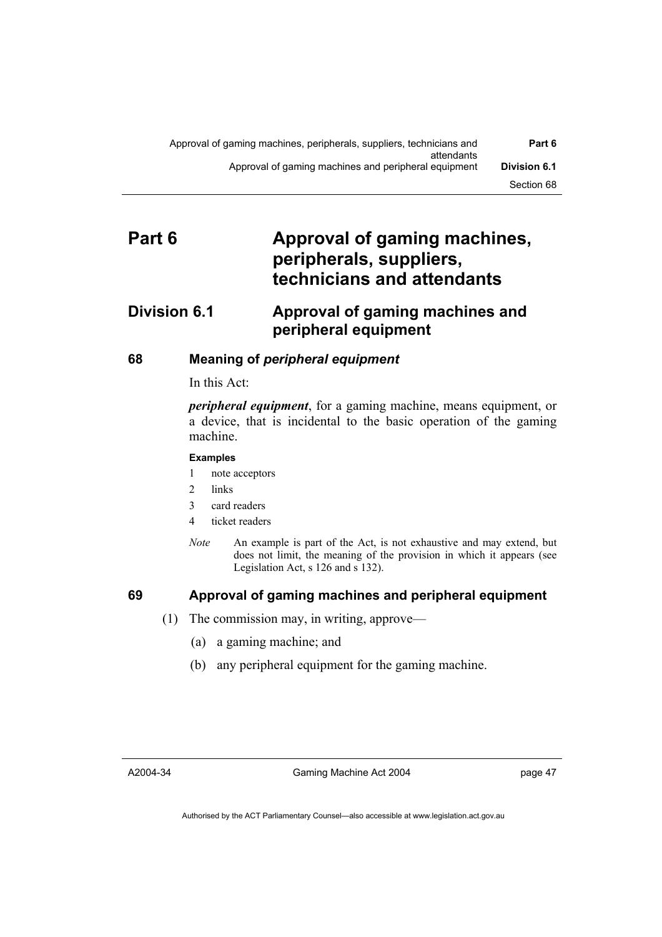# **Part 6 Approval of gaming machines, peripherals, suppliers, technicians and attendants**

# **Division 6.1 Approval of gaming machines and peripheral equipment**

# **68 Meaning of** *peripheral equipment*

#### In this Act:

*peripheral equipment*, for a gaming machine, means equipment, or a device, that is incidental to the basic operation of the gaming machine.

### **Examples**

- 1 note acceptors
- 2 links
- 3 card readers
- 4 ticket readers
- *Note* An example is part of the Act, is not exhaustive and may extend, but does not limit, the meaning of the provision in which it appears (see Legislation Act, s 126 and s 132).

# **69 Approval of gaming machines and peripheral equipment**

- (1) The commission may, in writing, approve—
	- (a) a gaming machine; and
	- (b) any peripheral equipment for the gaming machine.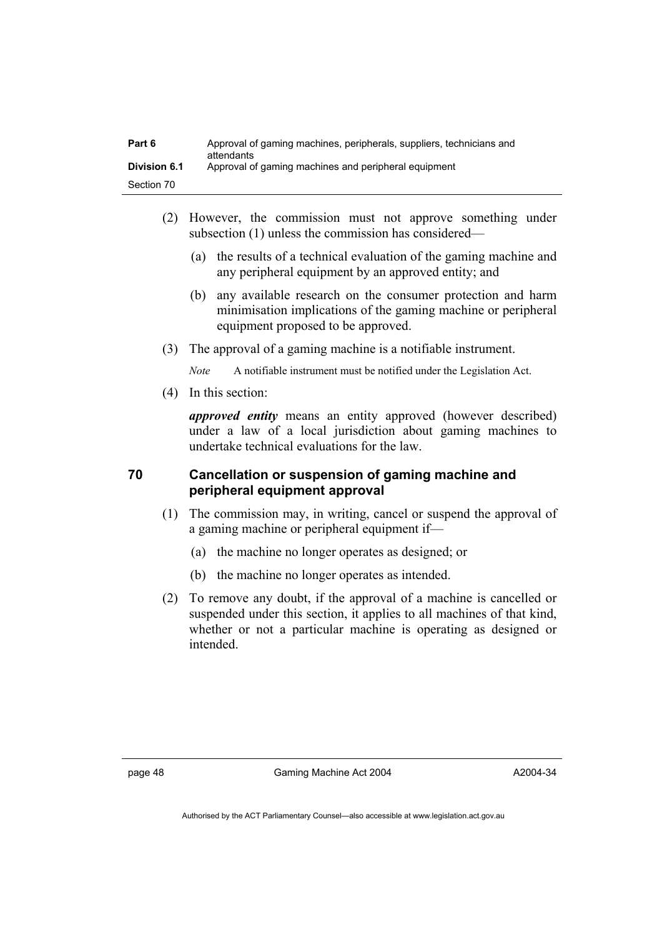| Part 6              | Approval of gaming machines, peripherals, suppliers, technicians and<br>attendants |
|---------------------|------------------------------------------------------------------------------------|
| <b>Division 6.1</b> | Approval of gaming machines and peripheral equipment                               |
| Section 70          |                                                                                    |

- (2) However, the commission must not approve something under subsection (1) unless the commission has considered—
	- (a) the results of a technical evaluation of the gaming machine and any peripheral equipment by an approved entity; and
	- (b) any available research on the consumer protection and harm minimisation implications of the gaming machine or peripheral equipment proposed to be approved.
- (3) The approval of a gaming machine is a notifiable instrument.

*Note* A notifiable instrument must be notified under the Legislation Act.

(4) In this section:

*approved entity* means an entity approved (however described) under a law of a local jurisdiction about gaming machines to undertake technical evaluations for the law.

# **70 Cancellation or suspension of gaming machine and peripheral equipment approval**

- (1) The commission may, in writing, cancel or suspend the approval of a gaming machine or peripheral equipment if—
	- (a) the machine no longer operates as designed; or
	- (b) the machine no longer operates as intended.
- (2) To remove any doubt, if the approval of a machine is cancelled or suspended under this section, it applies to all machines of that kind, whether or not a particular machine is operating as designed or intended.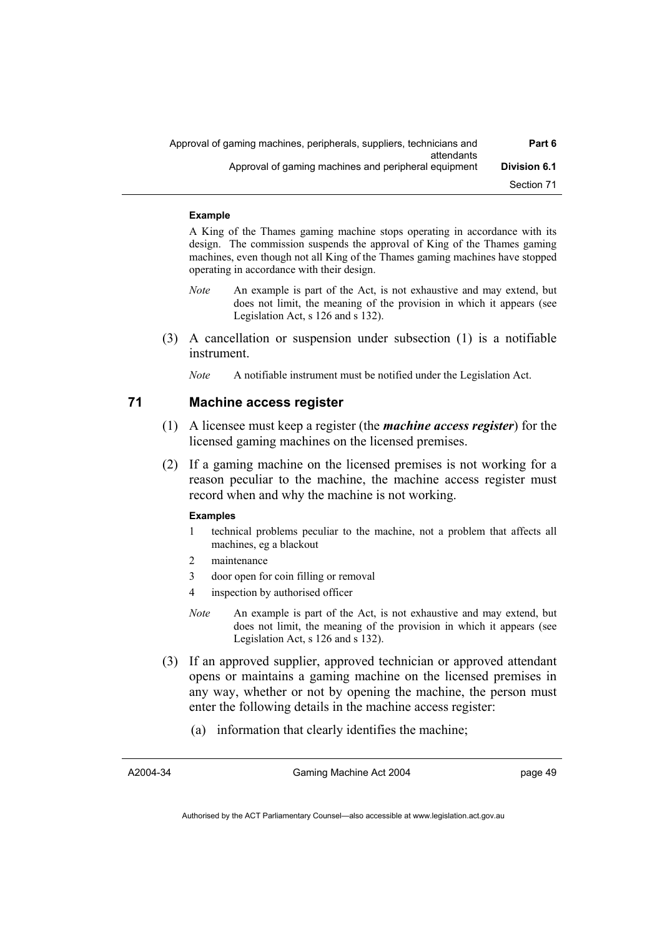| Part 6              | Approval of gaming machines, peripherals, suppliers, technicians and<br>attendants |
|---------------------|------------------------------------------------------------------------------------|
| <b>Division 6.1</b> | Approval of gaming machines and peripheral equipment                               |
| Section 71          |                                                                                    |

#### **Example**

A King of the Thames gaming machine stops operating in accordance with its design. The commission suspends the approval of King of the Thames gaming machines, even though not all King of the Thames gaming machines have stopped operating in accordance with their design.

- *Note* An example is part of the Act, is not exhaustive and may extend, but does not limit, the meaning of the provision in which it appears (see Legislation Act, s 126 and s 132).
- (3) A cancellation or suspension under subsection (1) is a notifiable instrument.
	- *Note* A notifiable instrument must be notified under the Legislation Act.

#### **71 Machine access register**

- (1) A licensee must keep a register (the *machine access register*) for the licensed gaming machines on the licensed premises.
- (2) If a gaming machine on the licensed premises is not working for a reason peculiar to the machine, the machine access register must record when and why the machine is not working.

#### **Examples**

- 1 technical problems peculiar to the machine, not a problem that affects all machines, eg a blackout
- 2 maintenance
- 3 door open for coin filling or removal
- 4 inspection by authorised officer
- *Note* An example is part of the Act, is not exhaustive and may extend, but does not limit, the meaning of the provision in which it appears (see Legislation Act, s 126 and s 132).
- (3) If an approved supplier, approved technician or approved attendant opens or maintains a gaming machine on the licensed premises in any way, whether or not by opening the machine, the person must enter the following details in the machine access register:
	- (a) information that clearly identifies the machine;

A2004-34

Gaming Machine Act 2004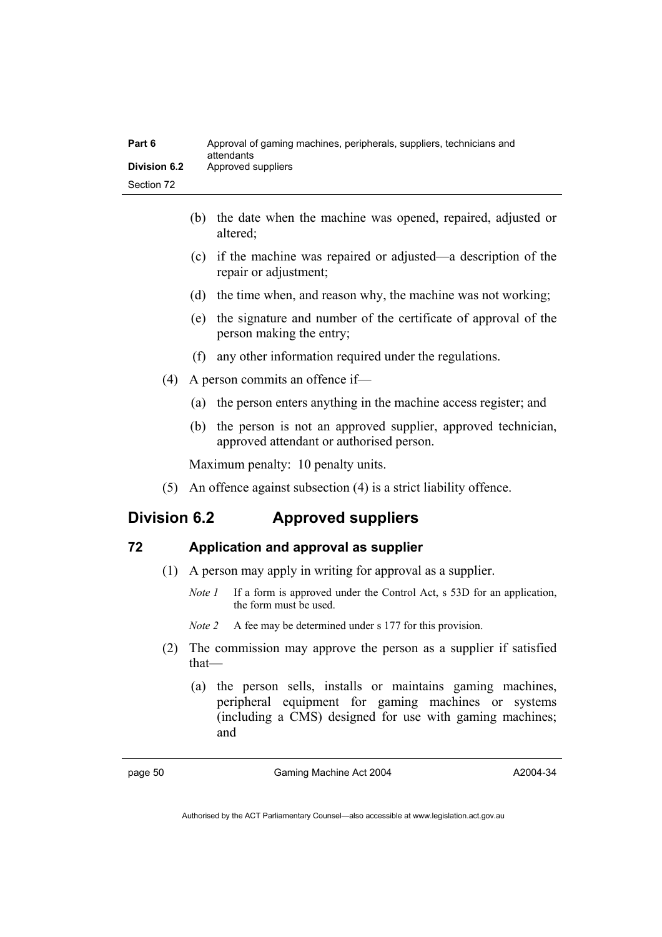| Part 6       | Approval of gaming machines, peripherals, suppliers, technicians and<br>attendants |
|--------------|------------------------------------------------------------------------------------|
| Division 6.2 | Approved suppliers                                                                 |
| Section 72   |                                                                                    |

- (b) the date when the machine was opened, repaired, adjusted or altered;
- (c) if the machine was repaired or adjusted—a description of the repair or adjustment;
- (d) the time when, and reason why, the machine was not working;
- (e) the signature and number of the certificate of approval of the person making the entry;
- (f) any other information required under the regulations.
- (4) A person commits an offence if—
	- (a) the person enters anything in the machine access register; and
	- (b) the person is not an approved supplier, approved technician, approved attendant or authorised person.

Maximum penalty: 10 penalty units.

(5) An offence against subsection (4) is a strict liability offence.

# **Division 6.2 Approved suppliers**

## **72 Application and approval as supplier**

- (1) A person may apply in writing for approval as a supplier.
	- *Note 1* If a form is approved under the Control Act, s 53D for an application, the form must be used.

*Note 2* A fee may be determined under s 177 for this provision.

- (2) The commission may approve the person as a supplier if satisfied that—
	- (a) the person sells, installs or maintains gaming machines, peripheral equipment for gaming machines or systems (including a CMS) designed for use with gaming machines; and

page 50 Gaming Machine Act 2004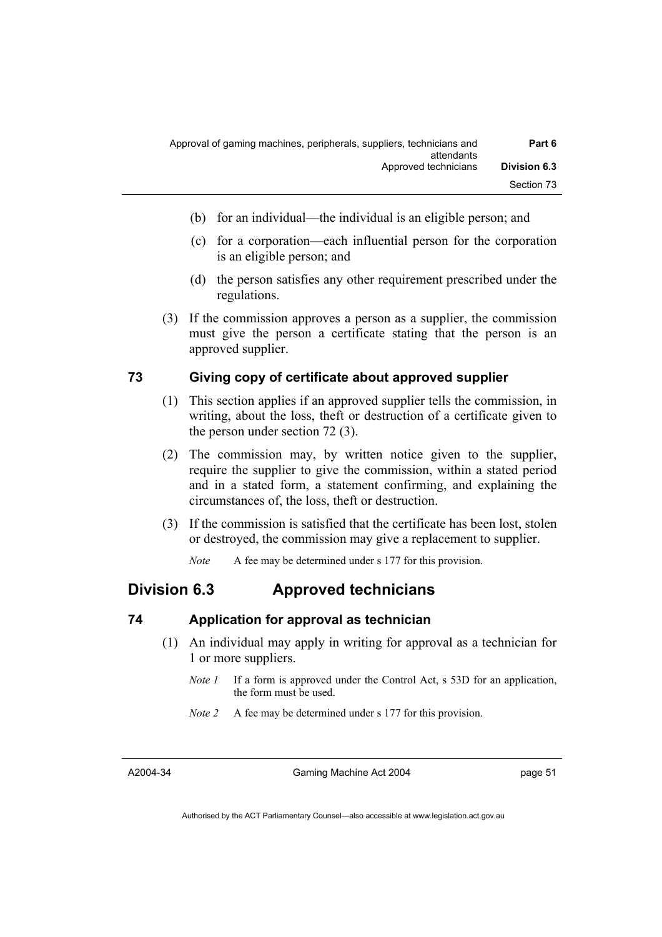| Part 6              | Approval of gaming machines, peripherals, suppliers, technicians and<br>attendants |
|---------------------|------------------------------------------------------------------------------------|
| <b>Division 6.3</b> | Approved technicians                                                               |
| Section 73          |                                                                                    |

- (b) for an individual—the individual is an eligible person; and
- (c) for a corporation—each influential person for the corporation is an eligible person; and
- (d) the person satisfies any other requirement prescribed under the regulations.
- (3) If the commission approves a person as a supplier, the commission must give the person a certificate stating that the person is an approved supplier.

### **73 Giving copy of certificate about approved supplier**

- (1) This section applies if an approved supplier tells the commission, in writing, about the loss, theft or destruction of a certificate given to the person under section 72 (3).
- (2) The commission may, by written notice given to the supplier, require the supplier to give the commission, within a stated period and in a stated form, a statement confirming, and explaining the circumstances of, the loss, theft or destruction.
- (3) If the commission is satisfied that the certificate has been lost, stolen or destroyed, the commission may give a replacement to supplier.

*Note* A fee may be determined under s 177 for this provision.

# **Division 6.3 Approved technicians**

### **74 Application for approval as technician**

- (1) An individual may apply in writing for approval as a technician for 1 or more suppliers.
	- *Note 1* If a form is approved under the Control Act, s 53D for an application, the form must be used.
	- *Note 2* A fee may be determined under s 177 for this provision.

A2004-34

Gaming Machine Act 2004

page 51

Authorised by the ACT Parliamentary Counsel—also accessible at www.legislation.act.gov.au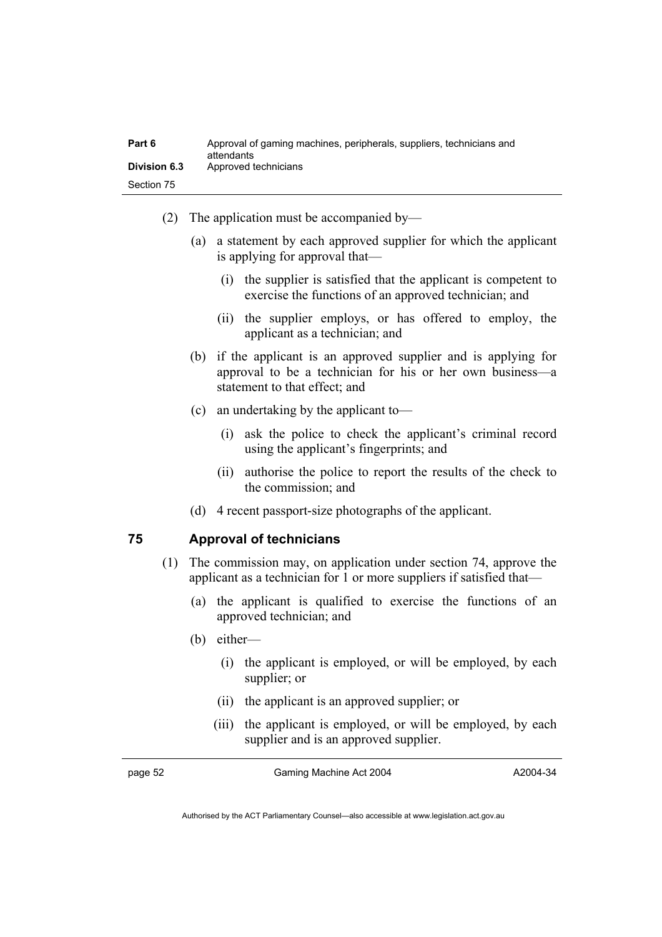| Part 6              | Approval of gaming machines, peripherals, suppliers, technicians and<br>attendants |  |
|---------------------|------------------------------------------------------------------------------------|--|
| <b>Division 6.3</b> | Approved technicians                                                               |  |
| Section 75          |                                                                                    |  |

- (2) The application must be accompanied by—
	- (a) a statement by each approved supplier for which the applicant is applying for approval that—
		- (i) the supplier is satisfied that the applicant is competent to exercise the functions of an approved technician; and
		- (ii) the supplier employs, or has offered to employ, the applicant as a technician; and
	- (b) if the applicant is an approved supplier and is applying for approval to be a technician for his or her own business—a statement to that effect: and
	- (c) an undertaking by the applicant to—
		- (i) ask the police to check the applicant's criminal record using the applicant's fingerprints; and
		- (ii) authorise the police to report the results of the check to the commission; and
	- (d) 4 recent passport-size photographs of the applicant.

#### **75 Approval of technicians**

- (1) The commission may, on application under section 74, approve the applicant as a technician for 1 or more suppliers if satisfied that—
	- (a) the applicant is qualified to exercise the functions of an approved technician; and
	- (b) either—
		- (i) the applicant is employed, or will be employed, by each supplier; or
		- (ii) the applicant is an approved supplier; or
		- (iii) the applicant is employed, or will be employed, by each supplier and is an approved supplier.

page 52 Gaming Machine Act 2004

A2004-34

Authorised by the ACT Parliamentary Counsel—also accessible at www.legislation.act.gov.au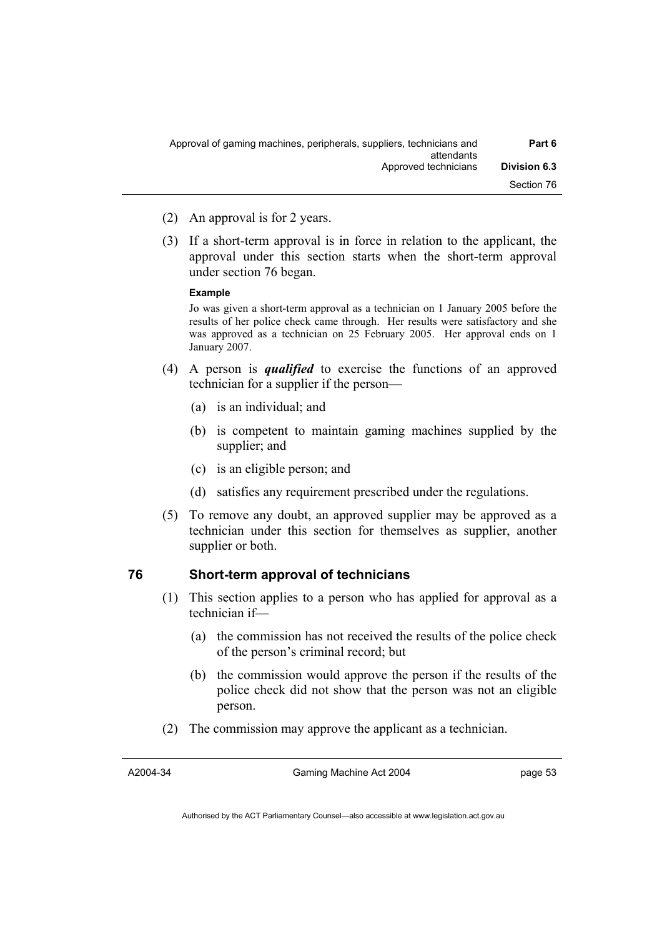- (2) An approval is for 2 years.
- (3) If a short-term approval is in force in relation to the applicant, the approval under this section starts when the short-term approval under section 76 began.

#### **Example**

Jo was given a short-term approval as a technician on 1 January 2005 before the results of her police check came through. Her results were satisfactory and she was approved as a technician on 25 February 2005. Her approval ends on 1 January 2007.

- (4) A person is *qualified* to exercise the functions of an approved technician for a supplier if the person—
	- (a) is an individual; and
	- (b) is competent to maintain gaming machines supplied by the supplier; and
	- (c) is an eligible person; and
	- (d) satisfies any requirement prescribed under the regulations.
- (5) To remove any doubt, an approved supplier may be approved as a technician under this section for themselves as supplier, another supplier or both.

### **76 Short-term approval of technicians**

- (1) This section applies to a person who has applied for approval as a technician if—
	- (a) the commission has not received the results of the police check of the person's criminal record; but
	- (b) the commission would approve the person if the results of the police check did not show that the person was not an eligible person.
- (2) The commission may approve the applicant as a technician.

A2004-34

Gaming Machine Act 2004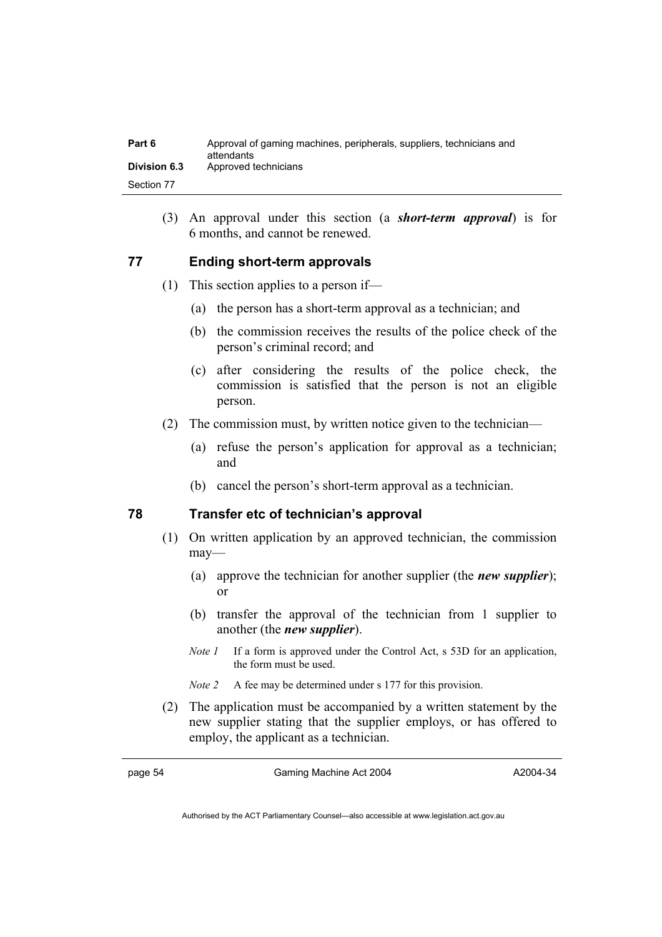| Part 6       | Approval of gaming machines, peripherals, suppliers, technicians and<br>attendants |
|--------------|------------------------------------------------------------------------------------|
| Division 6.3 | Approved technicians                                                               |
| Section 77   |                                                                                    |

 (3) An approval under this section (a *short-term approval*) is for 6 months, and cannot be renewed.

### **77 Ending short-term approvals**

- (1) This section applies to a person if—
	- (a) the person has a short-term approval as a technician; and
	- (b) the commission receives the results of the police check of the person's criminal record; and
	- (c) after considering the results of the police check, the commission is satisfied that the person is not an eligible person.
- (2) The commission must, by written notice given to the technician—
	- (a) refuse the person's application for approval as a technician; and
	- (b) cancel the person's short-term approval as a technician.

### **78 Transfer etc of technician's approval**

- (1) On written application by an approved technician, the commission may—
	- (a) approve the technician for another supplier (the *new supplier*); or
	- (b) transfer the approval of the technician from 1 supplier to another (the *new supplier*).
	- *Note 1* If a form is approved under the Control Act, s 53D for an application, the form must be used.
	- *Note 2* A fee may be determined under s 177 for this provision.
- (2) The application must be accompanied by a written statement by the new supplier stating that the supplier employs, or has offered to employ, the applicant as a technician.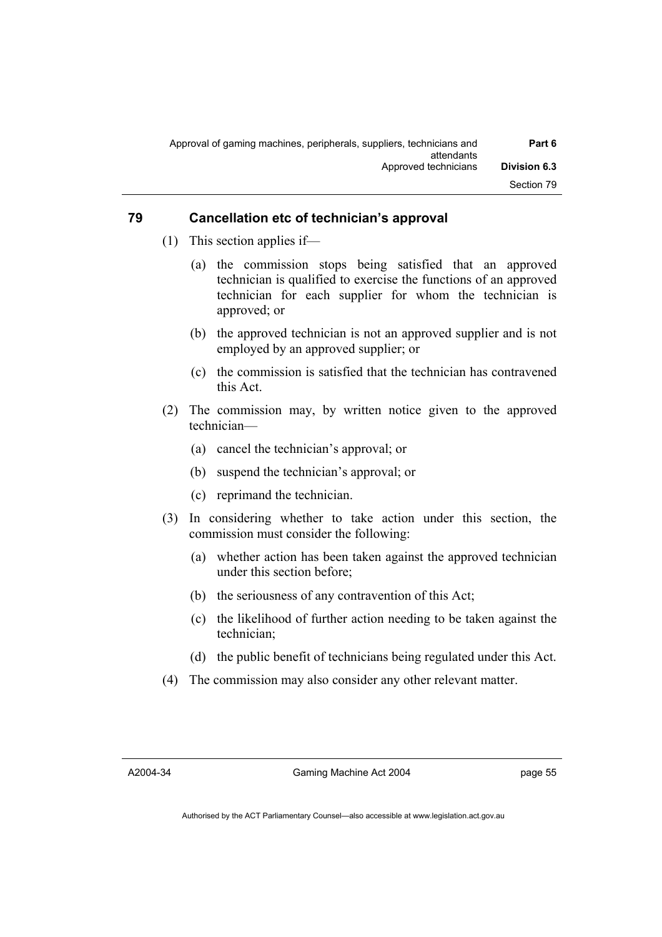| Part 6              | Approval of gaming machines, peripherals, suppliers, technicians and<br>attendants |
|---------------------|------------------------------------------------------------------------------------|
| <b>Division 6.3</b> | Approved technicians                                                               |
| Section 79          |                                                                                    |

## **79 Cancellation etc of technician's approval**

- (1) This section applies if—
	- (a) the commission stops being satisfied that an approved technician is qualified to exercise the functions of an approved technician for each supplier for whom the technician is approved; or
	- (b) the approved technician is not an approved supplier and is not employed by an approved supplier; or
	- (c) the commission is satisfied that the technician has contravened this Act.
- (2) The commission may, by written notice given to the approved technician—
	- (a) cancel the technician's approval; or
	- (b) suspend the technician's approval; or
	- (c) reprimand the technician.
- (3) In considering whether to take action under this section, the commission must consider the following:
	- (a) whether action has been taken against the approved technician under this section before;
	- (b) the seriousness of any contravention of this Act;
	- (c) the likelihood of further action needing to be taken against the technician;
	- (d) the public benefit of technicians being regulated under this Act.
- (4) The commission may also consider any other relevant matter.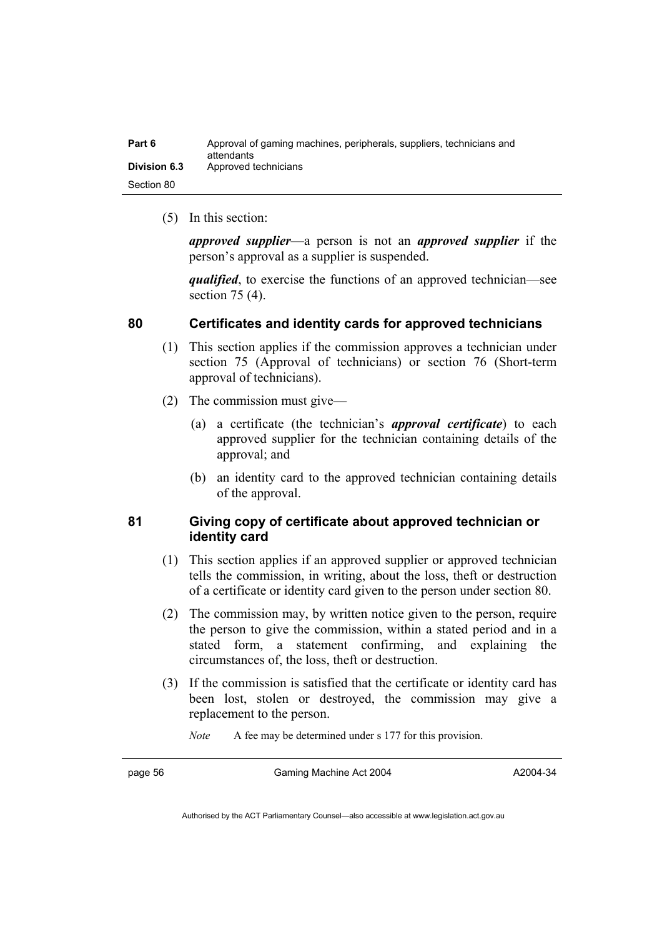| Part 6              | Approval of gaming machines, peripherals, suppliers, technicians and<br>attendants |
|---------------------|------------------------------------------------------------------------------------|
| <b>Division 6.3</b> | Approved technicians                                                               |
| Section 80          |                                                                                    |

(5) In this section:

*approved supplier*—a person is not an *approved supplier* if the person's approval as a supplier is suspended.

*qualified*, to exercise the functions of an approved technician—see section 75 (4).

### **80 Certificates and identity cards for approved technicians**

- (1) This section applies if the commission approves a technician under section 75 (Approval of technicians) or section 76 (Short-term approval of technicians).
- (2) The commission must give—
	- (a) a certificate (the technician's *approval certificate*) to each approved supplier for the technician containing details of the approval; and
	- (b) an identity card to the approved technician containing details of the approval.

# **81 Giving copy of certificate about approved technician or identity card**

- (1) This section applies if an approved supplier or approved technician tells the commission, in writing, about the loss, theft or destruction of a certificate or identity card given to the person under section 80.
- (2) The commission may, by written notice given to the person, require the person to give the commission, within a stated period and in a stated form, a statement confirming, and explaining the circumstances of, the loss, theft or destruction.
- (3) If the commission is satisfied that the certificate or identity card has been lost, stolen or destroyed, the commission may give a replacement to the person.

*Note* A fee may be determined under s 177 for this provision.

page 56 Gaming Machine Act 2004

A2004-34

Authorised by the ACT Parliamentary Counsel—also accessible at www.legislation.act.gov.au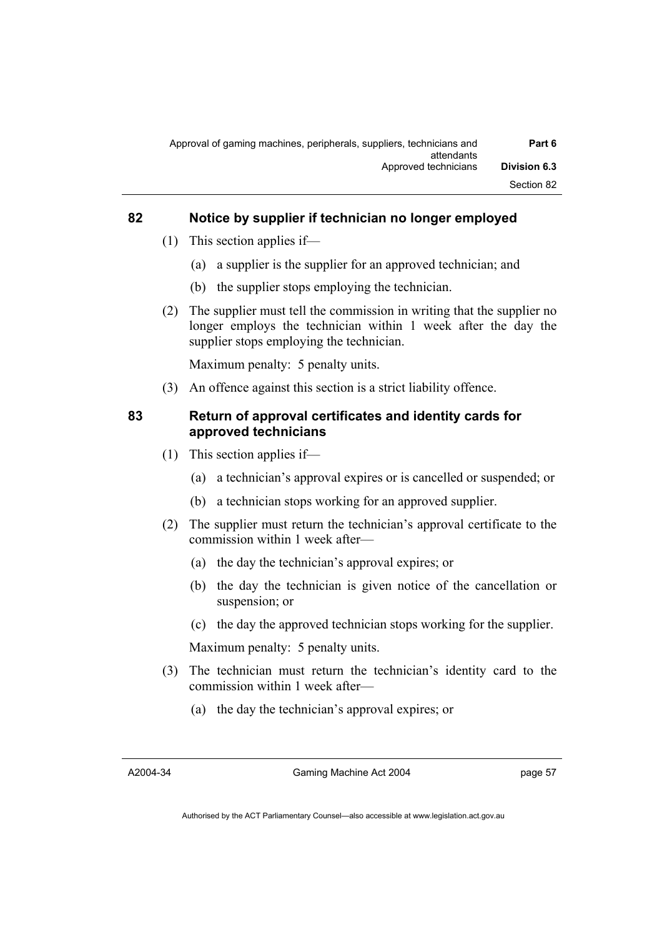| Part 6              | Approval of gaming machines, peripherals, suppliers, technicians and<br>attendants |
|---------------------|------------------------------------------------------------------------------------|
| <b>Division 6.3</b> | Approved technicians                                                               |
| Section 82          |                                                                                    |

# **82 Notice by supplier if technician no longer employed**

- (1) This section applies if—
	- (a) a supplier is the supplier for an approved technician; and
	- (b) the supplier stops employing the technician.
- (2) The supplier must tell the commission in writing that the supplier no longer employs the technician within 1 week after the day the supplier stops employing the technician.

Maximum penalty: 5 penalty units.

(3) An offence against this section is a strict liability offence.

# **83 Return of approval certificates and identity cards for approved technicians**

- (1) This section applies if—
	- (a) a technician's approval expires or is cancelled or suspended; or
	- (b) a technician stops working for an approved supplier.
- (2) The supplier must return the technician's approval certificate to the commission within 1 week after—
	- (a) the day the technician's approval expires; or
	- (b) the day the technician is given notice of the cancellation or suspension; or
	- (c) the day the approved technician stops working for the supplier.

Maximum penalty: 5 penalty units.

- (3) The technician must return the technician's identity card to the commission within 1 week after—
	- (a) the day the technician's approval expires; or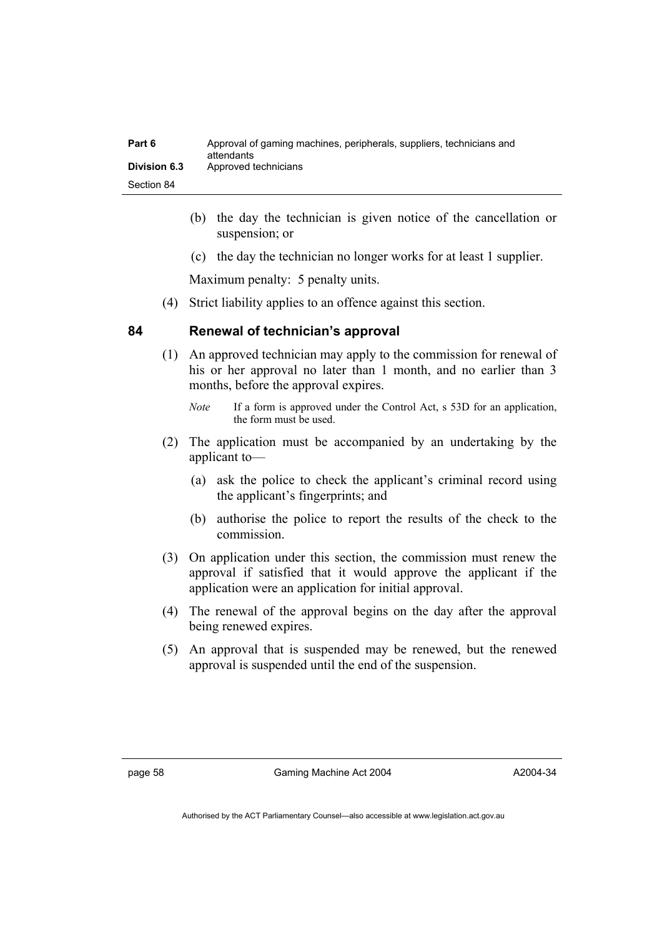| Part 6              | Approval of gaming machines, peripherals, suppliers, technicians and<br>attendants |
|---------------------|------------------------------------------------------------------------------------|
| <b>Division 6.3</b> | Approved technicians                                                               |
| Section 84          |                                                                                    |

- (b) the day the technician is given notice of the cancellation or suspension; or
- (c) the day the technician no longer works for at least 1 supplier.

Maximum penalty: 5 penalty units.

(4) Strict liability applies to an offence against this section.

### **84 Renewal of technician's approval**

 (1) An approved technician may apply to the commission for renewal of his or her approval no later than 1 month, and no earlier than 3 months, before the approval expires.

- (2) The application must be accompanied by an undertaking by the applicant to—
	- (a) ask the police to check the applicant's criminal record using the applicant's fingerprints; and
	- (b) authorise the police to report the results of the check to the commission.
- (3) On application under this section, the commission must renew the approval if satisfied that it would approve the applicant if the application were an application for initial approval.
- (4) The renewal of the approval begins on the day after the approval being renewed expires.
- (5) An approval that is suspended may be renewed, but the renewed approval is suspended until the end of the suspension.

*Note* If a form is approved under the Control Act, s 53D for an application, the form must be used.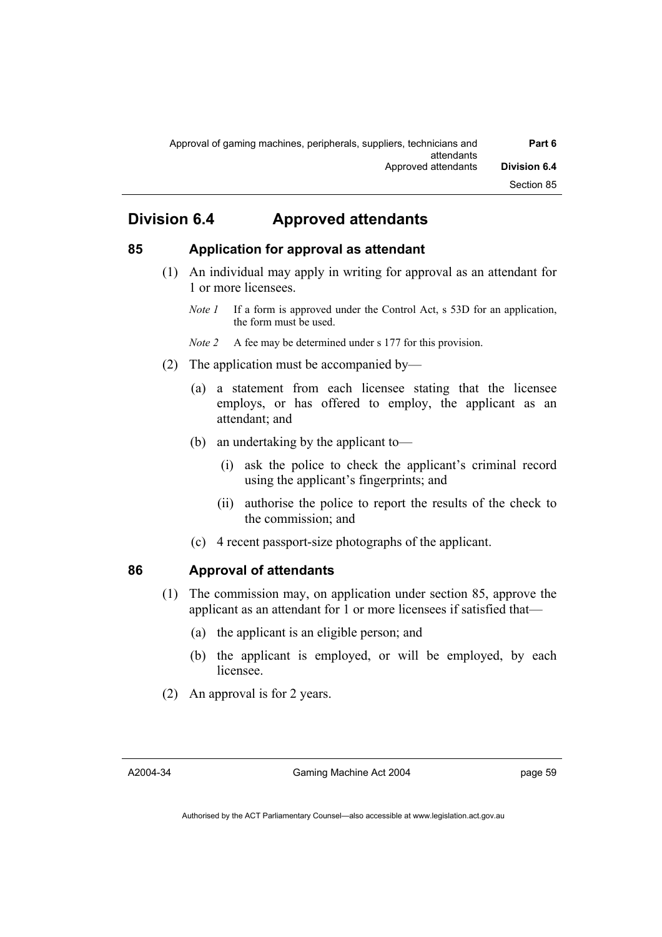# **Division 6.4 Approved attendants**

# **85 Application for approval as attendant**

- (1) An individual may apply in writing for approval as an attendant for 1 or more licensees.
	- *Note 1* If a form is approved under the Control Act, s 53D for an application, the form must be used.
	- *Note 2* A fee may be determined under s 177 for this provision.
- (2) The application must be accompanied by—
	- (a) a statement from each licensee stating that the licensee employs, or has offered to employ, the applicant as an attendant; and
	- (b) an undertaking by the applicant to—
		- (i) ask the police to check the applicant's criminal record using the applicant's fingerprints; and
		- (ii) authorise the police to report the results of the check to the commission; and
	- (c) 4 recent passport-size photographs of the applicant.

# **86 Approval of attendants**

- (1) The commission may, on application under section 85, approve the applicant as an attendant for 1 or more licensees if satisfied that—
	- (a) the applicant is an eligible person; and
	- (b) the applicant is employed, or will be employed, by each licensee.
- (2) An approval is for 2 years.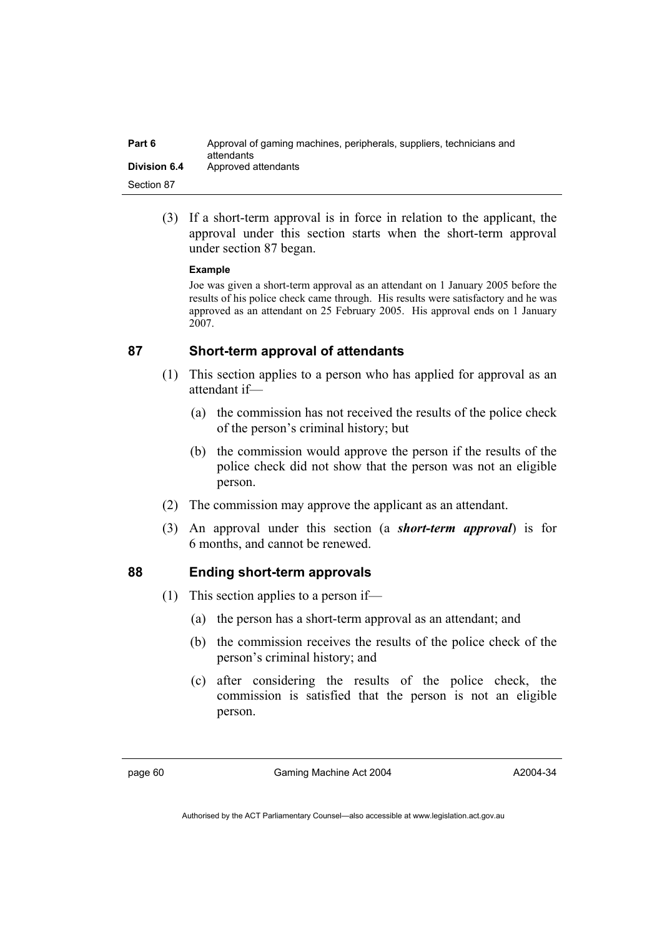| Part 6              | Approval of gaming machines, peripherals, suppliers, technicians and<br>attendants |
|---------------------|------------------------------------------------------------------------------------|
| <b>Division 6.4</b> | Approved attendants                                                                |
| Section 87          |                                                                                    |

 (3) If a short-term approval is in force in relation to the applicant, the approval under this section starts when the short-term approval under section 87 began.

#### **Example**

Joe was given a short-term approval as an attendant on 1 January 2005 before the results of his police check came through. His results were satisfactory and he was approved as an attendant on 25 February 2005. His approval ends on 1 January 2007.

### **87 Short-term approval of attendants**

- (1) This section applies to a person who has applied for approval as an attendant if—
	- (a) the commission has not received the results of the police check of the person's criminal history; but
	- (b) the commission would approve the person if the results of the police check did not show that the person was not an eligible person.
- (2) The commission may approve the applicant as an attendant.
- (3) An approval under this section (a *short-term approval*) is for 6 months, and cannot be renewed.

### **88 Ending short-term approvals**

- (1) This section applies to a person if—
	- (a) the person has a short-term approval as an attendant; and
	- (b) the commission receives the results of the police check of the person's criminal history; and
	- (c) after considering the results of the police check, the commission is satisfied that the person is not an eligible person.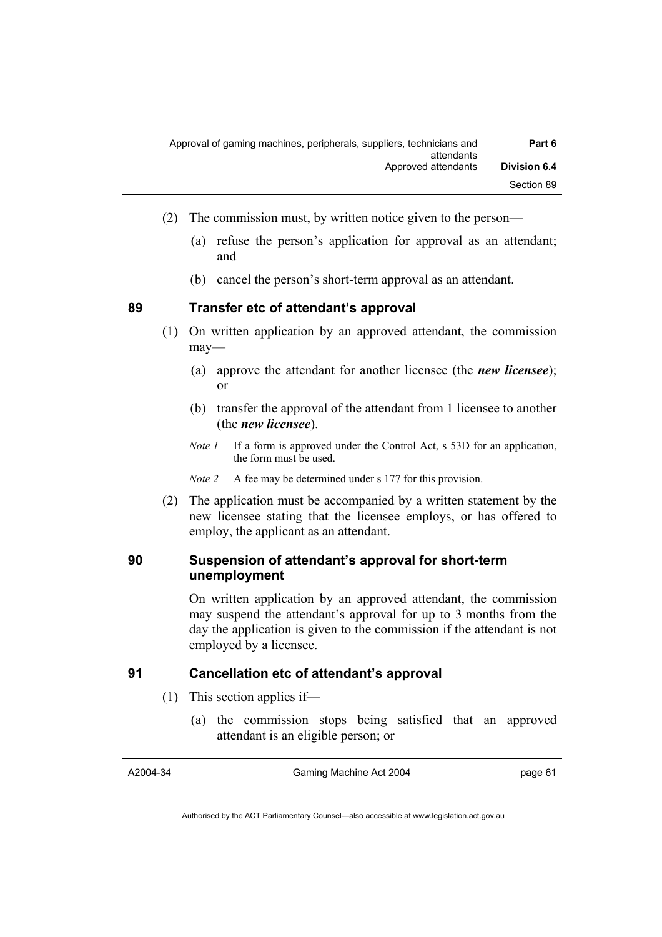| Part 6              | Approval of gaming machines, peripherals, suppliers, technicians and<br>attendants |  |
|---------------------|------------------------------------------------------------------------------------|--|
| <b>Division 6.4</b> | Approved attendants                                                                |  |
| Section 89          |                                                                                    |  |

- (2) The commission must, by written notice given to the person—
	- (a) refuse the person's application for approval as an attendant; and
	- (b) cancel the person's short-term approval as an attendant.

**89 Transfer etc of attendant's approval** 

- (1) On written application by an approved attendant, the commission may—
	- (a) approve the attendant for another licensee (the *new licensee*); or
	- (b) transfer the approval of the attendant from 1 licensee to another (the *new licensee*).
	- *Note 1* If a form is approved under the Control Act, s 53D for an application, the form must be used.

*Note 2* A fee may be determined under s 177 for this provision.

 (2) The application must be accompanied by a written statement by the new licensee stating that the licensee employs, or has offered to employ, the applicant as an attendant.

# **90 Suspension of attendant's approval for short-term unemployment**

On written application by an approved attendant, the commission may suspend the attendant's approval for up to 3 months from the day the application is given to the commission if the attendant is not employed by a licensee.

# **91 Cancellation etc of attendant's approval**

- (1) This section applies if—
	- (a) the commission stops being satisfied that an approved attendant is an eligible person; or

A2004-34

Gaming Machine Act 2004

page 61

Authorised by the ACT Parliamentary Counsel—also accessible at www.legislation.act.gov.au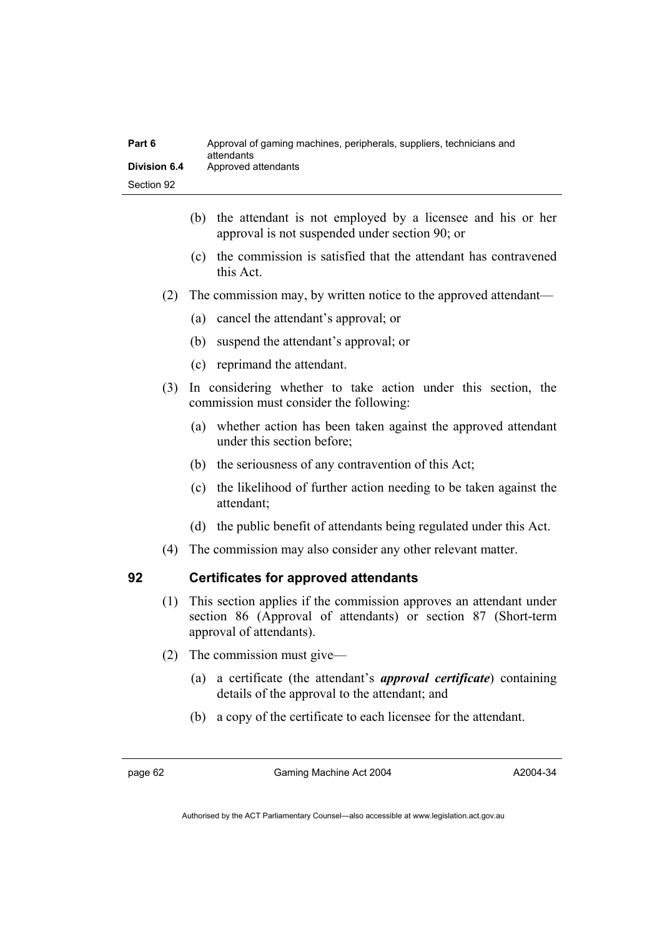| Part 6       | Approval of gaming machines, peripherals, suppliers, technicians and<br>attendants |
|--------------|------------------------------------------------------------------------------------|
| Division 6.4 | Approved attendants                                                                |
| Section 92   |                                                                                    |

- (b) the attendant is not employed by a licensee and his or her approval is not suspended under section 90; or
- (c) the commission is satisfied that the attendant has contravened this Act.
- (2) The commission may, by written notice to the approved attendant—
	- (a) cancel the attendant's approval; or
	- (b) suspend the attendant's approval; or
	- (c) reprimand the attendant.
- (3) In considering whether to take action under this section, the commission must consider the following:
	- (a) whether action has been taken against the approved attendant under this section before;
	- (b) the seriousness of any contravention of this Act;
	- (c) the likelihood of further action needing to be taken against the attendant;
	- (d) the public benefit of attendants being regulated under this Act.
- (4) The commission may also consider any other relevant matter.

# **92 Certificates for approved attendants**

- (1) This section applies if the commission approves an attendant under section 86 (Approval of attendants) or section 87 (Short-term approval of attendants).
- (2) The commission must give—
	- (a) a certificate (the attendant's *approval certificate*) containing details of the approval to the attendant; and
	- (b) a copy of the certificate to each licensee for the attendant.

page 62 Gaming Machine Act 2004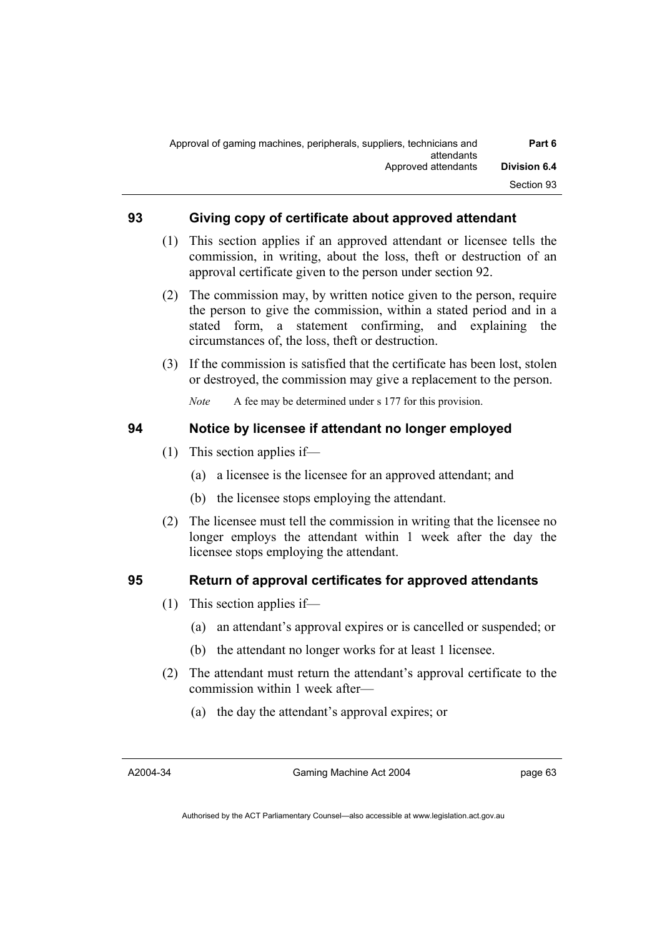| Part 6              | Approval of gaming machines, peripherals, suppliers, technicians and<br>attendants |
|---------------------|------------------------------------------------------------------------------------|
| <b>Division 6.4</b> | Approved attendants                                                                |
| Section 93          |                                                                                    |

## **93 Giving copy of certificate about approved attendant**

- (1) This section applies if an approved attendant or licensee tells the commission, in writing, about the loss, theft or destruction of an approval certificate given to the person under section 92.
- (2) The commission may, by written notice given to the person, require the person to give the commission, within a stated period and in a stated form, a statement confirming, and explaining the circumstances of, the loss, theft or destruction.
- (3) If the commission is satisfied that the certificate has been lost, stolen or destroyed, the commission may give a replacement to the person.

*Note* A fee may be determined under s 177 for this provision.

# **94 Notice by licensee if attendant no longer employed**

- (1) This section applies if—
	- (a) a licensee is the licensee for an approved attendant; and
	- (b) the licensee stops employing the attendant.
- (2) The licensee must tell the commission in writing that the licensee no longer employs the attendant within 1 week after the day the licensee stops employing the attendant.

# **95 Return of approval certificates for approved attendants**

- (1) This section applies if—
	- (a) an attendant's approval expires or is cancelled or suspended; or
	- (b) the attendant no longer works for at least 1 licensee.
- (2) The attendant must return the attendant's approval certificate to the commission within 1 week after—
	- (a) the day the attendant's approval expires; or

Gaming Machine Act 2004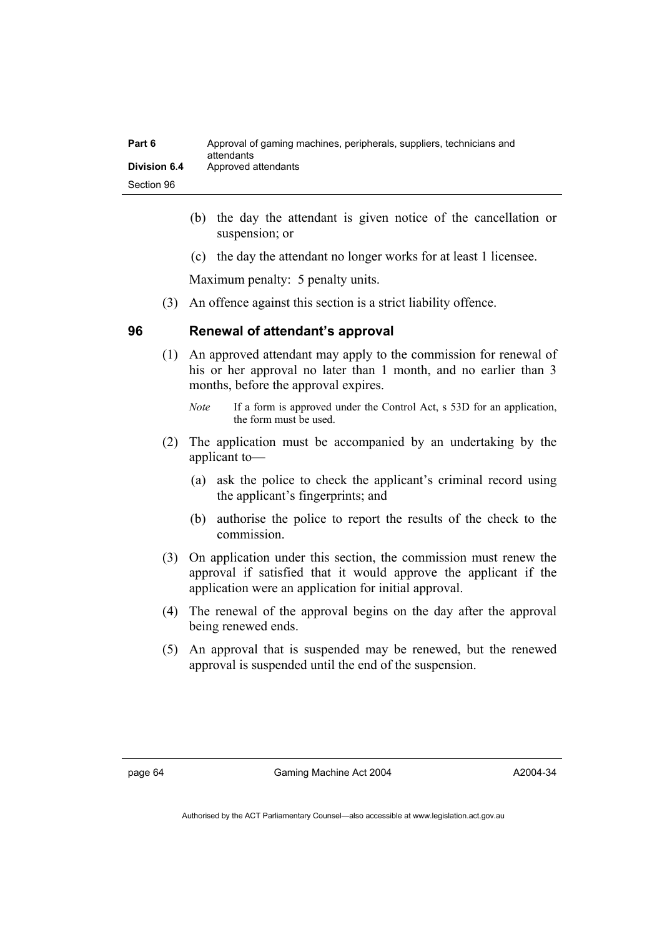| Part 6       | Approval of gaming machines, peripherals, suppliers, technicians and<br>attendants |
|--------------|------------------------------------------------------------------------------------|
| Division 6.4 | Approved attendants                                                                |
| Section 96   |                                                                                    |

- (b) the day the attendant is given notice of the cancellation or suspension; or
- (c) the day the attendant no longer works for at least 1 licensee.

Maximum penalty: 5 penalty units.

(3) An offence against this section is a strict liability offence.

### **96 Renewal of attendant's approval**

 (1) An approved attendant may apply to the commission for renewal of his or her approval no later than 1 month, and no earlier than 3 months, before the approval expires.

- (2) The application must be accompanied by an undertaking by the applicant to—
	- (a) ask the police to check the applicant's criminal record using the applicant's fingerprints; and
	- (b) authorise the police to report the results of the check to the commission.
- (3) On application under this section, the commission must renew the approval if satisfied that it would approve the applicant if the application were an application for initial approval.
- (4) The renewal of the approval begins on the day after the approval being renewed ends.
- (5) An approval that is suspended may be renewed, but the renewed approval is suspended until the end of the suspension.

*Note* If a form is approved under the Control Act, s 53D for an application, the form must be used.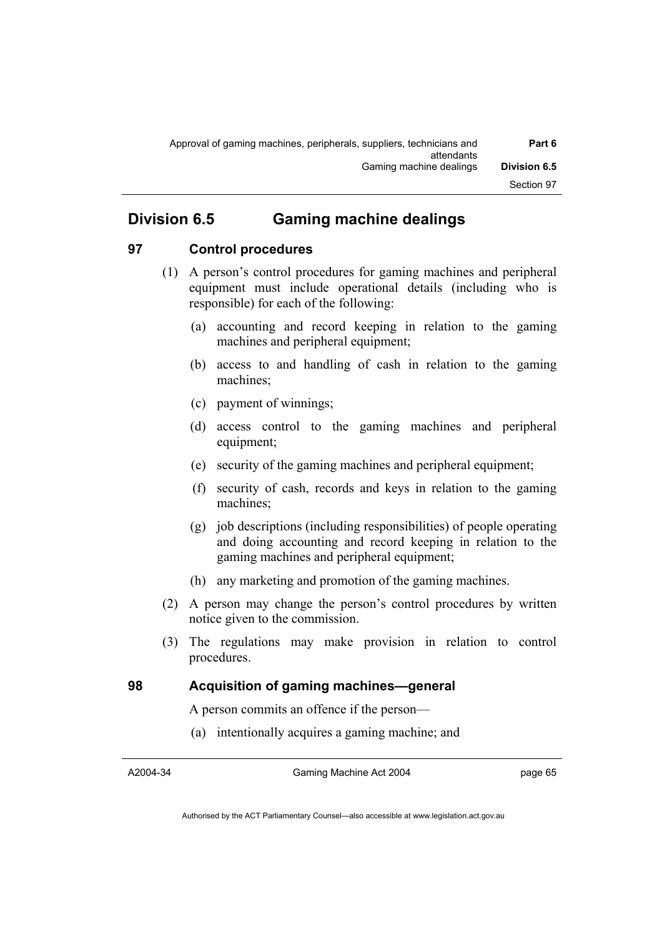# **Division 6.5 Gaming machine dealings**

# **97 Control procedures**

- (1) A person's control procedures for gaming machines and peripheral equipment must include operational details (including who is responsible) for each of the following:
	- (a) accounting and record keeping in relation to the gaming machines and peripheral equipment;
	- (b) access to and handling of cash in relation to the gaming machines;
	- (c) payment of winnings;
	- (d) access control to the gaming machines and peripheral equipment;
	- (e) security of the gaming machines and peripheral equipment;
	- (f) security of cash, records and keys in relation to the gaming machines;
	- (g) job descriptions (including responsibilities) of people operating and doing accounting and record keeping in relation to the gaming machines and peripheral equipment;
	- (h) any marketing and promotion of the gaming machines.
- (2) A person may change the person's control procedures by written notice given to the commission.
- (3) The regulations may make provision in relation to control procedures.

# **98 Acquisition of gaming machines—general**

A person commits an offence if the person—

(a) intentionally acquires a gaming machine; and

A2004-34

Gaming Machine Act 2004

page 65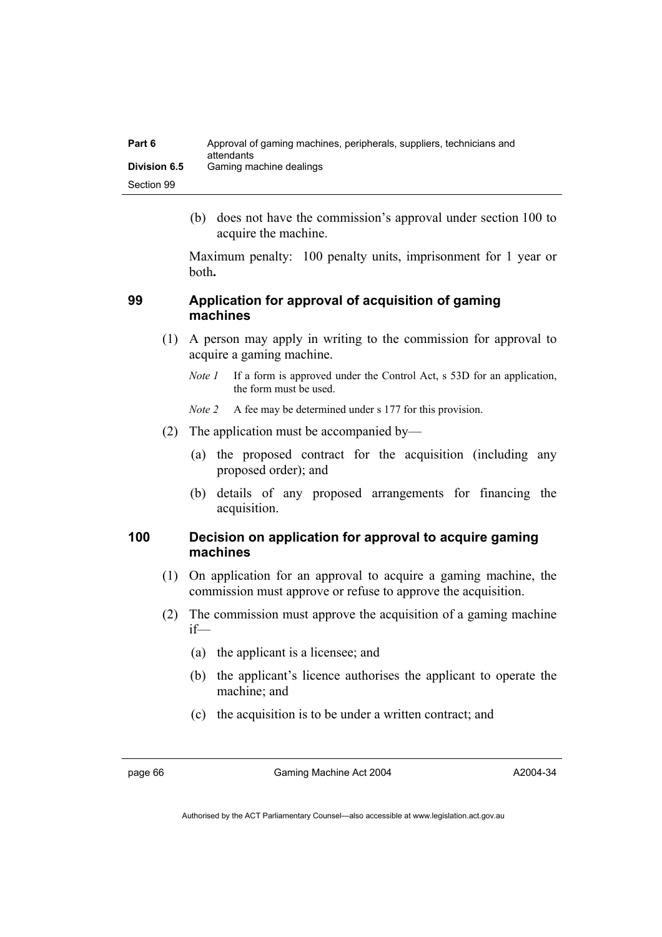| Part 6              | Approval of gaming machines, peripherals, suppliers, technicians and<br>attendants |
|---------------------|------------------------------------------------------------------------------------|
| <b>Division 6.5</b> | Gaming machine dealings                                                            |
| Section 99          |                                                                                    |

 (b) does not have the commission's approval under section 100 to acquire the machine.

Maximum penalty: 100 penalty units, imprisonment for 1 year or both**.**

# **99 Application for approval of acquisition of gaming machines**

- (1) A person may apply in writing to the commission for approval to acquire a gaming machine.
	- *Note 1* If a form is approved under the Control Act, s 53D for an application, the form must be used.
	- *Note 2* A fee may be determined under s 177 for this provision.
- (2) The application must be accompanied by—
	- (a) the proposed contract for the acquisition (including any proposed order); and
	- (b) details of any proposed arrangements for financing the acquisition.

# **100 Decision on application for approval to acquire gaming machines**

- (1) On application for an approval to acquire a gaming machine, the commission must approve or refuse to approve the acquisition.
- (2) The commission must approve the acquisition of a gaming machine if—
	- (a) the applicant is a licensee; and
	- (b) the applicant's licence authorises the applicant to operate the machine; and
	- (c) the acquisition is to be under a written contract; and

page 66 Gaming Machine Act 2004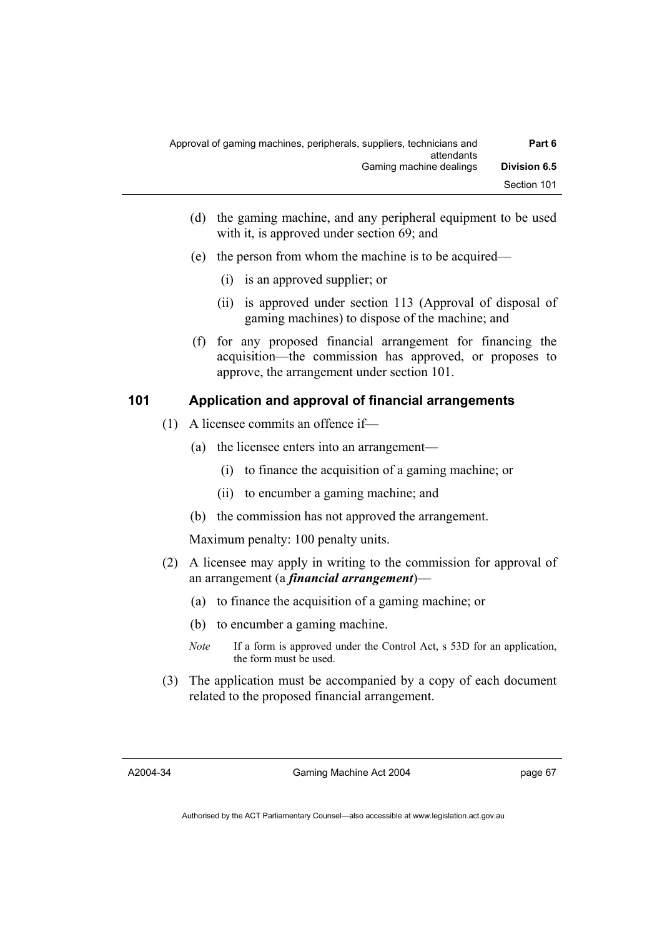| Part 6              | Approval of gaming machines, peripherals, suppliers, technicians and<br>attendants |
|---------------------|------------------------------------------------------------------------------------|
| <b>Division 6.5</b> | Gaming machine dealings                                                            |
| Section 101         |                                                                                    |

- (d) the gaming machine, and any peripheral equipment to be used with it, is approved under section 69; and
- (e) the person from whom the machine is to be acquired—
	- (i) is an approved supplier; or
	- (ii) is approved under section 113 (Approval of disposal of gaming machines) to dispose of the machine; and
- (f) for any proposed financial arrangement for financing the acquisition—the commission has approved, or proposes to approve, the arrangement under section 101.

### **101 Application and approval of financial arrangements**

- (1) A licensee commits an offence if—
	- (a) the licensee enters into an arrangement—
		- (i) to finance the acquisition of a gaming machine; or
		- (ii) to encumber a gaming machine; and
	- (b) the commission has not approved the arrangement.

Maximum penalty: 100 penalty units.

- (2) A licensee may apply in writing to the commission for approval of an arrangement (a *financial arrangement*)—
	- (a) to finance the acquisition of a gaming machine; or
	- (b) to encumber a gaming machine.
	- *Note* If a form is approved under the Control Act, s 53D for an application, the form must be used.
- (3) The application must be accompanied by a copy of each document related to the proposed financial arrangement.

A2004-34

Gaming Machine Act 2004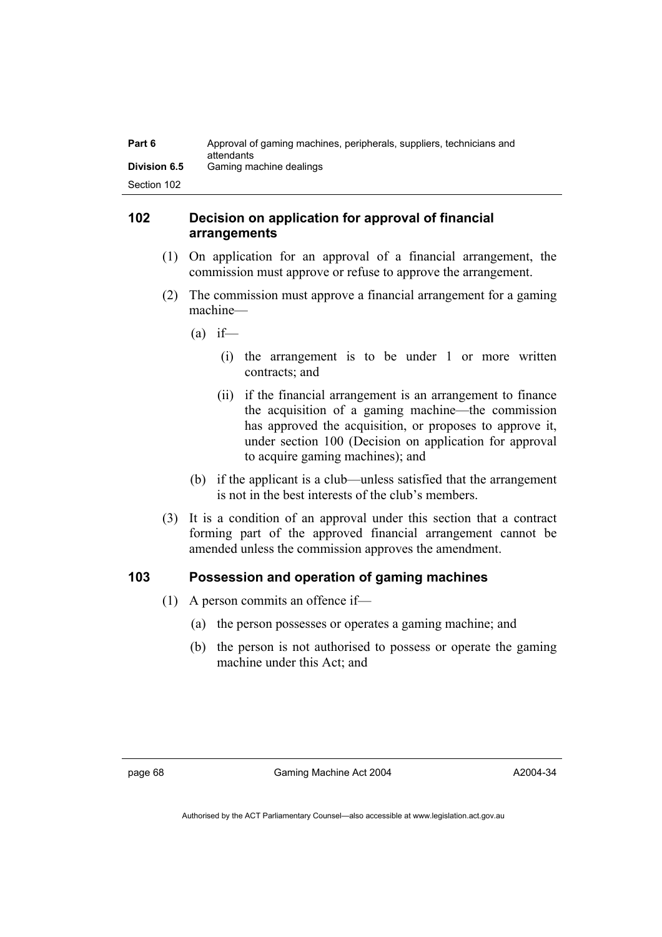| Part 6              | Approval of gaming machines, peripherals, suppliers, technicians and<br>attendants |
|---------------------|------------------------------------------------------------------------------------|
| <b>Division 6.5</b> | Gaming machine dealings                                                            |
| Section 102         |                                                                                    |

## **102 Decision on application for approval of financial arrangements**

- (1) On application for an approval of a financial arrangement, the commission must approve or refuse to approve the arrangement.
- (2) The commission must approve a financial arrangement for a gaming machine—
	- $(a)$  if—
		- (i) the arrangement is to be under 1 or more written contracts; and
		- (ii) if the financial arrangement is an arrangement to finance the acquisition of a gaming machine—the commission has approved the acquisition, or proposes to approve it, under section 100 (Decision on application for approval to acquire gaming machines); and
	- (b) if the applicant is a club—unless satisfied that the arrangement is not in the best interests of the club's members.
- (3) It is a condition of an approval under this section that a contract forming part of the approved financial arrangement cannot be amended unless the commission approves the amendment.

### **103 Possession and operation of gaming machines**

- (1) A person commits an offence if—
	- (a) the person possesses or operates a gaming machine; and
	- (b) the person is not authorised to possess or operate the gaming machine under this Act; and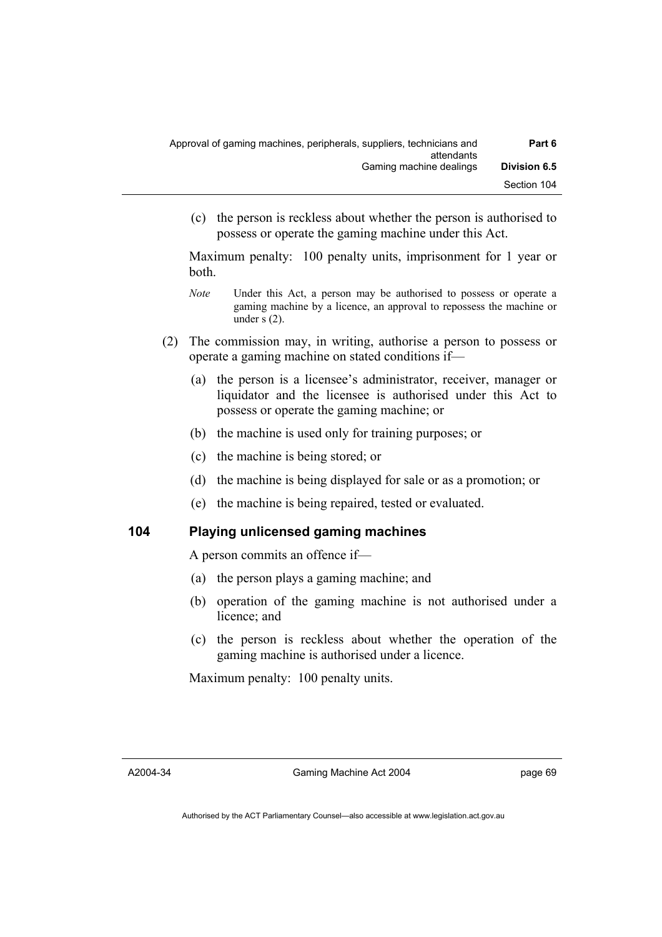| Part 6              | Approval of gaming machines, peripherals, suppliers, technicians and<br>attendants |
|---------------------|------------------------------------------------------------------------------------|
| <b>Division 6.5</b> | Gaming machine dealings                                                            |
| Section 104         |                                                                                    |

 (c) the person is reckless about whether the person is authorised to possess or operate the gaming machine under this Act.

Maximum penalty: 100 penalty units, imprisonment for 1 year or both.

- *Note* **Under this Act, a person may be authorised to possess or operate a** gaming machine by a licence, an approval to repossess the machine or under s (2).
- (2) The commission may, in writing, authorise a person to possess or operate a gaming machine on stated conditions if—
	- (a) the person is a licensee's administrator, receiver, manager or liquidator and the licensee is authorised under this Act to possess or operate the gaming machine; or
	- (b) the machine is used only for training purposes; or
	- (c) the machine is being stored; or
	- (d) the machine is being displayed for sale or as a promotion; or
	- (e) the machine is being repaired, tested or evaluated.

### **104 Playing unlicensed gaming machines**

A person commits an offence if—

- (a) the person plays a gaming machine; and
- (b) operation of the gaming machine is not authorised under a licence; and
- (c) the person is reckless about whether the operation of the gaming machine is authorised under a licence.

Maximum penalty: 100 penalty units.

A2004-34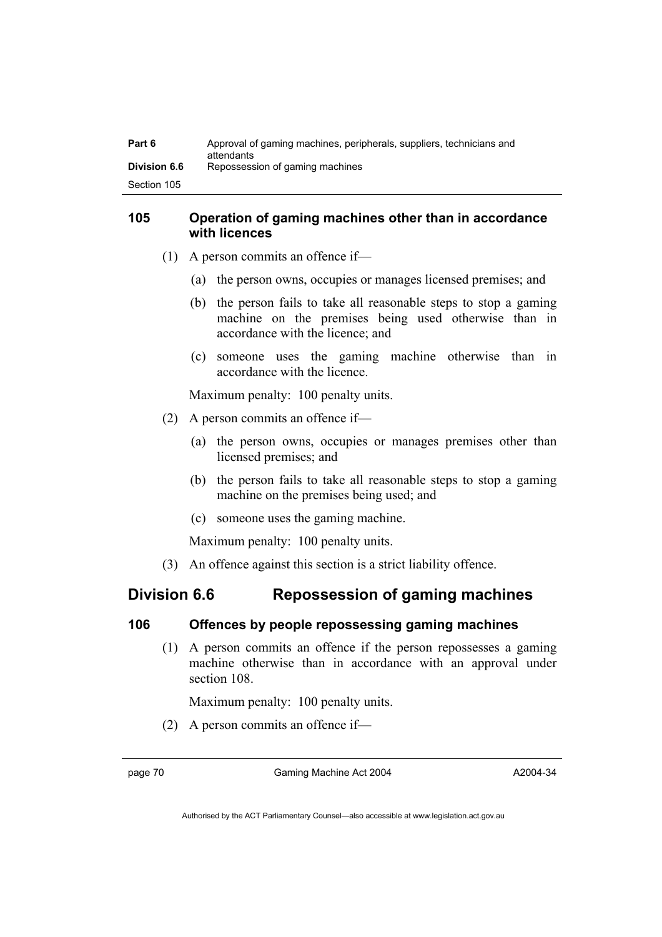| Part 6              | Approval of gaming machines, peripherals, suppliers, technicians and<br>attendants |
|---------------------|------------------------------------------------------------------------------------|
| <b>Division 6.6</b> | Repossession of gaming machines                                                    |
| Section 105         |                                                                                    |

# **105 Operation of gaming machines other than in accordance with licences**

- (1) A person commits an offence if—
	- (a) the person owns, occupies or manages licensed premises; and
	- (b) the person fails to take all reasonable steps to stop a gaming machine on the premises being used otherwise than in accordance with the licence; and
	- (c) someone uses the gaming machine otherwise than in accordance with the licence.

Maximum penalty: 100 penalty units.

- (2) A person commits an offence if—
	- (a) the person owns, occupies or manages premises other than licensed premises; and
	- (b) the person fails to take all reasonable steps to stop a gaming machine on the premises being used; and
	- (c) someone uses the gaming machine.

Maximum penalty: 100 penalty units.

(3) An offence against this section is a strict liability offence.

# **Division 6.6 Repossession of gaming machines**

### **106 Offences by people repossessing gaming machines**

 (1) A person commits an offence if the person repossesses a gaming machine otherwise than in accordance with an approval under section 108

Maximum penalty: 100 penalty units.

(2) A person commits an offence if—

page 70 Gaming Machine Act 2004

A2004-34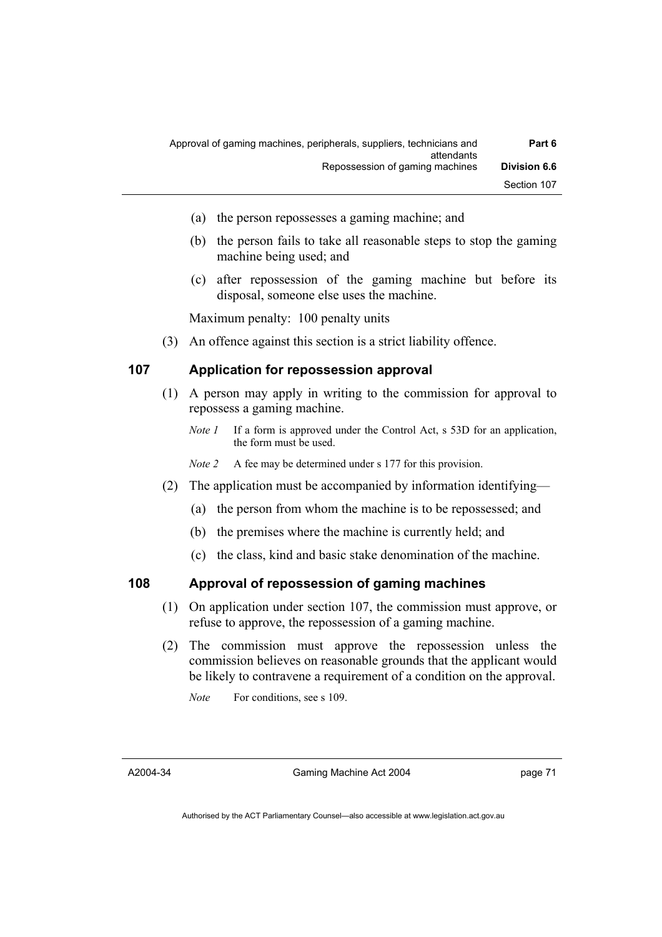| Part 6              | Approval of gaming machines, peripherals, suppliers, technicians and<br>attendants |
|---------------------|------------------------------------------------------------------------------------|
| <b>Division 6.6</b> | Repossession of gaming machines                                                    |
| Section 107         |                                                                                    |

- (a) the person repossesses a gaming machine; and
- (b) the person fails to take all reasonable steps to stop the gaming machine being used; and
- (c) after repossession of the gaming machine but before its disposal, someone else uses the machine.

Maximum penalty: 100 penalty units

(3) An offence against this section is a strict liability offence.

### **107 Application for repossession approval**

- (1) A person may apply in writing to the commission for approval to repossess a gaming machine.
	- *Note 1* If a form is approved under the Control Act, s 53D for an application, the form must be used.

*Note 2* A fee may be determined under s 177 for this provision.

- (2) The application must be accompanied by information identifying—
	- (a) the person from whom the machine is to be repossessed; and
	- (b) the premises where the machine is currently held; and
	- (c) the class, kind and basic stake denomination of the machine.

### **108 Approval of repossession of gaming machines**

- (1) On application under section 107, the commission must approve, or refuse to approve, the repossession of a gaming machine.
- (2) The commission must approve the repossession unless the commission believes on reasonable grounds that the applicant would be likely to contravene a requirement of a condition on the approval.

*Note* For conditions, see s 109.

A2004-34

Gaming Machine Act 2004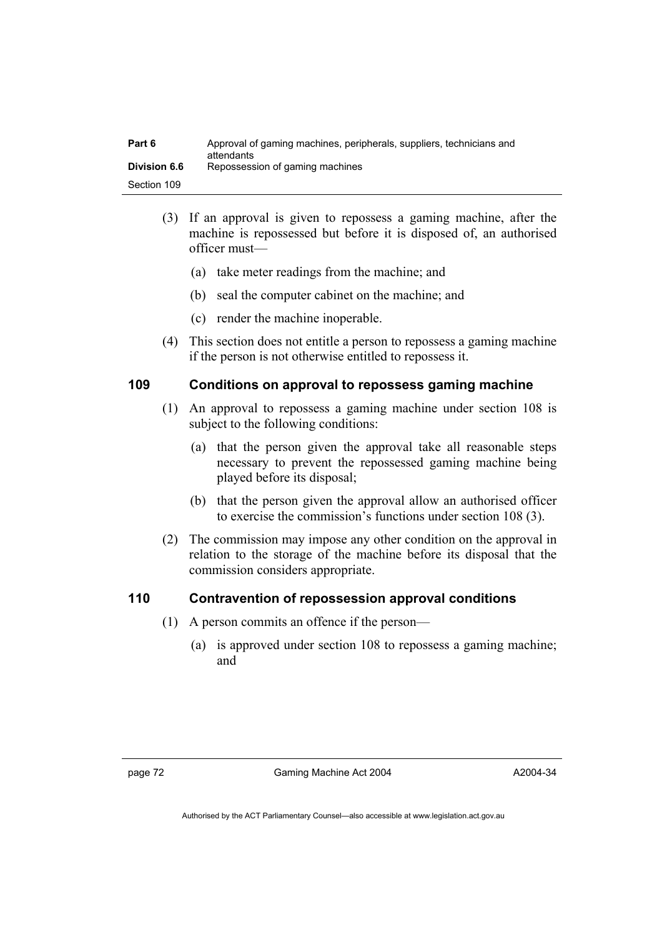| Part 6              | Approval of gaming machines, peripherals, suppliers, technicians and<br>attendants |
|---------------------|------------------------------------------------------------------------------------|
| <b>Division 6.6</b> | Repossession of gaming machines                                                    |
| Section 109         |                                                                                    |

- (3) If an approval is given to repossess a gaming machine, after the machine is repossessed but before it is disposed of, an authorised officer must—
	- (a) take meter readings from the machine; and
	- (b) seal the computer cabinet on the machine; and
	- (c) render the machine inoperable.
- (4) This section does not entitle a person to repossess a gaming machine if the person is not otherwise entitled to repossess it.

# **109 Conditions on approval to repossess gaming machine**

- (1) An approval to repossess a gaming machine under section 108 is subject to the following conditions:
	- (a) that the person given the approval take all reasonable steps necessary to prevent the repossessed gaming machine being played before its disposal;
	- (b) that the person given the approval allow an authorised officer to exercise the commission's functions under section 108 (3).
- (2) The commission may impose any other condition on the approval in relation to the storage of the machine before its disposal that the commission considers appropriate.

# **110 Contravention of repossession approval conditions**

- (1) A person commits an offence if the person—
	- (a) is approved under section 108 to repossess a gaming machine; and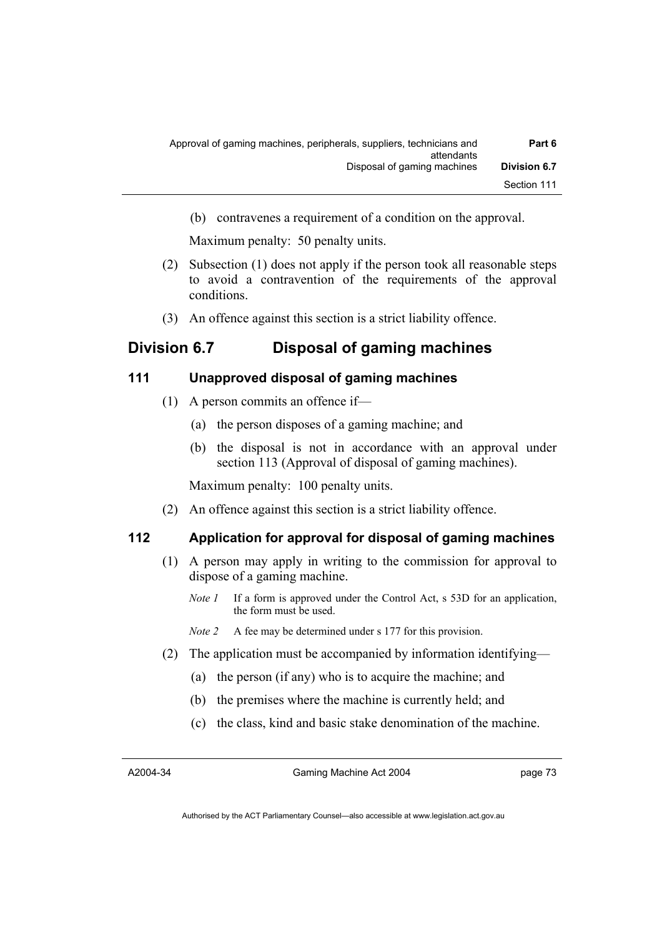| Part 6              | Approval of gaming machines, peripherals, suppliers, technicians and<br>attendants |
|---------------------|------------------------------------------------------------------------------------|
| <b>Division 6.7</b> | Disposal of gaming machines                                                        |
| Section 111         |                                                                                    |

(b) contravenes a requirement of a condition on the approval.

Maximum penalty: 50 penalty units.

- (2) Subsection (1) does not apply if the person took all reasonable steps to avoid a contravention of the requirements of the approval conditions.
- (3) An offence against this section is a strict liability offence.

# **Division 6.7 Disposal of gaming machines**

### **111 Unapproved disposal of gaming machines**

- (1) A person commits an offence if—
	- (a) the person disposes of a gaming machine; and
	- (b) the disposal is not in accordance with an approval under section 113 (Approval of disposal of gaming machines).

Maximum penalty: 100 penalty units.

(2) An offence against this section is a strict liability offence.

## **112 Application for approval for disposal of gaming machines**

- (1) A person may apply in writing to the commission for approval to dispose of a gaming machine.
	- *Note 1* If a form is approved under the Control Act, s 53D for an application, the form must be used.

*Note 2* A fee may be determined under s 177 for this provision.

- (2) The application must be accompanied by information identifying—
	- (a) the person (if any) who is to acquire the machine; and
	- (b) the premises where the machine is currently held; and
	- (c) the class, kind and basic stake denomination of the machine.

A2004-34

Gaming Machine Act 2004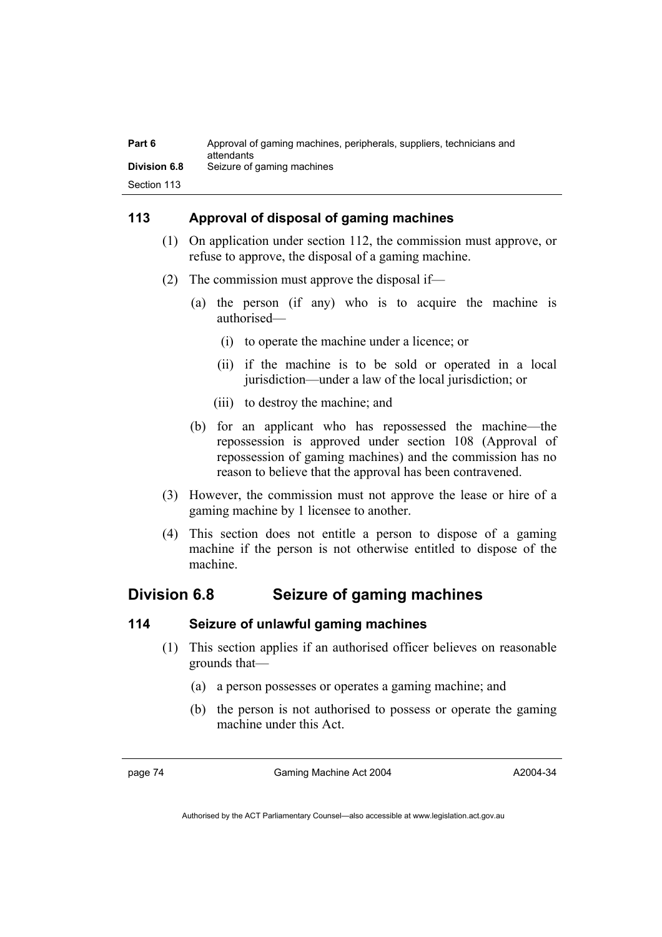| Part 6              | Approval of gaming machines, peripherals, suppliers, technicians and<br>attendants |
|---------------------|------------------------------------------------------------------------------------|
| <b>Division 6.8</b> | Seizure of gaming machines                                                         |
| Section 113         |                                                                                    |

# **113 Approval of disposal of gaming machines**

- (1) On application under section 112, the commission must approve, or refuse to approve, the disposal of a gaming machine.
- (2) The commission must approve the disposal if—
	- (a) the person (if any) who is to acquire the machine is authorised—
		- (i) to operate the machine under a licence; or
		- (ii) if the machine is to be sold or operated in a local jurisdiction—under a law of the local jurisdiction; or
		- (iii) to destroy the machine; and
	- (b) for an applicant who has repossessed the machine—the repossession is approved under section 108 (Approval of repossession of gaming machines) and the commission has no reason to believe that the approval has been contravened.
- (3) However, the commission must not approve the lease or hire of a gaming machine by 1 licensee to another.
- (4) This section does not entitle a person to dispose of a gaming machine if the person is not otherwise entitled to dispose of the machine.

# **Division 6.8 Seizure of gaming machines**

### **114 Seizure of unlawful gaming machines**

- (1) This section applies if an authorised officer believes on reasonable grounds that—
	- (a) a person possesses or operates a gaming machine; and
	- (b) the person is not authorised to possess or operate the gaming machine under this Act.

page 74 Gaming Machine Act 2004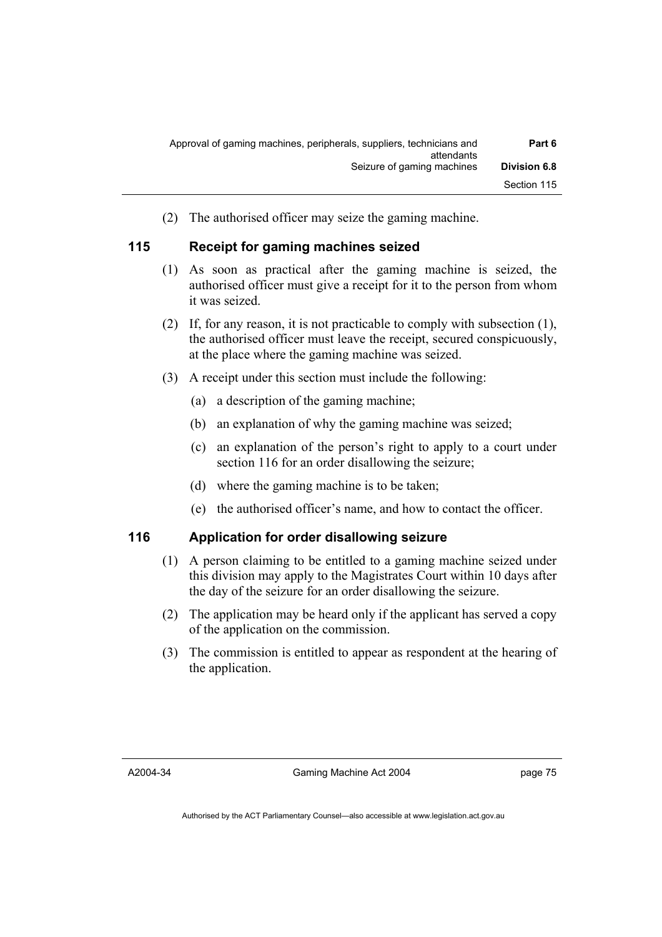| Part 6              | Approval of gaming machines, peripherals, suppliers, technicians and<br>attendants |
|---------------------|------------------------------------------------------------------------------------|
| <b>Division 6.8</b> | Seizure of gaming machines                                                         |
| Section 115         |                                                                                    |

(2) The authorised officer may seize the gaming machine.

# **115 Receipt for gaming machines seized**

- (1) As soon as practical after the gaming machine is seized, the authorised officer must give a receipt for it to the person from whom it was seized.
- (2) If, for any reason, it is not practicable to comply with subsection (1), the authorised officer must leave the receipt, secured conspicuously, at the place where the gaming machine was seized.
- (3) A receipt under this section must include the following:
	- (a) a description of the gaming machine;
	- (b) an explanation of why the gaming machine was seized;
	- (c) an explanation of the person's right to apply to a court under section 116 for an order disallowing the seizure;
	- (d) where the gaming machine is to be taken;
	- (e) the authorised officer's name, and how to contact the officer.

# **116 Application for order disallowing seizure**

- (1) A person claiming to be entitled to a gaming machine seized under this division may apply to the Magistrates Court within 10 days after the day of the seizure for an order disallowing the seizure.
- (2) The application may be heard only if the applicant has served a copy of the application on the commission.
- (3) The commission is entitled to appear as respondent at the hearing of the application.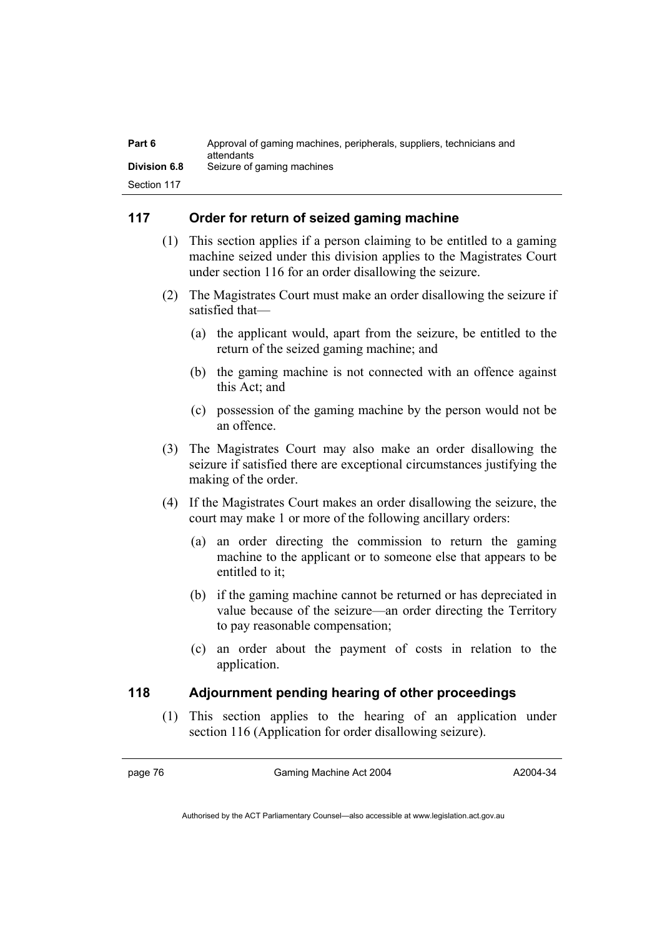| Part 6              | Approval of gaming machines, peripherals, suppliers, technicians and<br>attendants |
|---------------------|------------------------------------------------------------------------------------|
| <b>Division 6.8</b> | Seizure of gaming machines                                                         |
| Section 117         |                                                                                    |

# **117 Order for return of seized gaming machine**

- (1) This section applies if a person claiming to be entitled to a gaming machine seized under this division applies to the Magistrates Court under section 116 for an order disallowing the seizure.
- (2) The Magistrates Court must make an order disallowing the seizure if satisfied that—
	- (a) the applicant would, apart from the seizure, be entitled to the return of the seized gaming machine; and
	- (b) the gaming machine is not connected with an offence against this Act; and
	- (c) possession of the gaming machine by the person would not be an offence.
- (3) The Magistrates Court may also make an order disallowing the seizure if satisfied there are exceptional circumstances justifying the making of the order.
- (4) If the Magistrates Court makes an order disallowing the seizure, the court may make 1 or more of the following ancillary orders:
	- (a) an order directing the commission to return the gaming machine to the applicant or to someone else that appears to be entitled to it;
	- (b) if the gaming machine cannot be returned or has depreciated in value because of the seizure—an order directing the Territory to pay reasonable compensation;
	- (c) an order about the payment of costs in relation to the application.

# **118 Adjournment pending hearing of other proceedings**

 (1) This section applies to the hearing of an application under section 116 (Application for order disallowing seizure).

page 76 Gaming Machine Act 2004

A2004-34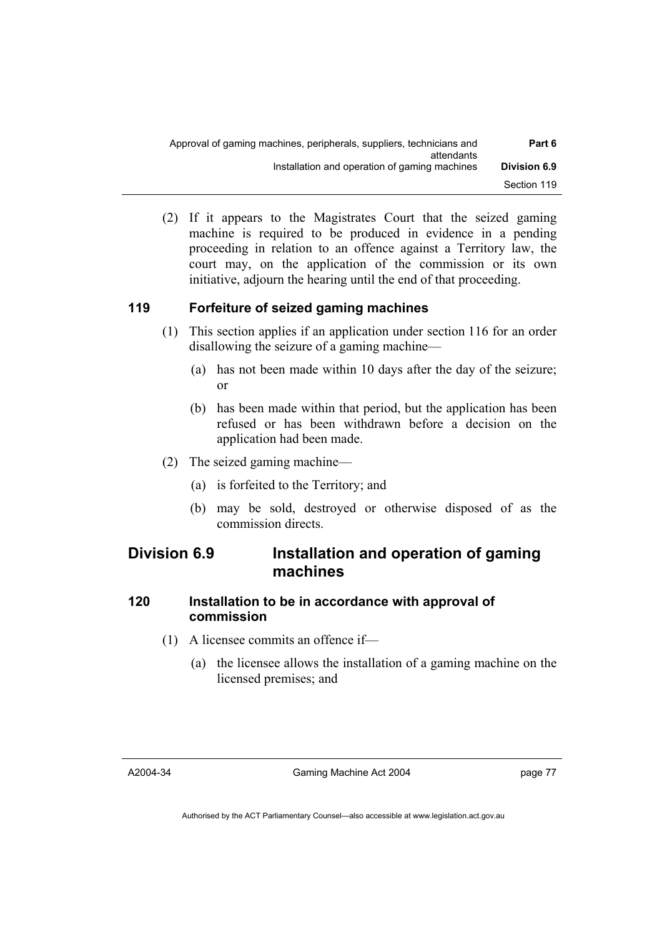| Part 6              | Approval of gaming machines, peripherals, suppliers, technicians and<br>attendants |
|---------------------|------------------------------------------------------------------------------------|
| <b>Division 6.9</b> | Installation and operation of gaming machines                                      |
| Section 119         |                                                                                    |

 (2) If it appears to the Magistrates Court that the seized gaming machine is required to be produced in evidence in a pending proceeding in relation to an offence against a Territory law, the court may, on the application of the commission or its own initiative, adjourn the hearing until the end of that proceeding.

# **119 Forfeiture of seized gaming machines**

- (1) This section applies if an application under section 116 for an order disallowing the seizure of a gaming machine—
	- (a) has not been made within 10 days after the day of the seizure; or
	- (b) has been made within that period, but the application has been refused or has been withdrawn before a decision on the application had been made.
- (2) The seized gaming machine—
	- (a) is forfeited to the Territory; and
	- (b) may be sold, destroyed or otherwise disposed of as the commission directs.

# **Division 6.9 Installation and operation of gaming machines**

# **120 Installation to be in accordance with approval of commission**

- (1) A licensee commits an offence if—
	- (a) the licensee allows the installation of a gaming machine on the licensed premises; and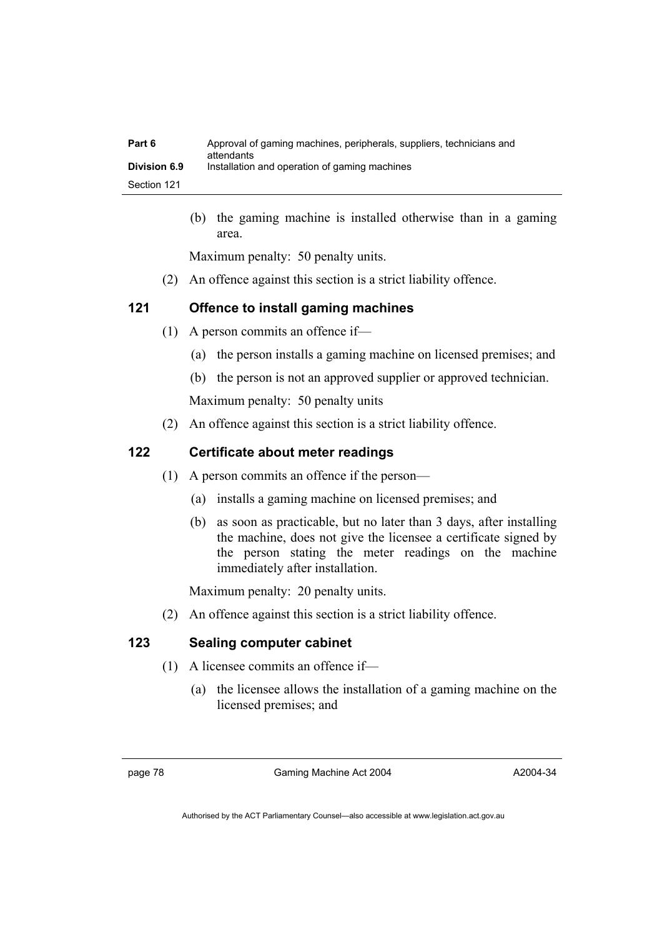| Part 6              | Approval of gaming machines, peripherals, suppliers, technicians and<br>attendants |
|---------------------|------------------------------------------------------------------------------------|
| <b>Division 6.9</b> | Installation and operation of gaming machines                                      |
| Section 121         |                                                                                    |

 (b) the gaming machine is installed otherwise than in a gaming area.

Maximum penalty: 50 penalty units.

(2) An offence against this section is a strict liability offence.

# **121 Offence to install gaming machines**

- (1) A person commits an offence if—
	- (a) the person installs a gaming machine on licensed premises; and
	- (b) the person is not an approved supplier or approved technician.

Maximum penalty: 50 penalty units

(2) An offence against this section is a strict liability offence.

# **122 Certificate about meter readings**

- (1) A person commits an offence if the person—
	- (a) installs a gaming machine on licensed premises; and
	- (b) as soon as practicable, but no later than 3 days, after installing the machine, does not give the licensee a certificate signed by the person stating the meter readings on the machine immediately after installation.

Maximum penalty: 20 penalty units.

(2) An offence against this section is a strict liability offence.

# **123 Sealing computer cabinet**

- (1) A licensee commits an offence if—
	- (a) the licensee allows the installation of a gaming machine on the licensed premises; and

page 78 Gaming Machine Act 2004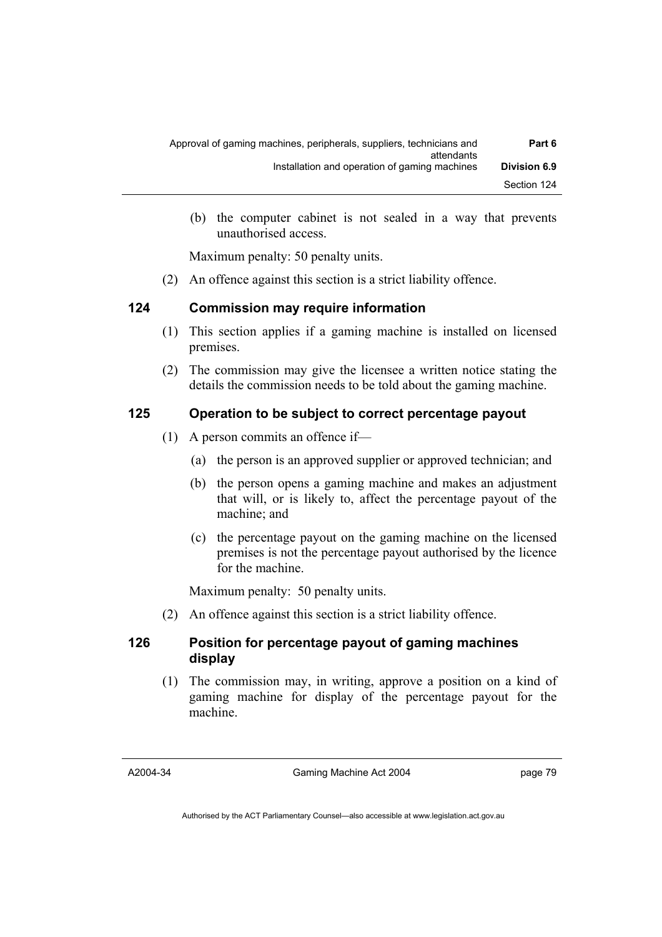| Part 6              | Approval of gaming machines, peripherals, suppliers, technicians and<br>attendants |
|---------------------|------------------------------------------------------------------------------------|
| <b>Division 6.9</b> | Installation and operation of gaming machines                                      |
| Section 124         |                                                                                    |

 (b) the computer cabinet is not sealed in a way that prevents unauthorised access.

Maximum penalty: 50 penalty units.

(2) An offence against this section is a strict liability offence.

### **124 Commission may require information**

- (1) This section applies if a gaming machine is installed on licensed premises.
- (2) The commission may give the licensee a written notice stating the details the commission needs to be told about the gaming machine.

### **125 Operation to be subject to correct percentage payout**

- (1) A person commits an offence if—
	- (a) the person is an approved supplier or approved technician; and
	- (b) the person opens a gaming machine and makes an adjustment that will, or is likely to, affect the percentage payout of the machine; and
	- (c) the percentage payout on the gaming machine on the licensed premises is not the percentage payout authorised by the licence for the machine.

Maximum penalty: 50 penalty units.

(2) An offence against this section is a strict liability offence.

# **126 Position for percentage payout of gaming machines display**

 (1) The commission may, in writing, approve a position on a kind of gaming machine for display of the percentage payout for the machine.

A2004-34

Gaming Machine Act 2004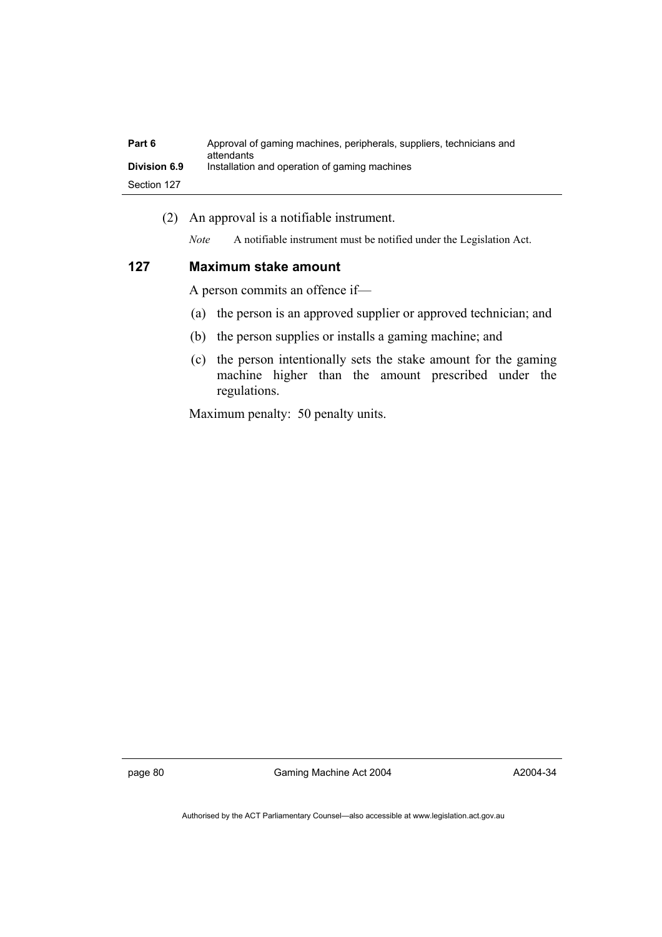| Part 6              | Approval of gaming machines, peripherals, suppliers, technicians and<br>attendants |
|---------------------|------------------------------------------------------------------------------------|
| <b>Division 6.9</b> | Installation and operation of gaming machines                                      |
| Section 127         |                                                                                    |

(2) An approval is a notifiable instrument.

*Note* A notifiable instrument must be notified under the Legislation Act.

#### **127 Maximum stake amount**

A person commits an offence if—

- (a) the person is an approved supplier or approved technician; and
- (b) the person supplies or installs a gaming machine; and
- (c) the person intentionally sets the stake amount for the gaming machine higher than the amount prescribed under the regulations.

Maximum penalty: 50 penalty units.

page 80 Gaming Machine Act 2004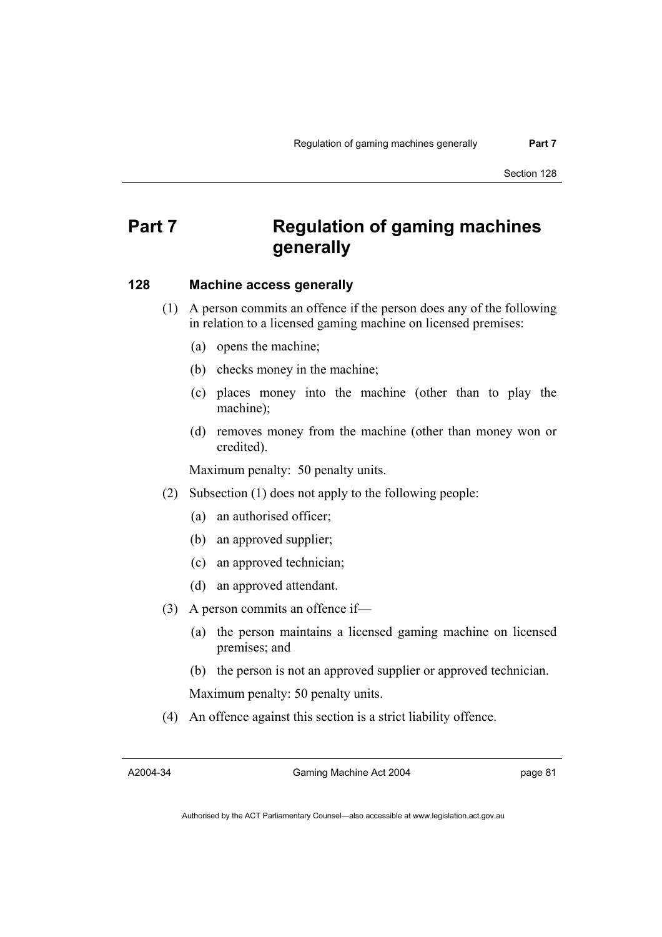# **Part 7 Regulation of gaming machines generally**

#### **128 Machine access generally**

 (1) A person commits an offence if the person does any of the following in relation to a licensed gaming machine on licensed premises:

- (a) opens the machine;
- (b) checks money in the machine;
- (c) places money into the machine (other than to play the machine);
- (d) removes money from the machine (other than money won or credited).

Maximum penalty: 50 penalty units.

- (2) Subsection (1) does not apply to the following people:
	- (a) an authorised officer;
	- (b) an approved supplier;
	- (c) an approved technician;
	- (d) an approved attendant.
- (3) A person commits an offence if—
	- (a) the person maintains a licensed gaming machine on licensed premises; and
	- (b) the person is not an approved supplier or approved technician.

Maximum penalty: 50 penalty units.

(4) An offence against this section is a strict liability offence.

A2004-34

Gaming Machine Act 2004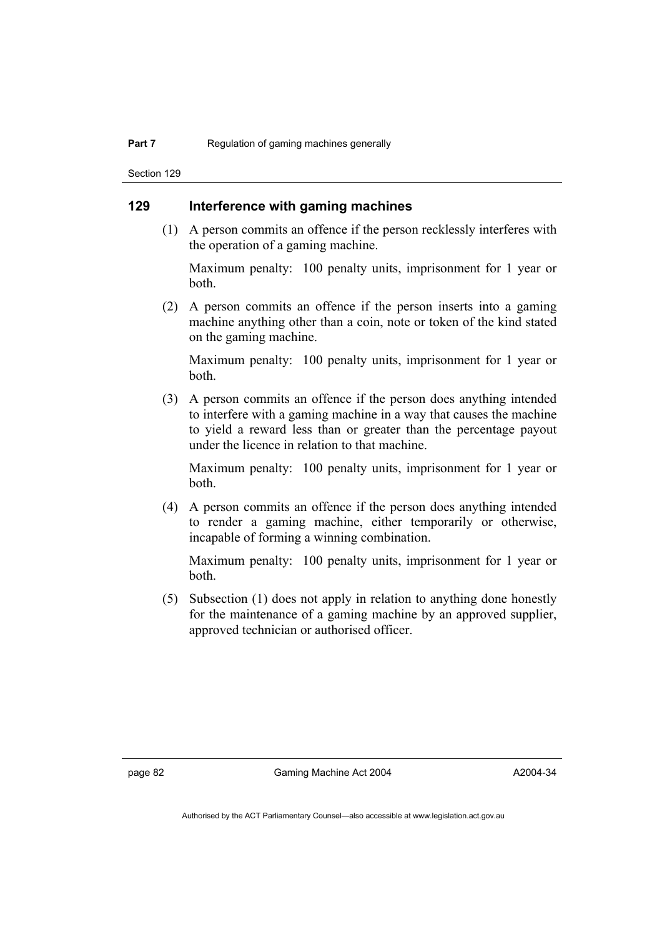Section 129

# **129 Interference with gaming machines**

 (1) A person commits an offence if the person recklessly interferes with the operation of a gaming machine.

Maximum penalty: 100 penalty units, imprisonment for 1 year or both.

 (2) A person commits an offence if the person inserts into a gaming machine anything other than a coin, note or token of the kind stated on the gaming machine.

Maximum penalty: 100 penalty units, imprisonment for 1 year or both.

 (3) A person commits an offence if the person does anything intended to interfere with a gaming machine in a way that causes the machine to yield a reward less than or greater than the percentage payout under the licence in relation to that machine.

Maximum penalty: 100 penalty units, imprisonment for 1 year or both.

 (4) A person commits an offence if the person does anything intended to render a gaming machine, either temporarily or otherwise, incapable of forming a winning combination.

Maximum penalty: 100 penalty units, imprisonment for 1 year or both.

 (5) Subsection (1) does not apply in relation to anything done honestly for the maintenance of a gaming machine by an approved supplier, approved technician or authorised officer.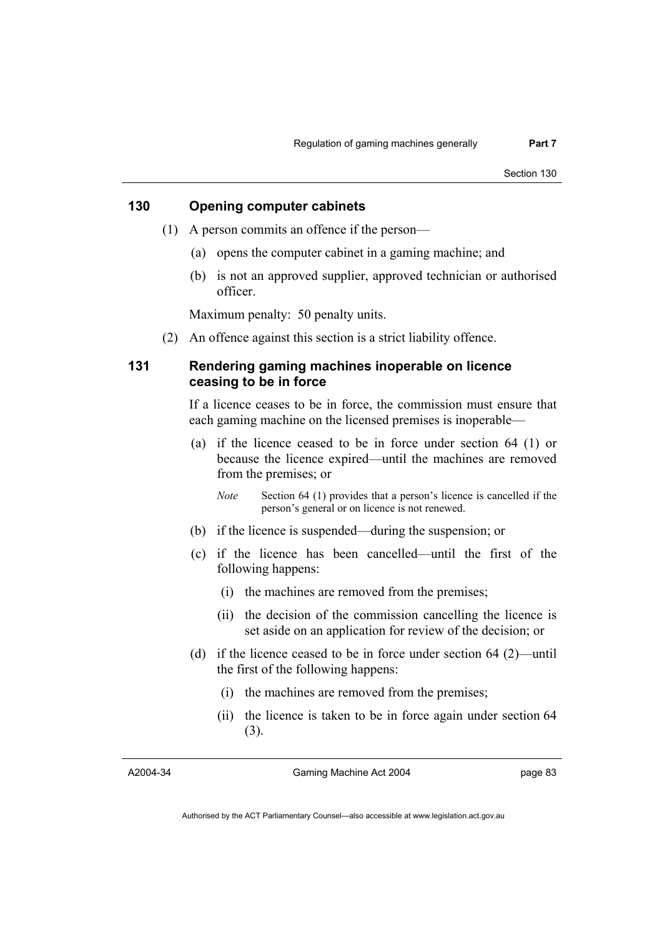# **130 Opening computer cabinets**

- (1) A person commits an offence if the person—
	- (a) opens the computer cabinet in a gaming machine; and
	- (b) is not an approved supplier, approved technician or authorised officer.

Maximum penalty: 50 penalty units.

(2) An offence against this section is a strict liability offence.

# **131 Rendering gaming machines inoperable on licence ceasing to be in force**

If a licence ceases to be in force, the commission must ensure that each gaming machine on the licensed premises is inoperable—

 (a) if the licence ceased to be in force under section 64 (1) or because the licence expired—until the machines are removed from the premises; or

*Note* Section 64 (1) provides that a person's licence is cancelled if the person's general or on licence is not renewed.

- (b) if the licence is suspended—during the suspension; or
- (c) if the licence has been cancelled—until the first of the following happens:
	- (i) the machines are removed from the premises;
	- (ii) the decision of the commission cancelling the licence is set aside on an application for review of the decision; or
- (d) if the licence ceased to be in force under section 64 (2)—until the first of the following happens:
	- (i) the machines are removed from the premises;
	- (ii) the licence is taken to be in force again under section 64 (3).

A2004-34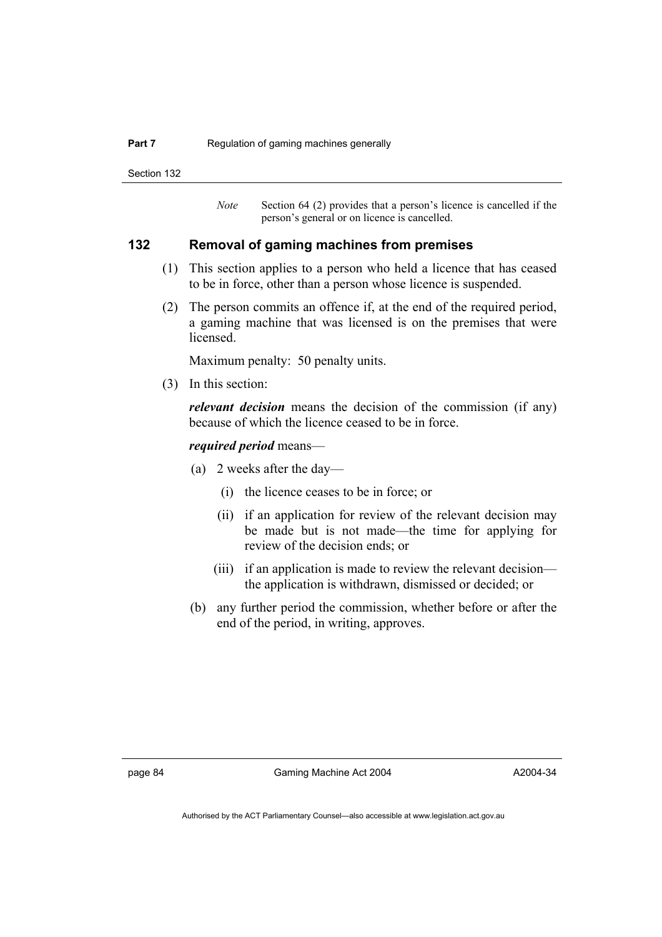#### **Part 7 Regulation of gaming machines generally**

Section 132

*Note* Section 64 (2) provides that a person's licence is cancelled if the person's general or on licence is cancelled.

#### **132 Removal of gaming machines from premises**

- (1) This section applies to a person who held a licence that has ceased to be in force, other than a person whose licence is suspended.
- (2) The person commits an offence if, at the end of the required period, a gaming machine that was licensed is on the premises that were licensed.

Maximum penalty: 50 penalty units.

(3) In this section:

*relevant decision* means the decision of the commission (if any) because of which the licence ceased to be in force.

#### *required period* means—

- (a) 2 weeks after the day—
	- (i) the licence ceases to be in force; or
	- (ii) if an application for review of the relevant decision may be made but is not made—the time for applying for review of the decision ends; or
	- (iii) if an application is made to review the relevant decision the application is withdrawn, dismissed or decided; or
- (b) any further period the commission, whether before or after the end of the period, in writing, approves.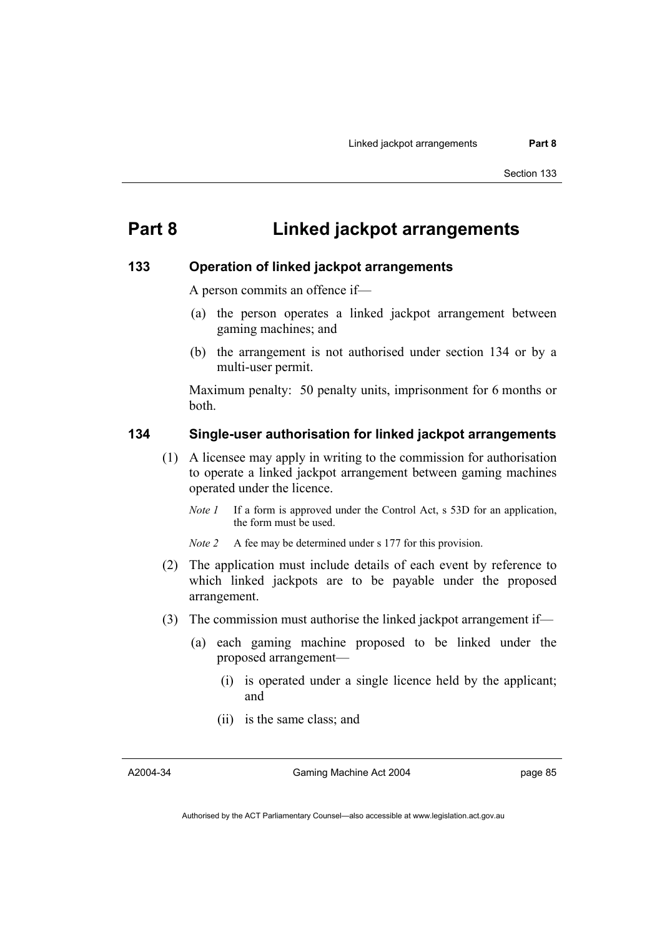# **Part 8 Linked jackpot arrangements**

#### **133 Operation of linked jackpot arrangements**

A person commits an offence if—

- (a) the person operates a linked jackpot arrangement between gaming machines; and
- (b) the arrangement is not authorised under section 134 or by a multi-user permit.

Maximum penalty: 50 penalty units, imprisonment for 6 months or both.

# **134 Single-user authorisation for linked jackpot arrangements**

- (1) A licensee may apply in writing to the commission for authorisation to operate a linked jackpot arrangement between gaming machines operated under the licence.
	- *Note 1* If a form is approved under the Control Act, s 53D for an application, the form must be used.

*Note 2* A fee may be determined under s 177 for this provision.

- (2) The application must include details of each event by reference to which linked jackpots are to be payable under the proposed arrangement.
- (3) The commission must authorise the linked jackpot arrangement if—
	- (a) each gaming machine proposed to be linked under the proposed arrangement—
		- (i) is operated under a single licence held by the applicant; and
		- (ii) is the same class; and

A2004-34

Gaming Machine Act 2004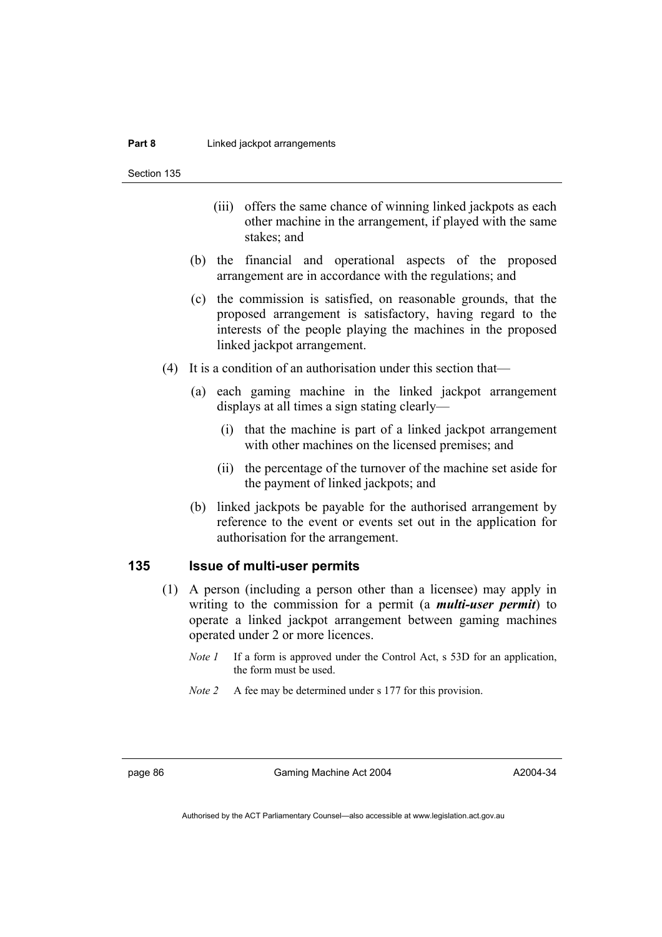Section 135

- (iii) offers the same chance of winning linked jackpots as each other machine in the arrangement, if played with the same stakes; and
- (b) the financial and operational aspects of the proposed arrangement are in accordance with the regulations; and
- (c) the commission is satisfied, on reasonable grounds, that the proposed arrangement is satisfactory, having regard to the interests of the people playing the machines in the proposed linked jackpot arrangement.
- (4) It is a condition of an authorisation under this section that—
	- (a) each gaming machine in the linked jackpot arrangement displays at all times a sign stating clearly—
		- (i) that the machine is part of a linked jackpot arrangement with other machines on the licensed premises; and
		- (ii) the percentage of the turnover of the machine set aside for the payment of linked jackpots; and
	- (b) linked jackpots be payable for the authorised arrangement by reference to the event or events set out in the application for authorisation for the arrangement.

#### **135 Issue of multi-user permits**

- (1) A person (including a person other than a licensee) may apply in writing to the commission for a permit (a *multi-user permit*) to operate a linked jackpot arrangement between gaming machines operated under 2 or more licences.
	- *Note 1* If a form is approved under the Control Act, s 53D for an application, the form must be used.
	- *Note 2* A fee may be determined under s 177 for this provision.

page 86 Gaming Machine Act 2004

A2004-34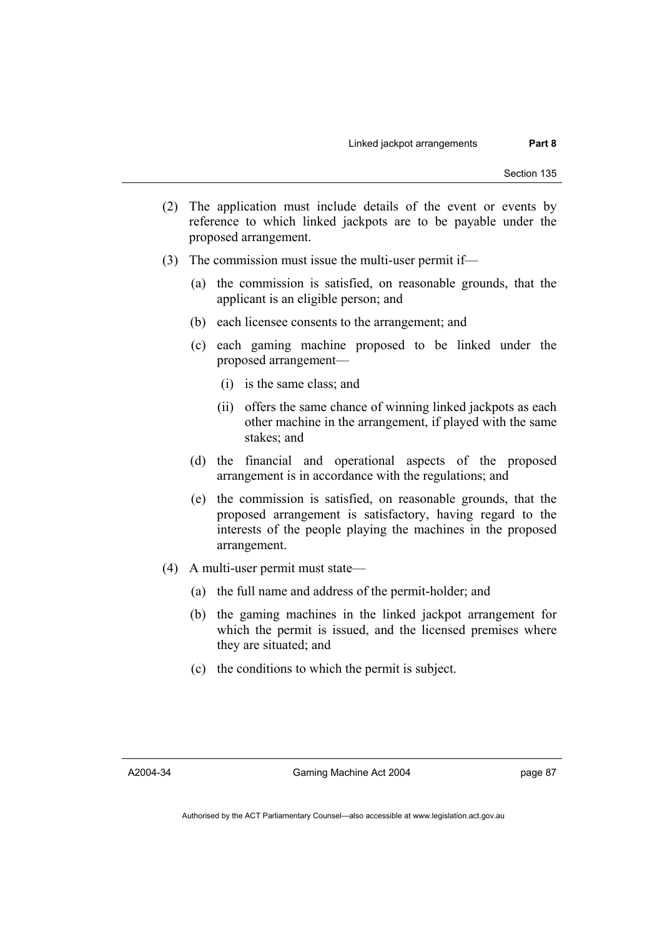- (2) The application must include details of the event or events by reference to which linked jackpots are to be payable under the proposed arrangement.
- (3) The commission must issue the multi-user permit if—
	- (a) the commission is satisfied, on reasonable grounds, that the applicant is an eligible person; and
	- (b) each licensee consents to the arrangement; and
	- (c) each gaming machine proposed to be linked under the proposed arrangement—
		- (i) is the same class; and
		- (ii) offers the same chance of winning linked jackpots as each other machine in the arrangement, if played with the same stakes; and
	- (d) the financial and operational aspects of the proposed arrangement is in accordance with the regulations; and
	- (e) the commission is satisfied, on reasonable grounds, that the proposed arrangement is satisfactory, having regard to the interests of the people playing the machines in the proposed arrangement.
- (4) A multi-user permit must state—
	- (a) the full name and address of the permit-holder; and
	- (b) the gaming machines in the linked jackpot arrangement for which the permit is issued, and the licensed premises where they are situated; and
	- (c) the conditions to which the permit is subject.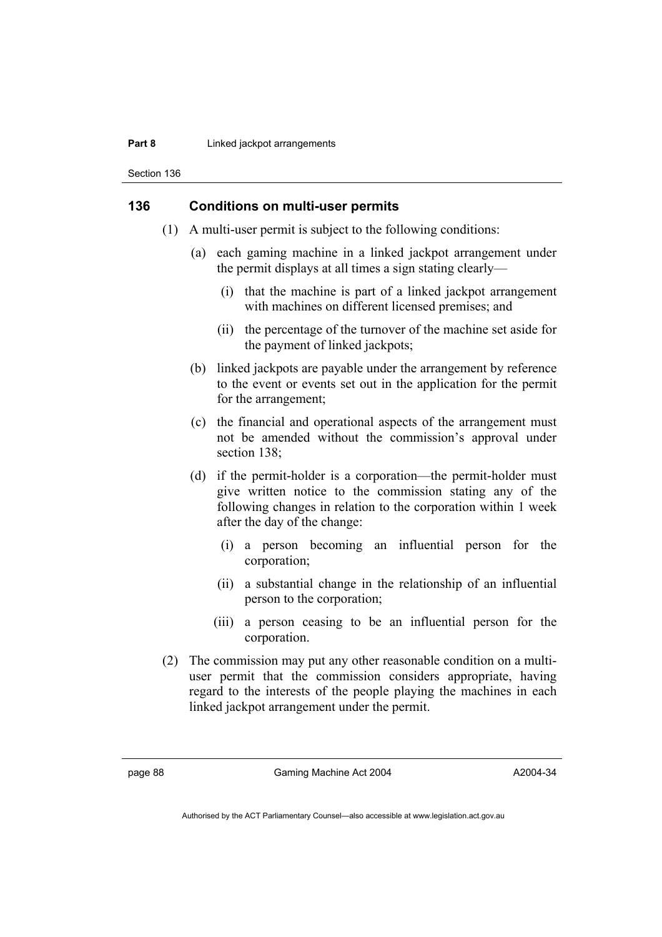#### **Part 8 Linked jackpot arrangements**

Section 136

## **136 Conditions on multi-user permits**

- (1) A multi-user permit is subject to the following conditions:
	- (a) each gaming machine in a linked jackpot arrangement under the permit displays at all times a sign stating clearly—
		- (i) that the machine is part of a linked jackpot arrangement with machines on different licensed premises; and
		- (ii) the percentage of the turnover of the machine set aside for the payment of linked jackpots;
	- (b) linked jackpots are payable under the arrangement by reference to the event or events set out in the application for the permit for the arrangement;
	- (c) the financial and operational aspects of the arrangement must not be amended without the commission's approval under section 138:
	- (d) if the permit-holder is a corporation—the permit-holder must give written notice to the commission stating any of the following changes in relation to the corporation within 1 week after the day of the change:
		- (i) a person becoming an influential person for the corporation;
		- (ii) a substantial change in the relationship of an influential person to the corporation;
		- (iii) a person ceasing to be an influential person for the corporation.
- (2) The commission may put any other reasonable condition on a multiuser permit that the commission considers appropriate, having regard to the interests of the people playing the machines in each linked jackpot arrangement under the permit.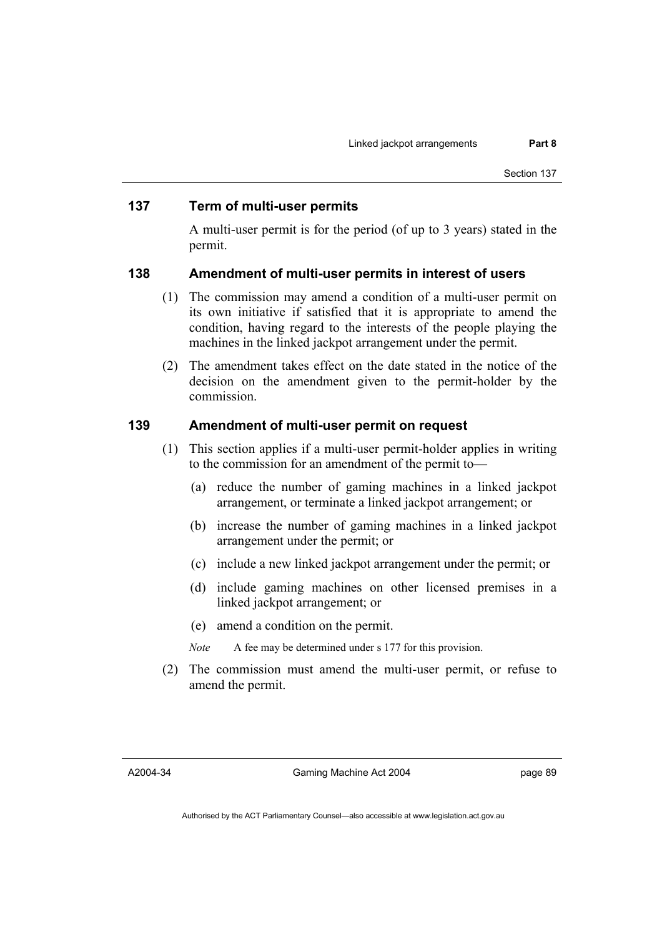#### **137 Term of multi-user permits**

A multi-user permit is for the period (of up to 3 years) stated in the permit.

#### **138 Amendment of multi-user permits in interest of users**

- (1) The commission may amend a condition of a multi-user permit on its own initiative if satisfied that it is appropriate to amend the condition, having regard to the interests of the people playing the machines in the linked jackpot arrangement under the permit.
- (2) The amendment takes effect on the date stated in the notice of the decision on the amendment given to the permit-holder by the commission.

#### **139 Amendment of multi-user permit on request**

- (1) This section applies if a multi-user permit-holder applies in writing to the commission for an amendment of the permit to—
	- (a) reduce the number of gaming machines in a linked jackpot arrangement, or terminate a linked jackpot arrangement; or
	- (b) increase the number of gaming machines in a linked jackpot arrangement under the permit; or
	- (c) include a new linked jackpot arrangement under the permit; or
	- (d) include gaming machines on other licensed premises in a linked jackpot arrangement; or
	- (e) amend a condition on the permit.
	- *Note* A fee may be determined under s 177 for this provision.
- (2) The commission must amend the multi-user permit, or refuse to amend the permit.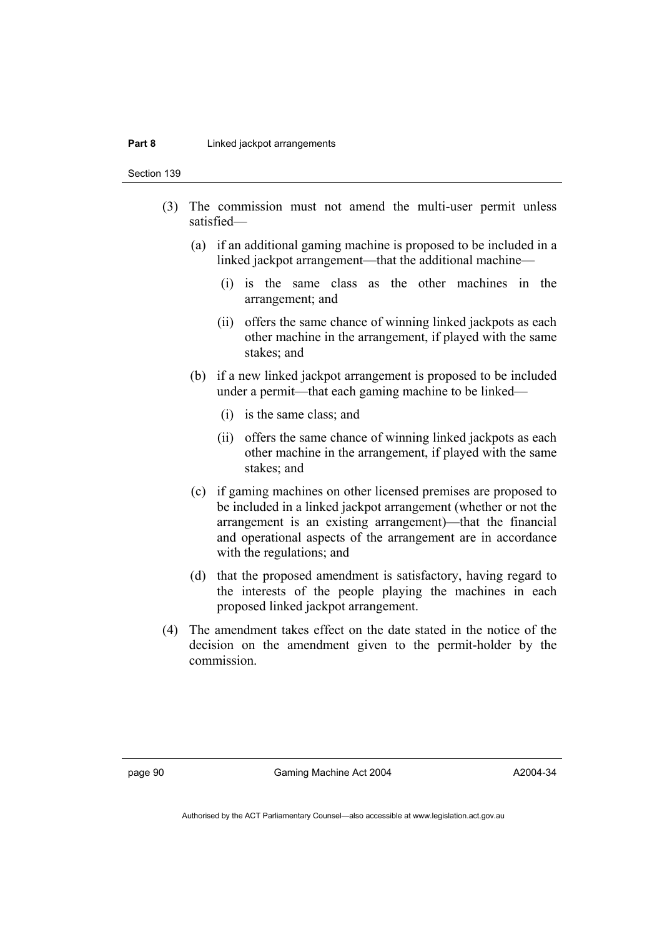#### **Part 8 Linked jackpot arrangements**

Section 139

- (3) The commission must not amend the multi-user permit unless satisfied—
	- (a) if an additional gaming machine is proposed to be included in a linked jackpot arrangement—that the additional machine—
		- (i) is the same class as the other machines in the arrangement; and
		- (ii) offers the same chance of winning linked jackpots as each other machine in the arrangement, if played with the same stakes; and
	- (b) if a new linked jackpot arrangement is proposed to be included under a permit—that each gaming machine to be linked—
		- (i) is the same class; and
		- (ii) offers the same chance of winning linked jackpots as each other machine in the arrangement, if played with the same stakes; and
	- (c) if gaming machines on other licensed premises are proposed to be included in a linked jackpot arrangement (whether or not the arrangement is an existing arrangement)—that the financial and operational aspects of the arrangement are in accordance with the regulations; and
	- (d) that the proposed amendment is satisfactory, having regard to the interests of the people playing the machines in each proposed linked jackpot arrangement.
- (4) The amendment takes effect on the date stated in the notice of the decision on the amendment given to the permit-holder by the commission.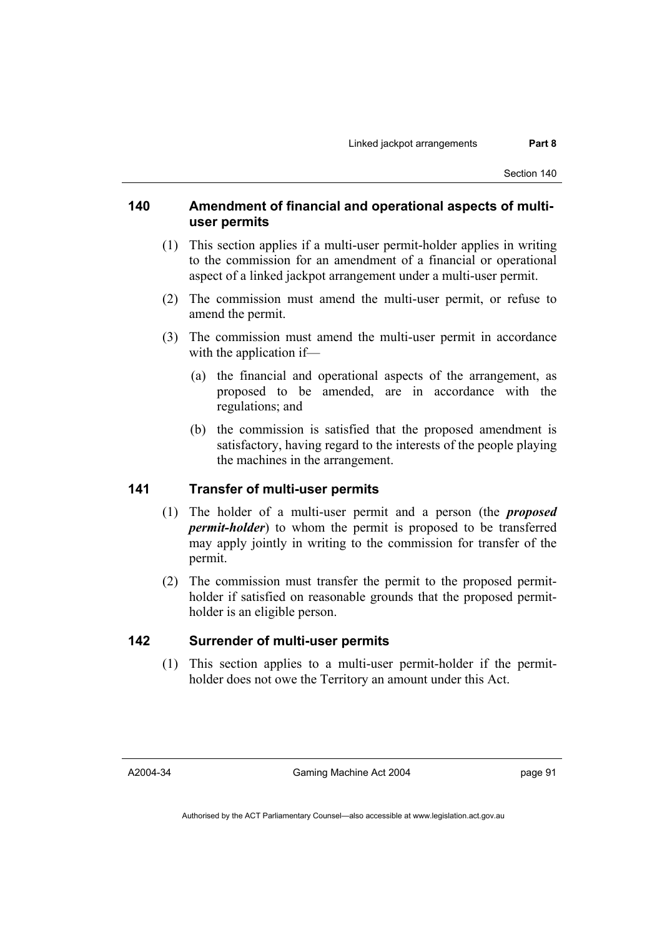# **140 Amendment of financial and operational aspects of multiuser permits**

- (1) This section applies if a multi-user permit-holder applies in writing to the commission for an amendment of a financial or operational aspect of a linked jackpot arrangement under a multi-user permit.
- (2) The commission must amend the multi-user permit, or refuse to amend the permit.
- (3) The commission must amend the multi-user permit in accordance with the application if—
	- (a) the financial and operational aspects of the arrangement, as proposed to be amended, are in accordance with the regulations; and
	- (b) the commission is satisfied that the proposed amendment is satisfactory, having regard to the interests of the people playing the machines in the arrangement.

### **141 Transfer of multi-user permits**

- (1) The holder of a multi-user permit and a person (the *proposed permit-holder*) to whom the permit is proposed to be transferred may apply jointly in writing to the commission for transfer of the permit.
- (2) The commission must transfer the permit to the proposed permitholder if satisfied on reasonable grounds that the proposed permitholder is an eligible person.

# **142 Surrender of multi-user permits**

 (1) This section applies to a multi-user permit-holder if the permitholder does not owe the Territory an amount under this Act.

A2004-34

Gaming Machine Act 2004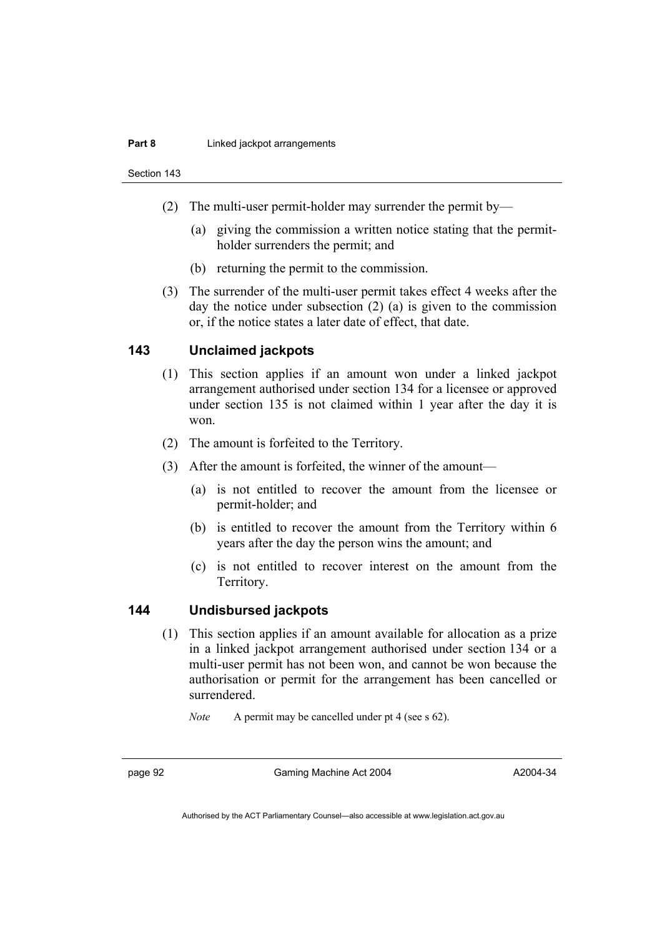#### **Part 8 Linked jackpot arrangements**

Section 143

- (2) The multi-user permit-holder may surrender the permit by—
	- (a) giving the commission a written notice stating that the permitholder surrenders the permit; and
	- (b) returning the permit to the commission.
- (3) The surrender of the multi-user permit takes effect 4 weeks after the day the notice under subsection (2) (a) is given to the commission or, if the notice states a later date of effect, that date.

### **143 Unclaimed jackpots**

- (1) This section applies if an amount won under a linked jackpot arrangement authorised under section 134 for a licensee or approved under section 135 is not claimed within 1 year after the day it is won.
- (2) The amount is forfeited to the Territory.
- (3) After the amount is forfeited, the winner of the amount—
	- (a) is not entitled to recover the amount from the licensee or permit-holder; and
	- (b) is entitled to recover the amount from the Territory within 6 years after the day the person wins the amount; and
	- (c) is not entitled to recover interest on the amount from the Territory.

### **144 Undisbursed jackpots**

 (1) This section applies if an amount available for allocation as a prize in a linked jackpot arrangement authorised under section 134 or a multi-user permit has not been won, and cannot be won because the authorisation or permit for the arrangement has been cancelled or surrendered.

*Note* A permit may be cancelled under pt 4 (see s 62).

page 92 Gaming Machine Act 2004

A2004-34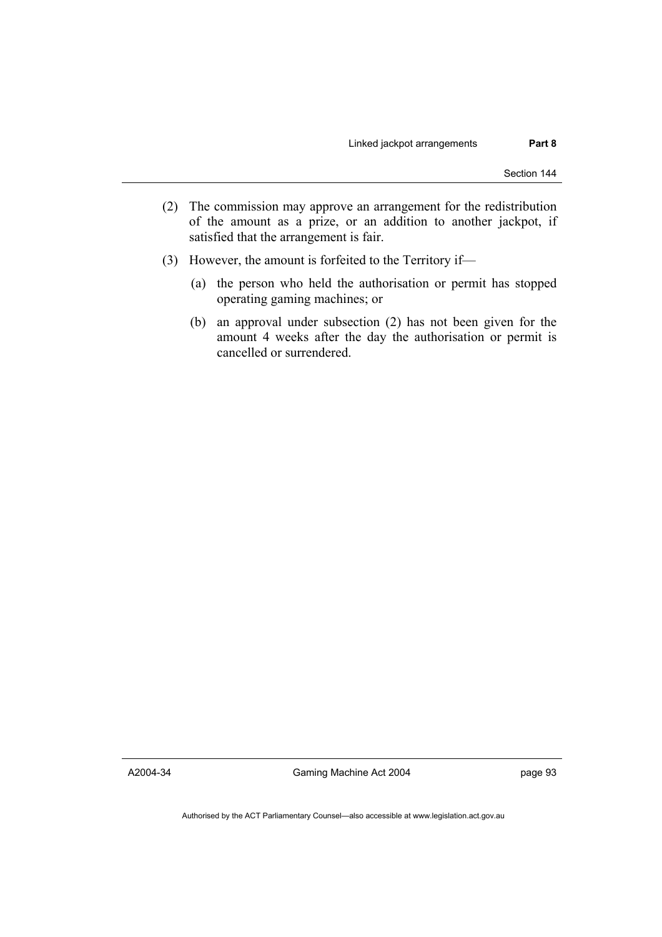- (2) The commission may approve an arrangement for the redistribution of the amount as a prize, or an addition to another jackpot, if satisfied that the arrangement is fair.
- (3) However, the amount is forfeited to the Territory if—
	- (a) the person who held the authorisation or permit has stopped operating gaming machines; or
	- (b) an approval under subsection (2) has not been given for the amount 4 weeks after the day the authorisation or permit is cancelled or surrendered.

A2004-34

Gaming Machine Act 2004

page 93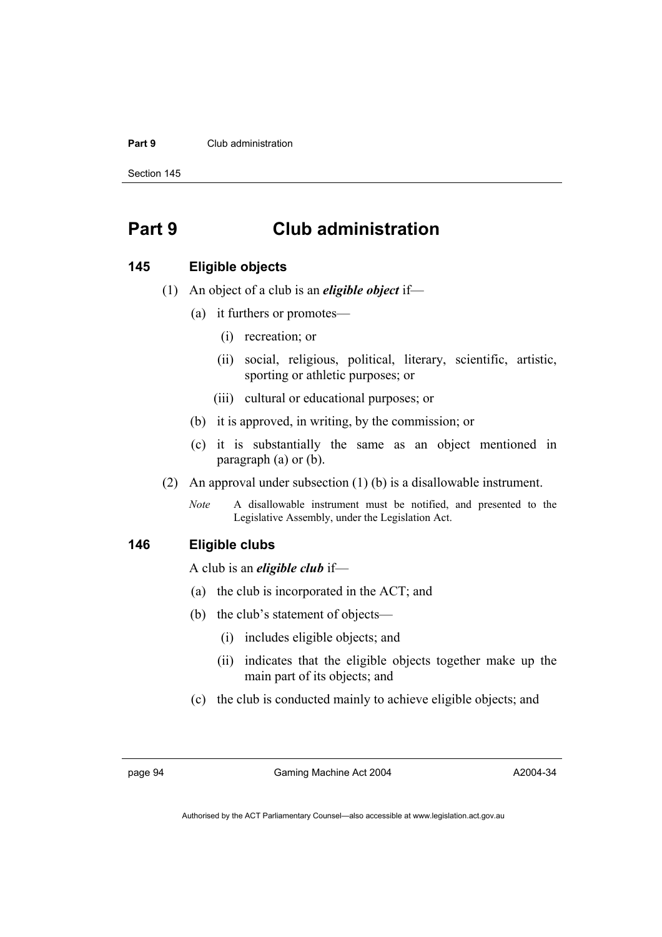#### **Part 9** Club administration

Section 145

# **Part 9 Club administration**

#### **145 Eligible objects**

- (1) An object of a club is an *eligible object* if—
	- (a) it furthers or promotes—
		- (i) recreation; or
		- (ii) social, religious, political, literary, scientific, artistic, sporting or athletic purposes; or
		- (iii) cultural or educational purposes; or
	- (b) it is approved, in writing, by the commission; or
	- (c) it is substantially the same as an object mentioned in paragraph (a) or (b).
- (2) An approval under subsection (1) (b) is a disallowable instrument.
	- *Note* A disallowable instrument must be notified, and presented to the Legislative Assembly, under the Legislation Act.

### **146 Eligible clubs**

A club is an *eligible club* if—

- (a) the club is incorporated in the ACT; and
- (b) the club's statement of objects—
	- (i) includes eligible objects; and
	- (ii) indicates that the eligible objects together make up the main part of its objects; and
- (c) the club is conducted mainly to achieve eligible objects; and

page 94 Gaming Machine Act 2004

A2004-34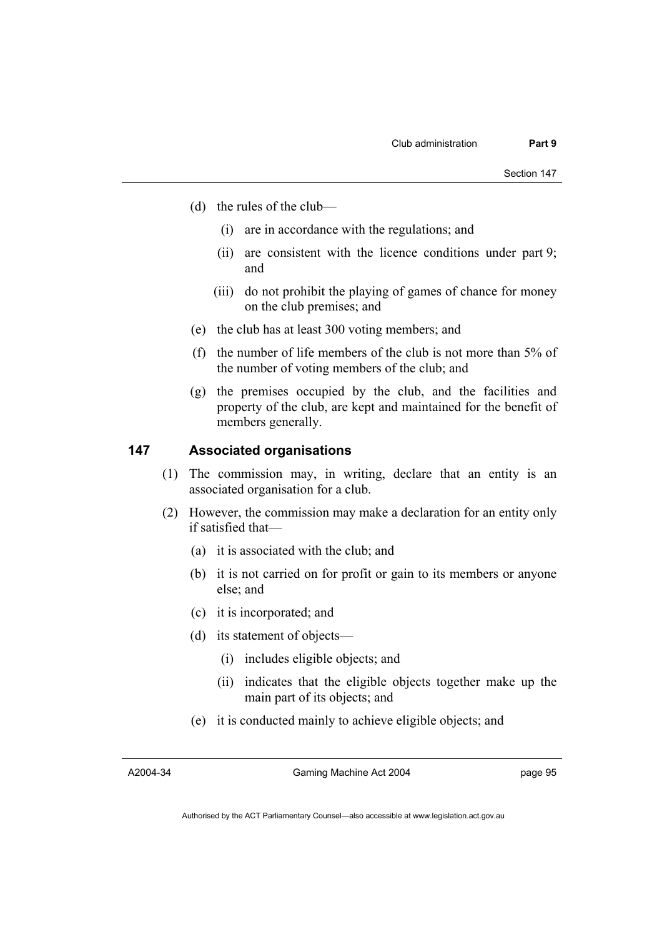- (d) the rules of the club—
	- (i) are in accordance with the regulations; and
	- (ii) are consistent with the licence conditions under part 9; and
	- (iii) do not prohibit the playing of games of chance for money on the club premises; and
- (e) the club has at least 300 voting members; and
- (f) the number of life members of the club is not more than 5% of the number of voting members of the club; and
- (g) the premises occupied by the club, and the facilities and property of the club, are kept and maintained for the benefit of members generally.

#### **147 Associated organisations**

- (1) The commission may, in writing, declare that an entity is an associated organisation for a club.
- (2) However, the commission may make a declaration for an entity only if satisfied that—
	- (a) it is associated with the club; and
	- (b) it is not carried on for profit or gain to its members or anyone else; and
	- (c) it is incorporated; and
	- (d) its statement of objects—
		- (i) includes eligible objects; and
		- (ii) indicates that the eligible objects together make up the main part of its objects; and
	- (e) it is conducted mainly to achieve eligible objects; and

A2004-34

Gaming Machine Act 2004

page 95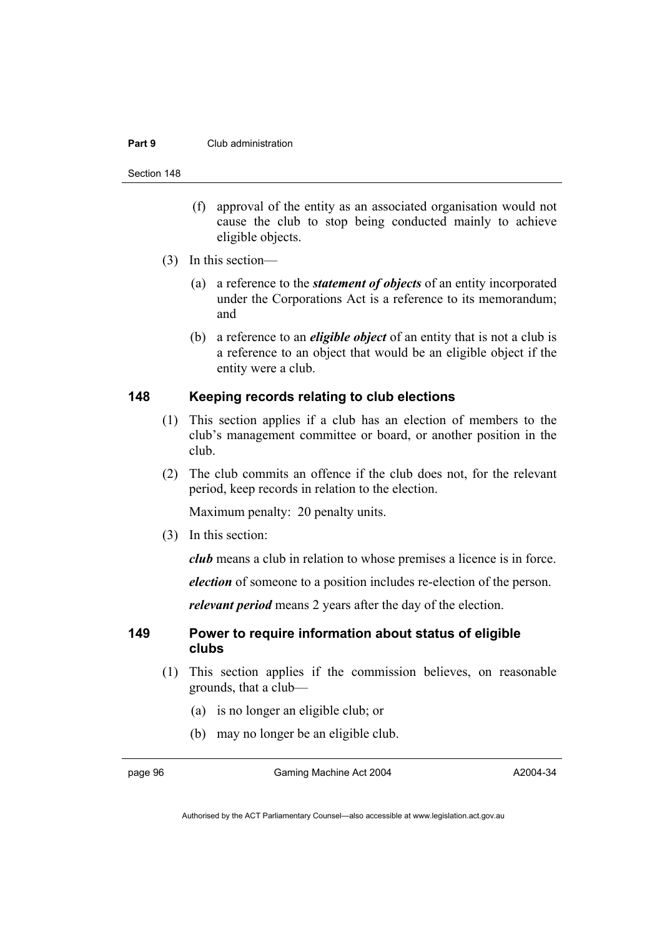#### **Part 9** Club administration

Section 148

- (f) approval of the entity as an associated organisation would not cause the club to stop being conducted mainly to achieve eligible objects.
- (3) In this section—
	- (a) a reference to the *statement of objects* of an entity incorporated under the Corporations Act is a reference to its memorandum; and
	- (b) a reference to an *eligible object* of an entity that is not a club is a reference to an object that would be an eligible object if the entity were a club.

## **148 Keeping records relating to club elections**

- (1) This section applies if a club has an election of members to the club's management committee or board, or another position in the club.
- (2) The club commits an offence if the club does not, for the relevant period, keep records in relation to the election.

Maximum penalty: 20 penalty units.

(3) In this section:

*club* means a club in relation to whose premises a licence is in force.

*election* of someone to a position includes re-election of the person.

*relevant period* means 2 years after the day of the election.

### **149 Power to require information about status of eligible clubs**

- (1) This section applies if the commission believes, on reasonable grounds, that a club—
	- (a) is no longer an eligible club; or
	- (b) may no longer be an eligible club.

page 96 Gaming Machine Act 2004

A2004-34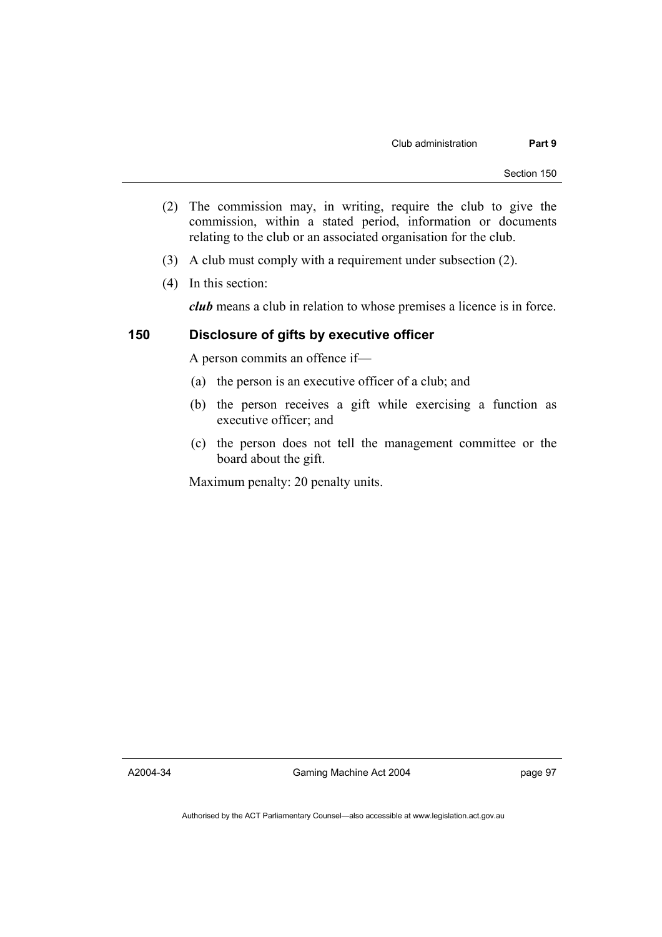- (2) The commission may, in writing, require the club to give the commission, within a stated period, information or documents relating to the club or an associated organisation for the club.
- (3) A club must comply with a requirement under subsection (2).
- (4) In this section:

*club* means a club in relation to whose premises a licence is in force.

# **150 Disclosure of gifts by executive officer**

A person commits an offence if—

- (a) the person is an executive officer of a club; and
- (b) the person receives a gift while exercising a function as executive officer; and
- (c) the person does not tell the management committee or the board about the gift.

Maximum penalty: 20 penalty units.

A2004-34

Gaming Machine Act 2004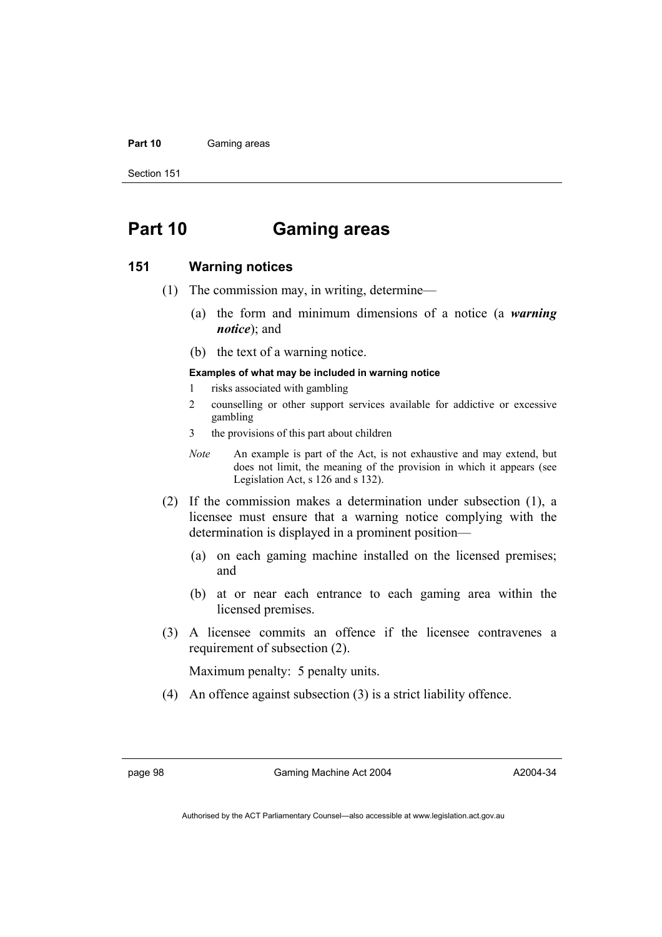#### Part 10 **Gaming areas**

Section 151

# **Part 10 Gaming areas**

#### **151 Warning notices**

- (1) The commission may, in writing, determine—
	- (a) the form and minimum dimensions of a notice (a *warning notice*); and
	- (b) the text of a warning notice.

#### **Examples of what may be included in warning notice**

- 1 risks associated with gambling
- 2 counselling or other support services available for addictive or excessive gambling
- 3 the provisions of this part about children
- *Note* An example is part of the Act, is not exhaustive and may extend, but does not limit, the meaning of the provision in which it appears (see Legislation Act, s 126 and s 132).
- (2) If the commission makes a determination under subsection (1), a licensee must ensure that a warning notice complying with the determination is displayed in a prominent position—
	- (a) on each gaming machine installed on the licensed premises; and
	- (b) at or near each entrance to each gaming area within the licensed premises.
- (3) A licensee commits an offence if the licensee contravenes a requirement of subsection (2).

Maximum penalty: 5 penalty units.

(4) An offence against subsection (3) is a strict liability offence.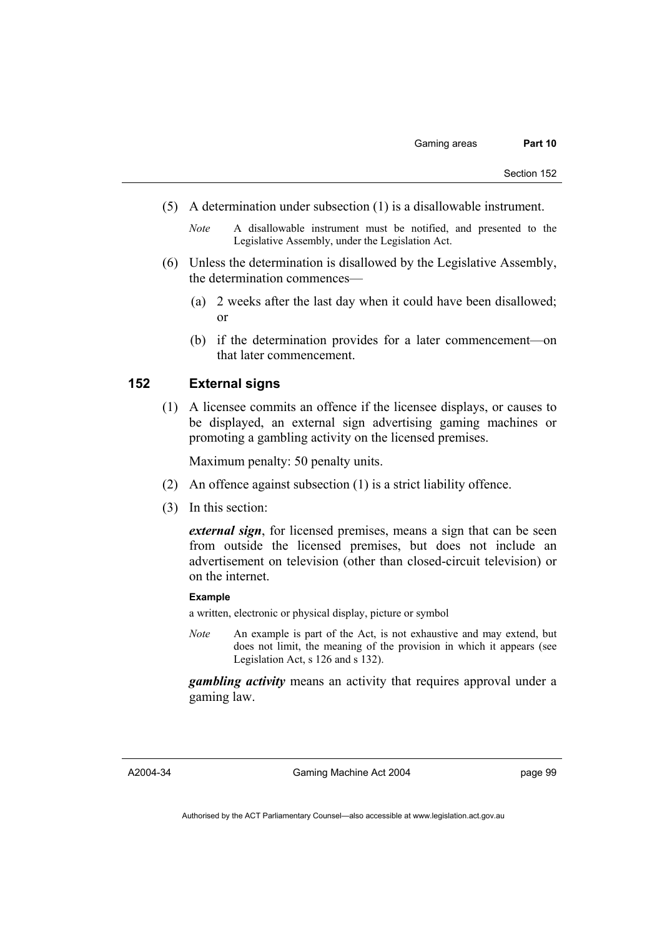- (5) A determination under subsection (1) is a disallowable instrument.
	- *Note* A disallowable instrument must be notified, and presented to the Legislative Assembly, under the Legislation Act.
- (6) Unless the determination is disallowed by the Legislative Assembly, the determination commences—
	- (a) 2 weeks after the last day when it could have been disallowed; or
	- (b) if the determination provides for a later commencement—on that later commencement.

# **152 External signs**

 (1) A licensee commits an offence if the licensee displays, or causes to be displayed, an external sign advertising gaming machines or promoting a gambling activity on the licensed premises.

Maximum penalty: 50 penalty units.

- (2) An offence against subsection (1) is a strict liability offence.
- (3) In this section:

*external sign*, for licensed premises, means a sign that can be seen from outside the licensed premises, but does not include an advertisement on television (other than closed-circuit television) or on the internet.

#### **Example**

a written, electronic or physical display, picture or symbol

*Note* An example is part of the Act, is not exhaustive and may extend, but does not limit, the meaning of the provision in which it appears (see Legislation Act, s 126 and s 132).

*gambling activity* means an activity that requires approval under a gaming law.

A2004-34

Gaming Machine Act 2004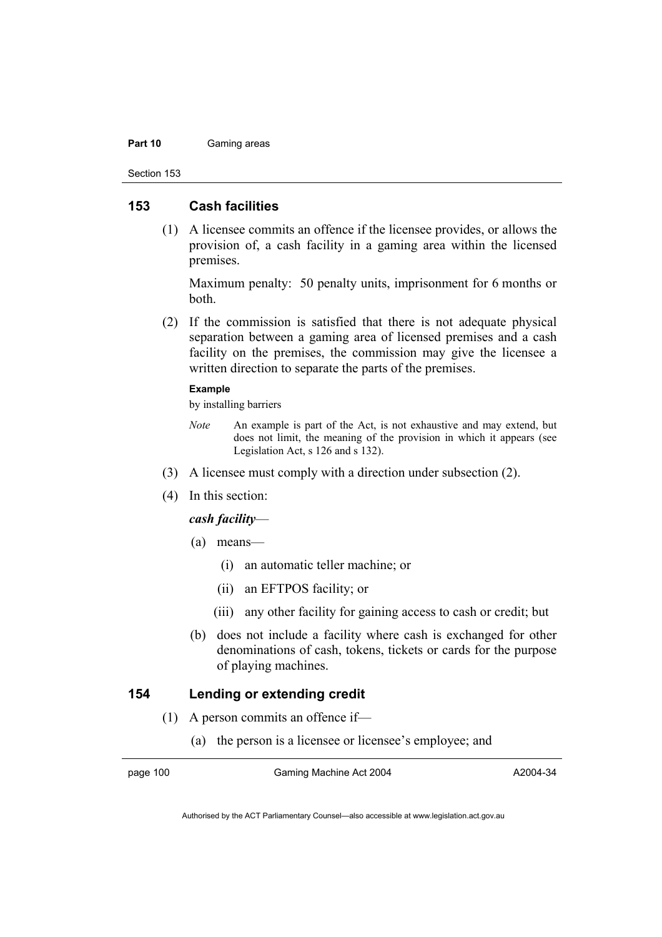#### **Part 10** Gaming areas

Section 153

# **153 Cash facilities**

 (1) A licensee commits an offence if the licensee provides, or allows the provision of, a cash facility in a gaming area within the licensed premises.

Maximum penalty: 50 penalty units, imprisonment for 6 months or both.

 (2) If the commission is satisfied that there is not adequate physical separation between a gaming area of licensed premises and a cash facility on the premises, the commission may give the licensee a written direction to separate the parts of the premises.

#### **Example**

by installing barriers

- *Note* An example is part of the Act, is not exhaustive and may extend, but does not limit, the meaning of the provision in which it appears (see Legislation Act, s 126 and s 132).
- (3) A licensee must comply with a direction under subsection (2).
- (4) In this section:

## *cash facility*—

- (a) means—
	- (i) an automatic teller machine; or
	- (ii) an EFTPOS facility; or
	- (iii) any other facility for gaining access to cash or credit; but
- (b) does not include a facility where cash is exchanged for other denominations of cash, tokens, tickets or cards for the purpose of playing machines.

# **154 Lending or extending credit**

- (1) A person commits an offence if—
	- (a) the person is a licensee or licensee's employee; and

page 100 Gaming Machine Act 2004

A2004-34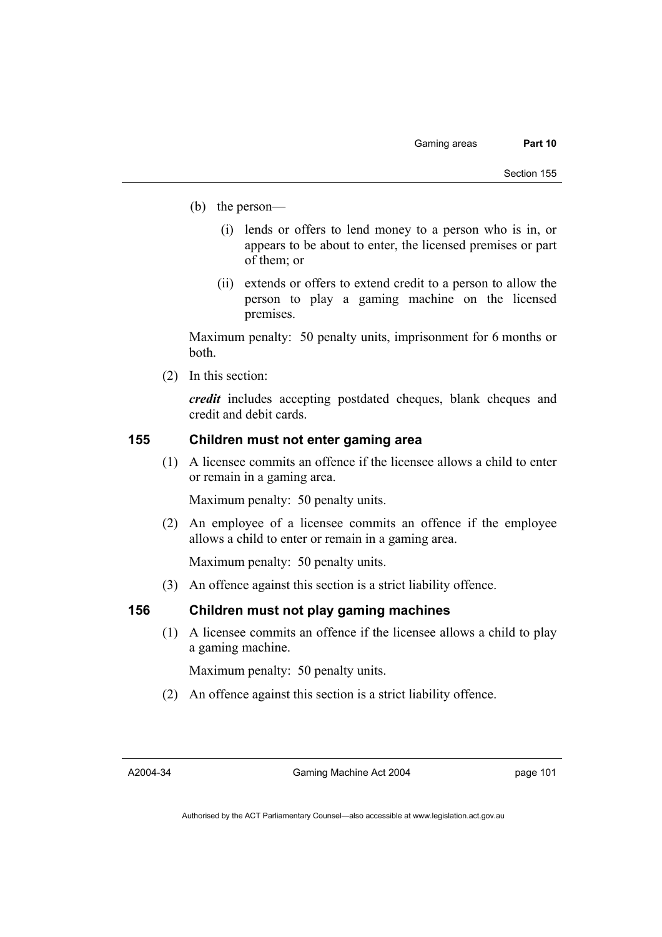- (b) the person—
	- (i) lends or offers to lend money to a person who is in, or appears to be about to enter, the licensed premises or part of them; or
	- (ii) extends or offers to extend credit to a person to allow the person to play a gaming machine on the licensed premises.

Maximum penalty: 50 penalty units, imprisonment for 6 months or both.

(2) In this section:

*credit* includes accepting postdated cheques, blank cheques and credit and debit cards.

# **155 Children must not enter gaming area**

 (1) A licensee commits an offence if the licensee allows a child to enter or remain in a gaming area.

Maximum penalty: 50 penalty units.

 (2) An employee of a licensee commits an offence if the employee allows a child to enter or remain in a gaming area.

Maximum penalty: 50 penalty units.

(3) An offence against this section is a strict liability offence.

# **156 Children must not play gaming machines**

 (1) A licensee commits an offence if the licensee allows a child to play a gaming machine.

Maximum penalty: 50 penalty units.

(2) An offence against this section is a strict liability offence.

A2004-34

Gaming Machine Act 2004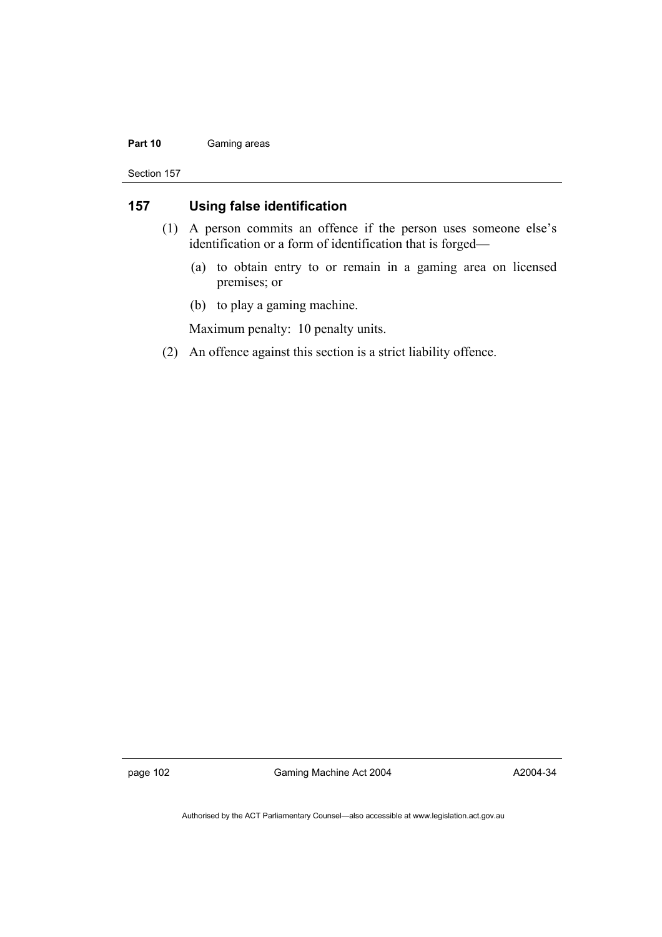#### Part 10 **Gaming areas**

Section 157

# **157 Using false identification**

- (1) A person commits an offence if the person uses someone else's identification or a form of identification that is forged—
	- (a) to obtain entry to or remain in a gaming area on licensed premises; or
	- (b) to play a gaming machine.

Maximum penalty: 10 penalty units.

(2) An offence against this section is a strict liability offence.

page 102 Gaming Machine Act 2004

A2004-34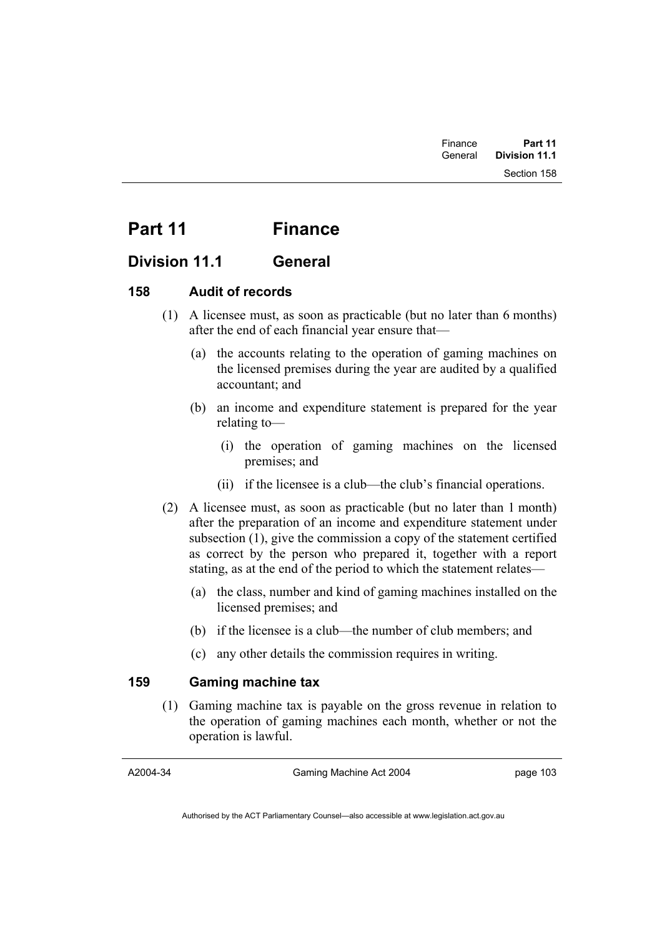# Part 11 Finance

# **Division 11.1 General**

# **158 Audit of records**

- (1) A licensee must, as soon as practicable (but no later than 6 months) after the end of each financial year ensure that—
	- (a) the accounts relating to the operation of gaming machines on the licensed premises during the year are audited by a qualified accountant; and
	- (b) an income and expenditure statement is prepared for the year relating to—
		- (i) the operation of gaming machines on the licensed premises; and
		- (ii) if the licensee is a club—the club's financial operations.
- (2) A licensee must, as soon as practicable (but no later than 1 month) after the preparation of an income and expenditure statement under subsection (1), give the commission a copy of the statement certified as correct by the person who prepared it, together with a report stating, as at the end of the period to which the statement relates—
	- (a) the class, number and kind of gaming machines installed on the licensed premises; and
	- (b) if the licensee is a club—the number of club members; and
	- (c) any other details the commission requires in writing.

# **159 Gaming machine tax**

 (1) Gaming machine tax is payable on the gross revenue in relation to the operation of gaming machines each month, whether or not the operation is lawful.

Authorised by the ACT Parliamentary Counsel—also accessible at www.legislation.act.gov.au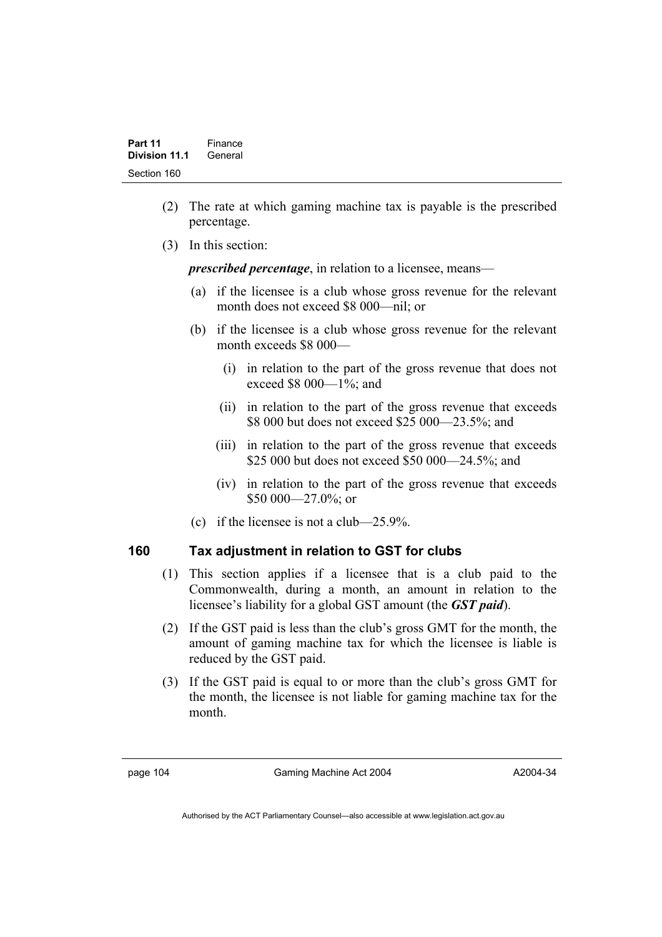- (2) The rate at which gaming machine tax is payable is the prescribed percentage.
- (3) In this section:

*prescribed percentage*, in relation to a licensee, means—

- (a) if the licensee is a club whose gross revenue for the relevant month does not exceed \$8 000—nil; or
- (b) if the licensee is a club whose gross revenue for the relevant month exceeds \$8 000—
	- (i) in relation to the part of the gross revenue that does not exceed \$8 000—1%; and
	- (ii) in relation to the part of the gross revenue that exceeds \$8 000 but does not exceed \$25 000—23.5%; and
	- (iii) in relation to the part of the gross revenue that exceeds \$25 000 but does not exceed \$50 000—24.5%; and
	- (iv) in relation to the part of the gross revenue that exceeds \$50 000 - 27.0%; or
- (c) if the licensee is not a club—25.9%.

# **160 Tax adjustment in relation to GST for clubs**

- (1) This section applies if a licensee that is a club paid to the Commonwealth, during a month, an amount in relation to the licensee's liability for a global GST amount (the *GST paid*).
- (2) If the GST paid is less than the club's gross GMT for the month, the amount of gaming machine tax for which the licensee is liable is reduced by the GST paid.
- (3) If the GST paid is equal to or more than the club's gross GMT for the month, the licensee is not liable for gaming machine tax for the month.

page 104 Gaming Machine Act 2004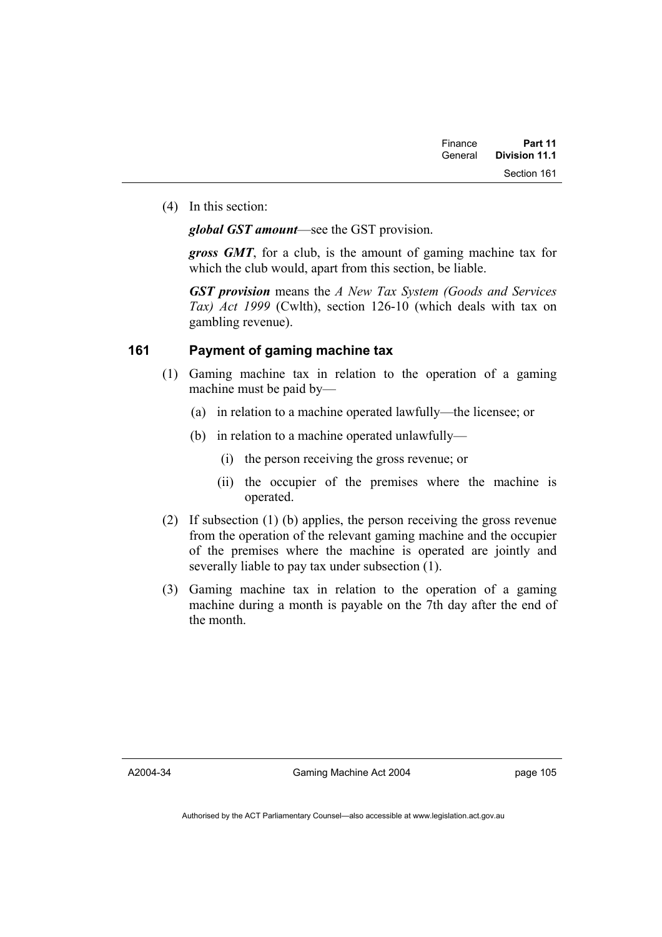(4) In this section:

*global GST amount*—see the GST provision.

*gross GMT*, for a club, is the amount of gaming machine tax for which the club would, apart from this section, be liable.

*GST provision* means the *A New Tax System (Goods and Services Tax) Act 1999* (Cwlth), section 126-10 (which deals with tax on gambling revenue).

# **161 Payment of gaming machine tax**

- (1) Gaming machine tax in relation to the operation of a gaming machine must be paid by—
	- (a) in relation to a machine operated lawfully—the licensee; or
	- (b) in relation to a machine operated unlawfully—
		- (i) the person receiving the gross revenue; or
		- (ii) the occupier of the premises where the machine is operated.
- (2) If subsection (1) (b) applies, the person receiving the gross revenue from the operation of the relevant gaming machine and the occupier of the premises where the machine is operated are jointly and severally liable to pay tax under subsection (1).
- (3) Gaming machine tax in relation to the operation of a gaming machine during a month is payable on the 7th day after the end of the month.

A2004-34

Gaming Machine Act 2004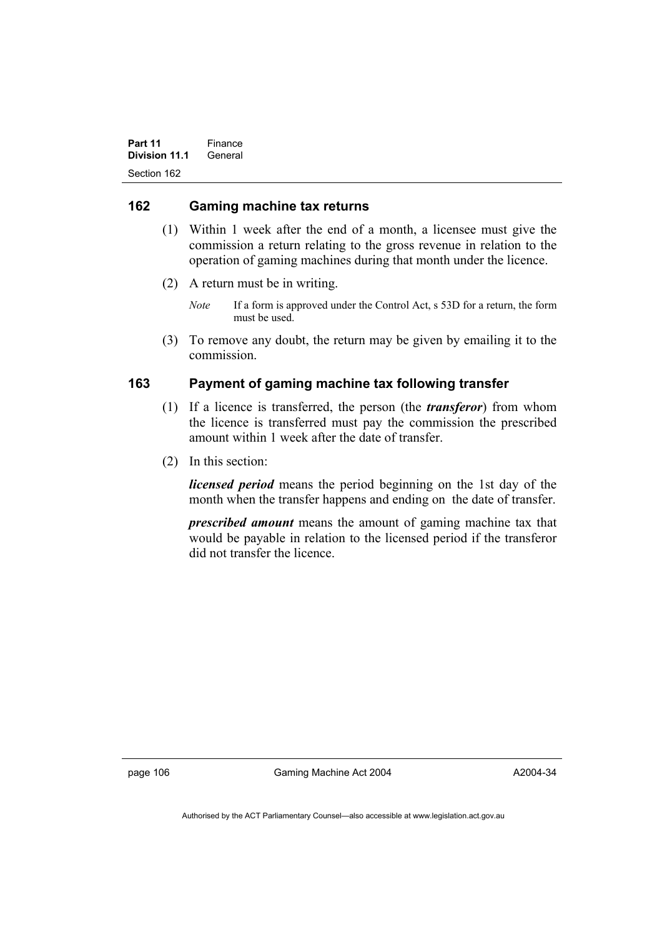Part 11 **Finance Division 11.1** General Section 162

# **162 Gaming machine tax returns**

- (1) Within 1 week after the end of a month, a licensee must give the commission a return relating to the gross revenue in relation to the operation of gaming machines during that month under the licence.
- (2) A return must be in writing.
	- *Note* If a form is approved under the Control Act, s 53D for a return, the form must be used.
- (3) To remove any doubt, the return may be given by emailing it to the commission.

# **163 Payment of gaming machine tax following transfer**

- (1) If a licence is transferred, the person (the *transferor*) from whom the licence is transferred must pay the commission the prescribed amount within 1 week after the date of transfer.
- (2) In this section:

*licensed period* means the period beginning on the 1st day of the month when the transfer happens and ending on the date of transfer.

*prescribed amount* means the amount of gaming machine tax that would be payable in relation to the licensed period if the transferor did not transfer the licence.

page 106 Gaming Machine Act 2004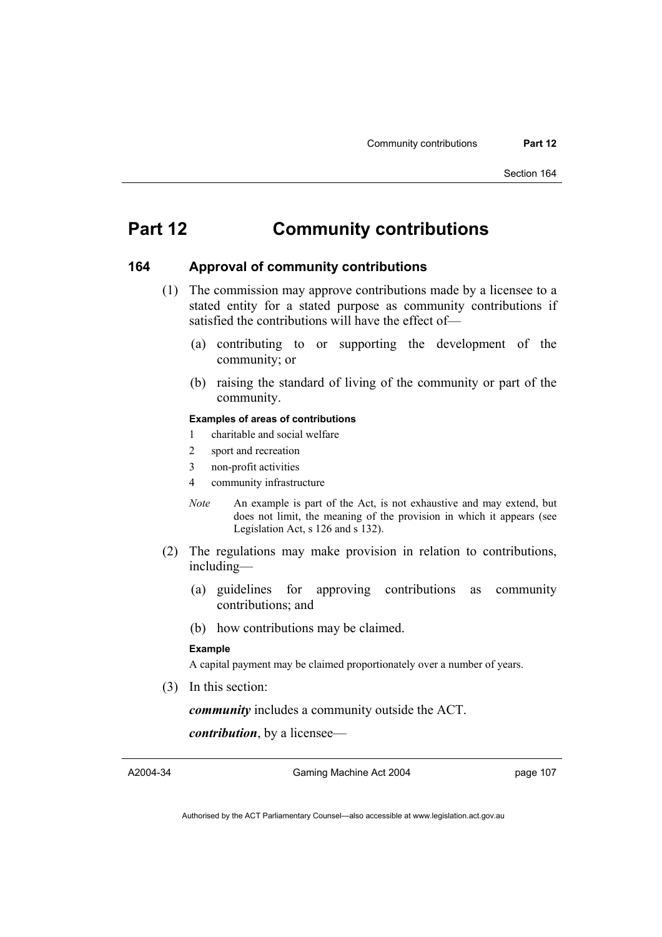# **Part 12 Community contributions**

### **164 Approval of community contributions**

- (1) The commission may approve contributions made by a licensee to a stated entity for a stated purpose as community contributions if satisfied the contributions will have the effect of—
	- (a) contributing to or supporting the development of the community; or
	- (b) raising the standard of living of the community or part of the community.

#### **Examples of areas of contributions**

- 1 charitable and social welfare
- 2 sport and recreation
- 3 non-profit activities
- 4 community infrastructure
- *Note* An example is part of the Act, is not exhaustive and may extend, but does not limit, the meaning of the provision in which it appears (see Legislation Act, s 126 and s 132).
- (2) The regulations may make provision in relation to contributions, including—
	- (a) guidelines for approving contributions as community contributions; and
	- (b) how contributions may be claimed.

#### **Example**

A capital payment may be claimed proportionately over a number of years.

(3) In this section:

*community* includes a community outside the ACT.

*contribution*, by a licensee—

A2004-34

Gaming Machine Act 2004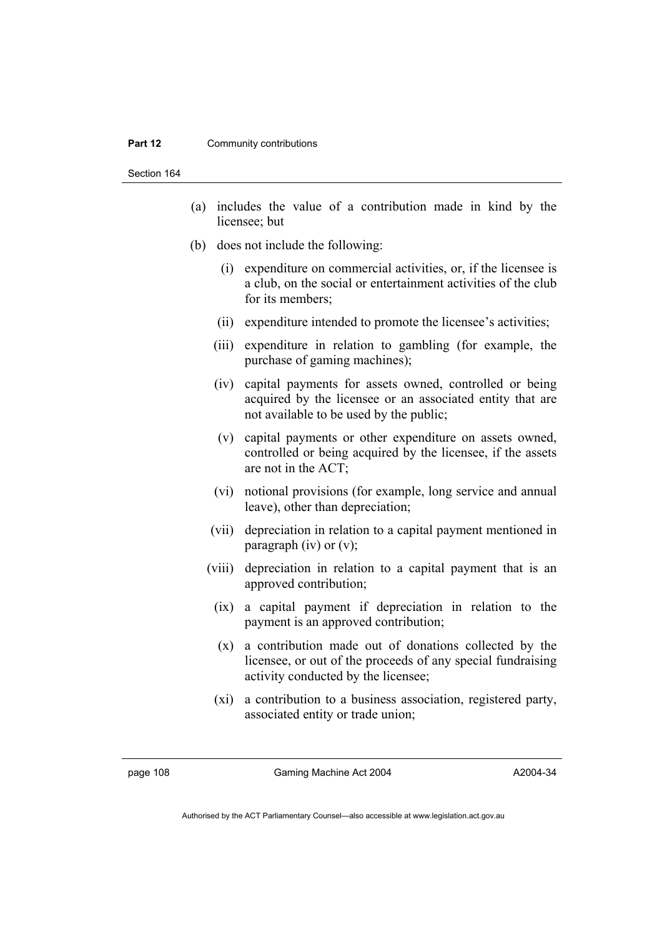#### **Part 12 Community contributions**

Section 164

- (a) includes the value of a contribution made in kind by the licensee; but
- (b) does not include the following:
	- (i) expenditure on commercial activities, or, if the licensee is a club, on the social or entertainment activities of the club for its members;
	- (ii) expenditure intended to promote the licensee's activities;
	- (iii) expenditure in relation to gambling (for example, the purchase of gaming machines);
	- (iv) capital payments for assets owned, controlled or being acquired by the licensee or an associated entity that are not available to be used by the public;
	- (v) capital payments or other expenditure on assets owned, controlled or being acquired by the licensee, if the assets are not in the ACT;
	- (vi) notional provisions (for example, long service and annual leave), other than depreciation;
	- (vii) depreciation in relation to a capital payment mentioned in paragraph (iv) or  $(v)$ ;
	- (viii) depreciation in relation to a capital payment that is an approved contribution;
		- (ix) a capital payment if depreciation in relation to the payment is an approved contribution;
		- (x) a contribution made out of donations collected by the licensee, or out of the proceeds of any special fundraising activity conducted by the licensee;
		- (xi) a contribution to a business association, registered party, associated entity or trade union;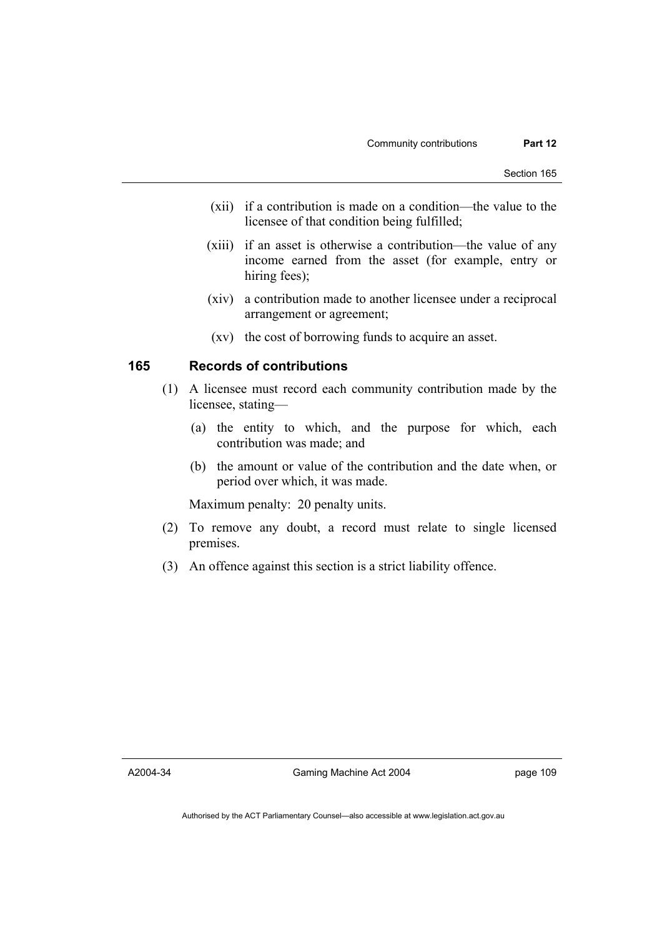- (xii) if a contribution is made on a condition—the value to the licensee of that condition being fulfilled;
- (xiii) if an asset is otherwise a contribution—the value of any income earned from the asset (for example, entry or hiring fees);
- (xiv) a contribution made to another licensee under a reciprocal arrangement or agreement;
- (xv) the cost of borrowing funds to acquire an asset.

# **165 Records of contributions**

- (1) A licensee must record each community contribution made by the licensee, stating—
	- (a) the entity to which, and the purpose for which, each contribution was made; and
	- (b) the amount or value of the contribution and the date when, or period over which, it was made.

Maximum penalty: 20 penalty units.

- (2) To remove any doubt, a record must relate to single licensed premises.
- (3) An offence against this section is a strict liability offence.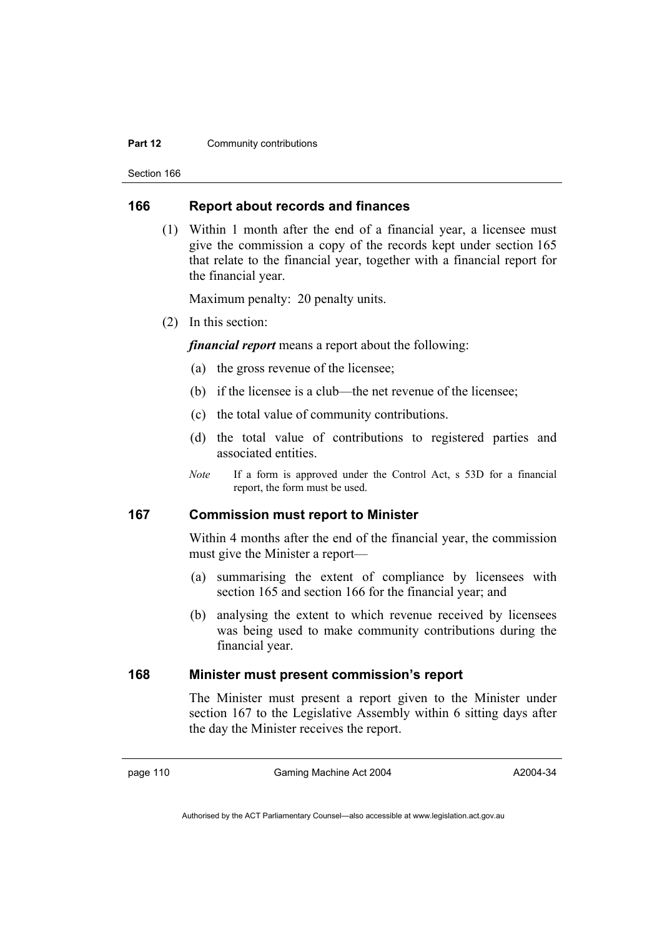#### **Part 12 Community contributions**

Section 166

# **166 Report about records and finances**

 (1) Within 1 month after the end of a financial year, a licensee must give the commission a copy of the records kept under section 165 that relate to the financial year, together with a financial report for the financial year.

Maximum penalty: 20 penalty units.

(2) In this section:

*financial report* means a report about the following:

- (a) the gross revenue of the licensee;
- (b) if the licensee is a club—the net revenue of the licensee;
- (c) the total value of community contributions.
- (d) the total value of contributions to registered parties and associated entities.
- *Note* If a form is approved under the Control Act, s 53D for a financial report, the form must be used.

# **167 Commission must report to Minister**

Within 4 months after the end of the financial year, the commission must give the Minister a report—

- (a) summarising the extent of compliance by licensees with section 165 and section 166 for the financial year; and
- (b) analysing the extent to which revenue received by licensees was being used to make community contributions during the financial year.

# **168 Minister must present commission's report**

The Minister must present a report given to the Minister under section 167 to the Legislative Assembly within 6 sitting days after the day the Minister receives the report.

page 110 Gaming Machine Act 2004

Authorised by the ACT Parliamentary Counsel—also accessible at www.legislation.act.gov.au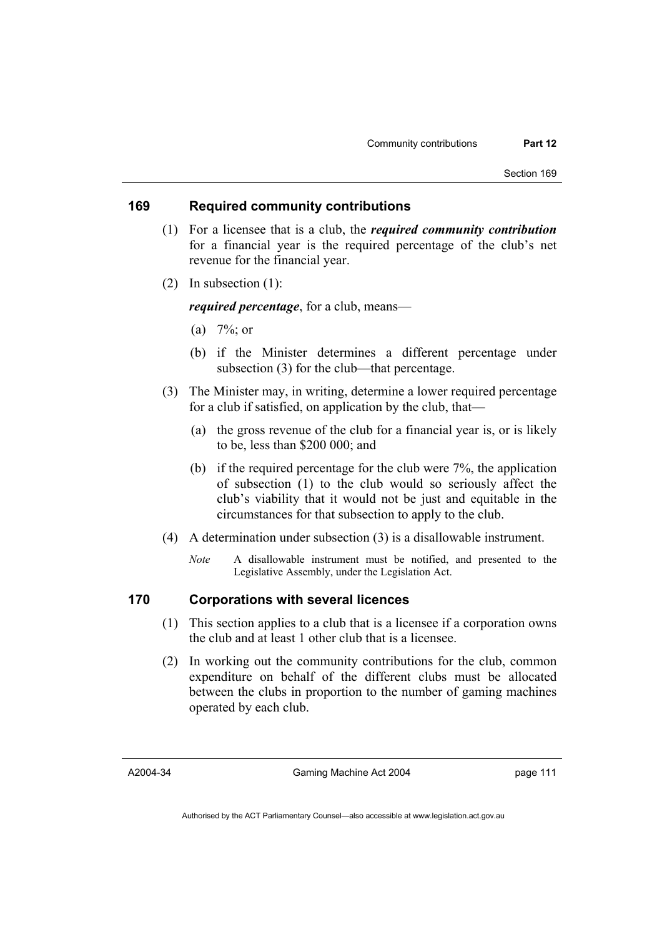# **169 Required community contributions**

- (1) For a licensee that is a club, the *required community contribution* for a financial year is the required percentage of the club's net revenue for the financial year.
- (2) In subsection (1):

*required percentage*, for a club, means—

- (a)  $7\frac{6}{9}$ ; or
- (b) if the Minister determines a different percentage under subsection (3) for the club—that percentage.
- (3) The Minister may, in writing, determine a lower required percentage for a club if satisfied, on application by the club, that—
	- (a) the gross revenue of the club for a financial year is, or is likely to be, less than \$200 000; and
	- (b) if the required percentage for the club were 7%, the application of subsection (1) to the club would so seriously affect the club's viability that it would not be just and equitable in the circumstances for that subsection to apply to the club.
- (4) A determination under subsection (3) is a disallowable instrument.
	- *Note* A disallowable instrument must be notified, and presented to the Legislative Assembly, under the Legislation Act.

# **170 Corporations with several licences**

- (1) This section applies to a club that is a licensee if a corporation owns the club and at least 1 other club that is a licensee.
- (2) In working out the community contributions for the club, common expenditure on behalf of the different clubs must be allocated between the clubs in proportion to the number of gaming machines operated by each club.

A2004-34

Gaming Machine Act 2004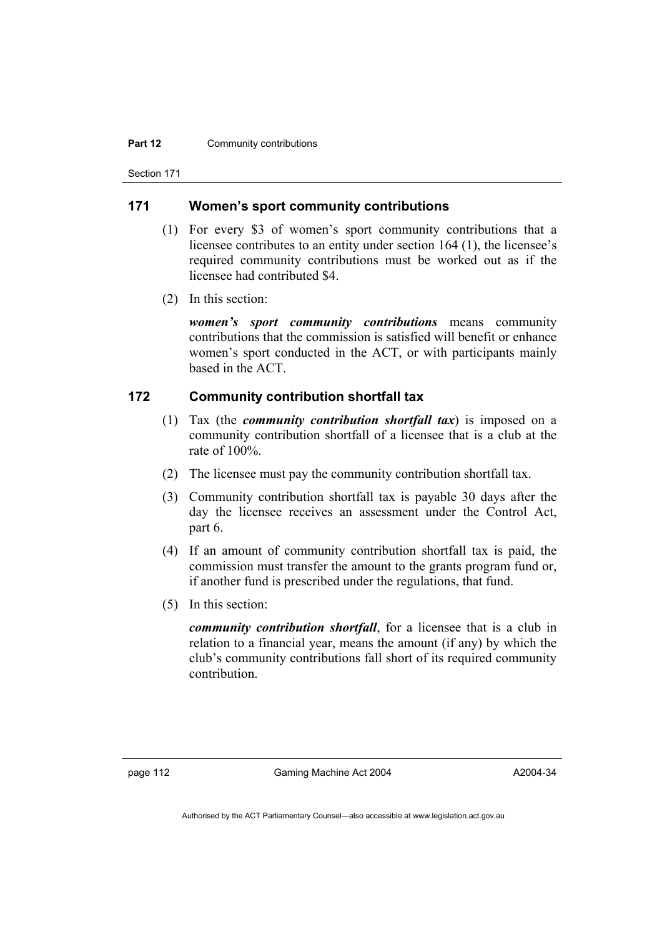#### **Part 12 Community contributions**

Section 171

# **171 Women's sport community contributions**

- (1) For every \$3 of women's sport community contributions that a licensee contributes to an entity under section 164 (1), the licensee's required community contributions must be worked out as if the licensee had contributed \$4.
- (2) In this section:

*women's sport community contributions* means community contributions that the commission is satisfied will benefit or enhance women's sport conducted in the ACT, or with participants mainly based in the ACT.

# **172 Community contribution shortfall tax**

- (1) Tax (the *community contribution shortfall tax*) is imposed on a community contribution shortfall of a licensee that is a club at the rate of 100%.
- (2) The licensee must pay the community contribution shortfall tax.
- (3) Community contribution shortfall tax is payable 30 days after the day the licensee receives an assessment under the Control Act, part 6.
- (4) If an amount of community contribution shortfall tax is paid, the commission must transfer the amount to the grants program fund or, if another fund is prescribed under the regulations, that fund.
- (5) In this section:

*community contribution shortfall*, for a licensee that is a club in relation to a financial year, means the amount (if any) by which the club's community contributions fall short of its required community contribution.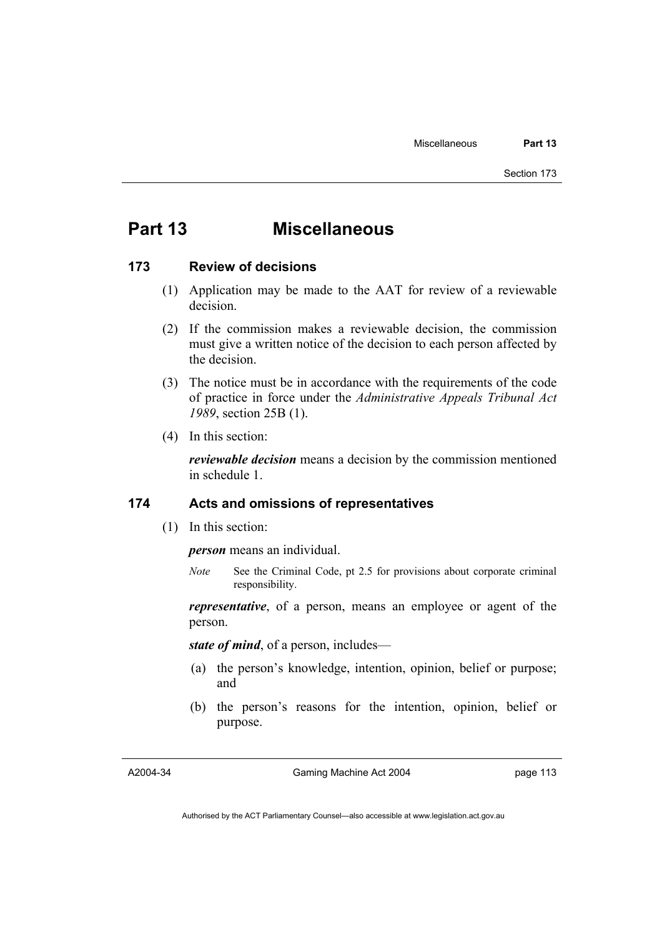# **Part 13 Miscellaneous**

### **173 Review of decisions**

- (1) Application may be made to the AAT for review of a reviewable decision.
- (2) If the commission makes a reviewable decision, the commission must give a written notice of the decision to each person affected by the decision.
- (3) The notice must be in accordance with the requirements of the code of practice in force under the *Administrative Appeals Tribunal Act 1989*, section 25B (1).
- (4) In this section:

*reviewable decision* means a decision by the commission mentioned in schedule 1.

## **174 Acts and omissions of representatives**

(1) In this section:

*person* means an individual.

*Note* See the Criminal Code, pt 2.5 for provisions about corporate criminal responsibility.

*representative*, of a person, means an employee or agent of the person.

*state of mind*, of a person, includes—

- (a) the person's knowledge, intention, opinion, belief or purpose; and
- (b) the person's reasons for the intention, opinion, belief or purpose.

A2004-34

Gaming Machine Act 2004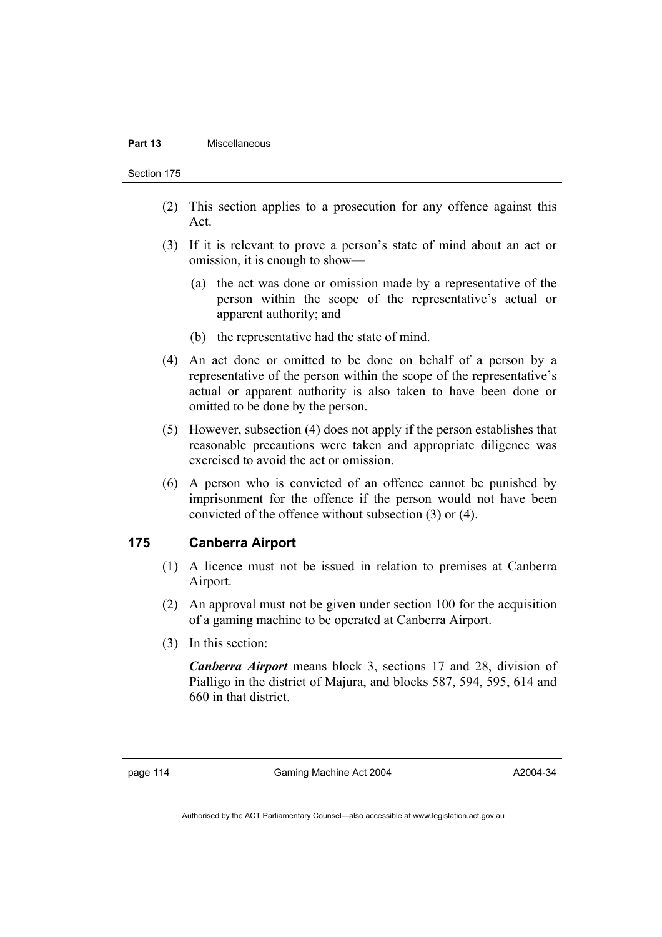#### **Part 13** Miscellaneous

Section 175

- (2) This section applies to a prosecution for any offence against this Act.
- (3) If it is relevant to prove a person's state of mind about an act or omission, it is enough to show—
	- (a) the act was done or omission made by a representative of the person within the scope of the representative's actual or apparent authority; and
	- (b) the representative had the state of mind.
- (4) An act done or omitted to be done on behalf of a person by a representative of the person within the scope of the representative's actual or apparent authority is also taken to have been done or omitted to be done by the person.
- (5) However, subsection (4) does not apply if the person establishes that reasonable precautions were taken and appropriate diligence was exercised to avoid the act or omission.
- (6) A person who is convicted of an offence cannot be punished by imprisonment for the offence if the person would not have been convicted of the offence without subsection (3) or (4).

# **175 Canberra Airport**

- (1) A licence must not be issued in relation to premises at Canberra Airport.
- (2) An approval must not be given under section 100 for the acquisition of a gaming machine to be operated at Canberra Airport.
- (3) In this section:

*Canberra Airport* means block 3, sections 17 and 28, division of Pialligo in the district of Majura, and blocks 587, 594, 595, 614 and 660 in that district.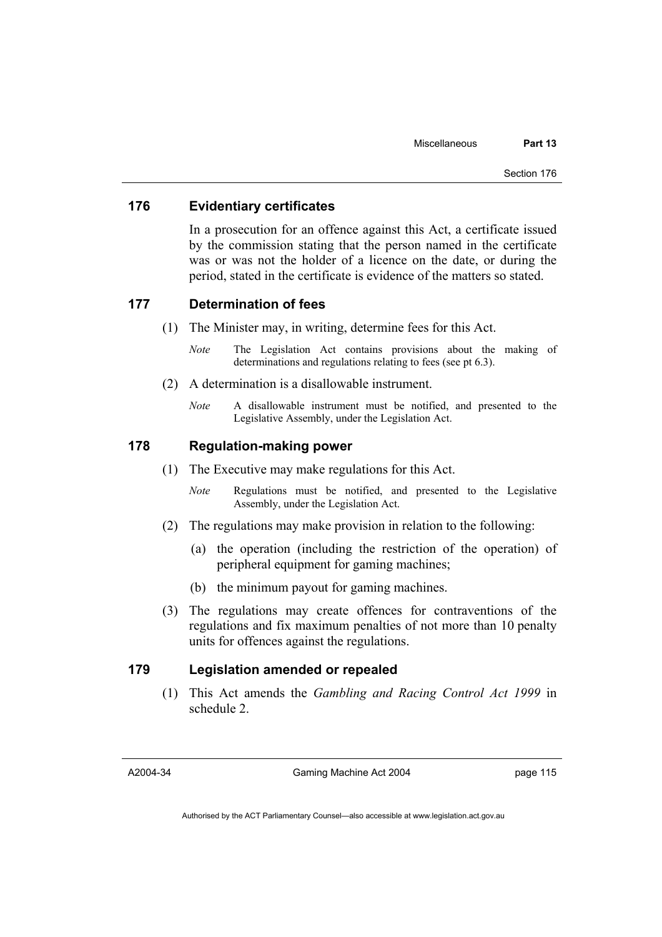# **176 Evidentiary certificates**

In a prosecution for an offence against this Act, a certificate issued by the commission stating that the person named in the certificate was or was not the holder of a licence on the date, or during the period, stated in the certificate is evidence of the matters so stated.

### **177 Determination of fees**

- (1) The Minister may, in writing, determine fees for this Act.
	- *Note* The Legislation Act contains provisions about the making of determinations and regulations relating to fees (see pt 6.3).
- (2) A determination is a disallowable instrument.
	- *Note* A disallowable instrument must be notified, and presented to the Legislative Assembly, under the Legislation Act.

# **178 Regulation-making power**

- (1) The Executive may make regulations for this Act.
	- *Note* Regulations must be notified, and presented to the Legislative Assembly, under the Legislation Act.
- (2) The regulations may make provision in relation to the following:
	- (a) the operation (including the restriction of the operation) of peripheral equipment for gaming machines;
	- (b) the minimum payout for gaming machines.
- (3) The regulations may create offences for contraventions of the regulations and fix maximum penalties of not more than 10 penalty units for offences against the regulations.

# **179 Legislation amended or repealed**

 (1) This Act amends the *Gambling and Racing Control Act 1999* in schedule 2.

A2004-34

Gaming Machine Act 2004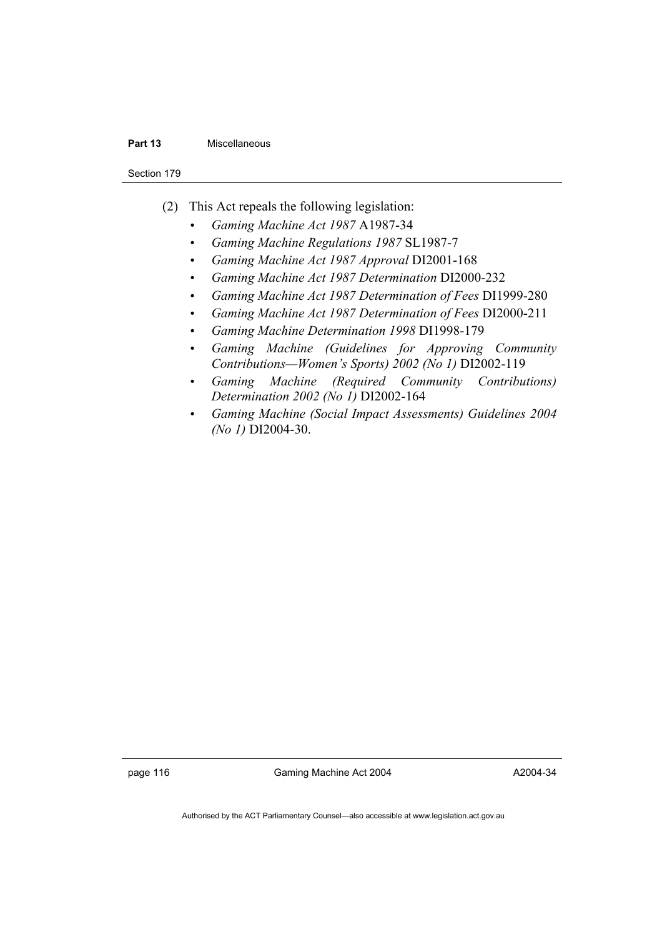#### **Part 13** Miscellaneous

Section 179

- (2) This Act repeals the following legislation:
	- *Gaming Machine Act 1987* A1987-34
	- *Gaming Machine Regulations 1987* SL1987-7
	- *Gaming Machine Act 1987 Approval* DI2001-168
	- *Gaming Machine Act 1987 Determination* DI2000-232
	- *Gaming Machine Act 1987 Determination of Fees* DI1999-280
	- *Gaming Machine Act 1987 Determination of Fees* DI2000-211
	- *Gaming Machine Determination 1998* DI1998-179
	- *Gaming Machine (Guidelines for Approving Community Contributions—Women's Sports) 2002 (No 1)* DI2002-119
	- *Gaming Machine (Required Community Contributions) Determination 2002 (No 1)* DI2002-164
	- *Gaming Machine (Social Impact Assessments) Guidelines 2004 (No 1)* DI2004-30.

page 116 Gaming Machine Act 2004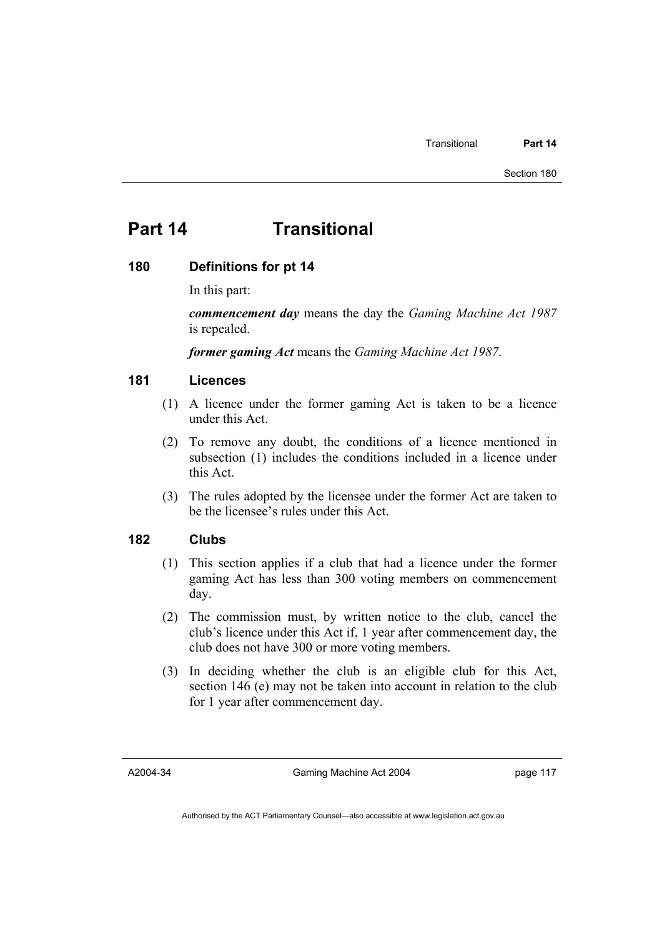# **Part 14 Transitional**

# **180 Definitions for pt 14**

In this part:

*commencement day* means the day the *Gaming Machine Act 1987* is repealed.

*former gaming Act* means the *Gaming Machine Act 1987*.

# **181 Licences**

- (1) A licence under the former gaming Act is taken to be a licence under this Act.
- (2) To remove any doubt, the conditions of a licence mentioned in subsection (1) includes the conditions included in a licence under this Act.
- (3) The rules adopted by the licensee under the former Act are taken to be the licensee's rules under this Act.

# **182 Clubs**

- (1) This section applies if a club that had a licence under the former gaming Act has less than 300 voting members on commencement day.
- (2) The commission must, by written notice to the club, cancel the club's licence under this Act if, 1 year after commencement day, the club does not have 300 or more voting members.
- (3) In deciding whether the club is an eligible club for this Act, section 146 (e) may not be taken into account in relation to the club for 1 year after commencement day.

A2004-34

Gaming Machine Act 2004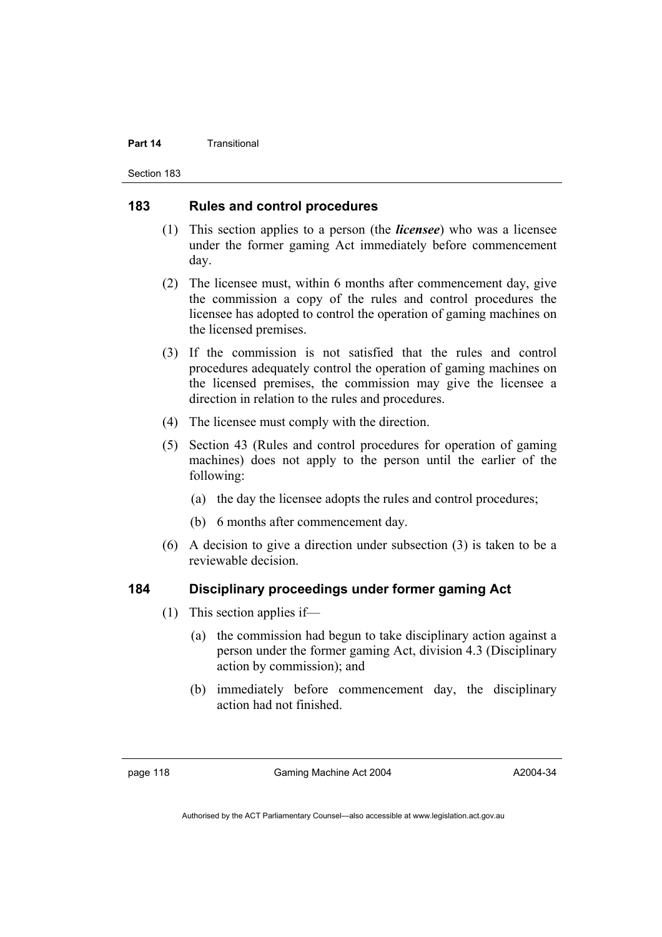#### **Part 14** Transitional

Section 183

# **183 Rules and control procedures**

- (1) This section applies to a person (the *licensee*) who was a licensee under the former gaming Act immediately before commencement day.
- (2) The licensee must, within 6 months after commencement day, give the commission a copy of the rules and control procedures the licensee has adopted to control the operation of gaming machines on the licensed premises.
- (3) If the commission is not satisfied that the rules and control procedures adequately control the operation of gaming machines on the licensed premises, the commission may give the licensee a direction in relation to the rules and procedures.
- (4) The licensee must comply with the direction.
- (5) Section 43 (Rules and control procedures for operation of gaming machines) does not apply to the person until the earlier of the following:
	- (a) the day the licensee adopts the rules and control procedures;
	- (b) 6 months after commencement day.
- (6) A decision to give a direction under subsection (3) is taken to be a reviewable decision.

# **184 Disciplinary proceedings under former gaming Act**

- (1) This section applies if—
	- (a) the commission had begun to take disciplinary action against a person under the former gaming Act, division 4.3 (Disciplinary action by commission); and
	- (b) immediately before commencement day, the disciplinary action had not finished.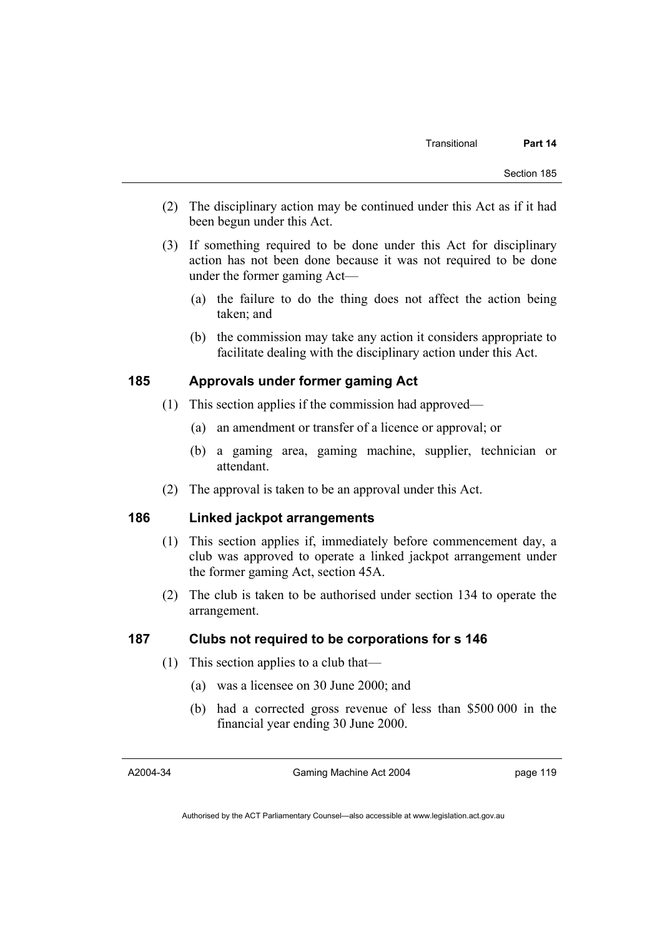- (2) The disciplinary action may be continued under this Act as if it had been begun under this Act.
- (3) If something required to be done under this Act for disciplinary action has not been done because it was not required to be done under the former gaming Act—
	- (a) the failure to do the thing does not affect the action being taken; and
	- (b) the commission may take any action it considers appropriate to facilitate dealing with the disciplinary action under this Act.

# **185 Approvals under former gaming Act**

- (1) This section applies if the commission had approved—
	- (a) an amendment or transfer of a licence or approval; or
	- (b) a gaming area, gaming machine, supplier, technician or attendant.
- (2) The approval is taken to be an approval under this Act.

# **186 Linked jackpot arrangements**

- (1) This section applies if, immediately before commencement day, a club was approved to operate a linked jackpot arrangement under the former gaming Act, section 45A.
- (2) The club is taken to be authorised under section 134 to operate the arrangement.

# **187 Clubs not required to be corporations for s 146**

- (1) This section applies to a club that—
	- (a) was a licensee on 30 June 2000; and
	- (b) had a corrected gross revenue of less than \$500 000 in the financial year ending 30 June 2000.

A2004-34

Gaming Machine Act 2004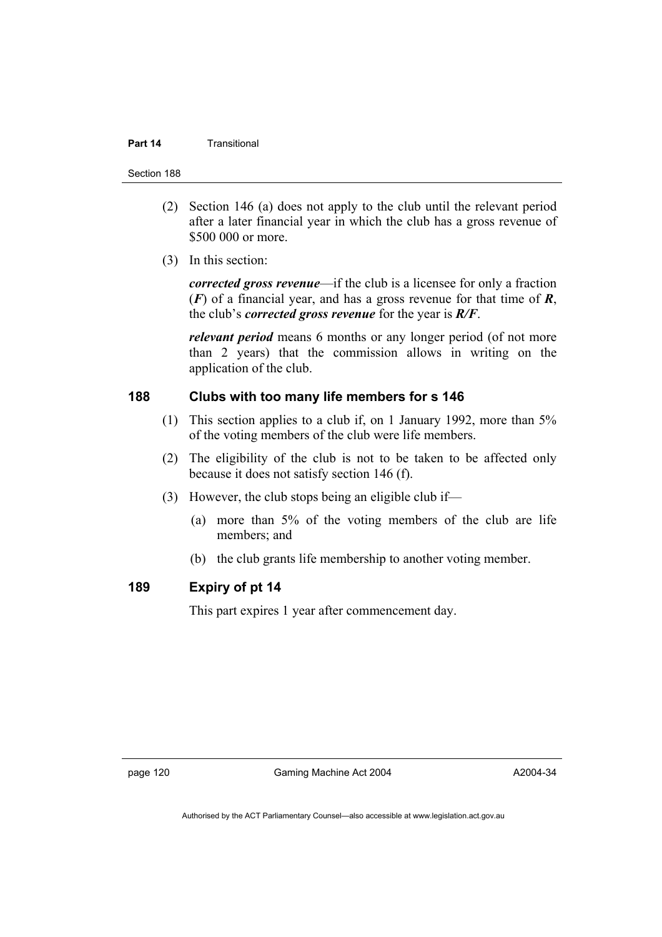### **Part 14** Transitional

Section 188

- (2) Section 146 (a) does not apply to the club until the relevant period after a later financial year in which the club has a gross revenue of \$500 000 or more.
- (3) In this section:

*corrected gross revenue*—if the club is a licensee for only a fraction (*F*) of a financial year, and has a gross revenue for that time of *R*, the club's *corrected gross revenue* for the year is *R/F*.

*relevant period* means 6 months or any longer period (of not more than 2 years) that the commission allows in writing on the application of the club.

# **188 Clubs with too many life members for s 146**

- (1) This section applies to a club if, on 1 January 1992, more than 5% of the voting members of the club were life members.
- (2) The eligibility of the club is not to be taken to be affected only because it does not satisfy section 146 (f).
- (3) However, the club stops being an eligible club if—
	- (a) more than 5% of the voting members of the club are life members; and
	- (b) the club grants life membership to another voting member.

# **189 Expiry of pt 14**

This part expires 1 year after commencement day.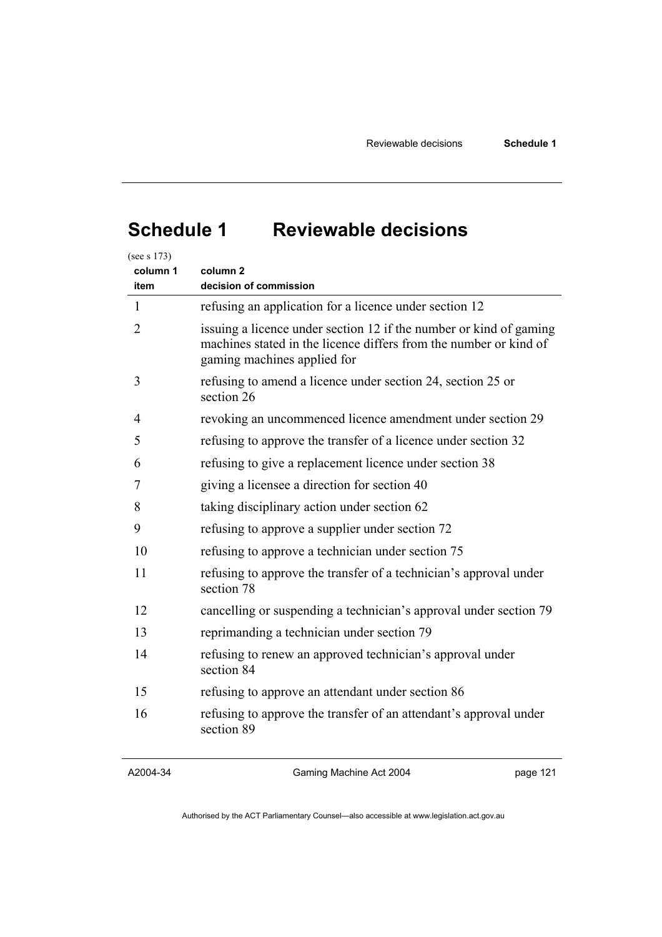# **Schedule 1 Reviewable decisions**

| column 1<br>item | column <sub>2</sub><br>decision of commission                                                                                                                          |
|------------------|------------------------------------------------------------------------------------------------------------------------------------------------------------------------|
| 1                | refusing an application for a licence under section 12                                                                                                                 |
| 2                | issuing a licence under section 12 if the number or kind of gaming<br>machines stated in the licence differs from the number or kind of<br>gaming machines applied for |
| 3                | refusing to amend a licence under section 24, section 25 or<br>section 26                                                                                              |
| 4                | revoking an uncommenced licence amendment under section 29                                                                                                             |
| 5                | refusing to approve the transfer of a licence under section 32                                                                                                         |
| 6                | refusing to give a replacement licence under section 38                                                                                                                |
| 7                | giving a licensee a direction for section 40                                                                                                                           |
| 8                | taking disciplinary action under section 62                                                                                                                            |
| 9                | refusing to approve a supplier under section 72                                                                                                                        |
| 10               | refusing to approve a technician under section 75                                                                                                                      |
| 11               | refusing to approve the transfer of a technician's approval under<br>section 78                                                                                        |
| 12               | cancelling or suspending a technician's approval under section 79                                                                                                      |
| 13               | reprimanding a technician under section 79                                                                                                                             |
| 14               | refusing to renew an approved technician's approval under<br>section 84                                                                                                |
| 15               | refusing to approve an attendant under section 86                                                                                                                      |
| 16               | refusing to approve the transfer of an attendant's approval under<br>section 89                                                                                        |

A2004-34

Gaming Machine Act 2004

page 121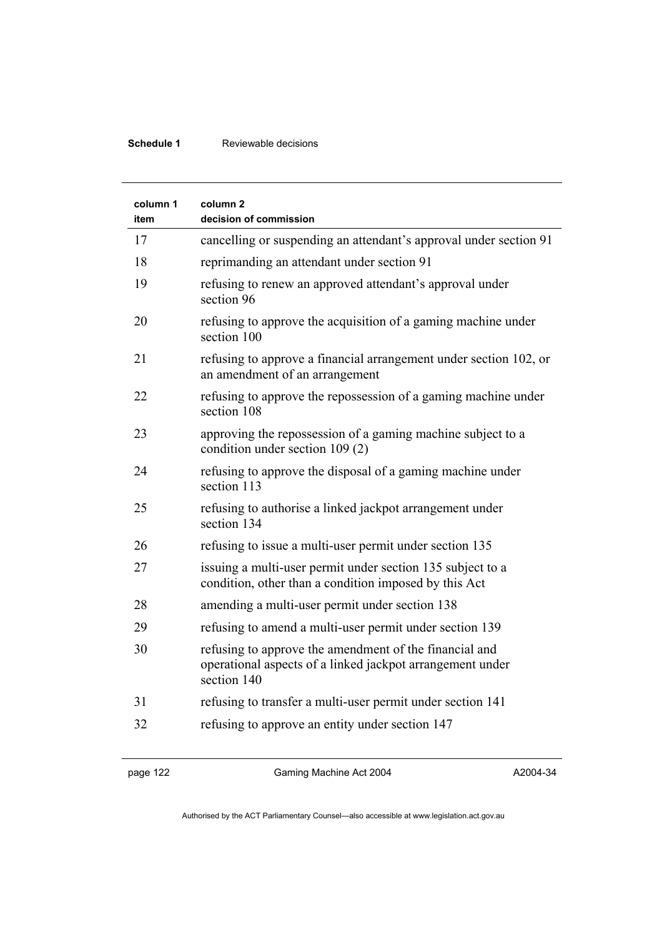# **Schedule 1** Reviewable decisions

| column 1<br>item | column 2<br>decision of commission                                                                                                 |
|------------------|------------------------------------------------------------------------------------------------------------------------------------|
| 17               | cancelling or suspending an attendant's approval under section 91                                                                  |
| 18               | reprimanding an attendant under section 91                                                                                         |
| 19               | refusing to renew an approved attendant's approval under<br>section 96                                                             |
| 20               | refusing to approve the acquisition of a gaming machine under<br>section 100                                                       |
| 21               | refusing to approve a financial arrangement under section 102, or<br>an amendment of an arrangement                                |
| 22               | refusing to approve the repossession of a gaming machine under<br>section 108                                                      |
| 23               | approving the repossession of a gaming machine subject to a<br>condition under section 109 (2)                                     |
| 24               | refusing to approve the disposal of a gaming machine under<br>section 113                                                          |
| 25               | refusing to authorise a linked jackpot arrangement under<br>section 134                                                            |
| 26               | refusing to issue a multi-user permit under section 135                                                                            |
| 27               | issuing a multi-user permit under section 135 subject to a<br>condition, other than a condition imposed by this Act                |
| 28               | amending a multi-user permit under section 138                                                                                     |
| 29               | refusing to amend a multi-user permit under section 139                                                                            |
| 30               | refusing to approve the amendment of the financial and<br>operational aspects of a linked jackpot arrangement under<br>section 140 |
| 31               | refusing to transfer a multi-user permit under section 141                                                                         |
| 32               | refusing to approve an entity under section 147                                                                                    |

page 122 Gaming Machine Act 2004

A2004-34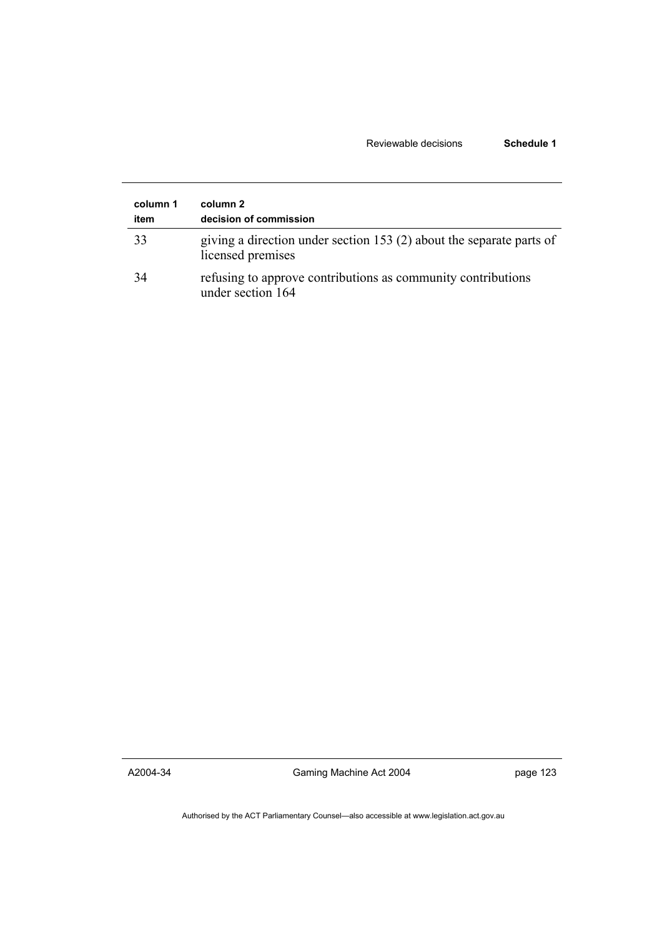# Reviewable decisions **Schedule 1**

| column 1<br>item | column 2<br>decision of commission                                                        |
|------------------|-------------------------------------------------------------------------------------------|
| 33               | giving a direction under section 153 (2) about the separate parts of<br>licensed premises |
| 34               | refusing to approve contributions as community contributions<br>under section 164         |

A2004-34

Gaming Machine Act 2004

page 123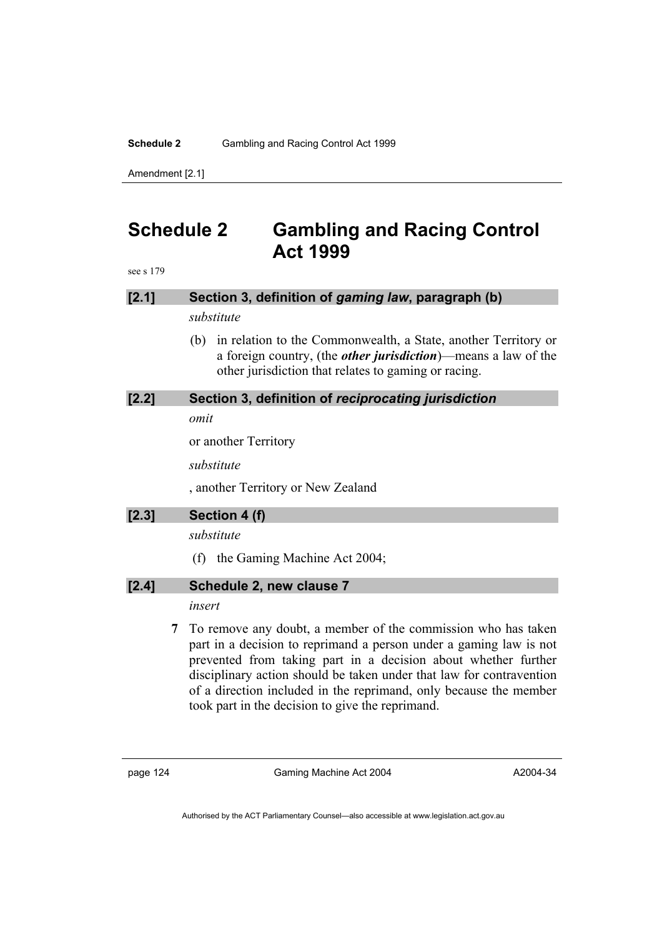# **Schedule 2** Gambling and Racing Control Act 1999

Amendment [2.1]

# **Schedule 2 Gambling and Racing Control Act 1999**

see s 179

| [2.1]   | Section 3, definition of gaming law, paragraph (b)                                                                                                                                                      |
|---------|---------------------------------------------------------------------------------------------------------------------------------------------------------------------------------------------------------|
|         | substitute                                                                                                                                                                                              |
|         | in relation to the Commonwealth, a State, another Territory or<br>(b)<br>a foreign country, (the <i>other jurisdiction</i> )—means a law of the<br>other jurisdiction that relates to gaming or racing. |
| [2.2]   | Section 3, definition of reciprocating jurisdiction                                                                                                                                                     |
|         | omit                                                                                                                                                                                                    |
|         | or another Territory                                                                                                                                                                                    |
|         | substitute                                                                                                                                                                                              |
|         | , another Territory or New Zealand                                                                                                                                                                      |
| $[2.3]$ | Section 4 (f)                                                                                                                                                                                           |
|         |                                                                                                                                                                                                         |
|         | substitute                                                                                                                                                                                              |
|         | the Gaming Machine Act 2004;<br>(f)                                                                                                                                                                     |
| [2.4]   | Schedule 2, new clause 7                                                                                                                                                                                |
|         | insert                                                                                                                                                                                                  |

page 124 Gaming Machine Act 2004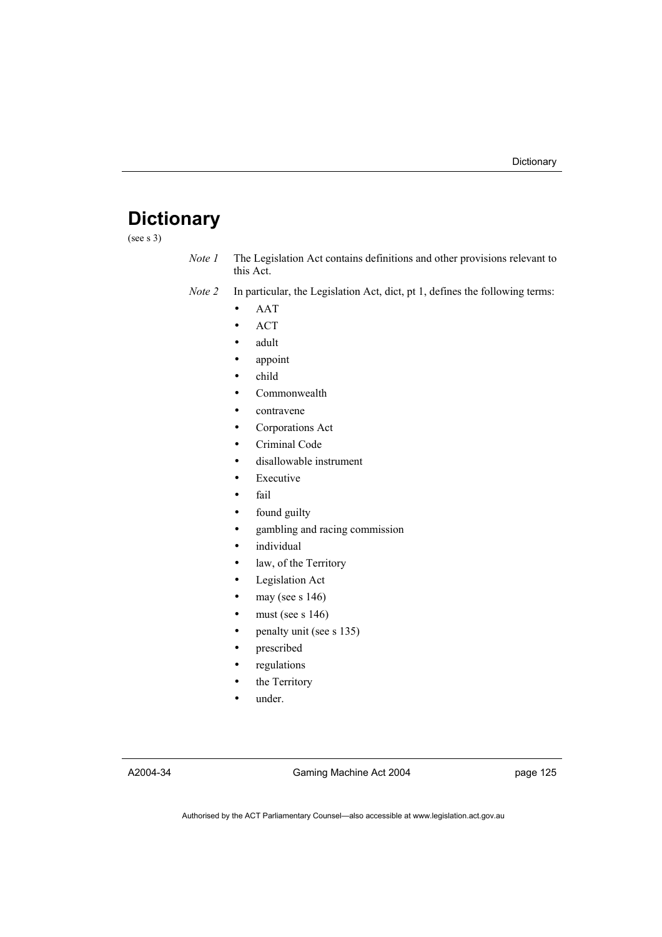# **Dictionary**

(see s 3)

*Note 1* The Legislation Act contains definitions and other provisions relevant to this Act.

*Note 2* In particular, the Legislation Act, dict, pt 1, defines the following terms:

- AAT
- ACT
- adult
- appoint
- child
- Commonwealth
- contravene
- Corporations Act
- Criminal Code
- disallowable instrument
- **Executive**
- fail
- found guilty
- gambling and racing commission
- *individual*
- law, of the Territory
- Legislation Act
- may (see s  $146$ )
- must (see s  $146$ )
- penalty unit (see s 135)
- prescribed
- regulations
- the Territory
- under.

A2004-34

Gaming Machine Act 2004

page 125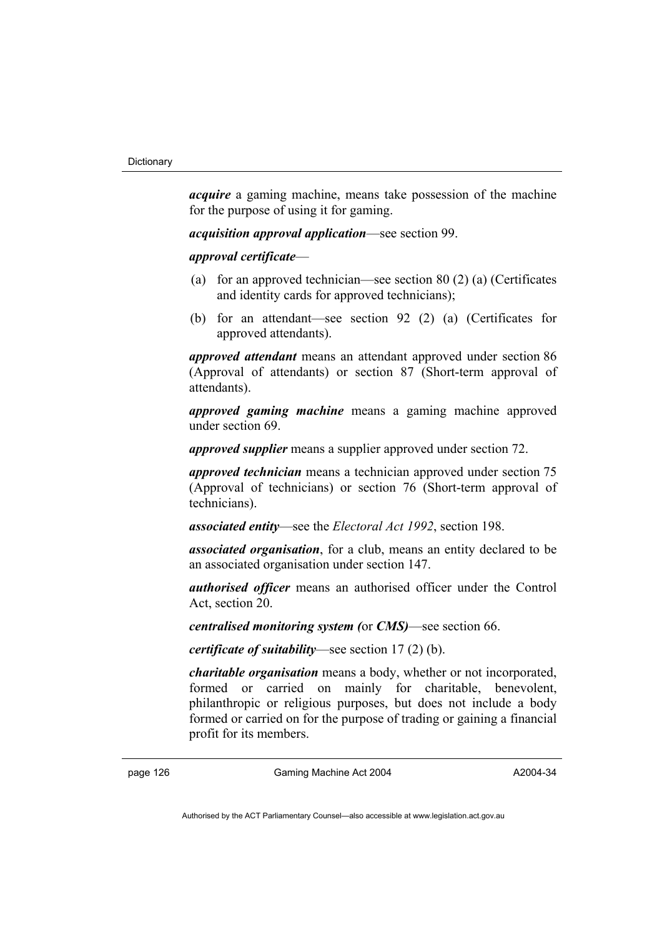*acquire* a gaming machine, means take possession of the machine for the purpose of using it for gaming.

*acquisition approval application*—see section 99.

*approval certificate*—

- (a) for an approved technician—see section 80 (2) (a) (Certificates and identity cards for approved technicians);
- (b) for an attendant—see section 92 (2) (a) (Certificates for approved attendants).

*approved attendant* means an attendant approved under section 86 (Approval of attendants) or section 87 (Short-term approval of attendants).

*approved gaming machine* means a gaming machine approved under section 69.

*approved supplier* means a supplier approved under section 72.

*approved technician* means a technician approved under section 75 (Approval of technicians) or section 76 (Short-term approval of technicians).

*associated entity*—see the *Electoral Act 1992*, section 198.

*associated organisation*, for a club, means an entity declared to be an associated organisation under section 147.

*authorised officer* means an authorised officer under the Control Act, section 20.

*centralised monitoring system (*or *CMS)*—see section 66.

*certificate of suitability*—see section 17 (2) (b).

*charitable organisation* means a body, whether or not incorporated, formed or carried on mainly for charitable, benevolent, philanthropic or religious purposes, but does not include a body formed or carried on for the purpose of trading or gaining a financial profit for its members.

page 126 Gaming Machine Act 2004

A2004-34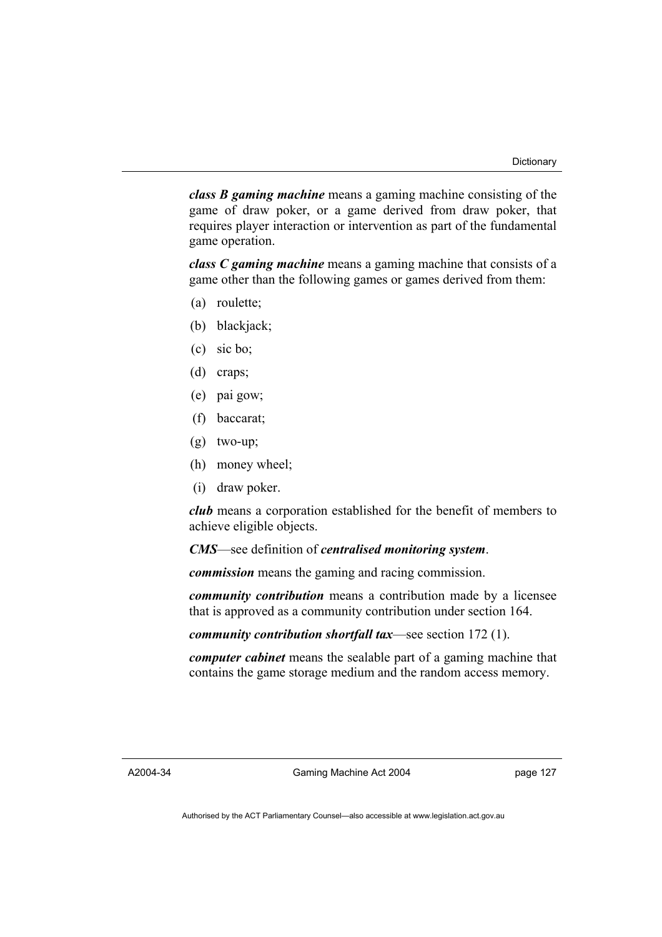*class B gaming machine* means a gaming machine consisting of the game of draw poker, or a game derived from draw poker, that requires player interaction or intervention as part of the fundamental game operation.

*class C gaming machine* means a gaming machine that consists of a game other than the following games or games derived from them:

- (a) roulette;
- (b) blackjack;
- (c) sic bo;
- (d) craps;
- (e) pai gow;
- (f) baccarat;
- (g) two-up;
- (h) money wheel;
- (i) draw poker.

*club* means a corporation established for the benefit of members to achieve eligible objects.

*CMS*—see definition of *centralised monitoring system*.

*commission* means the gaming and racing commission.

*community contribution* means a contribution made by a licensee that is approved as a community contribution under section 164.

*community contribution shortfall tax*—see section 172 (1).

*computer cabinet* means the sealable part of a gaming machine that contains the game storage medium and the random access memory.

A2004-34

Gaming Machine Act 2004

page 127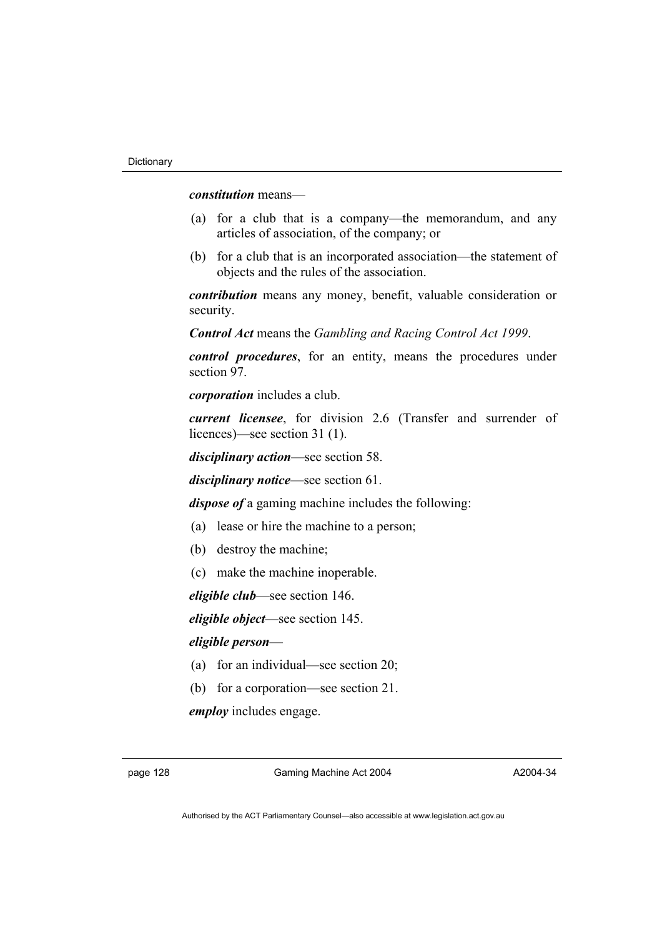*constitution* means—

- (a) for a club that is a company—the memorandum, and any articles of association, of the company; or
- (b) for a club that is an incorporated association—the statement of objects and the rules of the association.

*contribution* means any money, benefit, valuable consideration or security.

*Control Act* means the *Gambling and Racing Control Act 1999*.

*control procedures*, for an entity, means the procedures under section 97.

*corporation* includes a club.

*current licensee*, for division 2.6 (Transfer and surrender of licences)—see section 31 (1).

*disciplinary action*—see section 58.

*disciplinary notice*—see section 61.

*dispose of* a gaming machine includes the following:

- (a) lease or hire the machine to a person;
- (b) destroy the machine;
- (c) make the machine inoperable.

*eligible club*—see section 146.

*eligible object*—see section 145.

## *eligible person*—

- (a) for an individual—see section 20;
- (b) for a corporation—see section 21.

*employ* includes engage.

page 128 Gaming Machine Act 2004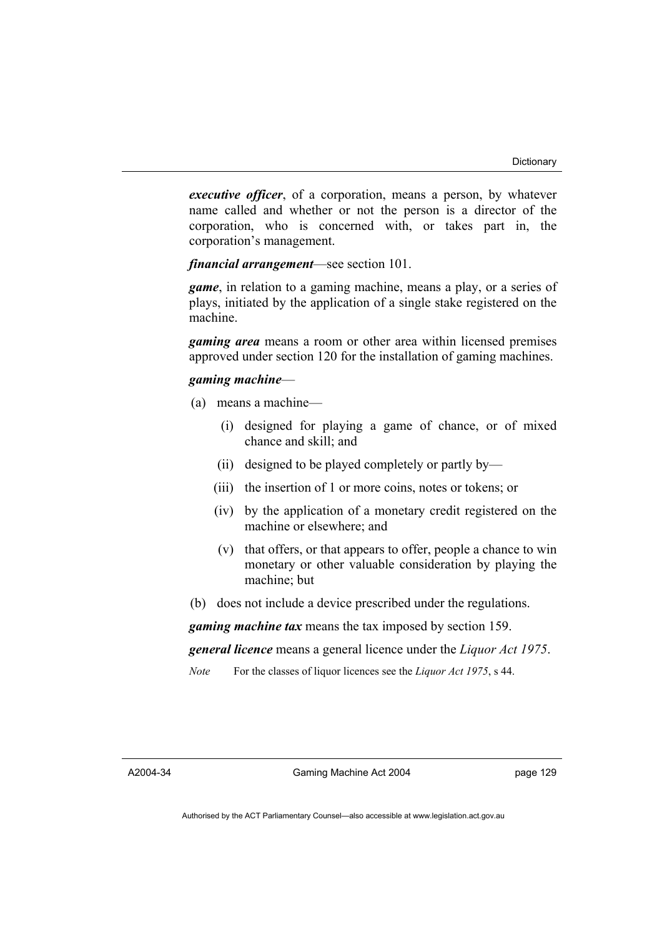*executive officer*, of a corporation, means a person, by whatever name called and whether or not the person is a director of the corporation, who is concerned with, or takes part in, the corporation's management.

*financial arrangement*—see section 101.

*game*, in relation to a gaming machine, means a play, or a series of plays, initiated by the application of a single stake registered on the machine.

*gaming area* means a room or other area within licensed premises approved under section 120 for the installation of gaming machines.

### *gaming machine*—

- (a) means a machine—
	- (i) designed for playing a game of chance, or of mixed chance and skill; and
	- (ii) designed to be played completely or partly by—
	- (iii) the insertion of 1 or more coins, notes or tokens; or
	- (iv) by the application of a monetary credit registered on the machine or elsewhere; and
	- (v) that offers, or that appears to offer, people a chance to win monetary or other valuable consideration by playing the machine; but
- (b) does not include a device prescribed under the regulations.

*gaming machine tax* means the tax imposed by section 159.

*general licence* means a general licence under the *Liquor Act 1975*.

*Note* For the classes of liquor licences see the *Liquor Act 1975*, s 44.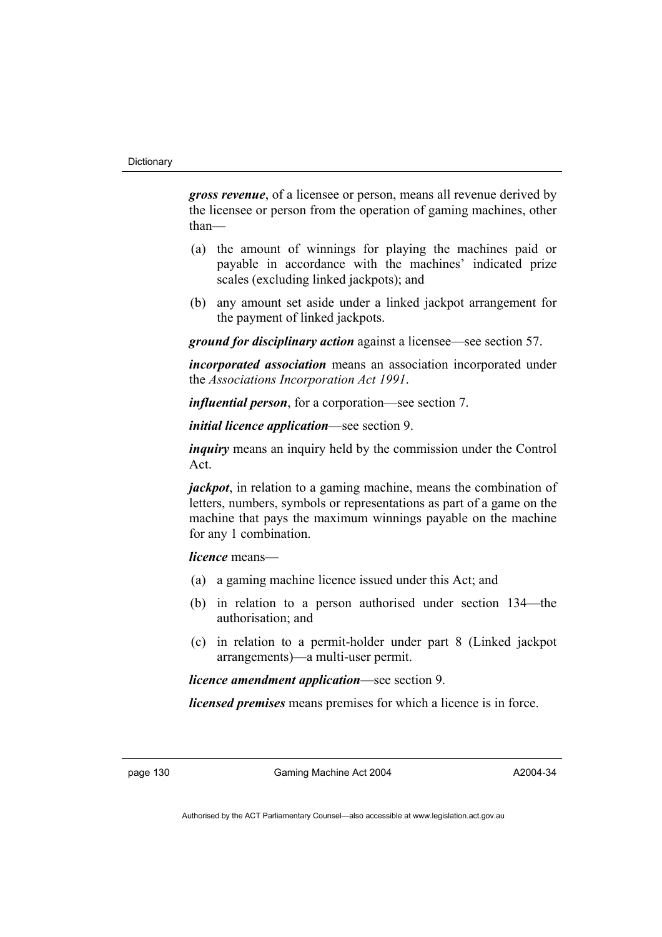*gross revenue*, of a licensee or person, means all revenue derived by the licensee or person from the operation of gaming machines, other than—

- (a) the amount of winnings for playing the machines paid or payable in accordance with the machines' indicated prize scales (excluding linked jackpots); and
- (b) any amount set aside under a linked jackpot arrangement for the payment of linked jackpots.

*ground for disciplinary action* against a licensee—see section 57.

*incorporated association* means an association incorporated under the *Associations Incorporation Act 1991*.

*influential person*, for a corporation—see section 7.

*initial licence application*—see section 9.

*inquiry* means an inquiry held by the commission under the Control Act.

*jackpot*, in relation to a gaming machine, means the combination of letters, numbers, symbols or representations as part of a game on the machine that pays the maximum winnings payable on the machine for any 1 combination.

*licence* means—

- (a) a gaming machine licence issued under this Act; and
- (b) in relation to a person authorised under section 134—the authorisation; and
- (c) in relation to a permit-holder under part 8 (Linked jackpot arrangements)—a multi-user permit.

*licence amendment application*—see section 9.

*licensed premises* means premises for which a licence is in force.

page 130 Gaming Machine Act 2004

A2004-34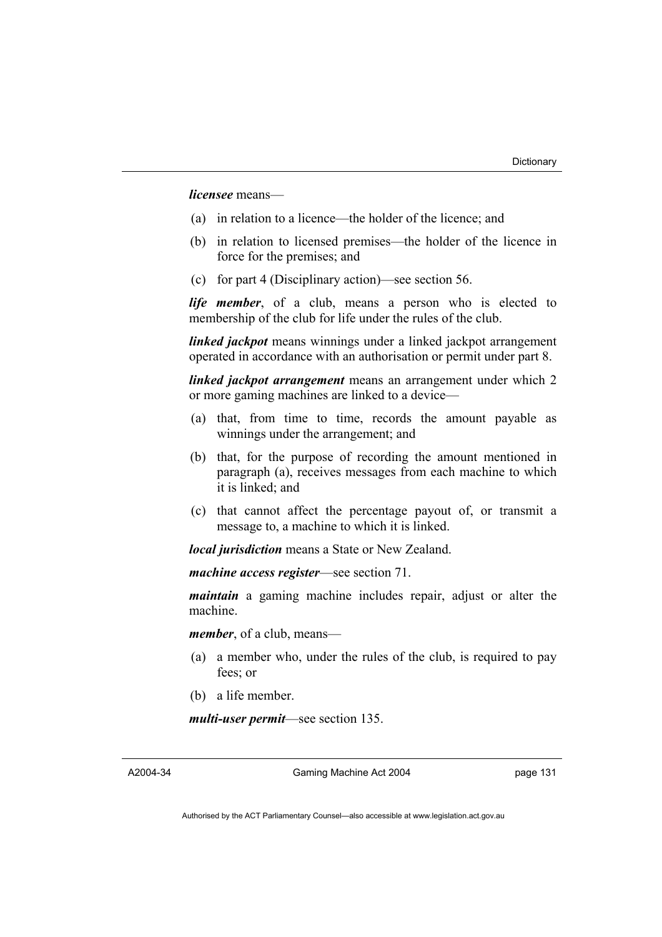*licensee* means—

- (a) in relation to a licence—the holder of the licence; and
- (b) in relation to licensed premises—the holder of the licence in force for the premises; and
- (c) for part 4 (Disciplinary action)—see section 56.

*life member*, of a club, means a person who is elected to membership of the club for life under the rules of the club.

*linked jackpot* means winnings under a linked jackpot arrangement operated in accordance with an authorisation or permit under part 8.

*linked jackpot arrangement* means an arrangement under which 2 or more gaming machines are linked to a device—

- (a) that, from time to time, records the amount payable as winnings under the arrangement; and
- (b) that, for the purpose of recording the amount mentioned in paragraph (a), receives messages from each machine to which it is linked; and
- (c) that cannot affect the percentage payout of, or transmit a message to, a machine to which it is linked.

*local jurisdiction* means a State or New Zealand.

*machine access register*—see section 71.

*maintain* a gaming machine includes repair, adjust or alter the machine.

*member*, of a club, means—

- (a) a member who, under the rules of the club, is required to pay fees; or
- (b) a life member.

*multi-user permit*—see section 135.

A2004-34

Gaming Machine Act 2004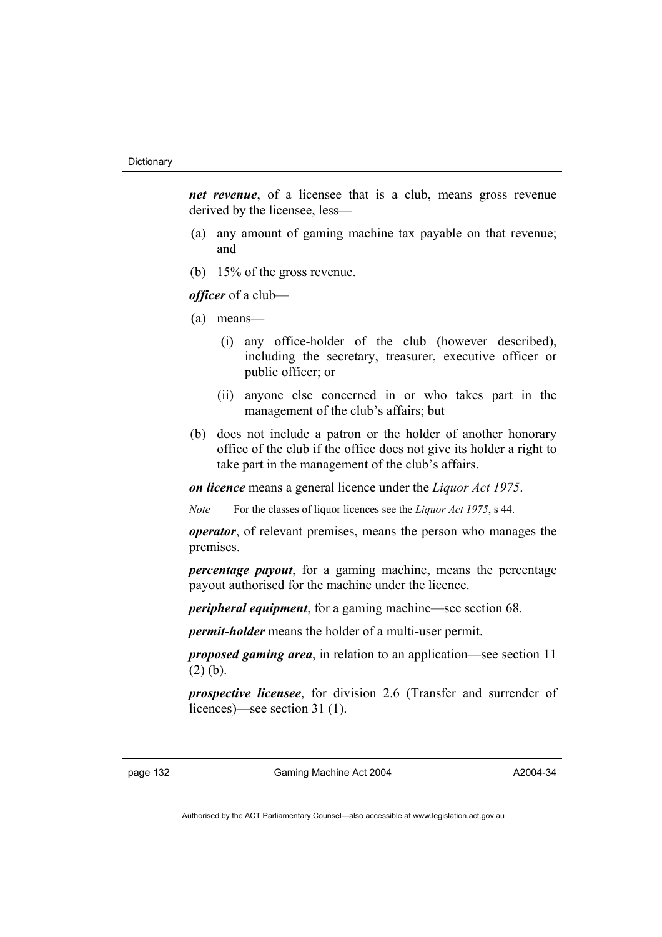*net revenue*, of a licensee that is a club, means gross revenue derived by the licensee, less—

- (a) any amount of gaming machine tax payable on that revenue; and
- (b) 15% of the gross revenue.

*officer* of a club—

- (a) means—
	- (i) any office-holder of the club (however described), including the secretary, treasurer, executive officer or public officer; or
	- (ii) anyone else concerned in or who takes part in the management of the club's affairs; but
- (b) does not include a patron or the holder of another honorary office of the club if the office does not give its holder a right to take part in the management of the club's affairs.

*on licence* means a general licence under the *Liquor Act 1975*.

*Note* For the classes of liquor licences see the *Liquor Act 1975*, s 44.

*operator*, of relevant premises, means the person who manages the premises.

*percentage payout*, for a gaming machine, means the percentage payout authorised for the machine under the licence.

*peripheral equipment*, for a gaming machine—see section 68.

*permit-holder* means the holder of a multi-user permit.

*proposed gaming area*, in relation to an application—see section 11 (2) (b).

*prospective licensee*, for division 2.6 (Transfer and surrender of licences)—see section 31 (1).

page 132 Gaming Machine Act 2004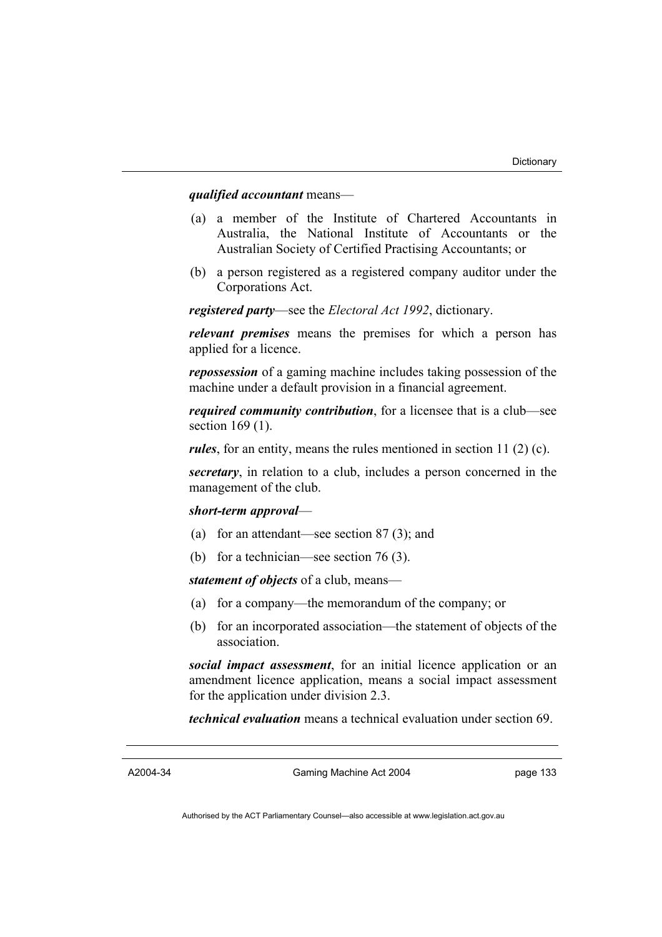## *qualified accountant* means—

- (a) a member of the Institute of Chartered Accountants in Australia, the National Institute of Accountants or the Australian Society of Certified Practising Accountants; or
- (b) a person registered as a registered company auditor under the Corporations Act.

*registered party*—see the *Electoral Act 1992*, dictionary.

*relevant premises* means the premises for which a person has applied for a licence.

*repossession* of a gaming machine includes taking possession of the machine under a default provision in a financial agreement.

*required community contribution*, for a licensee that is a club—see section 169 (1).

*rules*, for an entity, means the rules mentioned in section 11 (2) (c).

*secretary*, in relation to a club, includes a person concerned in the management of the club.

#### *short-term approval*—

- (a) for an attendant—see section 87 (3); and
- (b) for a technician—see section 76 (3).

*statement of objects* of a club, means—

- (a) for a company—the memorandum of the company; or
- (b) for an incorporated association—the statement of objects of the association.

*social impact assessment*, for an initial licence application or an amendment licence application, means a social impact assessment for the application under division 2.3.

*technical evaluation* means a technical evaluation under section 69.

A2004-34

Gaming Machine Act 2004

page 133